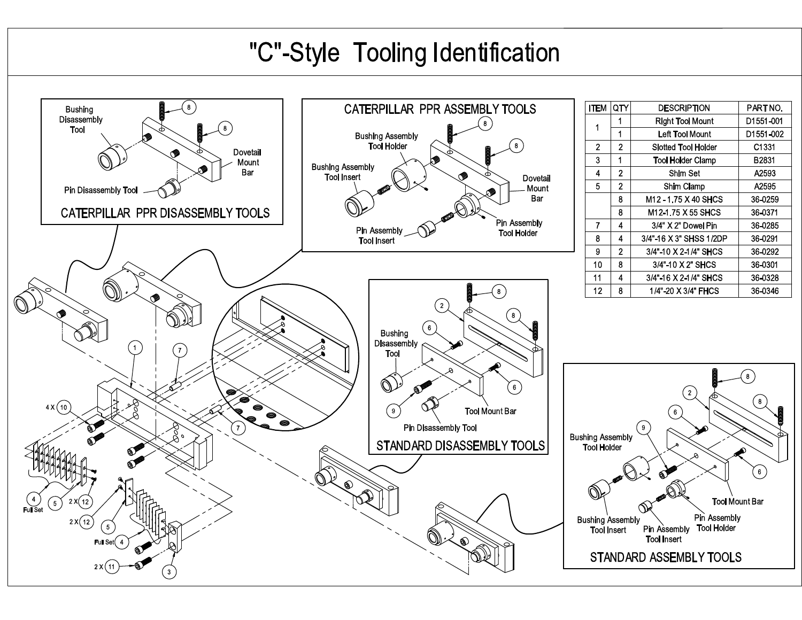## "C"-Style Tooling Identification

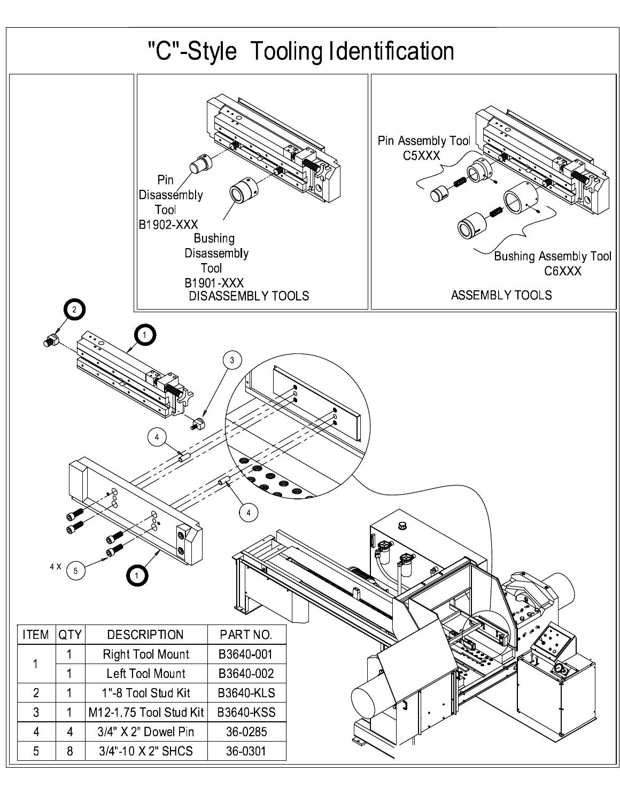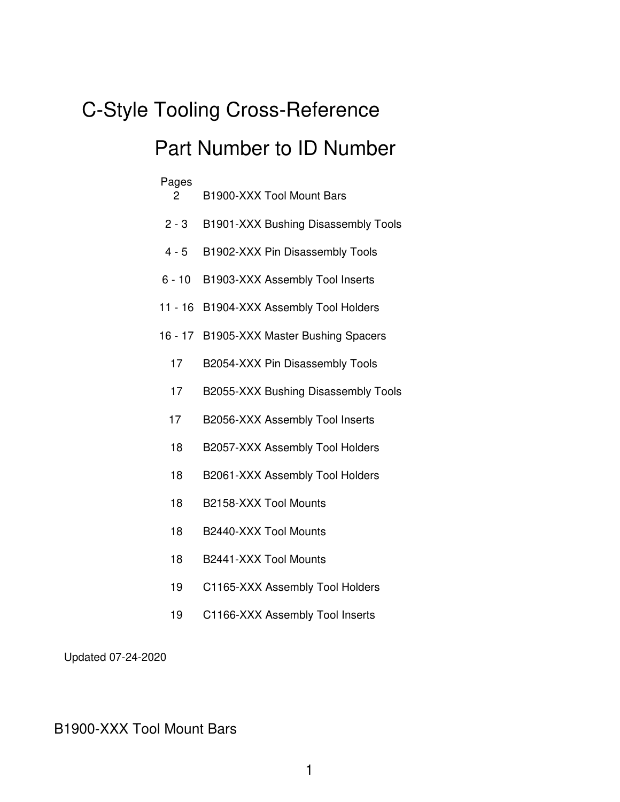## C-Style Tooling Cross-Reference Part Number to ID Number

| Pages<br>2 | B1900-XXX Tool Mount Bars           |
|------------|-------------------------------------|
| $2 - 3$    | B1901-XXX Bushing Disassembly Tools |
| $4 - 5$    | B1902-XXX Pin Disassembly Tools     |
| $6 - 10$   | B1903-XXX Assembly Tool Inserts     |
| 11 - 16    | B1904-XXX Assembly Tool Holders     |
| $16 - 17$  | B1905-XXX Master Bushing Spacers    |
| 17         | B2054-XXX Pin Disassembly Tools     |
| 17         | B2055-XXX Bushing Disassembly Tools |
| 17         | B2056-XXX Assembly Tool Inserts     |
| 18         | B2057-XXX Assembly Tool Holders     |
| 18         | B2061-XXX Assembly Tool Holders     |
| 18         | B2158-XXX Tool Mounts               |
| 18         | B2440-XXX Tool Mounts               |
| 18         | B2441-XXX Tool Mounts               |
| 19         | C1165-XXX Assembly Tool Holders     |
|            |                                     |

19 C1166-XXX Assembly Tool Inserts

Updated 07-24-2020

## B1900-XXX Tool Mount Bars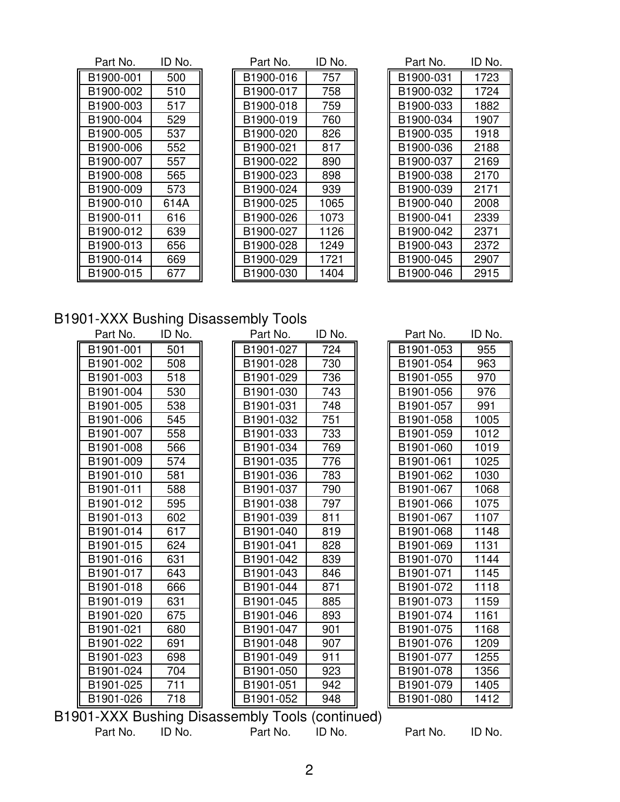| Part No.  | ID No. |
|-----------|--------|
| B1900-001 | 500    |
| B1900-002 | 510    |
| B1900-003 | 517    |
| B1900-004 | 529    |
| B1900-005 | 537    |
| B1900-006 | 552    |
| B1900-007 | 557    |
| B1900-008 | 565    |
| B1900-009 | 573    |
| B1900-010 | 614A   |
| B1900-011 | 616    |
| B1900-012 | 639    |
| B1900-013 | 656    |
| B1900-014 | 669    |
| B1900-015 | 677    |

| Part No.  | ID No. | Part No.  | ID No. | Part No.  | ID No. |
|-----------|--------|-----------|--------|-----------|--------|
| B1900-001 | 500    | B1900-016 | 757    | B1900-031 | 1723   |
| B1900-002 | 510    | B1900-017 | 758    | B1900-032 | 1724   |
| B1900-003 | 517    | B1900-018 | 759    | B1900-033 | 1882   |
| B1900-004 | 529    | B1900-019 | 760    | B1900-034 | 1907   |
| B1900-005 | 537    | B1900-020 | 826    | B1900-035 | 1918   |
| B1900-006 | 552    | B1900-021 | 817    | B1900-036 | 2188   |
| B1900-007 | 557    | B1900-022 | 890    | B1900-037 | 2169   |
| B1900-008 | 565    | B1900-023 | 898    | B1900-038 | 2170   |
| B1900-009 | 573    | B1900-024 | 939    | B1900-039 | 2171   |
| B1900-010 | 614A   | B1900-025 | 1065   | B1900-040 | 2008   |
| B1900-011 | 616    | B1900-026 | 1073   | B1900-041 | 2339   |
| B1900-012 | 639    | B1900-027 | 1126   | B1900-042 | 2371   |
| B1900-013 | 656    | B1900-028 | 1249   | B1900-043 | 2372   |
| B1900-014 | 669    | B1900-029 | 1721   | B1900-045 | 2907   |
| B1900-015 | 677    | B1900-030 | 1404   | B1900-046 | 2915   |

| Part No.  | ID No. |
|-----------|--------|
| B1900-031 | 1723   |
| B1900-032 | 1724   |
| B1900-033 | 1882   |
| B1900-034 | 1907   |
| B1900-035 | 1918   |
| B1900-036 | 2188   |
| B1900-037 | 2169   |
| B1900-038 | 2170   |
| B1900-039 | 2171   |
| B1900-040 | 2008   |
| B1900-041 | 2339   |
| B1900-042 | 2371   |
| B1900-043 | 2372   |
| B1900-045 | 2907   |
| B1900-046 | 2915   |

## B1901-XXX Bushing Disassembly Tools

| Part No.  | ID No. | Part No.  | ID No. | Part No.  | ID No. |
|-----------|--------|-----------|--------|-----------|--------|
| B1901-001 | 501    | B1901-027 | 724    | B1901-053 | 955    |
| B1901-002 | 508    | B1901-028 | 730    | B1901-054 | 963    |
| B1901-003 | 518    | B1901-029 | 736    | B1901-055 | 970    |
| B1901-004 | 530    | B1901-030 | 743    | B1901-056 | 976    |
| B1901-005 | 538    | B1901-031 | 748    | B1901-057 | 991    |
| B1901-006 | 545    | B1901-032 | 751    | B1901-058 | 1005   |
| B1901-007 | 558    | B1901-033 | 733    | B1901-059 | 1012   |
| B1901-008 | 566    | B1901-034 | 769    | B1901-060 | 1019   |
| B1901-009 | 574    | B1901-035 | 776    | B1901-061 | 1025   |
| B1901-010 | 581    | B1901-036 | 783    | B1901-062 | 1030   |
| B1901-011 | 588    | B1901-037 | 790    | B1901-067 | 1068   |
| B1901-012 | 595    | B1901-038 | 797    | B1901-066 | 1075   |
| B1901-013 | 602    | B1901-039 | 811    | B1901-067 | 1107   |
| B1901-014 | 617    | B1901-040 | 819    | B1901-068 | 1148   |
| B1901-015 | 624    | B1901-041 | 828    | B1901-069 | 1131   |
| B1901-016 | 631    | B1901-042 | 839    | B1901-070 | 1144   |
| B1901-017 | 643    | B1901-043 | 846    | B1901-071 | 1145   |
| B1901-018 | 666    | B1901-044 | 871    | B1901-072 | 1118   |
| B1901-019 | 631    | B1901-045 | 885    | B1901-073 | 1159   |
| B1901-020 | 675    | B1901-046 | 893    | B1901-074 | 1161   |
| B1901-021 | 680    | B1901-047 | 901    | B1901-075 | 1168   |
| B1901-022 | 691    | B1901-048 | 907    | B1901-076 | 1209   |
| B1901-023 | 698    | B1901-049 | 911    | B1901-077 | 1255   |
| B1901-024 | 704    | B1901-050 | 923    | B1901-078 | 1356   |
| B1901-025 | 711    | B1901-051 | 942    | B1901-079 | 1405   |
| B1901-026 | 718    | B1901-052 | 948    | B1901-080 | 1412   |

B1901-XXX Bushing Disassembly Tools (continued) Part No. ID No. Part No. ID No. Part No. ID No.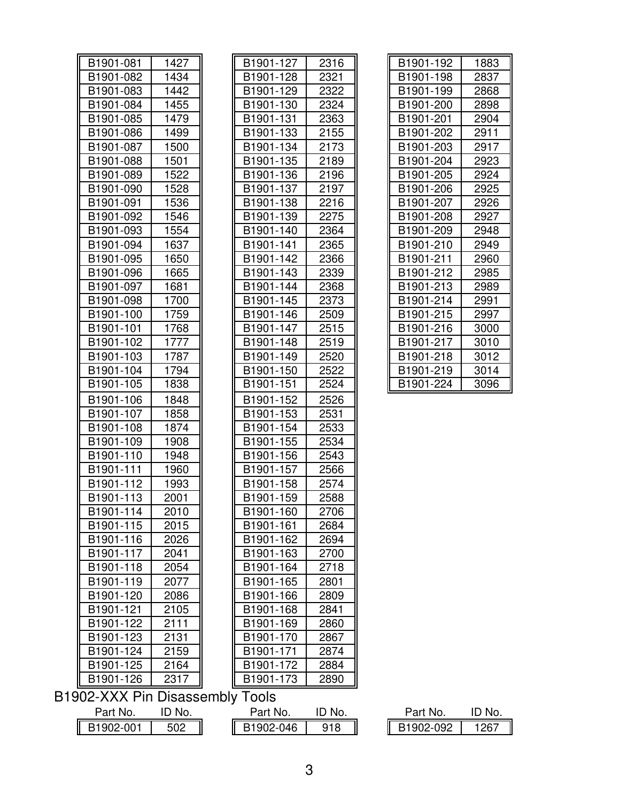| B1901-081                      | 1427   |  | B1901-127              | 2316   |  | B1901-192 | 1883   |
|--------------------------------|--------|--|------------------------|--------|--|-----------|--------|
| B1901-082                      | 1434   |  | B1901-128              | 2321   |  | B1901-198 | 2837   |
| B1901-083                      | 1442   |  | B1901-129              | 2322   |  | B1901-199 | 2868   |
| B1901-084                      | 1455   |  | B1901-130              | 2324   |  | B1901-200 | 2898   |
| B1901-085                      | 1479   |  | B1901-131              | 2363   |  | B1901-201 | 2904   |
| B1901-086                      | 1499   |  | B1901-133              | 2155   |  | B1901-202 | 2911   |
| B1901-087                      | 1500   |  | B1901-134              | 2173   |  | B1901-203 | 2917   |
| B1901-088                      | 1501   |  | B1901-135              | 2189   |  | B1901-204 | 2923   |
| B1901-089                      | 1522   |  | B1901-136              | 2196   |  | B1901-205 | 2924   |
| B1901-090                      | 1528   |  | B1901-137              | 2197   |  | B1901-206 | 2925   |
| B1901-091                      | 1536   |  | B1901-138              | 2216   |  | B1901-207 | 2926   |
| B1901-092                      | 1546   |  | B <sub>1901</sub> -139 | 2275   |  | B1901-208 | 2927   |
| B1901-093                      | 1554   |  | B1901-140              | 2364   |  | B1901-209 | 2948   |
| B1901-094                      | 1637   |  | B1901-141              | 2365   |  | B1901-210 | 2949   |
| B1901-095                      | 1650   |  | B1901-142              | 2366   |  | B1901-211 | 2960   |
| B1901-096                      | 1665   |  | B <sub>1901</sub> -143 | 2339   |  | B1901-212 | 2985   |
| B1901-097                      | 1681   |  | B1901-144              | 2368   |  | B1901-213 | 2989   |
| B1901-098                      | 1700   |  | B1901-145              | 2373   |  | B1901-214 | 2991   |
| B <sub>1901</sub> -100         | 1759   |  | B1901-146              | 2509   |  | B1901-215 | 2997   |
| B1901-101                      | 1768   |  | B1901-147              | 2515   |  | B1901-216 | 3000   |
| B1901-102                      | 1777   |  | B1901-148              | 2519   |  | B1901-217 | 3010   |
| B1901-103                      | 1787   |  | B1901-149              | 2520   |  | B1901-218 | 3012   |
| B1901-104                      | 1794   |  | B1901-150              | 2522   |  | B1901-219 | 3014   |
| B1901-105                      | 1838   |  | B1901-151              | 2524   |  | B1901-224 | 3096   |
| B1901-106                      | 1848   |  | B1901-152              | 2526   |  |           |        |
| B1901-107                      | 1858   |  | B <sub>1901</sub> -153 | 2531   |  |           |        |
| B1901-108                      | 1874   |  | B1901-154              | 2533   |  |           |        |
| B1901-109                      | 1908   |  | B <sub>1901</sub> -155 | 2534   |  |           |        |
| B1901-110                      | 1948   |  | B1901-156              | 2543   |  |           |        |
| B <sub>1901</sub> -111         | 1960   |  | B1901-157              | 2566   |  |           |        |
| B1901-112                      | 1993   |  | B1901-158              | 2574   |  |           |        |
| B1901-113                      | 2001   |  | B1901-159              | 2588   |  |           |        |
| B1901-114                      | 2010   |  | B1901-160              | 2706   |  |           |        |
| B1901-115                      | 2015   |  | B1901-161              | 2684   |  |           |        |
| B1901-116                      | 2026   |  | B1901-162              | 2694   |  |           |        |
| B1901-117                      | 2041   |  | B1901-163              | 2700   |  |           |        |
| B1901-118                      | 2054   |  | B1901-164              | 2718   |  |           |        |
| B1901-119                      | 2077   |  | B1901-165              | 2801   |  |           |        |
| B1901-120                      | 2086   |  | B1901-166              | 2809   |  |           |        |
| B1901-121                      | 2105   |  | B1901-168              | 2841   |  |           |        |
| B1901-122                      | 2111   |  | B1901-169              | 2860   |  |           |        |
| B1901-123                      | 2131   |  | B1901-170              | 2867   |  |           |        |
| B1901-124                      | 2159   |  | B1901-171              | 2874   |  |           |        |
| B1901-125                      | 2164   |  | B1901-172              | 2884   |  |           |        |
| B1901-126                      | 2317   |  | B1901-173              | 2890   |  |           |        |
| 1902-XXX Pin Disassembly Tools |        |  |                        |        |  |           |        |
| Part No.                       | ID No. |  | Part No.               | ID No. |  | Part No.  | ID No. |
| B1902-001                      | 502    |  | B1902-046              | 918    |  | B1902-092 | 1267   |

| B1901-192 | 1883 |
|-----------|------|
| B1901-198 | 2837 |
| B1901-199 | 2868 |
| B1901-200 | 2898 |
| B1901-201 | 2904 |
| B1901-202 | 2911 |
| B1901-203 | 2917 |
| B1901-204 | 2923 |
| B1901-205 | 2924 |
| B1901-206 | 2925 |
| B1901-207 | 2926 |
| B1901-208 | 2927 |
| B1901-209 | 2948 |
| B1901-210 | 2949 |
| B1901-211 | 2960 |
| B1901-212 | 2985 |
| B1901-213 | 2989 |
| B1901-214 | 2991 |
| B1901-215 | 2997 |
| B1901-216 | 3000 |
| B1901-217 | 3010 |
| B1901-218 | 3012 |
| B1901-219 | 3014 |
| B1901-224 | 3096 |

| Part No.  | II)<br>NO. |  |  |
|-----------|------------|--|--|
| B1902-092 | 1267       |  |  |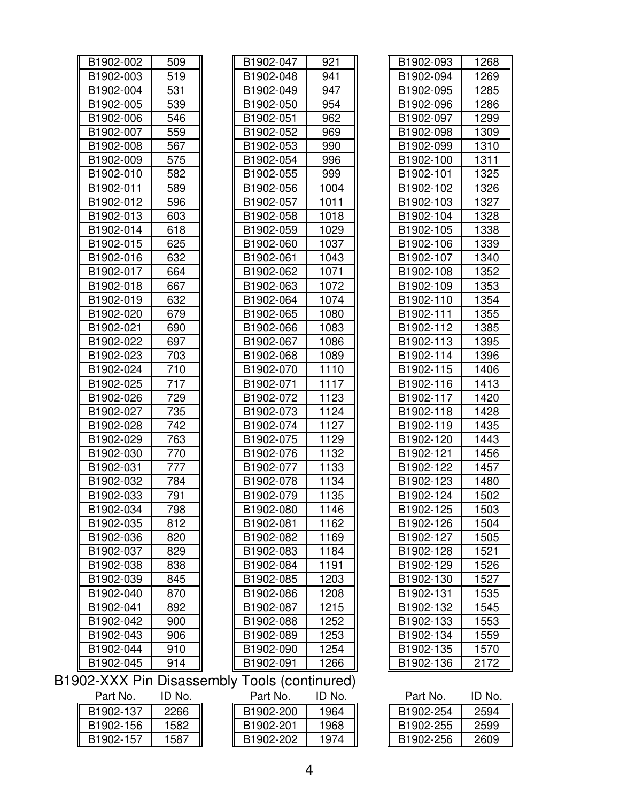| B1902-002 | 509   |
|-----------|-------|
| B1902-003 | 519   |
| B1902-004 | 531   |
| B1902-005 | 539   |
| B1902-006 | 546   |
| B1902-007 | 559   |
| B1902-008 | 567   |
| B1902-009 | 575   |
| B1902-010 | 582   |
| B1902-011 | 589   |
| B1902-012 | 596   |
| B1902-013 | 603   |
| B1902-014 | 618   |
| B1902-015 | 625   |
| B1902-016 | 632   |
| B1902-017 | 664   |
| B1902-018 | 667   |
| B1902-019 | 632   |
| B1902-020 | 679   |
| B1902-021 | 690   |
| B1902-022 | 697   |
| B1902-023 | 703   |
| B1902-024 | $710$ |
| B1902-025 | 717   |
| B1902-026 | 729   |
| B1902-027 | 735   |
| B1902-028 | 742   |
| B1902-029 | 763   |
| B1902-030 | 770   |
| B1902-031 | 777   |
| B1902-032 | 784   |
| B1902-033 | 791   |
| B1902-034 | 798   |
| B1902-035 | 812   |
| B1902-036 | 820   |
| B1902-037 | 829   |
| B1902-038 | 838   |
| B1902-039 | 845   |
| B1902-040 | 870   |
| B1902-041 | 892   |
| B1902-042 | 900   |
| B1902-043 | 906   |
| B1902-044 | 910   |
| B1902-045 | 914   |

| B1902-002 | 509 | B1902-047                                | 921  | B1902-093 | 1268 |
|-----------|-----|------------------------------------------|------|-----------|------|
| B1902-003 | 519 | B1902-048                                | 941  | B1902-094 | 1269 |
| B1902-004 | 531 | B1902-049                                | 947  | B1902-095 | 1285 |
| B1902-005 | 539 | B1902-050                                | 954  | B1902-096 | 1286 |
| B1902-006 | 546 | B1902-051                                | 962  | B1902-097 | 1299 |
| B1902-007 | 559 | B1902-052                                | 969  | B1902-098 | 1309 |
| B1902-008 | 567 | B1902-053                                | 990  | B1902-099 | 1310 |
| B1902-009 | 575 | B1902-054                                | 996  | B1902-100 | 1311 |
| B1902-010 | 582 | B1902-055                                | 999  | B1902-101 | 1325 |
| B1902-011 | 589 | B1902-056                                | 1004 | B1902-102 | 1326 |
| B1902-012 | 596 | B1902-057                                | 1011 | B1902-103 | 1327 |
| B1902-013 | 603 | B1902-058                                | 1018 | B1902-104 | 1328 |
| B1902-014 | 618 | B1902-059                                | 1029 | B1902-105 | 1338 |
| B1902-015 | 625 | B1902-060                                | 1037 | B1902-106 | 1339 |
| B1902-016 | 632 | B1902-061                                | 1043 | B1902-107 | 1340 |
| B1902-017 | 664 | B1902-062                                | 1071 | B1902-108 | 1352 |
| B1902-018 | 667 | B1902-063                                | 1072 | B1902-109 | 1353 |
| B1902-019 | 632 | B1902-064                                | 1074 | B1902-110 | 1354 |
| B1902-020 | 679 | B1902-065                                | 1080 | B1902-111 | 1355 |
| B1902-021 | 690 | B1902-066                                | 1083 | B1902-112 | 1385 |
| B1902-022 | 697 | B1902-067                                | 1086 | B1902-113 | 1395 |
| B1902-023 | 703 | B1902-068                                | 1089 | B1902-114 | 1396 |
| B1902-024 | 710 | B1902-070                                | 1110 | B1902-115 | 1406 |
| B1902-025 | 717 | B1902-071                                | 1117 | B1902-116 | 1413 |
| B1902-026 | 729 | B1902-072                                | 1123 | B1902-117 | 1420 |
| B1902-027 | 735 | B1902-073                                | 1124 | B1902-118 | 1428 |
| B1902-028 | 742 | B1902-074                                | 1127 | B1902-119 | 1435 |
| B1902-029 | 763 | B1902-075                                | 1129 | B1902-120 | 1443 |
| B1902-030 | 770 | B1902-076                                | 1132 | B1902-121 | 1456 |
| B1902-031 | 777 | B1902-077                                | 1133 | B1902-122 | 1457 |
| B1902-032 | 784 | B1902-078                                | 1134 | B1902-123 | 1480 |
| B1902-033 | 791 | B1902-079                                | 1135 | B1902-124 | 1502 |
| B1902-034 | 798 | B1902-080                                | 1146 | B1902-125 | 1503 |
| B1902-035 | 812 | B1902-081                                | 1162 | B1902-126 | 1504 |
| B1902-036 | 820 | B1902-082                                | 1169 | B1902-127 | 1505 |
| B1902-037 | 829 | B1902-083                                | 1184 | B1902-128 | 1521 |
| B1902-038 | 838 | B1902-084                                | 1191 | B1902-129 | 1526 |
| B1902-039 | 845 | B1902-085                                | 1203 | B1902-130 | 1527 |
| B1902-040 | 870 | B1902-086                                | 1208 | B1902-131 | 1535 |
| B1902-041 | 892 | B1902-087                                | 1215 | B1902-132 | 1545 |
| B1902-042 | 900 | B1902-088                                | 1252 | B1902-133 | 1553 |
| B1902-043 | 906 | B1902-089                                | 1253 | B1902-134 | 1559 |
| B1902-044 | 910 | B1902-090                                | 1254 | B1902-135 | 1570 |
| B1902-045 | 914 | B1902-091                                | 1266 | B1902-136 | 2172 |
|           |     | 2 VVV Din Diesesembly Teole (continused) |      |           |      |

| B1902-093 | 1268 |
|-----------|------|
| B1902-094 | 1269 |
| B1902-095 | 1285 |
| B1902-096 | 1286 |
| B1902-097 | 1299 |
| B1902-098 | 1309 |
| B1902-099 | 1310 |
| B1902-100 | 1311 |
| B1902-101 | 1325 |
| B1902-102 | 1326 |
| B1902-103 | 1327 |
| B1902-104 | 1328 |
| B1902-105 | 1338 |
| B1902-106 | 1339 |
| B1902-107 | 1340 |
| B1902-108 | 1352 |
| B1902-109 | 1353 |
| B1902-110 | 1354 |
| B1902-111 | 1355 |
| B1902-112 | 1385 |
| B1902-113 | 1395 |
| B1902-114 | 1396 |
| B1902-115 | 1406 |
| B1902-116 | 1413 |
| B1902-117 | 1420 |
| B1902-118 | 1428 |
| B1902-119 | 1435 |
| B1902-120 | 1443 |
| B1902-121 | 1456 |
| B1902-122 | 1457 |
| B1902-123 | 1480 |
| B1902-124 | 1502 |
| B1902-125 | 1503 |
| B1902-126 | 1504 |
| B1902-127 | 1505 |
| B1902-128 | 1521 |
| B1902-129 | 1526 |
| B1902-130 | 1527 |
| B1902-131 | 1535 |
| B1902-132 | 1545 |
| B1902-133 | 1553 |
| B1902-134 | 1559 |
| B1902-135 | 1570 |
| B1902-136 | 2172 |

B1902-XXX Pin Disassembly Tools (continured)

| Part No.  | ID No. |
|-----------|--------|
| B1902-137 | 2266   |
| B1902-156 | 1582   |
| B1902-157 | 1587   |

| Part No.  | 'D No. | Part No.  | ID No. | Part No.               | ID No. |
|-----------|--------|-----------|--------|------------------------|--------|
| B1902-137 | 2266   | B1902-200 | 1964   | B1902-254              | 2594   |
| B1902-156 | 1582   | B1902-201 | 1968   | B1902-255              | 2599   |
| B1902-157 | 1587   | B1902-202 | 1974   | B <sub>1902</sub> -256 | 2609   |

| Part No.  | ID No. |
|-----------|--------|
| B1902-254 | 2594   |
| B1902-255 | 2599   |
| B1902-256 | 2609   |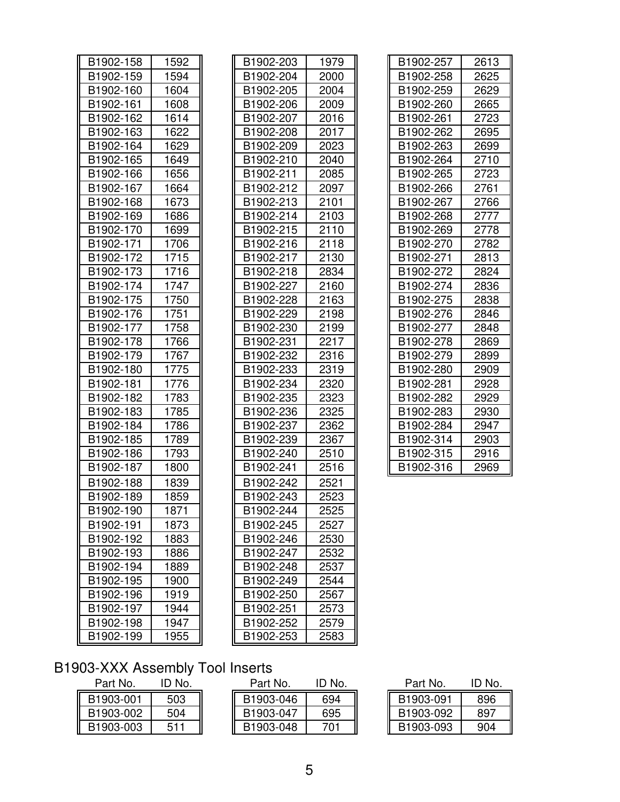| B1902-158 | 1592 | B1902-203 | 1979 |
|-----------|------|-----------|------|
| B1902-159 | 1594 | B1902-204 | 2000 |
| B1902-160 | 1604 | B1902-205 | 2004 |
| B1902-161 | 1608 | B1902-206 | 2009 |
| B1902-162 | 1614 | B1902-207 | 2016 |
| B1902-163 | 1622 | B1902-208 | 2017 |
| B1902-164 | 1629 | B1902-209 | 2023 |
| B1902-165 | 1649 | B1902-210 | 2040 |
| B1902-166 | 1656 | B1902-211 | 2085 |
| B1902-167 | 1664 | B1902-212 | 2097 |
| B1902-168 | 1673 | B1902-213 | 2101 |
| B1902-169 | 1686 | B1902-214 | 2103 |
| B1902-170 | 1699 | B1902-215 | 2110 |
| B1902-171 | 1706 | B1902-216 | 2118 |
| B1902-172 | 1715 | B1902-217 | 2130 |
| B1902-173 | 1716 | B1902-218 | 2834 |
| B1902-174 | 1747 | B1902-227 | 2160 |
| B1902-175 | 1750 | B1902-228 | 2163 |
| B1902-176 | 1751 | B1902-229 | 2198 |
| B1902-177 | 1758 | B1902-230 | 2199 |
| B1902-178 | 1766 | B1902-231 | 2217 |
| B1902-179 | 1767 | B1902-232 | 2316 |
| B1902-180 | 1775 | B1902-233 | 2319 |
| B1902-181 | 1776 | B1902-234 | 2320 |
| B1902-182 | 1783 | B1902-235 | 2323 |
| B1902-183 | 1785 | B1902-236 | 2325 |
| B1902-184 | 1786 | B1902-237 | 2362 |
| B1902-185 | 1789 | B1902-239 | 2367 |
| B1902-186 | 1793 | B1902-240 | 2510 |
| B1902-187 | 1800 | B1902-241 | 2516 |
| B1902-188 | 1839 | B1902-242 | 2521 |
| B1902-189 | 1859 | B1902-243 | 2523 |
| B1902-190 | 1871 | B1902-244 | 2525 |
| B1902-191 | 1873 | B1902-245 | 2527 |
| B1902-192 | 1883 | B1902-246 | 2530 |
| B1902-193 | 1886 | B1902-247 | 2532 |
| B1902-194 | 1889 | B1902-248 | 2537 |
| B1902-195 | 1900 | B1902-249 | 2544 |
| B1902-196 | 1919 | B1902-250 | 2567 |
| B1902-197 | 1944 | B1902-251 | 2573 |
| B1902-198 | 1947 | B1902-252 | 2579 |
| B1902-199 | 1955 | B1902-253 | 2583 |

| B1902-158 | 1592 | B1902-203 | 1979 | B1902-257 | 2613 |
|-----------|------|-----------|------|-----------|------|
| B1902-159 | 1594 | B1902-204 | 2000 | B1902-258 | 2625 |
| B1902-160 | 1604 | B1902-205 | 2004 | B1902-259 | 2629 |
| B1902-161 | 1608 | B1902-206 | 2009 | B1902-260 | 2665 |
| B1902-162 | 1614 | B1902-207 | 2016 | B1902-261 | 2723 |
| B1902-163 | 1622 | B1902-208 | 2017 | B1902-262 | 2695 |
| B1902-164 | 1629 | B1902-209 | 2023 | B1902-263 | 2699 |
| B1902-165 | 1649 | B1902-210 | 2040 | B1902-264 | 2710 |
| B1902-166 | 1656 | B1902-211 | 2085 | B1902-265 | 2723 |
| B1902-167 | 1664 | B1902-212 | 2097 | B1902-266 | 2761 |
| B1902-168 | 1673 | B1902-213 | 2101 | B1902-267 | 2766 |
| B1902-169 | 1686 | B1902-214 | 2103 | B1902-268 | 2777 |
| B1902-170 | 1699 | B1902-215 | 2110 | B1902-269 | 2778 |
| B1902-171 | 1706 | B1902-216 | 2118 | B1902-270 | 2782 |
| B1902-172 | 1715 | B1902-217 | 2130 | B1902-271 | 2813 |
| B1902-173 | 1716 | B1902-218 | 2834 | B1902-272 | 2824 |
| B1902-174 | 1747 | B1902-227 | 2160 | B1902-274 | 2836 |
| B1902-175 | 1750 | B1902-228 | 2163 | B1902-275 | 2838 |
| B1902-176 | 1751 | B1902-229 | 2198 | B1902-276 | 2846 |
| B1902-177 | 1758 | B1902-230 | 2199 | B1902-277 | 2848 |
| B1902-178 | 1766 | B1902-231 | 2217 | B1902-278 | 2869 |
| B1902-179 | 1767 | B1902-232 | 2316 | B1902-279 | 2899 |
| B1902-180 | 1775 | B1902-233 | 2319 | B1902-280 | 2909 |
| B1902-181 | 1776 | B1902-234 | 2320 | B1902-281 | 2928 |
| B1902-182 | 1783 | B1902-235 | 2323 | B1902-282 | 2929 |
| B1902-183 | 1785 | B1902-236 | 2325 | B1902-283 | 2930 |
| B1902-184 | 1786 | B1902-237 | 2362 | B1902-284 | 2947 |
| B1902-185 | 1789 | B1902-239 | 2367 | B1902-314 | 2903 |
| B1902-186 | 1793 | B1902-240 | 2510 | B1902-315 | 2916 |
| B1902-187 | 1800 | B1902-241 | 2516 | B1902-316 | 2969 |
| B1902-188 | 1839 | B1902-242 | 2521 |           |      |
| B1902-189 | 1859 | B1902-243 | 2523 |           |      |
| B1902-190 | 1871 | B1902-244 | 2525 |           |      |
| B1902-191 | 1873 | B1902-245 | 2527 |           |      |
| B1902-192 | 1883 | B1902-246 | 2530 |           |      |
| B1902-193 | 1886 | B1902-247 | 2532 |           |      |
| B1902-194 | 1889 | B1902-248 | 2537 |           |      |
| B1902-195 | 1900 | B1902-249 | 2544 |           |      |
| B1902-196 | 1919 | B1902-250 | 2567 |           |      |
| B1902-197 | 1944 | B1902-251 | 2573 |           |      |
| B1902-198 | 1947 | B1902-252 | 2579 |           |      |
| B1902-199 | 1955 | B1902-253 | 2583 |           |      |
|           |      |           |      |           |      |

| B1902-257 | 2613 |
|-----------|------|
| B1902-258 | 2625 |
| B1902-259 | 2629 |
| B1902-260 | 2665 |
| B1902-261 | 2723 |
| B1902-262 | 2695 |
| B1902-263 | 2699 |
| B1902-264 | 2710 |
| B1902-265 | 2723 |
| B1902-266 | 2761 |
| B1902-267 | 2766 |
| B1902-268 | 2777 |
| B1902-269 | 2778 |
| B1902-270 | 2782 |
| B1902-271 | 2813 |
| B1902-272 | 2824 |
| B1902-274 | 2836 |
| B1902-275 | 2838 |
| B1902-276 | 2846 |
| B1902-277 | 2848 |
| B1902-278 | 2869 |
| B1902-279 | 2899 |
| B1902-280 | 2909 |
| B1902-281 | 2928 |
| B1902-282 | 2929 |
| B1902-283 | 2930 |
| B1902-284 | 2947 |
| B1902-314 | 2903 |
| B1902-315 | 2916 |
| B1902-316 | 2969 |

#### B1903-XXX Assembly Tool Inserts

| Part No.  | ID No. |
|-----------|--------|
| B1903-001 | 503    |
| B1903-002 | 504    |
| B1903-003 | 511    |

| Part No.  | 'D No. | Part No.  | ID No. | Part No.  | ID No. |
|-----------|--------|-----------|--------|-----------|--------|
| B1903-001 | 503    | B1903-046 | 694    | B1903-091 | 896    |
| B1903-002 | 504    | B1903-047 | 695    | B1903-092 | 897    |
| B1903-003 | 511    | B1903-048 | 701    | B1903-093 | 904    |

| ID No. |
|--------|
| 896    |
| 897    |
|        |
|        |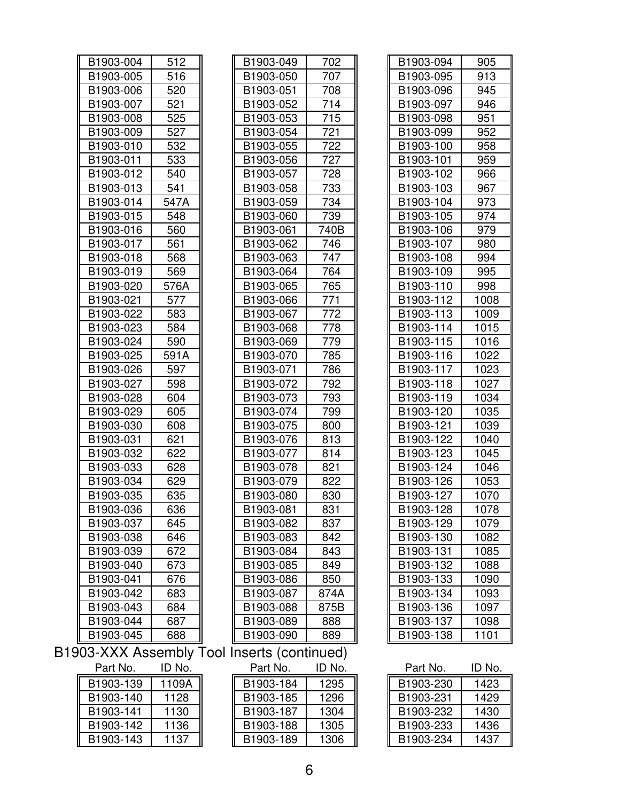| B1903-004 | 512  |
|-----------|------|
| B1903-005 | 516  |
| B1903-006 | 520  |
| B1903-007 | 521  |
| B1903-008 | 525  |
| B1903-009 | 527  |
| B1903-010 | 532  |
| B1903-011 | 533  |
| B1903-012 | 540  |
| B1903-013 | 541  |
| B1903-014 | 547A |
| B1903-015 | 548  |
| B1903-016 | 560  |
| B1903-017 | 561  |
| B1903-018 | 568  |
| B1903-019 | 569  |
| B1903-020 | 576A |
| B1903-021 | 577  |
| B1903-022 | 583  |
| B1903-023 | 584  |
| B1903-024 | 590  |
| B1903-025 | 591A |
| B1903-026 | 597  |
| B1903-027 | 598  |
| B1903-028 | 604  |
| B1903-029 | 605  |
| B1903-030 | 608  |
| B1903-031 | 621  |
| B1903-032 | 622  |
| B1903-033 | 628  |
| B1903-034 | 629  |
| B1903-035 | 635  |
| B1903-036 | 636  |
| B1903-037 | 645  |
| B1903-038 | 646  |
| B1903-039 | 672  |
| B1903-040 | 673  |
| B1903-041 | 676  |
| B1903-042 | 683  |
| B1903-043 | 684  |
| B1903-044 | 687  |
| B1903-045 | 688  |

| B1903-004 | 512  | B1903-049                               | 702  | B1903-094 | 905  |
|-----------|------|-----------------------------------------|------|-----------|------|
| B1903-005 | 516  | B1903-050                               | 707  | B1903-095 | 913  |
| B1903-006 | 520  | B1903-051                               | 708  | B1903-096 | 945  |
| B1903-007 | 521  | B1903-052                               | 714  | B1903-097 | 946  |
| B1903-008 | 525  | B1903-053                               | 715  | B1903-098 | 951  |
| B1903-009 | 527  | B1903-054                               | 721  | B1903-099 | 952  |
| B1903-010 | 532  | B1903-055                               | 722  | B1903-100 | 958  |
| B1903-011 | 533  | B1903-056                               | 727  | B1903-101 | 959  |
| B1903-012 | 540  | B1903-057                               | 728  | B1903-102 | 966  |
| B1903-013 | 541  | B1903-058                               | 733  | B1903-103 | 967  |
| B1903-014 | 547A | B1903-059                               | 734  | B1903-104 | 973  |
| B1903-015 | 548  | B1903-060                               | 739  | B1903-105 | 974  |
| B1903-016 | 560  | B1903-061                               | 740B | B1903-106 | 979  |
| B1903-017 | 561  | B1903-062                               | 746  | B1903-107 | 980  |
| B1903-018 | 568  | B1903-063                               | 747  | B1903-108 | 994  |
| B1903-019 | 569  | B1903-064                               | 764  | B1903-109 | 995  |
| B1903-020 | 576A | B1903-065                               | 765  | B1903-110 | 998  |
| B1903-021 | 577  | B1903-066                               | 771  | B1903-112 | 1008 |
| B1903-022 | 583  | B1903-067                               | 772  | B1903-113 | 1009 |
| B1903-023 | 584  | B1903-068                               | 778  | B1903-114 | 1015 |
| B1903-024 | 590  | B1903-069                               | 779  | B1903-115 | 1016 |
| B1903-025 | 591A | B1903-070                               | 785  | B1903-116 | 1022 |
| B1903-026 | 597  | B1903-071                               | 786  | B1903-117 | 1023 |
| B1903-027 | 598  | B1903-072                               | 792  | B1903-118 | 1027 |
| B1903-028 | 604  | B1903-073                               | 793  | B1903-119 | 1034 |
| B1903-029 | 605  | B1903-074                               | 799  | B1903-120 | 1035 |
| B1903-030 | 608  | B1903-075                               | 800  | B1903-121 | 1039 |
| B1903-031 | 621  | B1903-076                               | 813  | B1903-122 | 1040 |
| B1903-032 | 622  | B1903-077                               | 814  | B1903-123 | 1045 |
| B1903-033 | 628  | B1903-078                               | 821  | B1903-124 | 1046 |
| B1903-034 | 629  | B1903-079                               | 822  | B1903-126 | 1053 |
| B1903-035 | 635  | B1903-080                               | 830  | B1903-127 | 1070 |
| B1903-036 | 636  | B1903-081                               | 831  | B1903-128 | 1078 |
| B1903-037 | 645  | B1903-082                               | 837  | B1903-129 | 1079 |
| B1903-038 | 646  | B1903-083                               | 842  | B1903-130 | 1082 |
| B1903-039 | 672  | B1903-084                               | 843  | B1903-131 | 1085 |
| B1903-040 | 673  | B1903-085                               | 849  | B1903-132 | 1088 |
| B1903-041 | 676  | B1903-086                               | 850  | B1903-133 | 1090 |
| B1903-042 | 683  | B1903-087                               | 874A | B1903-134 | 1093 |
| B1903-043 | 684  | B1903-088                               | 875B | B1903-136 | 1097 |
| B1903-044 | 687  | B1903-089                               | 888  | B1903-137 | 1098 |
| B1903-045 | 688  | B1903-090                               | 889  | B1903-138 | 1101 |
|           |      | 3-XXX Assembly Tool Inserts (continued) |      |           |      |

| B1903-094<br>905<br>913<br>B1903-095<br>B1903-096<br>945<br>B1903-097<br>946<br>B1903-098<br>951<br>B1903-099<br>952<br>B1903-100<br>958<br>B1903-101<br>959<br>B1903-102<br>966<br>B1903-103<br>967<br>B1903-104<br>973<br>B1903-105<br>974<br>B1903-106<br>979<br>B1903-107<br>980<br>B1903-108<br>994<br>B1903-109<br>995<br>B1903-110<br>998<br>B1903-112<br>1008<br>B1903-113<br>1009<br>B1903-114<br>1015<br>1016<br>B1903-115<br>1022<br>B1903-116<br>B1903-117<br>1023<br>1027<br>B1903-118<br>1034<br>B1903-119<br>B1903-120<br>1035 |
|-----------------------------------------------------------------------------------------------------------------------------------------------------------------------------------------------------------------------------------------------------------------------------------------------------------------------------------------------------------------------------------------------------------------------------------------------------------------------------------------------------------------------------------------------|
|                                                                                                                                                                                                                                                                                                                                                                                                                                                                                                                                               |
|                                                                                                                                                                                                                                                                                                                                                                                                                                                                                                                                               |
|                                                                                                                                                                                                                                                                                                                                                                                                                                                                                                                                               |
|                                                                                                                                                                                                                                                                                                                                                                                                                                                                                                                                               |
|                                                                                                                                                                                                                                                                                                                                                                                                                                                                                                                                               |
|                                                                                                                                                                                                                                                                                                                                                                                                                                                                                                                                               |
|                                                                                                                                                                                                                                                                                                                                                                                                                                                                                                                                               |
|                                                                                                                                                                                                                                                                                                                                                                                                                                                                                                                                               |
|                                                                                                                                                                                                                                                                                                                                                                                                                                                                                                                                               |
|                                                                                                                                                                                                                                                                                                                                                                                                                                                                                                                                               |
|                                                                                                                                                                                                                                                                                                                                                                                                                                                                                                                                               |
|                                                                                                                                                                                                                                                                                                                                                                                                                                                                                                                                               |
|                                                                                                                                                                                                                                                                                                                                                                                                                                                                                                                                               |
|                                                                                                                                                                                                                                                                                                                                                                                                                                                                                                                                               |
|                                                                                                                                                                                                                                                                                                                                                                                                                                                                                                                                               |
|                                                                                                                                                                                                                                                                                                                                                                                                                                                                                                                                               |
|                                                                                                                                                                                                                                                                                                                                                                                                                                                                                                                                               |
|                                                                                                                                                                                                                                                                                                                                                                                                                                                                                                                                               |
|                                                                                                                                                                                                                                                                                                                                                                                                                                                                                                                                               |
|                                                                                                                                                                                                                                                                                                                                                                                                                                                                                                                                               |
|                                                                                                                                                                                                                                                                                                                                                                                                                                                                                                                                               |
|                                                                                                                                                                                                                                                                                                                                                                                                                                                                                                                                               |
|                                                                                                                                                                                                                                                                                                                                                                                                                                                                                                                                               |
|                                                                                                                                                                                                                                                                                                                                                                                                                                                                                                                                               |
|                                                                                                                                                                                                                                                                                                                                                                                                                                                                                                                                               |
|                                                                                                                                                                                                                                                                                                                                                                                                                                                                                                                                               |
| B1903-121<br>1039                                                                                                                                                                                                                                                                                                                                                                                                                                                                                                                             |
| B1903-122<br>1040                                                                                                                                                                                                                                                                                                                                                                                                                                                                                                                             |
| 1045<br>B1903-123                                                                                                                                                                                                                                                                                                                                                                                                                                                                                                                             |
| 1046<br>B1903-124                                                                                                                                                                                                                                                                                                                                                                                                                                                                                                                             |
| B1903-126<br>1053                                                                                                                                                                                                                                                                                                                                                                                                                                                                                                                             |
| 1070<br>B1903-127                                                                                                                                                                                                                                                                                                                                                                                                                                                                                                                             |
| 1078<br>B1903-128                                                                                                                                                                                                                                                                                                                                                                                                                                                                                                                             |
| B1903-129<br>1079                                                                                                                                                                                                                                                                                                                                                                                                                                                                                                                             |
| B1903-130<br>1082                                                                                                                                                                                                                                                                                                                                                                                                                                                                                                                             |
| B1903-131<br>1085                                                                                                                                                                                                                                                                                                                                                                                                                                                                                                                             |
| B1903-132<br>1088                                                                                                                                                                                                                                                                                                                                                                                                                                                                                                                             |
| B1903-133<br>1090                                                                                                                                                                                                                                                                                                                                                                                                                                                                                                                             |
| B1903-134<br>1093                                                                                                                                                                                                                                                                                                                                                                                                                                                                                                                             |
| B1903-136<br>1097                                                                                                                                                                                                                                                                                                                                                                                                                                                                                                                             |
| B1903-137<br>1098                                                                                                                                                                                                                                                                                                                                                                                                                                                                                                                             |
| B1903-138<br>1101                                                                                                                                                                                                                                                                                                                                                                                                                                                                                                                             |

B1903-XXX Assembly Tool Inserts (continued)

| Part No.  | ID NO. |
|-----------|--------|
| B1903-139 | 1109A  |
| B1903-140 | 1128   |
| B1903-141 | 1130   |
| B1903-142 | 1136   |
| B1903-143 | 1137   |

 $\blacksquare$ 

|          | . |                 |  |
|----------|---|-----------------|--|
| Part No. |   | ID <sub>N</sub> |  |

| B1903-139 | 1109A | B1903-184              | 1295 | B1903-230 | 1423 |
|-----------|-------|------------------------|------|-----------|------|
| B1903-140 | 1128  | B <sub>1903</sub> -185 | 1296 | B1903-231 | 1429 |
| B1903-141 | 1130  | B <sub>1903</sub> -187 | 1304 | B1903-232 | 1430 |
| B1903-142 | 1136  | B1903-188              | 1305 | B1903-233 | 1436 |
| B1903-143 | 1137  | B1903-189              | 1306 | B1903-234 | 1437 |

| Part No. | ID No. | Part No.  | ID No. | Part No.  | ID No. |
|----------|--------|-----------|--------|-----------|--------|
| 1903-139 | 1109A  | B1903-184 | 1295   | B1903-230 | 1423   |
| 1903-140 | 1128   | B1903-185 | 1296   | B1903-231 | 1429   |
| 1903-141 | 1130   | B1903-187 | 1304   | B1903-232 | 1430   |
| 1903-142 | 1136   | B1903-188 | 1305   | B1903-233 | 1436   |
| 1903-143 | 1137   | B1903-189 | 1306   | B1903-234 | 1437   |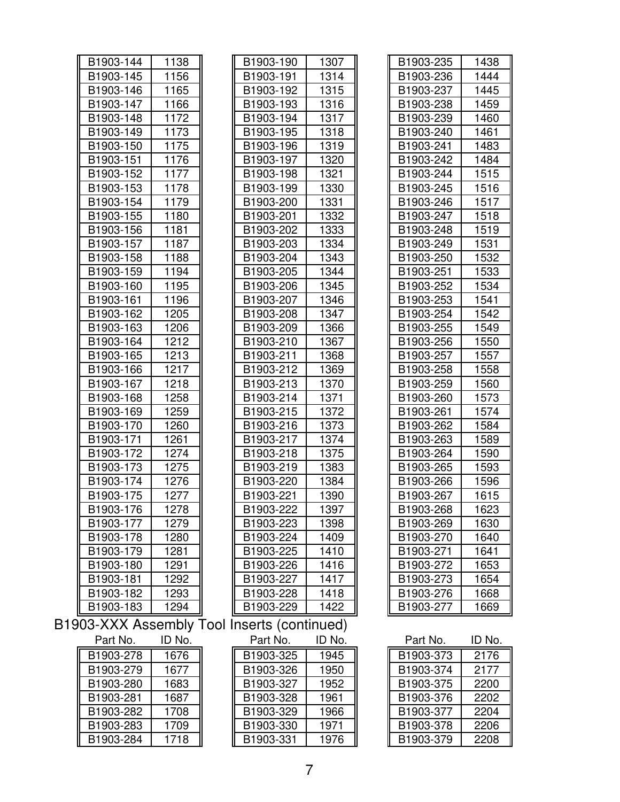| B1903-144 | 1138   | B1903-190                                   | 1307   | B1903-235 | 1438   |
|-----------|--------|---------------------------------------------|--------|-----------|--------|
| B1903-145 | 1156   | B1903-191                                   | 1314   | B1903-236 | 1444   |
| B1903-146 | 1165   | B1903-192                                   | 1315   | B1903-237 | 1445   |
| B1903-147 | 1166   | B1903-193                                   | 1316   | B1903-238 | 1459   |
| B1903-148 | 1172   | B1903-194                                   | 1317   | B1903-239 | 1460   |
| B1903-149 | 1173   | B1903-195                                   | 1318   | B1903-240 | 1461   |
| B1903-150 | 1175   | B1903-196                                   | 1319   | B1903-241 | 1483   |
| B1903-151 | 1176   | B1903-197                                   | 1320   | B1903-242 | 1484   |
| B1903-152 | 1177   | B1903-198                                   | 1321   | B1903-244 | 1515   |
| B1903-153 | 1178   | B1903-199                                   | 1330   | B1903-245 | 1516   |
| B1903-154 | 1179   | B1903-200                                   | 1331   | B1903-246 | 1517   |
| B1903-155 | 1180   | B1903-201                                   | 1332   | B1903-247 | 1518   |
| B1903-156 | 1181   | B1903-202                                   | 1333   | B1903-248 | 1519   |
| B1903-157 | 1187   | B1903-203                                   | 1334   | B1903-249 | 1531   |
| B1903-158 | 1188   | B1903-204                                   | 1343   | B1903-250 | 1532   |
| B1903-159 | 1194   | B1903-205                                   | 1344   | B1903-251 | 1533   |
| B1903-160 | 1195   | B1903-206                                   | 1345   | B1903-252 | 1534   |
| B1903-161 | 1196   | B1903-207                                   | 1346   | B1903-253 | 1541   |
| B1903-162 | 1205   | B1903-208                                   | 1347   | B1903-254 | 1542   |
| B1903-163 | 1206   | B1903-209                                   | 1366   | B1903-255 | 1549   |
| B1903-164 | 1212   | B1903-210                                   | 1367   | B1903-256 | 1550   |
| B1903-165 | 1213   | B1903-211                                   | 1368   | B1903-257 | 1557   |
| B1903-166 | 1217   | B1903-212                                   | 1369   | B1903-258 | 1558   |
| B1903-167 | 1218   | B1903-213                                   | 1370   | B1903-259 | 1560   |
| B1903-168 | 1258   | B1903-214                                   | 1371   | B1903-260 | 1573   |
| B1903-169 | 1259   | B1903-215                                   | 1372   | B1903-261 | 1574   |
| B1903-170 | 1260   | B1903-216                                   | 1373   | B1903-262 | 1584   |
| B1903-171 | 1261   | B1903-217                                   | 1374   | B1903-263 | 1589   |
| B1903-172 | 1274   | B1903-218                                   | 1375   | B1903-264 | 1590   |
| B1903-173 | 1275   | B1903-219                                   | 1383   | B1903-265 | 1593   |
| B1903-174 | 1276   | B1903-220                                   | 1384   | B1903-266 | 1596   |
| B1903-175 | 1277   | B1903-221                                   | 1390   | B1903-267 | 1615   |
| B1903-176 | 1278   | B1903-222                                   | 1397   | B1903-268 | 1623   |
| B1903-177 | 1279   | B1903-223                                   | 1398   | B1903-269 | 1630   |
| B1903-178 | 1280   | B1903-224                                   | 1409   | B1903-270 | 1640   |
| B1903-179 | 1281   | B1903-225                                   | 1410   | B1903-271 | 1641   |
| B1903-180 | 1291   | B1903-226                                   | 1416   | B1903-272 | 1653   |
| B1903-181 | 1292   | B1903-227                                   | 1417   | B1903-273 | 1654   |
| B1903-182 | 1293   | B1903-228                                   | 1418   | B1903-276 | 1668   |
| B1903-183 | 1294   | B1903-229                                   | 1422   | B1903-277 | 1669   |
|           |        | B1903-XXX Assembly Tool Inserts (continued) |        |           |        |
| Part No.  | ID No. | Part No.                                    | ID No. | Part No.  | ID No. |
| B1903-278 | 1676   | B1903-325                                   | 1945   | B1903-373 | 2176   |
| B1903-279 | 1677   | B1903-326                                   | 1950   | B1903-374 | 2177   |
| B1903-280 | 1683   | B1903-327                                   | 1952   | B1903-375 | 2200   |
| B1903-281 | 1687   | B1903-328                                   | 1961   | B1903-376 | 2202   |
| B1903-282 | 1708   | B1903-329                                   | 1966   | B1903-377 | 2204   |
| B1903-283 | 1709   | B1903-330                                   | 1971   | B1903-378 | 2206   |
| B1903-284 | 1718   | B1903-331                                   | 1976   | B1903-379 | 2208   |
|           |        |                                             |        |           |        |

| B1903-190              | 1307   |
|------------------------|--------|
| B1903-191              | 1314   |
| B1903-192              | 1315   |
| B1903-193              | 1316   |
| B1903-194              | 1317   |
| B1903-195              | 1318   |
| B1903-196              | 1319   |
| B1903-197              | 1320   |
| B1903-198              | 1321   |
| B1903-199              | 1330   |
| B1903-200              | 1331   |
| B1903-201              | 1332   |
| B1903-202              | 1333   |
| B1903-203              | 1334   |
| B1903-204              | 1343   |
| B1903-205              | 1344   |
| B1903-206              | 1345   |
| B1903-207              | 1346   |
| B1903-208              | 1347   |
| B1903-209              | 1366   |
| B1903-210              | 1367   |
| B1903-211              | 1368   |
| B1903-212              | 1369   |
| B1903-213              | 1370   |
| B1903-214              | 1371   |
| B1903-215              | 1372   |
| B1903-216              | 1373   |
| B1903-217              | 1374   |
| B1903-218              | 1375   |
| B1903-219              | 1383   |
| B1903-220              | 1384   |
| B1903-221              | 1390   |
| B1903-222              | 1397   |
| B1903-223              | 1398   |
| B1903-224              | 1409   |
| B1903-225              |        |
|                        | 1410   |
| B1903-226              | 1416   |
| B1903-227              | 1417   |
| B <sub>1903</sub> -228 | 1418   |
| B1903-229              | 1422   |
| nserts (continued)     |        |
| Part No.               | ID No. |

| B1903-235     | 1438        |
|---------------|-------------|
| B1903-236     | 1444        |
| B1903-237     | 1445        |
| B1903-238     | 1459        |
| B1903-239     | 1460        |
| B1903-240     | 1461        |
| B1903-241     | 1483        |
| B1903-242     | 1484        |
| B1903-244     | 1515        |
| B1903-245     | 1516        |
| B1903-246     | 1517        |
| B1903-247     | 1518        |
| B1903-248     | 1519        |
| B1903-249     | 1531        |
| B1903-250     | 1532        |
| B1903-251     | 1533        |
| B1903-252     | 1534        |
| B1903-253     | 1541        |
| B1903-254     | 1542        |
| B1903-255     | 1549        |
| B1903-256     | 1550        |
| B1903-257     | 1557        |
| B1903-258     | 1558        |
| B1903-259     | 1560        |
| B1903-260     | 1573        |
| B1903-261     | 1574        |
| B1903-262     | 1584        |
| B1903-263     | 1589        |
| B1903-264     | 1590        |
| B1903-265     | 1593        |
| B1903-266     | 1596        |
| B1903-267     | 1615        |
| B1903-268     | 1623        |
| B1903-269     | 1630        |
| B1903-270     | 1640        |
| B1903-271     | 1641        |
| B1903-272     | 1653        |
| B1903-273     | 1654        |
| B1903-276     | 1668        |
| B1903-277     | 1669        |
| Part No.<br>ī | ID No.<br>ī |

| Part No. | ID No. | Part No.  | ID No. |
|----------|--------|-----------|--------|
| 1903-325 | 1945   | B1903-373 | 2176   |
| 1903-326 | 1950   | B1903-374 | 2177   |
| 1903-327 | 1952   | B1903-375 | 2200   |
| 1903-328 | 1961   | B1903-376 | 2202   |
| 1903-329 | 1966   | B1903-377 | 2204   |
| 1903-330 | 1971   | B1903-378 | 2206   |
| 1903-331 | 1976   | B1903-379 | 2208   |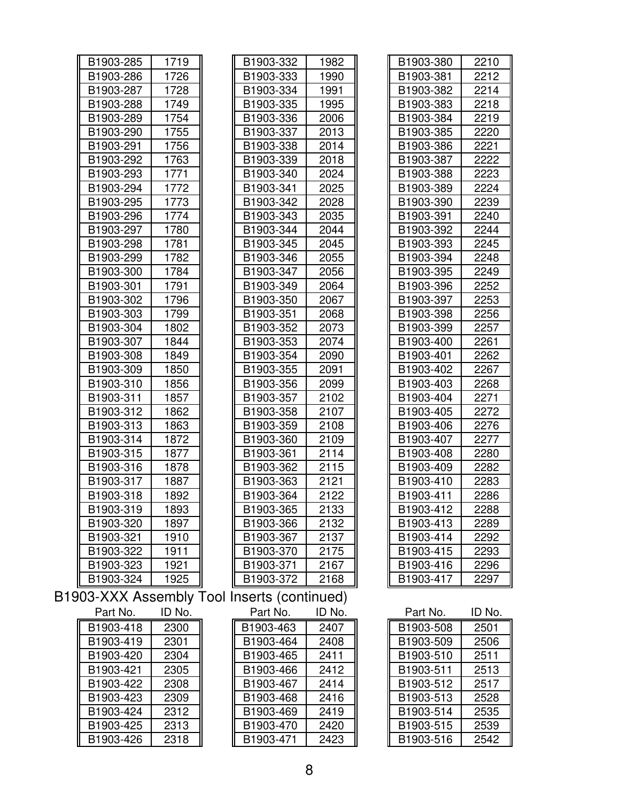| B1903-285 | 1719   | B1903-332                                   | 1982   | B1903-380 | 2210   |
|-----------|--------|---------------------------------------------|--------|-----------|--------|
| B1903-286 | 1726   | B1903-333                                   | 1990   | B1903-381 | 2212   |
| B1903-287 | 1728   | B1903-334                                   | 1991   | B1903-382 | 2214   |
| B1903-288 | 1749   | B1903-335                                   | 1995   | B1903-383 | 2218   |
| B1903-289 | 1754   | B1903-336                                   | 2006   | B1903-384 | 2219   |
| B1903-290 | 1755   | B1903-337                                   | 2013   | B1903-385 | 2220   |
| B1903-291 | 1756   | B1903-338                                   | 2014   | B1903-386 | 2221   |
| B1903-292 | 1763   | B1903-339                                   | 2018   | B1903-387 | 2222   |
| B1903-293 | 1771   | B1903-340                                   | 2024   | B1903-388 | 2223   |
| B1903-294 | 1772   | B1903-341                                   | 2025   | B1903-389 | 2224   |
| B1903-295 | 1773   | B1903-342                                   | 2028   | B1903-390 | 2239   |
| B1903-296 | 1774   | B1903-343                                   | 2035   | B1903-391 | 2240   |
| B1903-297 | 1780   | B1903-344                                   | 2044   | B1903-392 | 2244   |
| B1903-298 | 1781   | B1903-345                                   | 2045   | B1903-393 | 2245   |
| B1903-299 | 1782   | B1903-346                                   | 2055   | B1903-394 | 2248   |
| B1903-300 | 1784   | B1903-347                                   | 2056   | B1903-395 | 2249   |
| B1903-301 | 1791   | B1903-349                                   | 2064   | B1903-396 | 2252   |
| B1903-302 | 1796   | B1903-350                                   | 2067   | B1903-397 | 2253   |
| B1903-303 | 1799   | B1903-351                                   | 2068   | B1903-398 | 2256   |
| B1903-304 | 1802   | B1903-352                                   | 2073   | B1903-399 | 2257   |
| B1903-307 | 1844   | B1903-353                                   | 2074   | B1903-400 | 2261   |
| B1903-308 | 1849   | B1903-354                                   | 2090   | B1903-401 | 2262   |
| B1903-309 | 1850   | B1903-355                                   | 2091   | B1903-402 | 2267   |
| B1903-310 | 1856   | B1903-356                                   | 2099   | B1903-403 | 2268   |
| B1903-311 | 1857   | B1903-357                                   | 2102   | B1903-404 | 2271   |
| B1903-312 | 1862   | B1903-358                                   | 2107   | B1903-405 | 2272   |
| B1903-313 | 1863   | B1903-359                                   | 2108   | B1903-406 | 2276   |
| B1903-314 | 1872   | B1903-360                                   | 2109   | B1903-407 | 2277   |
| B1903-315 | 1877   | B1903-361                                   | 2114   | B1903-408 | 2280   |
| B1903-316 | 1878   | B1903-362                                   | 2115   | B1903-409 | 2282   |
| B1903-317 | 1887   | B1903-363                                   | 2121   | B1903-410 | 2283   |
| B1903-318 | 1892   | B1903-364                                   | 2122   | B1903-411 | 2286   |
| B1903-319 | 1893   | B1903-365                                   | 2133   | B1903-412 | 2288   |
| B1903-320 | 1897   | B1903-366                                   | 2132   | B1903-413 | 2289   |
| B1903-321 | 1910   | B1903-367                                   | 2137   | B1903-414 | 2292   |
| B1903-322 | 1911   | B1903-370                                   | 2175   | B1903-415 | 2293   |
| B1903-323 | 1921   | B1903-371                                   | 2167   | B1903-416 | 2296   |
| B1903-324 | 1925   | B1903-372                                   | 2168   | B1903-417 | 2297   |
|           |        | B1903-XXX Assembly Tool Inserts (continued) |        |           |        |
| Part No.  | ID No. | Part No.                                    | ID No. | Part No.  | ID No. |
| B1903-418 | 2300   | B1903-463                                   | 2407   | B1903-508 | 2501   |
| B1903-419 | 2301   | B1903-464                                   | 2408   | B1903-509 | 2506   |
| B1903-420 | 2304   | B1903-465                                   | 2411   | B1903-510 | 2511   |
| B1903-421 | 2305   | B1903-466                                   | 2412   | B1903-511 | 2513   |
| B1903-422 | 2308   | B1903-467                                   | 2414   | B1903-512 | 2517   |
| B1903-423 | 2309   | B1903-468                                   | 2416   | B1903-513 | 2528   |
| B1903-424 | 2312   | B1903-469                                   | 2419   | B1903-514 | 2535   |
| B1903-425 | 2313   | B1903-470                                   | 2420   | B1903-515 | 2539   |
| B1903-426 | 2318   | B1903-471                                   | 2423   | B1903-516 | 2542   |
|           |        |                                             |        |           |        |

| B1903-380 | 2210 |
|-----------|------|
| B1903-381 | 2212 |
| B1903-382 | 2214 |
| B1903-383 | 2218 |
| B1903-384 | 2219 |
| B1903-385 | 2220 |
| B1903-386 | 2221 |
| B1903-387 | 2222 |
| B1903-388 | 2223 |
| B1903-389 | 2224 |
| B1903-390 | 2239 |
| B1903-391 | 2240 |
| B1903-392 | 2244 |
| B1903-393 | 2245 |
| B1903-394 | 2248 |
| B1903-395 | 2249 |
| B1903-396 | 2252 |
| B1903-397 | 2253 |
| B1903-398 | 2256 |
| B1903-399 | 2257 |
| B1903-400 | 2261 |
| B1903-401 | 2262 |
| B1903-402 | 2267 |
| B1903-403 | 2268 |
| B1903-404 | 2271 |
| B1903-405 | 2272 |
| B1903-406 | 2276 |
| B1903-407 | 2277 |
| B1903-408 | 2280 |
| B1903-409 | 2282 |
| B1903-410 | 2283 |
| B1903-411 | 2286 |
| B1903-412 | 2288 |
| B1903-413 | 2289 |
| B1903-414 | 2292 |
| B1903-415 | 2293 |
| B1903-416 | 2296 |
| B1903-417 | 2297 |
|           |      |

| Part No.  | ID No. |
|-----------|--------|
| B1903-508 | 2501   |
| B1903-509 | 2506   |
| B1903-510 | 2511   |
| B1903-511 | 2513   |
| B1903-512 | 2517   |
| B1903-513 | 2528   |
| B1903-514 | 2535   |
| B1903-515 | 2539   |
| B1903-516 | 2542   |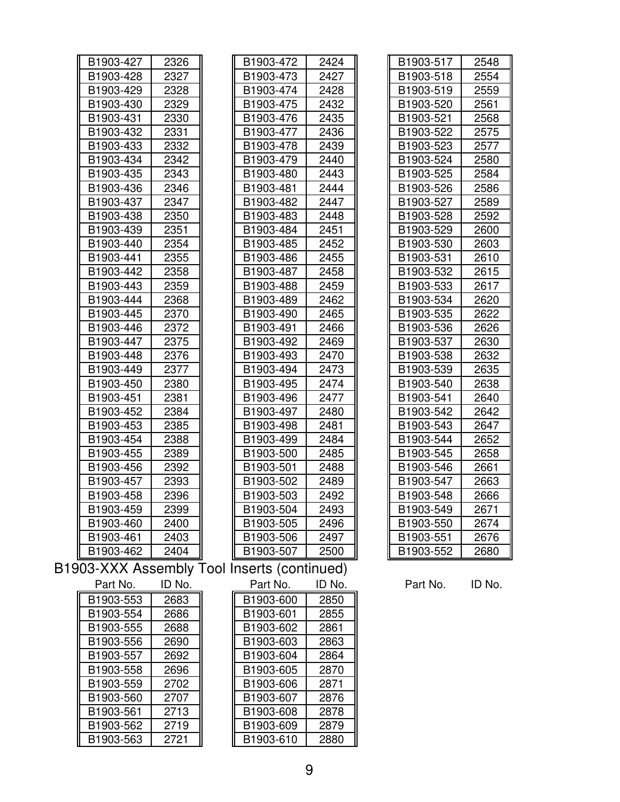| B1903-427                | 2326   |
|--------------------------|--------|
| B1903-428                | 2327   |
| B1903-429                | 2328   |
| B1903-430                | 2329   |
| B1903-431                | 2330   |
| B1903-432                | 2331   |
| B1903-433                | 2332   |
| B1903-434                | 2342   |
| B1903-435                | 2343   |
| B1903-436                | 2346   |
| B1903-437                | 2347   |
| B1903-438                | 2350   |
| B1903-439                | 2351   |
| B1903-440                | 2354   |
| B1903-441                | 2355   |
| B1903-442                | 2358   |
| B1903-443                | 2359   |
| B1903-444                | 2368   |
| B1903-445                | 2370   |
| B1903-446                | 2372   |
| B1903-447                | 2375   |
| B1903-448                | 2376   |
| B1903-449                | 2377   |
| B1903-450                | 2380   |
| B1903-451                | 2381   |
| B1903-452                | 2384   |
| B1903-453                | 2385   |
| B1903-454                | 2388   |
| B1903-455                | 2389   |
| B1903-456                | 2392   |
| B1903-457                | 2393   |
| B1903-458                | 2396   |
| B1903-459                | 2399   |
| B1903-460                | 2400   |
| B1903-461                | 2403   |
| B1903-462                | 2404   |
| $\sim$<br>/\/\<br>,<br>A | L<br>L |

| B1903-427 | 2326 | B1903-472 | 2424 | B1903-517 | 2548 |
|-----------|------|-----------|------|-----------|------|
| B1903-428 | 2327 | B1903-473 | 2427 | B1903-518 | 2554 |
| B1903-429 | 2328 | B1903-474 | 2428 | B1903-519 | 2559 |
| B1903-430 | 2329 | B1903-475 | 2432 | B1903-520 | 2561 |
| B1903-431 | 2330 | B1903-476 | 2435 | B1903-521 | 2568 |
| B1903-432 | 2331 | B1903-477 | 2436 | B1903-522 | 2575 |
| B1903-433 | 2332 | B1903-478 | 2439 | B1903-523 | 2577 |
| B1903-434 | 2342 | B1903-479 | 2440 | B1903-524 | 2580 |
| B1903-435 | 2343 | B1903-480 | 2443 | B1903-525 | 2584 |
| B1903-436 | 2346 | B1903-481 | 2444 | B1903-526 | 2586 |
| B1903-437 | 2347 | B1903-482 | 2447 | B1903-527 | 2589 |
| B1903-438 | 2350 | B1903-483 | 2448 | B1903-528 | 2592 |
| B1903-439 | 2351 | B1903-484 | 2451 | B1903-529 | 2600 |
| B1903-440 | 2354 | B1903-485 | 2452 | B1903-530 | 2603 |
| B1903-441 | 2355 | B1903-486 | 2455 | B1903-531 | 2610 |
| B1903-442 | 2358 | B1903-487 | 2458 | B1903-532 | 2615 |
| B1903-443 | 2359 | B1903-488 | 2459 | B1903-533 | 2617 |
| B1903-444 | 2368 | B1903-489 | 2462 | B1903-534 | 2620 |
| B1903-445 | 2370 | B1903-490 | 2465 | B1903-535 | 2622 |
| B1903-446 | 2372 | B1903-491 | 2466 | B1903-536 | 2626 |
| B1903-447 | 2375 | B1903-492 | 2469 | B1903-537 | 2630 |
| B1903-448 | 2376 | B1903-493 | 2470 | B1903-538 | 2632 |
| B1903-449 | 2377 | B1903-494 | 2473 | B1903-539 | 2635 |
| B1903-450 | 2380 | B1903-495 | 2474 | B1903-540 | 2638 |
| B1903-451 | 2381 | B1903-496 | 2477 | B1903-541 | 2640 |
| B1903-452 | 2384 | B1903-497 | 2480 | B1903-542 | 2642 |
| B1903-453 | 2385 | B1903-498 | 2481 | B1903-543 | 2647 |
| B1903-454 | 2388 | B1903-499 | 2484 | B1903-544 | 2652 |
| B1903-455 | 2389 | B1903-500 | 2485 | B1903-545 | 2658 |
| B1903-456 | 2392 | B1903-501 | 2488 | B1903-546 | 2661 |
| B1903-457 | 2393 | B1903-502 | 2489 | B1903-547 | 2663 |
| B1903-458 | 2396 | B1903-503 | 2492 | B1903-548 | 2666 |
| B1903-459 | 2399 | B1903-504 | 2493 | B1903-549 | 2671 |
| B1903-460 | 2400 | B1903-505 | 2496 | B1903-550 | 2674 |
| B1903-461 | 2403 | B1903-506 | 2497 | B1903-551 | 2676 |
| B1903-462 | 2404 | B1903-507 | 2500 | B1903-552 | 2680 |
|           |      |           |      |           |      |

| B1903-517 | 2548 |
|-----------|------|
| B1903-518 | 2554 |
| B1903-519 | 2559 |
| B1903-520 | 2561 |
| B1903-521 | 2568 |
| B1903-522 | 2575 |
| B1903-523 | 2577 |
| B1903-524 | 2580 |
| B1903-525 | 2584 |
| B1903-526 | 2586 |
| B1903-527 | 2589 |
| B1903-528 | 2592 |
| B1903-529 | 2600 |
| B1903-530 | 2603 |
| B1903-531 | 2610 |
| B1903-532 | 2615 |
| B1903-533 | 2617 |
| B1903-534 | 2620 |
| B1903-535 | 2622 |
| B1903-536 | 2626 |
| B1903-537 | 2630 |
| B1903-538 | 2632 |
| B1903-539 | 2635 |
| B1903-540 | 2638 |
| B1903-541 | 2640 |
| B1903-542 | 2642 |
| B1903-543 | 2647 |
| B1903-544 | 2652 |
| B1903-545 | 2658 |
| B1903-546 | 2661 |
| B1903-547 | 2663 |
| B1903-548 | 2666 |
| B1903-549 | 2671 |
| B1903-550 | 2674 |
| B1903-551 | 2676 |
| B1903-552 | 2680 |

B1903-XXX Assembly Tool I

| Part No.  | ID No. | Part No.  | ID No |
|-----------|--------|-----------|-------|
| B1903-553 | 2683   | B1903-600 | 2850  |
| B1903-554 | 2686   | B1903-601 | 2855  |
| B1903-555 | 2688   | B1903-602 | 2861  |
| B1903-556 | 2690   | B1903-603 | 2863  |
| B1903-557 | 2692   | B1903-604 | 2864  |
| B1903-558 | 2696   | B1903-605 | 2870  |
| B1903-559 | 2702   | B1903-606 | 2871  |
| B1903-560 | 2707   | B1903-607 | 2876  |
| B1903-561 | 2713   | B1903-608 | 2878  |
| B1903-562 | 2719   | B1903-609 | 2879  |
| B1903-563 | 2721   | B1903-610 | 2880  |

| Inserts (continued) |        |  |  |  |  |
|---------------------|--------|--|--|--|--|
| Part No.            | ID No. |  |  |  |  |
| B1903-600           | 2850   |  |  |  |  |
| B1903-601           | 2855   |  |  |  |  |
| B1903-602           | 2861   |  |  |  |  |
| B1903-603           | 2863   |  |  |  |  |
| B1903-604           | 2864   |  |  |  |  |
| B1903-605           | 2870   |  |  |  |  |
| B1903-606           | 2871   |  |  |  |  |
| B1903-607           | 2876   |  |  |  |  |
| B1903-608           | 2878   |  |  |  |  |
| B1903-609           | 2879   |  |  |  |  |
| B1903-610           | 2880   |  |  |  |  |

Part No. ID No.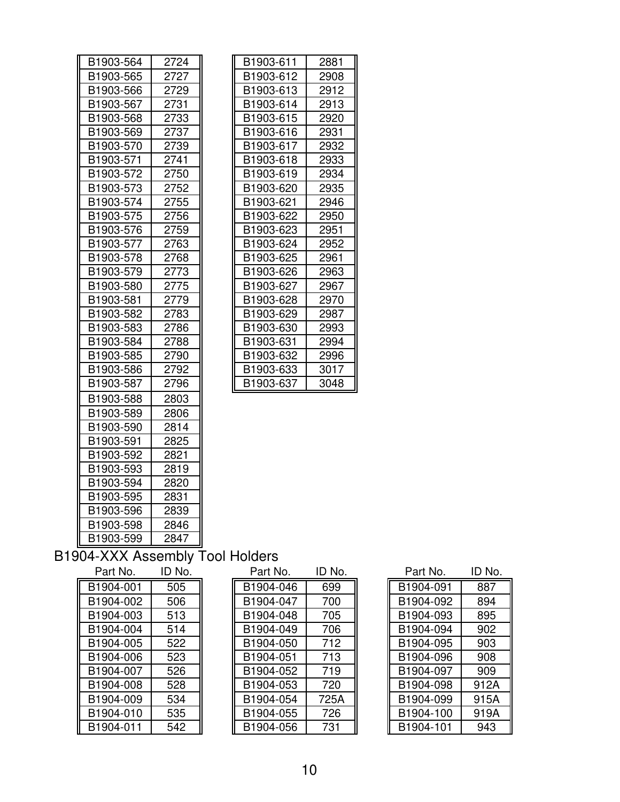| B1903-564 | 2724 | B1903-611 | 2881 |
|-----------|------|-----------|------|
| B1903-565 | 2727 | B1903-612 | 2908 |
| B1903-566 | 2729 | B1903-613 | 2912 |
| B1903-567 | 2731 | B1903-614 | 2913 |
| B1903-568 | 2733 | B1903-615 | 2920 |
| B1903-569 | 2737 | B1903-616 | 2931 |
| B1903-570 | 2739 | B1903-617 | 2932 |
| B1903-571 | 2741 | B1903-618 | 2933 |
| B1903-572 | 2750 | B1903-619 | 2934 |
| B1903-573 | 2752 | B1903-620 | 2935 |
| B1903-574 | 2755 | B1903-621 | 2946 |
| B1903-575 | 2756 | B1903-622 | 2950 |
| B1903-576 | 2759 | B1903-623 | 2951 |
| B1903-577 | 2763 | B1903-624 | 2952 |
| B1903-578 | 2768 | B1903-625 | 2961 |
| B1903-579 | 2773 | B1903-626 | 2963 |
| B1903-580 | 2775 | B1903-627 | 2967 |
| B1903-581 | 2779 | B1903-628 | 2970 |
| B1903-582 | 2783 | B1903-629 | 2987 |
| B1903-583 | 2786 | B1903-630 | 2993 |
| B1903-584 | 2788 | B1903-631 | 2994 |
| B1903-585 | 2790 | B1903-632 | 2996 |
| B1903-586 | 2792 | B1903-633 | 3017 |
| B1903-587 | 2796 | B1903-637 | 3048 |
| B1903-588 | 2803 |           |      |
| B1903-589 | 2806 |           |      |
| B1903-590 | 2814 |           |      |
| B1903-591 | 2825 |           |      |
| B1903-592 | 2821 |           |      |
| B1903-593 | 2819 |           |      |
| B1903-594 | 2820 |           |      |
| B1903-595 | 2831 |           |      |
| B1903-596 | 2839 |           |      |
| B1903-598 | 2846 |           |      |
| B1903-599 | 2847 |           |      |

| B1903-611 | 2881 |
|-----------|------|
| B1903-612 | 2908 |
| B1903-613 | 2912 |
| B1903-614 | 2913 |
| B1903-615 | 2920 |
| B1903-616 | 2931 |
| B1903-617 | 2932 |
| B1903-618 | 2933 |
| B1903-619 | 2934 |
| B1903-620 | 2935 |
| B1903-621 | 2946 |
| B1903-622 | 2950 |
| B1903-623 | 2951 |
| B1903-624 | 2952 |
| B1903-625 | 2961 |
| B1903-626 | 2963 |
| B1903-627 | 2967 |
| B1903-628 | 2970 |
| B1903-629 | 2987 |
| B1903-630 | 2993 |
| B1903-631 | 2994 |
| B1903-632 | 2996 |
| B1903-633 | 3017 |
| B1903-637 | 3048 |

### B1904-XXX Assembly Tool Holders

| Part No.  | ID No. |
|-----------|--------|
| B1904-001 | 505    |
| B1904-002 | 506    |
| B1904-003 | 513    |
| B1904-004 | 514    |
| B1904-005 | 522    |
| B1904-006 | 523    |
| B1904-007 | 526    |
| B1904-008 | 528    |
| B1904-009 | 534    |
| B1904-010 | 535    |
| B1904-011 | 542    |

| Part No.  | ID No. | Part No.  | ID No. | Part No.  | ID No. |
|-----------|--------|-----------|--------|-----------|--------|
| B1904-001 | 505    | B1904-046 | 699    | B1904-091 | 887    |
| B1904-002 | 506    | B1904-047 | 700    | B1904-092 | 894    |
| B1904-003 | 513    | B1904-048 | 705    | B1904-093 | 895    |
| B1904-004 | 514    | B1904-049 | 706    | B1904-094 | 902    |
| B1904-005 | 522    | B1904-050 | 712    | B1904-095 | 903    |
| B1904-006 | 523    | B1904-051 | 713    | B1904-096 | 908    |
| B1904-007 | 526    | B1904-052 | 719    | B1904-097 | 909    |
| B1904-008 | 528    | B1904-053 | 720    | B1904-098 | 912A   |
| B1904-009 | 534    | B1904-054 | 725A   | B1904-099 | 915A   |
| B1904-010 | 535    | B1904-055 | 726    | B1904-100 | 919A   |
| B1904-011 | 542    | B1904-056 | 731    | B1904-101 | 943    |

| Part No.  | ID No. |
|-----------|--------|
| B1904-091 | 887    |
| B1904-092 | 894    |
| B1904-093 | 895    |
| B1904-094 | 902    |
| B1904-095 | 903    |
| B1904-096 | 908    |
| B1904-097 | 909    |
| B1904-098 | 912A   |
| B1904-099 | 915A   |
| B1904-100 | 919A   |
| B1904-101 | 943    |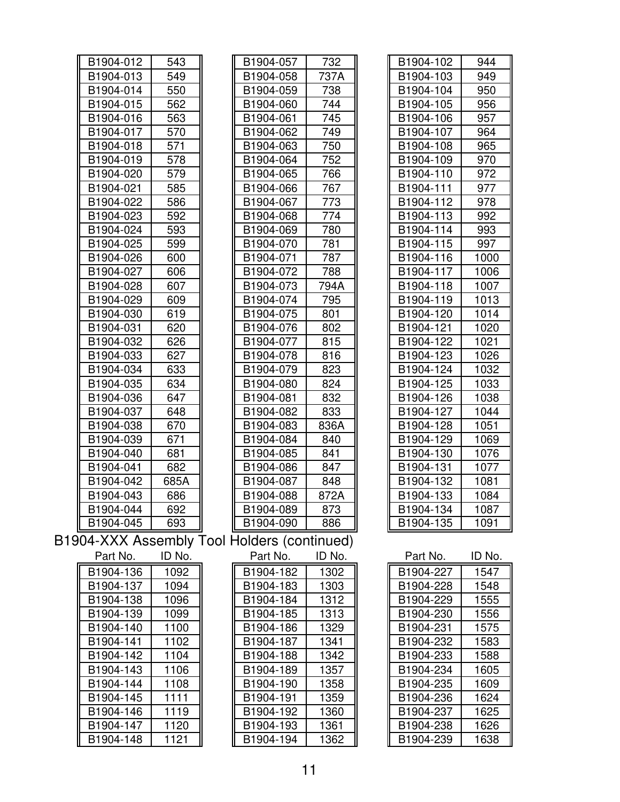| B1904-012 | 543    | B1904-057                                   | 732    | B1904-102 | 944    |
|-----------|--------|---------------------------------------------|--------|-----------|--------|
| B1904-013 | 549    | B1904-058                                   | 737A   | B1904-103 | 949    |
| B1904-014 | 550    | B1904-059                                   | 738    | B1904-104 | 950    |
| B1904-015 | 562    | B1904-060                                   | 744    | B1904-105 | 956    |
| B1904-016 | 563    | B1904-061                                   | 745    | B1904-106 | 957    |
| B1904-017 | 570    | B1904-062                                   | 749    | B1904-107 | 964    |
| B1904-018 | 571    | B1904-063                                   | 750    | B1904-108 | 965    |
| B1904-019 | 578    | B1904-064                                   | 752    | B1904-109 | 970    |
| B1904-020 | 579    | B1904-065                                   | 766    | B1904-110 | 972    |
| B1904-021 | 585    | B1904-066                                   | 767    | B1904-111 | 977    |
| B1904-022 | 586    | B1904-067                                   | 773    | B1904-112 | 978    |
| B1904-023 | 592    | B1904-068                                   | 774    | B1904-113 | 992    |
| B1904-024 | 593    | B1904-069                                   | 780    | B1904-114 | 993    |
| B1904-025 | 599    | B1904-070                                   | 781    | B1904-115 | 997    |
| B1904-026 | 600    | B1904-071                                   | 787    | B1904-116 | 1000   |
| B1904-027 | 606    | B1904-072                                   | 788    | B1904-117 | 1006   |
| B1904-028 | 607    | B1904-073                                   | 794A   | B1904-118 | 1007   |
| B1904-029 | 609    | B1904-074                                   | 795    | B1904-119 | 1013   |
| B1904-030 | 619    | B1904-075                                   | 801    | B1904-120 | 1014   |
| B1904-031 | 620    | B1904-076                                   | 802    | B1904-121 | 1020   |
| B1904-032 | 626    | B1904-077                                   | 815    | B1904-122 | 1021   |
| B1904-033 | 627    | B1904-078                                   | 816    | B1904-123 | 1026   |
| B1904-034 | 633    | B1904-079                                   | 823    | B1904-124 | 1032   |
| B1904-035 | 634    | B1904-080                                   | 824    | B1904-125 | 1033   |
| B1904-036 | 647    | B1904-081                                   | 832    | B1904-126 | 1038   |
| B1904-037 | 648    | B1904-082                                   | 833    | B1904-127 | 1044   |
| B1904-038 | 670    | B1904-083                                   | 836A   | B1904-128 | 1051   |
| B1904-039 | 671    | B1904-084                                   | 840    | B1904-129 | 1069   |
| B1904-040 | 681    | B1904-085                                   | 841    | B1904-130 | 1076   |
| B1904-041 | 682    | B1904-086                                   | 847    | B1904-131 | 1077   |
| B1904-042 | 685A   | B1904-087                                   | 848    | B1904-132 | 1081   |
| B1904-043 | 686    | B1904-088                                   | 872A   | B1904-133 | 1084   |
| B1904-044 | 692    | B1904-089                                   | 873    | B1904-134 | 1087   |
| B1904-045 | 693    | B1904-090                                   | 886    | B1904-135 | 1091   |
|           |        | B1904-XXX Assembly Tool Holders (continued) |        |           |        |
| Part No.  | ID No. | Part No.                                    | ID No. | Part No.  | ID No. |
| B1904-136 | 1092   | B1904-182                                   | 1302   | B1904-227 | 1547   |
| B1904-137 | 1094   | B1904-183                                   | 1303   | B1904-228 | 1548   |
| B1904-138 | 1096   | B1904-184                                   | 1312   | B1904-229 | 1555   |
| B1904-139 | 1099   | B1904-185                                   | 1313   | B1904-230 | 1556   |
| B1904-140 | 1100   | B1904-186                                   | 1329   | B1904-231 | 1575   |
| B1904-141 | 1102   | B1904-187                                   | 1341   | B1904-232 | 1583   |
| B1904-142 | 1104   | B1904-188                                   | 1342   | B1904-233 | 1588   |
| B1904-143 | 1106   | B1904-189                                   | 1357   | B1904-234 | 1605   |
| B1904-144 | 1108   | B1904-190                                   | 1358   | B1904-235 | 1609   |
| B1904-145 | 1111   | B1904-191                                   | 1359   | B1904-236 | 1624   |
| B1904-146 | 1119   | B1904-192                                   | 1360   | B1904-237 | 1625   |
| B1904-147 | 1120   | B1904-193                                   | 1361   | B1904-238 | 1626   |
| B1904-148 | 1121   | B1904-194                                   | 1362   | B1904-239 | 1638   |
|           |        |                                             |        |           |        |

| B1904-103 | 949  |
|-----------|------|
| B1904-104 | 950  |
| B1904-105 | 956  |
| B1904-106 | 957  |
| B1904-107 | 964  |
| B1904-108 | 965  |
| B1904-109 | 970  |
| B1904-110 | 972  |
| B1904-111 | 977  |
| B1904-112 | 978  |
| B1904-113 | 992  |
| B1904-114 | 993  |
| B1904-115 | 997  |
| B1904-116 | 1000 |
| B1904-117 | 1006 |
| B1904-118 | 1007 |
| B1904-119 | 1013 |
| B1904-120 | 1014 |
| B1904-121 | 1020 |
| B1904-122 | 1021 |
| B1904-123 | 1026 |
| B1904-124 | 1032 |
| B1904-125 | 1033 |
| B1904-126 | 1038 |
| B1904-127 | 1044 |
| B1904-128 | 1051 |
| B1904-129 | 1069 |
| B1904-130 | 1076 |
| B1904-131 | 1077 |
| B1904-132 | 1081 |
| B1904-133 | 1084 |
| B1904-134 | 1087 |
| B1904-135 | 1091 |
|           |      |

| Part No.  | ID No. |
|-----------|--------|
| B1904-227 | 1547   |
| B1904-228 | 1548   |
| B1904-229 | 1555   |
| B1904-230 | 1556   |
| B1904-231 | 1575   |
| B1904-232 | 1583   |
| B1904-233 | 1588   |
| B1904-234 | 1605   |
| B1904-235 | 1609   |
| B1904-236 | 1624   |
| B1904-237 | 1625   |
| B1904-238 | 1626   |
| B1904-239 | 1638   |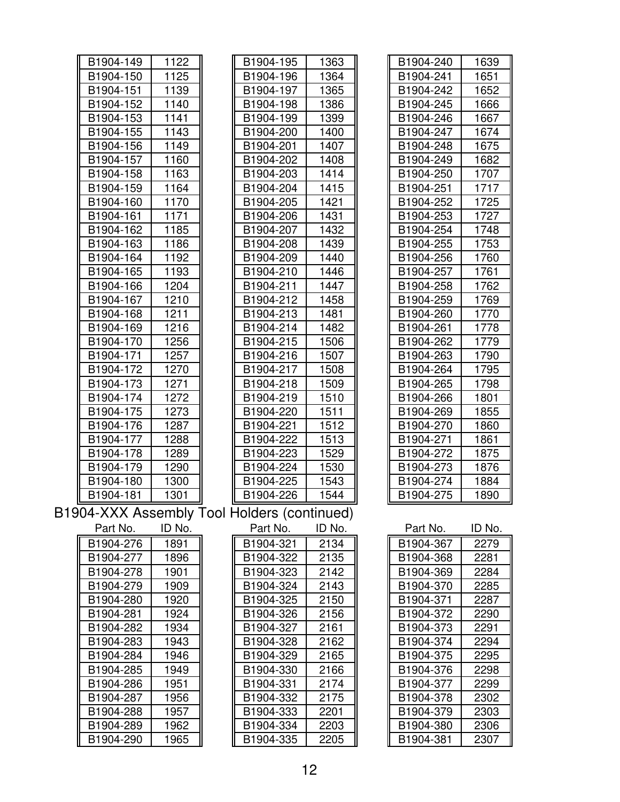| B1904-149 | 1122   | B1904-195                                   | 1363   | B1904-240 | 1639   |
|-----------|--------|---------------------------------------------|--------|-----------|--------|
| B1904-150 | 1125   | B1904-196                                   | 1364   | B1904-241 | 1651   |
| B1904-151 | 1139   | B1904-197                                   | 1365   | B1904-242 | 1652   |
| B1904-152 | 1140   | B1904-198                                   | 1386   | B1904-245 | 1666   |
| B1904-153 | 1141   | B1904-199                                   | 1399   | B1904-246 | 1667   |
| B1904-155 | 1143   | B1904-200                                   | 1400   | B1904-247 | 1674   |
| B1904-156 | 1149   | B1904-201                                   | 1407   | B1904-248 | 1675   |
| B1904-157 | 1160   | B1904-202                                   | 1408   | B1904-249 | 1682   |
| B1904-158 | 1163   | B1904-203                                   | 1414   | B1904-250 | 1707   |
| B1904-159 | 1164   | B1904-204                                   | 1415   | B1904-251 | 1717   |
| B1904-160 | 1170   | B1904-205                                   | 1421   | B1904-252 | 1725   |
| B1904-161 | 1171   | B1904-206                                   | 1431   | B1904-253 | 1727   |
| B1904-162 | 1185   | B1904-207                                   | 1432   | B1904-254 | 1748   |
| B1904-163 | 1186   | B1904-208                                   | 1439   | B1904-255 | 1753   |
| B1904-164 | 1192   | B1904-209                                   | 1440   | B1904-256 | 1760   |
| B1904-165 | 1193   | B1904-210                                   | 1446   | B1904-257 | 1761   |
| B1904-166 | 1204   | B1904-211                                   | 1447   | B1904-258 | 1762   |
| B1904-167 | 1210   | B1904-212                                   | 1458   | B1904-259 | 1769   |
| B1904-168 | 1211   | B1904-213                                   | 1481   | B1904-260 | 1770   |
| B1904-169 | 1216   | B1904-214                                   | 1482   | B1904-261 | 1778   |
| B1904-170 | 1256   | B1904-215                                   | 1506   | B1904-262 | 1779   |
| B1904-171 | 1257   | B1904-216                                   | 1507   | B1904-263 | 1790   |
| B1904-172 | 1270   | B1904-217                                   | 1508   | B1904-264 | 1795   |
| B1904-173 | 1271   | B1904-218                                   | 1509   | B1904-265 | 1798   |
| B1904-174 | 1272   | B1904-219                                   | 1510   | B1904-266 | 1801   |
| B1904-175 | 1273   | B1904-220                                   | 1511   | B1904-269 | 1855   |
| B1904-176 | 1287   | B1904-221                                   | 1512   | B1904-270 | 1860   |
| B1904-177 | 1288   | B1904-222                                   | 1513   | B1904-271 | 1861   |
| B1904-178 | 1289   | B1904-223                                   | 1529   | B1904-272 | 1875   |
| B1904-179 | 1290   | B1904-224                                   | 1530   | B1904-273 | 1876   |
| B1904-180 | 1300   | B1904-225                                   | 1543   | B1904-274 | 1884   |
| B1904-181 | 1301   | B1904-226                                   | 1544   | B1904-275 | 1890   |
|           |        | B1904-XXX Assembly Tool Holders (continued) |        |           |        |
| Part No.  | ID No. | Part No.                                    | ID No. | Part No.  | ID No. |
| B1904-276 | 1891   | B1904-321                                   | 2134   | B1904-367 | 2279   |
| B1904-277 | 1896   | B1904-322                                   | 2135   | B1904-368 | 2281   |
| B1904-278 | 1901   | B1904-323                                   | 2142   | B1904-369 | 2284   |
| B1904-279 | 1909   | B1904-324                                   | 2143   | B1904-370 | 2285   |
| B1904-280 | 1920   | B1904-325                                   | 2150   | B1904-371 | 2287   |
| B1904-281 | 1924   | B1904-326                                   | 2156   | B1904-372 | 2290   |
| B1904-282 | 1934   | B1904-327                                   | 2161   | B1904-373 | 2291   |
| B1904-283 | 1943   | B1904-328                                   | 2162   | B1904-374 | 2294   |
| B1904-284 | 1946   | B1904-329                                   | 2165   | B1904-375 | 2295   |
| B1904-285 | 1949   | B1904-330                                   | 2166   | B1904-376 | 2298   |
| B1904-286 | 1951   | B1904-331                                   | 2174   | B1904-377 | 2299   |
| B1904-287 | 1956   | B1904-332                                   | 2175   | B1904-378 | 2302   |
| B1904-288 | 1957   | B1904-333                                   | 2201   | B1904-379 | 2303   |
| B1904-289 | 1962   | B1904-334                                   | 2203   | B1904-380 | 2306   |
| B1904-290 | 1965   | B1904-335                                   | 2205   | B1904-381 | 2307   |
|           |        |                                             |        |           |        |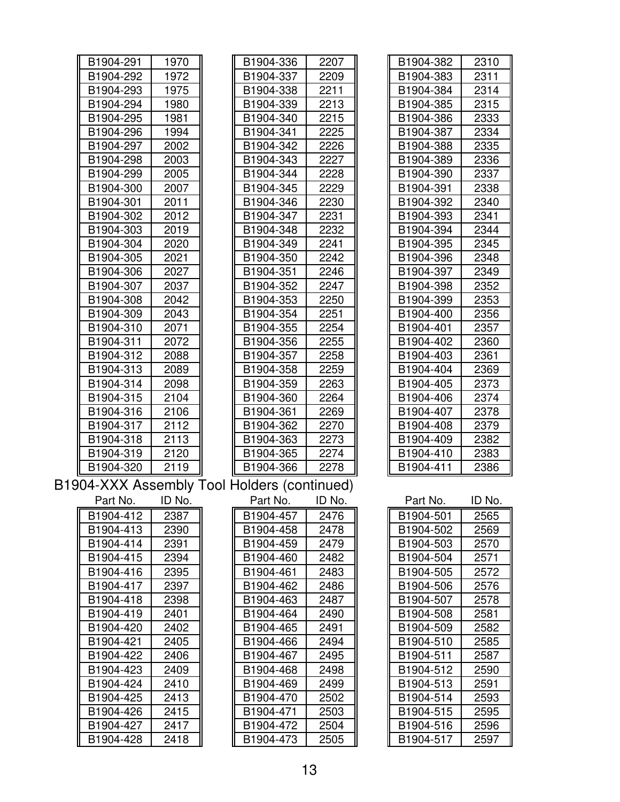| B1904-291 | 1970   | B1904-336                                   | 2207   | B1904-382 | 2310   |
|-----------|--------|---------------------------------------------|--------|-----------|--------|
| B1904-292 | 1972   | B1904-337                                   | 2209   | B1904-383 | 2311   |
| B1904-293 | 1975   | B1904-338                                   | 2211   | B1904-384 | 2314   |
| B1904-294 | 1980   | B1904-339                                   | 2213   | B1904-385 | 2315   |
| B1904-295 | 1981   | B1904-340                                   | 2215   | B1904-386 | 2333   |
| B1904-296 | 1994   | B1904-341                                   | 2225   | B1904-387 | 2334   |
| B1904-297 | 2002   | B1904-342                                   | 2226   | B1904-388 | 2335   |
| B1904-298 | 2003   | B1904-343                                   | 2227   | B1904-389 | 2336   |
| B1904-299 | 2005   | B1904-344                                   | 2228   | B1904-390 | 2337   |
| B1904-300 | 2007   | B1904-345                                   | 2229   | B1904-391 | 2338   |
| B1904-301 | 2011   | B1904-346                                   | 2230   | B1904-392 | 2340   |
| B1904-302 | 2012   | B1904-347                                   | 2231   | B1904-393 | 2341   |
| B1904-303 | 2019   | B1904-348                                   | 2232   | B1904-394 | 2344   |
| B1904-304 | 2020   | B1904-349                                   | 2241   | B1904-395 | 2345   |
| B1904-305 | 2021   | B1904-350                                   | 2242   | B1904-396 | 2348   |
| B1904-306 | 2027   | B1904-351                                   | 2246   | B1904-397 | 2349   |
| B1904-307 | 2037   | B1904-352                                   | 2247   | B1904-398 | 2352   |
| B1904-308 | 2042   | B1904-353                                   | 2250   | B1904-399 | 2353   |
| B1904-309 | 2043   | B1904-354                                   | 2251   | B1904-400 | 2356   |
| B1904-310 | 2071   | B1904-355                                   | 2254   | B1904-401 | 2357   |
| B1904-311 | 2072   | B1904-356                                   | 2255   | B1904-402 | 2360   |
| B1904-312 | 2088   | B1904-357                                   | 2258   | B1904-403 | 2361   |
| B1904-313 | 2089   | B1904-358                                   | 2259   | B1904-404 | 2369   |
| B1904-314 | 2098   | B1904-359                                   | 2263   | B1904-405 | 2373   |
| B1904-315 | 2104   | B1904-360                                   | 2264   | B1904-406 | 2374   |
| B1904-316 | 2106   | B1904-361                                   | 2269   | B1904-407 | 2378   |
| B1904-317 | 2112   | B1904-362                                   | 2270   | B1904-408 | 2379   |
| B1904-318 | 2113   | B1904-363                                   | 2273   | B1904-409 | 2382   |
| B1904-319 | 2120   | B1904-365                                   | 2274   | B1904-410 | 2383   |
| B1904-320 | 2119   | B1904-366                                   | 2278   | B1904-411 | 2386   |
|           |        | B1904-XXX Assembly Tool Holders (continued) |        |           |        |
| Part No.  | ID No. | Part No.                                    | ID No. | Part No.  | ID No. |
| B1904-412 | 2387   | B1904-457                                   | 2476   | B1904-501 | 2565   |
| B1904-413 | 2390   | B1904-458                                   | 2478   | B1904-502 | 2569   |
| B1904-414 | 2391   | B1904-459                                   | 2479   | B1904-503 | 2570   |
| B1904-415 | 2394   | B1904-460                                   | 2482   | B1904-504 | 2571   |
| B1904-416 | 2395   | B1904-461                                   | 2483   | B1904-505 | 2572   |
| B1904-417 | 2397   | B1904-462                                   | 2486   | B1904-506 | 2576   |
| B1904-418 | 2398   | B1904-463                                   | 2487   | B1904-507 | 2578   |
| B1904-419 | 2401   | B1904-464                                   | 2490   | B1904-508 | 2581   |
| B1904-420 | 2402   | B1904-465                                   | 2491   | B1904-509 | 2582   |
| B1904-421 | 2405   | B1904-466                                   | 2494   | B1904-510 | 2585   |
| B1904-422 | 2406   | B1904-467                                   | 2495   | B1904-511 | 2587   |
| B1904-423 | 2409   | B1904-468                                   | 2498   | B1904-512 | 2590   |
| B1904-424 | 2410   | B1904-469                                   | 2499   | B1904-513 | 2591   |
| B1904-425 | 2413   | B1904-470                                   | 2502   | B1904-514 | 2593   |
| B1904-426 | 2415   | B1904-471                                   | 2503   | B1904-515 | 2595   |
| B1904-427 | 2417   | B1904-472                                   | 2504   | B1904-516 | 2596   |
| B1904-428 | 2418   | B1904-473                                   | 2505   | B1904-517 | 2597   |
|           |        |                                             |        |           |        |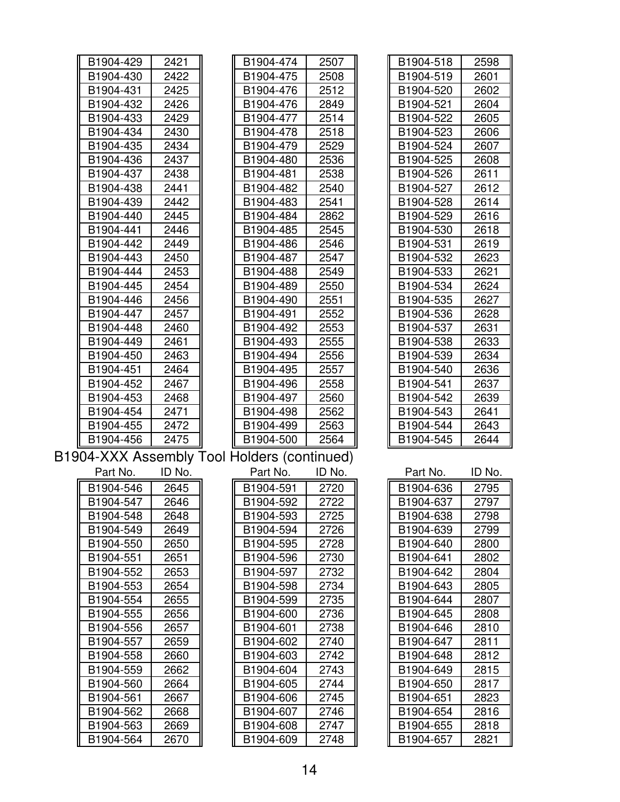| B1904-429 | 2421   | B1904-474                                   | 2507   | B1904-518 | 2598   |
|-----------|--------|---------------------------------------------|--------|-----------|--------|
| B1904-430 | 2422   | B1904-475                                   | 2508   | B1904-519 | 2601   |
| B1904-431 | 2425   | B1904-476                                   | 2512   | B1904-520 | 2602   |
| B1904-432 | 2426   | B1904-476                                   | 2849   | B1904-521 | 2604   |
| B1904-433 | 2429   | B1904-477                                   | 2514   | B1904-522 | 2605   |
| B1904-434 | 2430   | B1904-478                                   | 2518   | B1904-523 | 2606   |
| B1904-435 | 2434   | B1904-479                                   | 2529   | B1904-524 | 2607   |
| B1904-436 | 2437   | B1904-480                                   | 2536   | B1904-525 | 2608   |
| B1904-437 | 2438   | B1904-481                                   | 2538   | B1904-526 | 2611   |
| B1904-438 | 2441   | B1904-482                                   | 2540   | B1904-527 | 2612   |
| B1904-439 | 2442   | B1904-483                                   | 2541   | B1904-528 | 2614   |
| B1904-440 | 2445   | B1904-484                                   | 2862   | B1904-529 | 2616   |
| B1904-441 | 2446   | B1904-485                                   | 2545   | B1904-530 | 2618   |
| B1904-442 | 2449   | B1904-486                                   | 2546   | B1904-531 | 2619   |
| B1904-443 | 2450   | B1904-487                                   | 2547   | B1904-532 | 2623   |
| B1904-444 | 2453   | B1904-488                                   | 2549   | B1904-533 | 2621   |
| B1904-445 | 2454   | B1904-489                                   | 2550   | B1904-534 | 2624   |
| B1904-446 | 2456   | B1904-490                                   | 2551   | B1904-535 | 2627   |
| B1904-447 | 2457   | B1904-491                                   | 2552   | B1904-536 | 2628   |
| B1904-448 | 2460   | B1904-492                                   | 2553   | B1904-537 | 2631   |
| B1904-449 | 2461   | B1904-493                                   | 2555   | B1904-538 | 2633   |
| B1904-450 | 2463   | B1904-494                                   | 2556   | B1904-539 | 2634   |
| B1904-451 | 2464   | B1904-495                                   | 2557   | B1904-540 | 2636   |
| B1904-452 | 2467   | B1904-496                                   | 2558   | B1904-541 | 2637   |
| B1904-453 | 2468   | B1904-497                                   | 2560   | B1904-542 | 2639   |
| B1904-454 | 2471   | B1904-498                                   | 2562   | B1904-543 | 2641   |
| B1904-455 | 2472   | B1904-499                                   | 2563   | B1904-544 | 2643   |
| B1904-456 | 2475   | B1904-500                                   | 2564   | B1904-545 | 2644   |
|           |        | B1904-XXX Assembly Tool Holders (continued) |        |           |        |
| Part No.  | ID No. | Part No.                                    | ID No. | Part No.  | ID No. |
| B1904-546 | 2645   | B1904-591                                   | 2720   | B1904-636 | 2795   |
| B1904-547 | 2646   | B1904-592                                   | 2722   | B1904-637 | 2797   |
| B1904-548 | 2648   | B1904-593                                   | 2725   | B1904-638 | 2798   |
| B1904-549 | 2649   | B1904-594                                   | 2726   | B1904-639 | 2799   |
| B1904-550 | 2650   | B1904-595                                   | 2728   | B1904-640 | 2800   |
| B1904-551 | 2651   | B1904-596                                   | 2730   | B1904-641 | 2802   |
| B1904-552 | 2653   | B1904-597                                   | 2732   | B1904-642 | 2804   |
| B1904-553 | 2654   | B1904-598                                   | 2734   | B1904-643 | 2805   |
| B1904-554 | 2655   | B1904-599                                   | 2735   | B1904-644 | 2807   |
| B1904-555 | 2656   | B1904-600                                   | 2736   | B1904-645 | 2808   |
| B1904-556 | 2657   | B1904-601                                   | 2738   | B1904-646 | 2810   |
| B1904-557 | 2659   | B1904-602                                   | 2740   | B1904-647 | 2811   |
| B1904-558 | 2660   | B1904-603                                   | 2742   | B1904-648 | 2812   |
| B1904-559 | 2662   | B1904-604                                   | 2743   | B1904-649 | 2815   |
| B1904-560 | 2664   | B1904-605                                   | 2744   | B1904-650 | 2817   |
| B1904-561 | 2667   | B1904-606                                   | 2745   | B1904-651 | 2823   |
| B1904-562 | 2668   | B1904-607                                   | 2746   | B1904-654 | 2816   |
| B1904-563 | 2669   | B1904-608                                   | 2747   | B1904-655 | 2818   |
| B1904-564 | 2670   | B1904-609                                   | 2748   | B1904-657 | 2821   |
|           |        |                                             |        |           |        |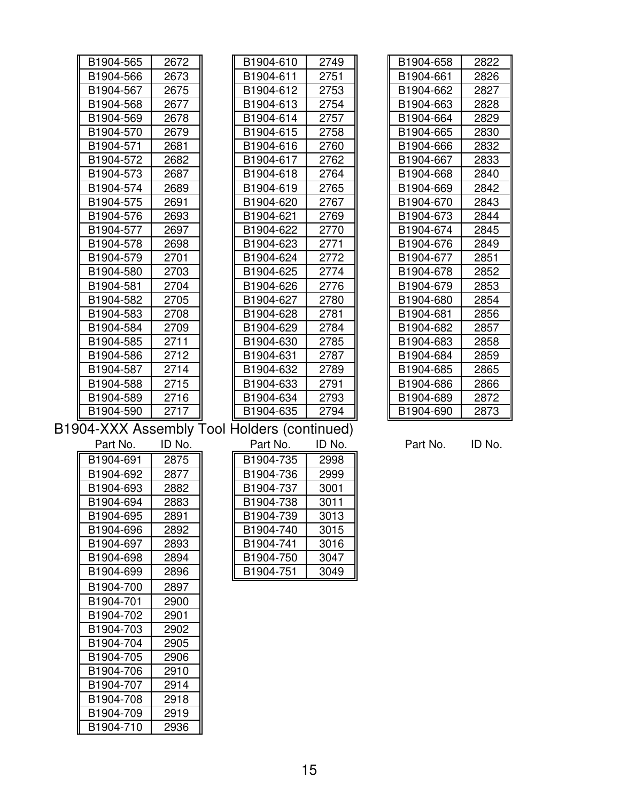| B1904-565 | 2672 |
|-----------|------|
| B1904-566 | 2673 |
| B1904-567 | 2675 |
| B1904-568 | 2677 |
| B1904-569 | 2678 |
| B1904-570 | 2679 |
| B1904-571 | 2681 |
| B1904-572 | 2682 |
| B1904-573 | 2687 |
| B1904-574 | 2689 |
| B1904-575 | 2691 |
| B1904-576 | 2693 |
| B1904-577 | 2697 |
| B1904-578 | 2698 |
| B1904-579 | 2701 |
| B1904-580 | 2703 |
| B1904-581 | 2704 |
| B1904-582 | 2705 |
| B1904-583 | 2708 |
| B1904-584 | 2709 |
| B1904-585 | 2711 |
| B1904-586 | 2712 |
| B1904-587 | 2714 |
| B1904-588 | 2715 |
| B1904-589 | 2716 |
| B1904-590 | 2717 |

| B1904-565                     | 2672 | B1904-610             | 2749 | B1904-658             | 2822 |
|-------------------------------|------|-----------------------|------|-----------------------|------|
| B1904-566                     | 2673 | B1904-611             | 2751 | B1904-661             | 2826 |
| B1904-567                     | 2675 | B1904-612             | 2753 | B1904-662             | 2827 |
| B1904-568                     | 2677 | B1904-613             | 2754 | B1904-663             | 2828 |
| B1904-569                     | 2678 | B1904-614             | 2757 | B1904-664             | 2829 |
| B1904-570                     | 2679 | B1904-615             | 2758 | B1904-665             | 2830 |
| B1904-571                     | 2681 | B1904-616             | 2760 | B1904-666             | 2832 |
| B1904-572                     | 2682 | B1904-617             | 2762 | B1904-667             | 2833 |
| B1904-573                     | 2687 | B1904-618             | 2764 | B1904-668             | 2840 |
| B1904-574                     | 2689 | B1904-619             | 2765 | B1904-669             | 2842 |
| B1904-575                     | 2691 | B <sub>1904-620</sub> | 2767 | B <sub>1904-670</sub> | 2843 |
| B1904-576                     | 2693 | B1904-621             | 2769 | B1904-673             | 2844 |
| B1904-577                     | 2697 | B1904-622             | 2770 | B1904-674             | 2845 |
| B1904-578                     | 2698 | B1904-623             | 2771 | B1904-676             | 2849 |
| B1904-579                     | 2701 | B1904-624             | 2772 | B1904-677             | 2851 |
| B1904-580                     | 2703 | B1904-625             | 2774 | B1904-678             | 2852 |
| B1904-581                     | 2704 | B1904-626             | 2776 | B1904-679             | 2853 |
| B1904-582                     | 2705 | B1904-627             | 2780 | B1904-680             | 2854 |
| B1904-583                     | 2708 | B1904-628             | 2781 | B1904-681             | 2856 |
| B1904-584                     | 2709 | B1904-629             | 2784 | B1904-682             | 2857 |
| B1904-585                     | 2711 | B1904-630             | 2785 | B1904-683             | 2858 |
| B1904-586                     | 2712 | B1904-631             | 2787 | B1904-684             | 2859 |
| B1904-587                     | 2714 | B1904-632             | 2789 | B1904-685             | 2865 |
| B1904-588                     | 2715 | B1904-633             | 2791 | B1904-686             | 2866 |
| B1904-589                     | 2716 | B1904-634             | 2793 | B1904-689             | 2872 |
| B1904-590                     | 2717 | B1904-635             | 2794 | B1904-690             | 2873 |
| $\overline{1}$ $\overline{1}$ | . .  | .                     |      |                       |      |

| B1904-658 | 2822 |
|-----------|------|
| B1904-661 | 2826 |
| B1904-662 | 2827 |
| B1904-663 | 2828 |
| B1904-664 | 2829 |
| B1904-665 | 2830 |
| B1904-666 | 2832 |
| B1904-667 | 2833 |
| B1904-668 | 2840 |
| B1904-669 | 2842 |
| B1904-670 | 2843 |
| B1904-673 | 2844 |
| B1904-674 | 2845 |
| B1904-676 | 2849 |
| B1904-677 | 2851 |
| B1904-678 | 2852 |
| B1904-679 | 2853 |
| B1904-680 | 2854 |
| B1904-681 | 2856 |
| B1904-682 | 2857 |
| B1904-683 | 2858 |
| B1904-684 | 2859 |
| B1904-685 | 2865 |
| B1904-686 | 2866 |
| B1904-689 | 2872 |
| B1904-690 | 2873 |

## B1904-XXX Assembly Tool Holders (continued)

B1904-691 2875 B1904-692 2877

| Part No. | ID No. | Part No.               | ID No. | Part No. | ID No. |
|----------|--------|------------------------|--------|----------|--------|
| 1904-691 | 2875   | B1904-735              | 2998   |          |        |
| 1904-692 | 2877   | B1904-736              | 2999   |          |        |
| 1904-693 | 2882   | B1904-737              | 3001   |          |        |
| 1904-694 | 2883   | B1904-738              | 3011   |          |        |
| 1904-695 | 2891   | B1904-739              | 3013   |          |        |
| 1904-696 | 2892   | B1904-740              | 3015   |          |        |
| 1904-697 | 2893   | B1904-741              | 3016   |          |        |
| 1904-698 | 2894   | B1904-750              | 3047   |          |        |
| 1904-699 | 2896   | B <sub>1904</sub> -751 | 3049   |          |        |

B1904-693 2882 B1904-694 2883 B1904-695 2891 B1904-696 | 2892 B1904-697 | 2893 B1904-698 2894 B1904-699 2896 B1904-700 2897 B1904-701 2900 B1904-702 2901 B1904-703 2902 B1904-704 2905 B1904-705 2906 B1904-706 2910 B1904-707 2914 B1904-708 2918 B1904-709 2919 B1904-710 2936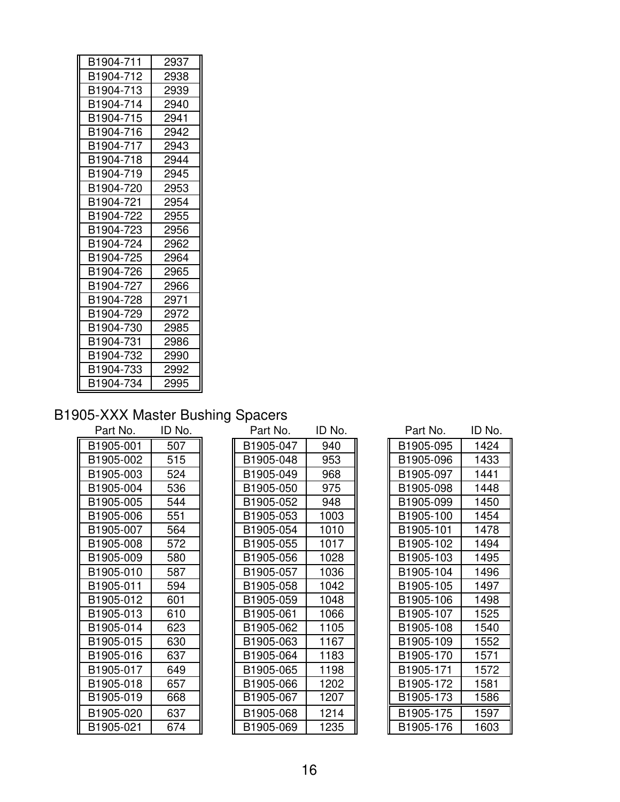| B1904-711 | 2937 |
|-----------|------|
| B1904-712 | 2938 |
| B1904-713 | 2939 |
| B1904-714 | 2940 |
| B1904-715 | 2941 |
| B1904-716 | 2942 |
| B1904-717 | 2943 |
| B1904-718 | 2944 |
| B1904-719 | 2945 |
| B1904-720 | 2953 |
| B1904-721 | 2954 |
| B1904-722 | 2955 |
| B1904-723 | 2956 |
| B1904-724 | 2962 |
| B1904-725 | 2964 |
| B1904-726 | 2965 |
| B1904-727 | 2966 |
| B1904-728 | 2971 |
| B1904-729 | 2972 |
| B1904-730 | 2985 |
| B1904-731 | 2986 |
| B1904-732 | 2990 |
| B1904-733 | 2992 |
| B1904-734 | 2995 |

#### B1905-XXX Master Bushing Spacers

| . טוני זע. | יישו |
|------------|------|
| B1905-001  | 507  |
| B1905-002  | 515  |
| B1905-003  | 524  |
| B1905-004  | 536  |
| B1905-005  | 544  |
| B1905-006  | 551  |
| B1905-007  | 564  |
| B1905-008  | 572  |
| B1905-009  | 580  |
| B1905-010  | 587  |
| B1905-011  | 594  |
| B1905-012  | 601  |
| B1905-013  | 610  |
| B1905-014  | 623  |
| B1905-015  | 630  |
| B1905-016  | 637  |
| B1905-017  | 649  |
| B1905-018  | 657  |
| B1905-019  | 668  |
| B1905-020  | 637  |
| B1905-021  | 674  |

| 940<br>507<br>B1905-047<br>B1905-095<br>515<br>B1905-048<br>953<br>B1905-096<br>B1905-049<br>968<br>524<br>B1905-097<br>536<br>B1905-050<br>975<br>B1905-098<br>948<br>544<br>B1905-052<br>B1905-099<br>551<br>B1905-053<br>1003<br>B1905-100<br>564<br>1010<br>B1905-054<br>B1905-101<br>B1905-055<br>1017<br>B1905-102<br>572<br>580<br>1028<br>B1905-103<br>B1905-056<br>1036<br>587<br>B1905-057<br>B1905-104<br>B1905-058<br>1042<br>B1905-105<br>594<br>601<br>1048<br>B1905-059<br>B1905-106<br>1066<br>610<br>B1905-061<br>B1905-107<br>623<br>1105<br>B1905-062<br>B1905-108<br>630<br>B1905-063<br>1167<br>B1905-109<br>637<br>B1905-064<br>1183<br>B1905-170<br>649<br>B1905-065<br>1198<br>B1905-171<br>1202<br>657<br>B1905-066<br>B1905-172<br>668<br>B1905-067<br>1207<br>B1905-173<br>B1905-068<br>1214<br>B1905-175<br>637<br>1235<br>674<br>B1905-069<br>B1905-176 | Part No.  | ID No. | Part No. | ID No. | Part No. | ID No |
|--------------------------------------------------------------------------------------------------------------------------------------------------------------------------------------------------------------------------------------------------------------------------------------------------------------------------------------------------------------------------------------------------------------------------------------------------------------------------------------------------------------------------------------------------------------------------------------------------------------------------------------------------------------------------------------------------------------------------------------------------------------------------------------------------------------------------------------------------------------------------------------|-----------|--------|----------|--------|----------|-------|
|                                                                                                                                                                                                                                                                                                                                                                                                                                                                                                                                                                                                                                                                                                                                                                                                                                                                                      | B1905-001 |        |          |        |          | 1424  |
|                                                                                                                                                                                                                                                                                                                                                                                                                                                                                                                                                                                                                                                                                                                                                                                                                                                                                      | B1905-002 |        |          |        |          | 1433  |
|                                                                                                                                                                                                                                                                                                                                                                                                                                                                                                                                                                                                                                                                                                                                                                                                                                                                                      | B1905-003 |        |          |        |          | 1441  |
|                                                                                                                                                                                                                                                                                                                                                                                                                                                                                                                                                                                                                                                                                                                                                                                                                                                                                      | B1905-004 |        |          |        |          | 1448  |
|                                                                                                                                                                                                                                                                                                                                                                                                                                                                                                                                                                                                                                                                                                                                                                                                                                                                                      | B1905-005 |        |          |        |          | 1450  |
|                                                                                                                                                                                                                                                                                                                                                                                                                                                                                                                                                                                                                                                                                                                                                                                                                                                                                      | B1905-006 |        |          |        |          | 1454  |
|                                                                                                                                                                                                                                                                                                                                                                                                                                                                                                                                                                                                                                                                                                                                                                                                                                                                                      | B1905-007 |        |          |        |          | 1478  |
|                                                                                                                                                                                                                                                                                                                                                                                                                                                                                                                                                                                                                                                                                                                                                                                                                                                                                      | B1905-008 |        |          |        |          | 1494  |
|                                                                                                                                                                                                                                                                                                                                                                                                                                                                                                                                                                                                                                                                                                                                                                                                                                                                                      | B1905-009 |        |          |        |          | 1495  |
|                                                                                                                                                                                                                                                                                                                                                                                                                                                                                                                                                                                                                                                                                                                                                                                                                                                                                      | B1905-010 |        |          |        |          | 1496  |
|                                                                                                                                                                                                                                                                                                                                                                                                                                                                                                                                                                                                                                                                                                                                                                                                                                                                                      | B1905-011 |        |          |        |          | 1497  |
|                                                                                                                                                                                                                                                                                                                                                                                                                                                                                                                                                                                                                                                                                                                                                                                                                                                                                      | B1905-012 |        |          |        |          | 1498  |
|                                                                                                                                                                                                                                                                                                                                                                                                                                                                                                                                                                                                                                                                                                                                                                                                                                                                                      | B1905-013 |        |          |        |          | 1525  |
|                                                                                                                                                                                                                                                                                                                                                                                                                                                                                                                                                                                                                                                                                                                                                                                                                                                                                      | B1905-014 |        |          |        |          | 1540  |
|                                                                                                                                                                                                                                                                                                                                                                                                                                                                                                                                                                                                                                                                                                                                                                                                                                                                                      | B1905-015 |        |          |        |          | 1552  |
|                                                                                                                                                                                                                                                                                                                                                                                                                                                                                                                                                                                                                                                                                                                                                                                                                                                                                      | B1905-016 |        |          |        |          | 1571  |
|                                                                                                                                                                                                                                                                                                                                                                                                                                                                                                                                                                                                                                                                                                                                                                                                                                                                                      | B1905-017 |        |          |        |          | 1572  |
|                                                                                                                                                                                                                                                                                                                                                                                                                                                                                                                                                                                                                                                                                                                                                                                                                                                                                      | B1905-018 |        |          |        |          | 1581  |
|                                                                                                                                                                                                                                                                                                                                                                                                                                                                                                                                                                                                                                                                                                                                                                                                                                                                                      | B1905-019 |        |          |        |          | 1586  |
|                                                                                                                                                                                                                                                                                                                                                                                                                                                                                                                                                                                                                                                                                                                                                                                                                                                                                      | B1905-020 |        |          |        |          | 1597  |
|                                                                                                                                                                                                                                                                                                                                                                                                                                                                                                                                                                                                                                                                                                                                                                                                                                                                                      | B1905-021 |        |          |        |          | 1603  |

| Part No. | ID No. | Part No.  | ID No. | Part No.  | ID No. |
|----------|--------|-----------|--------|-----------|--------|
| 1905-001 | 507    | B1905-047 | 940    | B1905-095 | 1424   |
| 1905-002 | 515    | B1905-048 | 953    | B1905-096 | 1433   |
| 1905-003 | 524    | B1905-049 | 968    | B1905-097 | 1441   |
| 1905-004 | 536    | B1905-050 | 975    | B1905-098 | 1448   |
| 1905-005 | 544    | B1905-052 | 948    | B1905-099 | 1450   |
| 1905-006 | 551    | B1905-053 | 1003   | B1905-100 | 1454   |
| 1905-007 | 564    | B1905-054 | 1010   | B1905-101 | 1478   |
| 1905-008 | 572    | B1905-055 | 1017   | B1905-102 | 1494   |
| 1905-009 | 580    | B1905-056 | 1028   | B1905-103 | 1495   |
| 1905-010 | 587    | B1905-057 | 1036   | B1905-104 | 1496   |
| 1905-011 | 594    | B1905-058 | 1042   | B1905-105 | 1497   |
| 1905-012 | 601    | B1905-059 | 1048   | B1905-106 | 1498   |
| 1905-013 | 610    | B1905-061 | 1066   | B1905-107 | 1525   |
| 1905-014 | 623    | B1905-062 | 1105   | B1905-108 | 1540   |
| 1905-015 | 630    | B1905-063 | 1167   | B1905-109 | 1552   |
| 1905-016 | 637    | B1905-064 | 1183   | B1905-170 | 1571   |
| 1905-017 | 649    | B1905-065 | 1198   | B1905-171 | 1572   |
| 1905-018 | 657    | B1905-066 | 1202   | B1905-172 | 1581   |
| 1905-019 | 668    | B1905-067 | 1207   | B1905-173 | 1586   |
| 1905-020 | 637    | B1905-068 | 1214   | B1905-175 | 1597   |
| 1905-021 | 674    | B1905-069 | 1235   | B1905-176 | 1603   |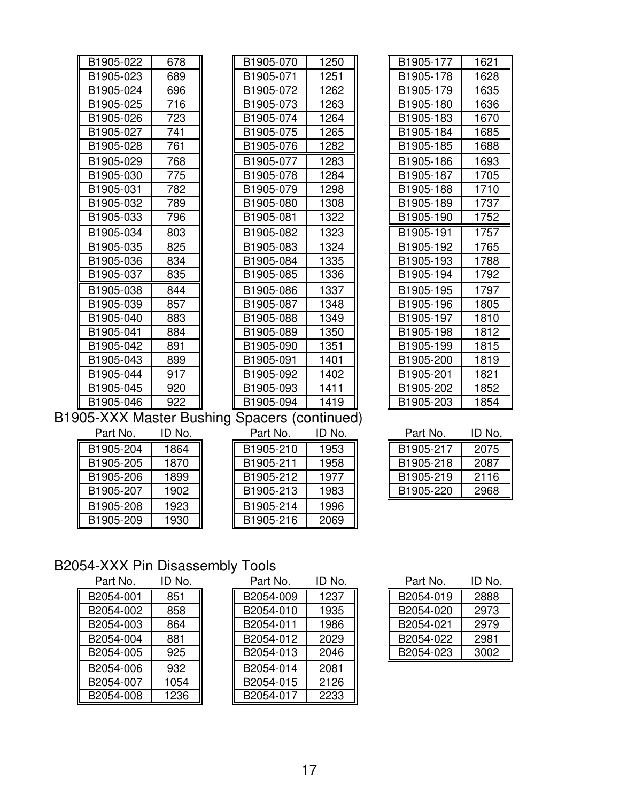| B1905-022                                  | 678 | B1905-070 | 1250 | B1905-177 | 1621 |
|--------------------------------------------|-----|-----------|------|-----------|------|
| B1905-023                                  | 689 | B1905-071 | 1251 | B1905-178 | 1628 |
| B1905-024                                  | 696 | B1905-072 | 1262 | B1905-179 | 1635 |
| B1905-025                                  | 716 | B1905-073 | 1263 | B1905-180 | 1636 |
| B1905-026                                  | 723 | B1905-074 | 1264 | B1905-183 | 1670 |
| B1905-027                                  | 741 | B1905-075 | 1265 | B1905-184 | 1685 |
| B1905-028                                  | 761 | B1905-076 | 1282 | B1905-185 | 1688 |
| B1905-029                                  | 768 | B1905-077 | 1283 | B1905-186 | 1693 |
| B1905-030                                  | 775 | B1905-078 | 1284 | B1905-187 | 1705 |
| B1905-031                                  | 782 | B1905-079 | 1298 | B1905-188 | 1710 |
| B1905-032                                  | 789 | B1905-080 | 1308 | B1905-189 | 1737 |
| B1905-033                                  | 796 | B1905-081 | 1322 | B1905-190 | 1752 |
| B1905-034                                  | 803 | B1905-082 | 1323 | B1905-191 | 1757 |
| B1905-035                                  | 825 | B1905-083 | 1324 | B1905-192 | 1765 |
| B1905-036                                  | 834 | B1905-084 | 1335 | B1905-193 | 1788 |
| B1905-037                                  | 835 | B1905-085 | 1336 | B1905-194 | 1792 |
| B1905-038                                  | 844 | B1905-086 | 1337 | B1905-195 | 1797 |
| B1905-039                                  | 857 | B1905-087 | 1348 | B1905-196 | 1805 |
| B1905-040                                  | 883 | B1905-088 | 1349 | B1905-197 | 1810 |
| B1905-041                                  | 884 | B1905-089 | 1350 | B1905-198 | 1812 |
| B1905-042                                  | 891 | B1905-090 | 1351 | B1905-199 | 1815 |
| B1905-043                                  | 899 | B1905-091 | 1401 | B1905-200 | 1819 |
| B1905-044                                  | 917 | B1905-092 | 1402 | B1905-201 | 1821 |
| B1905-045                                  | 920 | B1905-093 | 1411 | B1905-202 | 1852 |
| B1905-046                                  | 922 | B1905-094 | 1419 | B1905-203 | 1854 |
| 905-XXX Master Rushing Spacers (continued) |     |           |      |           |      |

B1905-XXX Master Bushing Spacers (continued)

| B1905-204<br>B1905-210<br>1864<br>1953 |  |
|----------------------------------------|--|
| B1905-211<br>B1905-205<br>1870<br>1958 |  |
| B1905-212<br>B1905-206<br>1899<br>1977 |  |
| B1905-213<br>B1905-207<br>1902<br>1983 |  |
| 1923<br>B1905-214<br>B1905-208<br>1996 |  |
| B1905-209<br>B1905-216<br>1930<br>2069 |  |

| Part No.  | ID No. | Part No.  | ID No. | Part No.  | ID No. |
|-----------|--------|-----------|--------|-----------|--------|
| B1905-204 | 1864   | B1905-210 | 1953   | B1905-217 | 2075   |
| B1905-205 | 1870   | B1905-211 | 1958   | B1905-218 | 2087   |
| B1905-206 | 1899   | B1905-212 | 1977   | B1905-219 | 2116   |
| B1905-207 | 1902   | B1905-213 | 1983   | B1905-220 | 2968   |
| B1905-208 | 1923   | B1905-214 | 1996   |           |        |
| B1905-209 | 1930   | B1905-216 | 2069   |           |        |

| Part No.  | ID No. |
|-----------|--------|
| B1905-217 | 2075   |
| B1905-218 | 2087   |
| B1905-219 | 2116   |
| B1905-220 | 2968   |

## B2054-XXX Pin Disassembly Tools

| Part No.  | ID No. | Part No.  | ID No |
|-----------|--------|-----------|-------|
| B2054-001 | 851    | B2054-009 | 1237  |
| B2054-002 | 858    | B2054-010 | 1935  |
| B2054-003 | 864    | B2054-011 | 1986  |
| B2054-004 | 881    | B2054-012 | 2029  |
| B2054-005 | 925    | B2054-013 | 2046  |
| B2054-006 | 932    | B2054-014 | 2081  |
| B2054-007 | 1054   | B2054-015 | 2126  |
| B2054-008 | 1236   | B2054-017 | 2233  |

| Part No.  | ID No. | Part No.  | ID No. | Part No.  | ID No. |
|-----------|--------|-----------|--------|-----------|--------|
| B2054-001 | 851    | B2054-009 | 1237   | B2054-019 | 2888   |
| B2054-002 | 858    | B2054-010 | 1935   | B2054-020 | 2973   |
| B2054-003 | 864    | B2054-011 | 1986   | B2054-021 | 2979   |
| B2054-004 | 881    | B2054-012 | 2029   | B2054-022 | 2981   |
| B2054-005 | 925    | B2054-013 | 2046   | B2054-023 | 3002   |
| B2054-006 | 932    | B2054-014 | 2081   |           |        |
| B2054-007 | 1054   | B2054-015 | 2126   |           |        |
| B2054-008 | 1236   | B2054-017 | 2233   |           |        |

| Part No.  | ID No. |
|-----------|--------|
| B2054-019 | 2888   |
| B2054-020 | 2973   |
| B2054-021 | 2979   |
| B2054-022 | 2981   |
| B2054-023 | 3002   |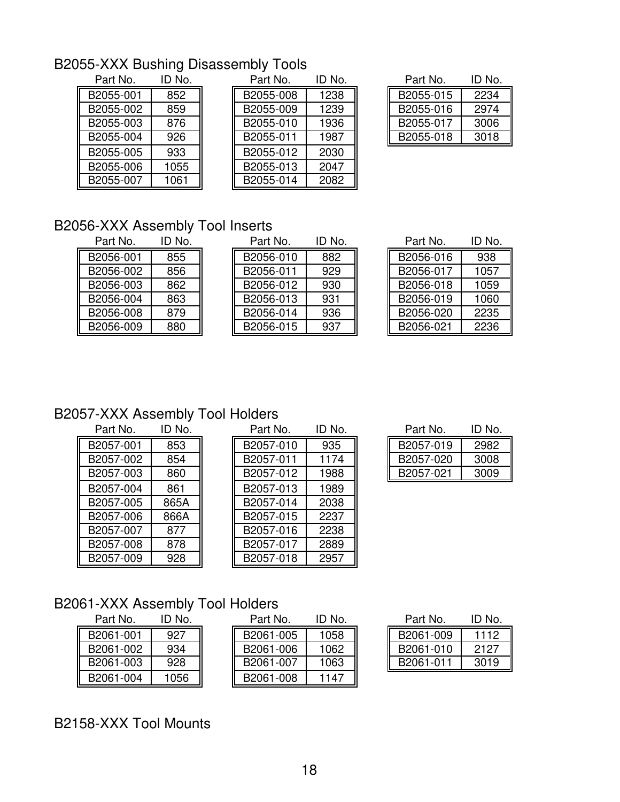## B2055-XXX Bushing Disassembly Tools

| Part No.  | ID No. |
|-----------|--------|
| B2055-001 | 852    |
| B2055-002 | 859    |
| B2055-003 | 876    |
| B2055-004 | 926    |
| B2055-005 | 933    |
| B2055-006 | 1055   |
| B2055-007 | 1061   |

| Part No.  | ID No. | Part No.  | ID No. | Part No.  | ID No. |
|-----------|--------|-----------|--------|-----------|--------|
| B2055-001 | 852    | B2055-008 | 1238   | B2055-015 | 2234   |
| B2055-002 | 859    | B2055-009 | 1239   | B2055-016 | 2974   |
| B2055-003 | 876    | B2055-010 | 1936   | B2055-017 | 3006   |
| B2055-004 | 926    | B2055-011 | 1987   | B2055-018 | 3018   |
| B2055-005 | 933    | B2055-012 | 2030   |           |        |
| B2055-006 | 1055   | B2055-013 | 2047   |           |        |
| B2055-007 | 1061   | B2055-014 | 2082   |           |        |

| Part No.  | ID No. |
|-----------|--------|
| B2055-015 | 2234   |
| B2055-016 | 2974   |
| B2055-017 | 3006   |
| B2055-018 | 3018   |

## B2056-XXX Assembly Tool Inserts<br>Part No. ID No. Part No

| B2056-001 | 855 |
|-----------|-----|
| B2056-002 | 856 |
| B2056-003 | 862 |
| B2056-004 | 863 |
| B2056-008 | 879 |
| B2056-009 | 880 |

| Part No.  | ID No. | Part No.  | ID NO. | Part No.  | ID NO |
|-----------|--------|-----------|--------|-----------|-------|
| B2056-001 | 855    | B2056-010 | 882    | B2056-016 | 938   |
| B2056-002 | 856    | B2056-011 | 929    | B2056-017 | 1057  |
| B2056-003 | 862    | B2056-012 | 930    | B2056-018 | 1059  |
| B2056-004 | 863    | B2056-013 | 931    | B2056-019 | 1060  |
| B2056-008 | 879    | B2056-014 | 936    | B2056-020 | 2235  |
| B2056-009 | 880    | B2056-015 | 937    | B2056-021 | 2236  |

| Part No. | ID No. | Part No.  | ID No. | Part No.  | ID No. |
|----------|--------|-----------|--------|-----------|--------|
| 2056-001 | 855    | B2056-010 | 882    | B2056-016 | 938    |
| 2056-002 | 856    | B2056-011 | 929    | B2056-017 | 1057   |
| 2056-003 | 862    | B2056-012 | 930    | B2056-018 | 1059   |
| 2056-004 | 863    | B2056-013 | 931    | B2056-019 | 1060   |
| 2056-008 | 879    | B2056-014 | 936    | B2056-020 | 2235   |
| 2056-009 | 880    | B2056-015 | 937    | B2056-021 | 2236   |

### B2057-XXX Assembly Tool Holders

| Part No.  | ID No. | Part No.  | ID No |
|-----------|--------|-----------|-------|
| B2057-001 | 853    | B2057-010 | 935   |
| B2057-002 | 854    | B2057-011 | 1174  |
| B2057-003 | 860    | B2057-012 | 1988  |
| B2057-004 | 861    | B2057-013 | 1989  |
| B2057-005 | 865A   | B2057-014 | 2038  |
| B2057-006 | 866A   | B2057-015 | 2237  |
| B2057-007 | 877    | B2057-016 | 2238  |
| B2057-008 | 878    | B2057-017 | 2889  |
| B2057-009 | 928    | B2057-018 | 2957  |

| Part No.  | ID No. | Part No.  | ID No. | Part No.  | ID No. |
|-----------|--------|-----------|--------|-----------|--------|
| B2057-001 | 853    | B2057-010 | 935    | B2057-019 | 2982   |
| B2057-002 | 854    | B2057-011 | 1174   | B2057-020 | 3008   |
| B2057-003 | 860    | B2057-012 | 1988   | B2057-021 | 3009   |
| B2057-004 | 861    | B2057-013 | 1989   |           |        |
| B2057-005 | 865A   | B2057-014 | 2038   |           |        |
| B2057-006 | 866A   | B2057-015 | 2237   |           |        |
| B2057-007 | 877    | B2057-016 | 2238   |           |        |
| B2057-008 | 878    | B2057-017 | 2889   |           |        |
| B2057-009 | 928    | B2057-018 | 2957   |           |        |

| Part No.  | ID No. |
|-----------|--------|
| B2057-019 | 2982   |
| B2057-020 | 3008   |
| B2057-021 | 3009   |

## B2061-XXX Assembly Tool Holders

| Part No.  | ID No. |
|-----------|--------|
| B2061-001 | 927    |
| B2061-002 | 934    |
| B2061-003 | 928    |
| B2061-004 | 1056   |

| Part No.  | ID No. | Part No.  | ID No. | Part No.  | ID No. |
|-----------|--------|-----------|--------|-----------|--------|
| B2061-001 | 927    | B2061-005 | 1058   | B2061-009 | 1112   |
| B2061-002 | 934    | B2061-006 | 1062   | B2061-010 | 2127   |
| B2061-003 | 928    | B2061-007 | 1063   | B2061-011 | 3019   |
| B2061-004 | 1056   | B2061-008 | 1147   |           |        |

| Part No.  | ID No. |
|-----------|--------|
| B2061-009 | 1112   |
| B2061-010 | 2127   |
| B2061-011 | 3019   |

## B2158-XXX Tool Mounts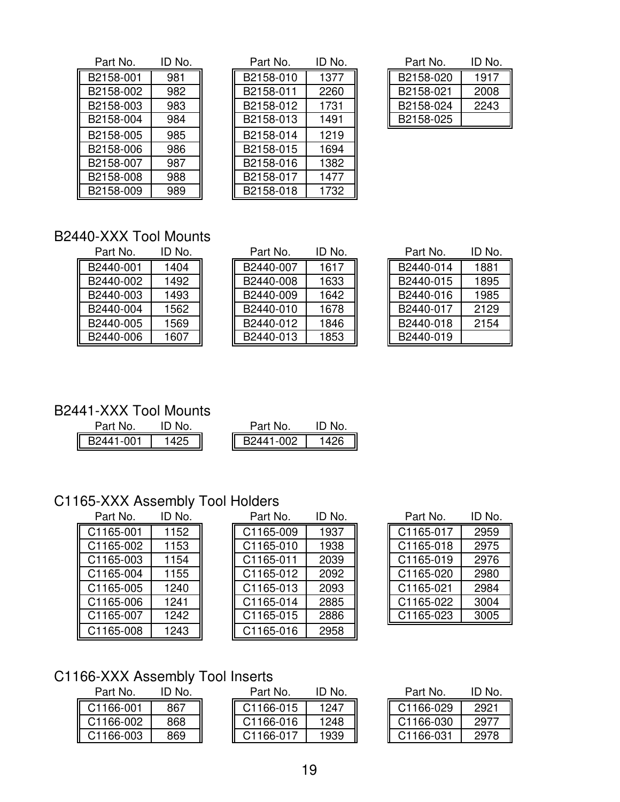| Part No.  | ID No. |
|-----------|--------|
| B2158-001 | 981    |
| B2158-002 | 982    |
| B2158-003 | 983    |
| B2158-004 | 984    |
| B2158-005 | 985    |
| B2158-006 | 986    |
| B2158-007 | 987    |
| B2158-008 | 988    |
| B2158-009 | 989    |

| Part No.  | ID No. | Part No.  | ID No. | Part No.  | ID No. |
|-----------|--------|-----------|--------|-----------|--------|
| B2158-001 | 981    | B2158-010 | 1377   | B2158-020 | 1917   |
| B2158-002 | 982    | B2158-011 | 2260   | B2158-021 | 2008   |
| B2158-003 | 983    | B2158-012 | 1731   | B2158-024 | 2243   |
| B2158-004 | 984    | B2158-013 | 1491   | B2158-025 |        |
| B2158-005 | 985    | B2158-014 | 1219   |           |        |
| B2158-006 | 986    | B2158-015 | 1694   |           |        |
| B2158-007 | 987    | B2158-016 | 1382   |           |        |
| B2158-008 | 988    | B2158-017 | 1477   |           |        |
| B2158-009 | 989    | B2158-018 | 1732   |           |        |

| Part No.  | ID No. |
|-----------|--------|
| B2158-020 | 1917   |
| B2158-021 | 2008   |
| B2158-024 | 2243   |
| B2158-025 |        |

### B2440-XXX Tool Mounts

| Part No.  | ID No. |
|-----------|--------|
| B2440-001 | 1404   |
| B2440-002 | 1492   |
| B2440-003 | 1493   |
| B2440-004 | 1562   |
| B2440-005 | 1569   |
| B2440-006 | 1607   |

| Part No.  | ID No. | Part No.  | ID No. | Part No.  | ID No. |
|-----------|--------|-----------|--------|-----------|--------|
| B2440-001 | 1404   | B2440-007 | 1617   | B2440-014 | 1881   |
| B2440-002 | 1492   | B2440-008 | 1633   | B2440-015 | 1895   |
| B2440-003 | 1493   | B2440-009 | 1642   | B2440-016 | 1985   |
| B2440-004 | 1562   | B2440-010 | 1678   | B2440-017 | 2129   |
| B2440-005 | 1569   | B2440-012 | 1846   | B2440-018 | 2154   |
| B2440-006 | 1607   | B2440-013 | 1853   | B2440-019 |        |

| Part No.  | ID No. |
|-----------|--------|
| B2440-014 | 1881   |
| B2440-015 | 1895   |
| B2440-016 | 1985   |
| B2440-017 | 2129   |
| B2440-018 | 2154   |
| B2440-019 |        |

# B2441-XXX Tool Mounts<br>Part No. ID No.

| Part No.  | ID No. | Part No  | N٥ |
|-----------|--------|----------|----|
| B2441-001 |        | 2441-002 | 26 |

## C1165-XXX Assembly Tool Holders

| Part No.  | ID No. | Part No.  | ID No |
|-----------|--------|-----------|-------|
| C1165-001 | 1152   | C1165-009 | 1937  |
| C1165-002 | 1153   | C1165-010 | 1938  |
| C1165-003 | 1154   | C1165-011 | 2039  |
| C1165-004 | 1155   | C1165-012 | 2092  |
| C1165-005 | 1240   | C1165-013 | 2093  |
| C1165-006 | 1241   | C1165-014 | 2885  |
| C1165-007 | 1242   | C1165-015 | 2886  |
| C1165-008 | 1243   | C1165-016 | 2958  |
|           |        |           |       |

| Part No.  | ID No. | Part No.  | ID No. | Part No.  | ID No. |
|-----------|--------|-----------|--------|-----------|--------|
| C1165-001 | 1152   | C1165-009 | 1937   | C1165-017 | 2959   |
| C1165-002 | 1153   | C1165-010 | 1938   | C1165-018 | 2975   |
| C1165-003 | 1154   | C1165-011 | 2039   | C1165-019 | 2976   |
| C1165-004 | 1155   | C1165-012 | 2092   | C1165-020 | 2980   |
| C1165-005 | 1240   | C1165-013 | 2093   | C1165-021 | 2984   |
| C1165-006 | 1241   | C1165-014 | 2885   | C1165-022 | 3004   |
| C1165-007 | 1242   | C1165-015 | 2886   | C1165-023 | 3005   |
| C1165-008 | 1243   | C1165-016 | 2958   |           |        |

| Part No.  | ID No. |
|-----------|--------|
| C1165-017 | 2959   |
| C1165-018 | 2975   |
| C1165-019 | 2976   |
| C1165-020 | 2980   |
| C1165-021 | 2984   |
| C1165-022 | 3004   |
| C1165-023 | 3005   |

### C1166-XXX Assembly Tool Inserts

| Part No.  | ID NO. |
|-----------|--------|
| C1166-001 | 867    |
| C1166-002 | 868    |
| C1166-003 | 869    |

| Part No.  | 'D No. | Part No.  | ID No. | Part No.  | ID No. |
|-----------|--------|-----------|--------|-----------|--------|
| C1166-001 | 867    | C1166-015 | 1247   | C1166-029 | 2921   |
| C1166-002 | 868    | C1166-016 | 1248   | C1166-030 | 2977   |
| C1166-003 | 869    | C1166-017 | 1939   | C1166-031 | 2978   |

| Part No.  | ID No. |
|-----------|--------|
| C1166-029 | 2921   |
| C1166-030 | 2977   |
| C1166-031 | 2978   |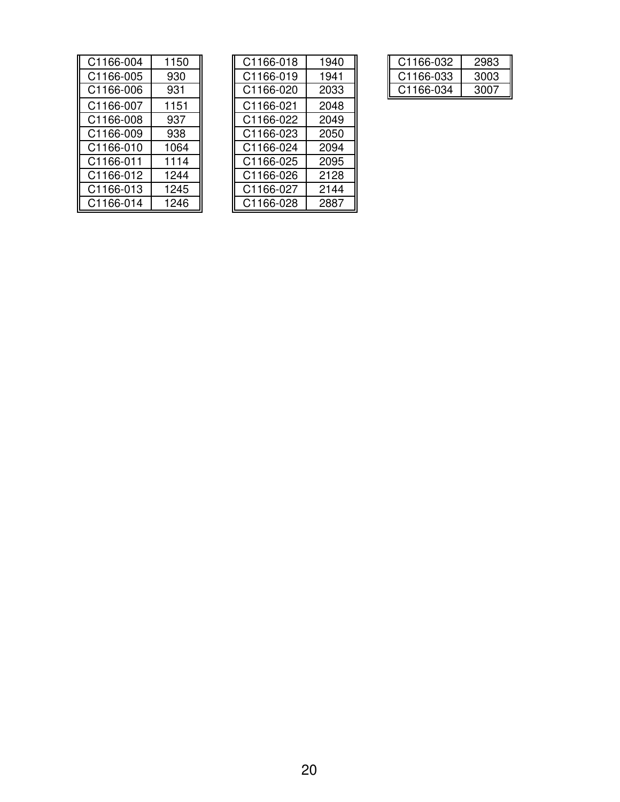| C1166-004 | 1150 | C1166-018 | 1940 |
|-----------|------|-----------|------|
| C1166-005 | 930  | C1166-019 | 1941 |
| C1166-006 | 931  | C1166-020 | 2033 |
| C1166-007 | 1151 | C1166-021 | 2048 |
| C1166-008 | 937  | C1166-022 | 2049 |
| C1166-009 | 938  | C1166-023 | 2050 |
| C1166-010 | 1064 | C1166-024 | 2094 |
| C1166-011 | 1114 | C1166-025 | 2095 |
| C1166-012 | 1244 | C1166-026 | 2128 |
| C1166-013 | 1245 | C1166-027 | 2144 |
| C1166-014 | 1246 | C1166-028 | 2887 |

| C1166-004 | 1150 | C1166-018 | 1940 | C1166-032 | 2983 |
|-----------|------|-----------|------|-----------|------|
| C1166-005 | 930  | C1166-019 | 1941 | C1166-033 | 3003 |
| C1166-006 | 931  | C1166-020 | 2033 | C1166-034 | 3007 |
| C1166-007 | 1151 | C1166-021 | 2048 |           |      |
| C1166-008 | 937  | C1166-022 | 2049 |           |      |
| C1166-009 | 938  | C1166-023 | 2050 |           |      |
| C1166-010 | 1064 | C1166-024 | 2094 |           |      |
| C1166-011 | 1114 | C1166-025 | 2095 |           |      |
| C1166-012 | 1244 | C1166-026 | 2128 |           |      |
| C1166-013 | 1245 | C1166-027 | 2144 |           |      |
| C1166-014 | 1246 | C1166-028 | 2887 |           |      |

| C1166-032 | 2983 |
|-----------|------|
| C1166-033 | 3003 |
| C1166-034 | 3007 |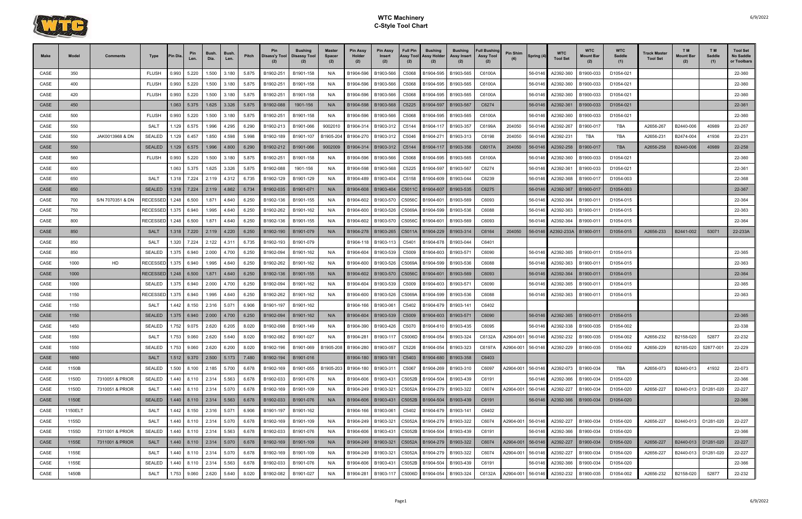

| <b>Make</b>  | Model      | Comments         | Type                 | 'in Dia        | Pin<br>Len.           | Bush.<br>Dia.  | <b>Bush</b><br>Len. | Pitch          | Pin<br>Disass'y Tool   Disassy Tool | Bushing                | Master<br><b>Spacer</b><br>(2) | <b>Pin Assy</b><br>Holder<br>(2) | <b>Pin Assy</b><br>Insert<br>(2) | <b>Full Pin</b><br>Assy Tool<br>(2) | <b>Bushing</b><br>Assy Holder<br>(2)                   | Bushing<br>Assy Insert<br>(2) | <b>Full Bushing</b><br><b>Assy Tool</b><br>(2) | <b>Pin Shim</b> | Spring (4) | <b>WTC</b><br><b>Tool Set</b>         | <b>WTC</b><br>Mount Bar | <b>WTC</b><br>Saddle<br>(1) | <b>Track Master</b><br><b>Tool Set</b> | T M<br><b>Mount Bar</b><br>(2) | T M<br>Saddle<br>(1) | <b>Tool Set</b><br>No Saddle<br>or Toolbars |
|--------------|------------|------------------|----------------------|----------------|-----------------------|----------------|---------------------|----------------|-------------------------------------|------------------------|--------------------------------|----------------------------------|----------------------------------|-------------------------------------|--------------------------------------------------------|-------------------------------|------------------------------------------------|-----------------|------------|---------------------------------------|-------------------------|-----------------------------|----------------------------------------|--------------------------------|----------------------|---------------------------------------------|
| CASE         | 350        |                  | <b>FLUSH</b>         | 0.993          | 5.220                 | 1.500          | 3.180               | 5.875          | B1902-251                           | B1901-158              | N/A                            | B1904-596                        | B1903-566                        | C5068                               | B1904-595                                              | B1903-565                     | C6100A                                         |                 | 56-0146    | A2392-360                             | B1900-033               | D1054-021                   |                                        |                                |                      | 22-360                                      |
| CASE         | 400        |                  | <b>FLUSH</b>         | 0.993          | 5.220                 | 1.500          | 3.180               | 5.875          | B1902-251                           | B1901-158              | N/A                            | B1904-596                        | B1903-566                        | C5068                               | B1904-595                                              | B1903-565                     | C6100A                                         |                 | 56-0146    | A2392-360                             | B1900-033               | D1054-021                   |                                        |                                |                      | 22-360                                      |
| CASE         | 420        |                  | <b>FLUSH</b>         | 0.993          | 5.220                 | 1.500          | 3.180               | 5.875          | B1902-251                           | B1901-158              | N/A                            | B1904-596                        | B1903-566                        | C5068                               | B1904-595                                              | B1903-565                     | C6100A                                         |                 | 56-0146    | A2392-360                             | B1900-033               | D1054-021                   |                                        |                                |                      | 22-360                                      |
| <b>CASE</b>  | 450        |                  |                      | 1.063          | 5.375                 | 1.625          | 3.326               | 5.875          | B1902-088                           | 1901-156               | N/A                            | B1904-598                        | B1903-568                        | C5225                               | B1904-597                                              | B1903-567                     | C6274                                          |                 | 56-0146    | A2392-361                             | B1900-033               | D1054-021                   |                                        |                                |                      | 22-361                                      |
| CASE         | 500        |                  | <b>FLUSH</b>         | 0.993          | 5.220                 | 1.500          | 3.180               | 5.875          | B1902-251                           | B1901-158              | N/A                            | B1904-596                        | B1903-566                        | C5068                               | B1904-595                                              | B1903-565                     | C6100A                                         |                 | 56-0146    | A2392-360                             | B1900-033               | D1054-021                   |                                        |                                |                      | 22-360                                      |
| CASE         | 550        |                  | <b>SALT</b>          | 1.129          | 6.575                 | 1.996          | 4.295               | 6.290          | B1902-213                           | B1901-066              | 9002010                        | B1904-314                        | B1903-312                        | C5144                               | B1904-117                                              | B1903-357                     | C6199A                                         | 204050          | 56-0146    | A2392-267                             | B1900-017               | TBA                         | A2656-267                              | B2440-006                      | 40989                | 22-267                                      |
| CASE         | 550        | JAK0013968 & DN  | <b>SEALED</b>        | 1.129          | 6.457                 | 1.850          | 4.598               | 5.998          | B1902-189                           | B1901-107              | B1905-204                      | B1904-270                        | B1903-312                        | C5046                               | B1904-271                                              | B1903-313                     | C6198                                          | 204050          | 56-0146    | A2392-231                             | TBA                     | TBA                         | A2656-231                              | B2474-004                      | 41936                | 22-231                                      |
| CASE         | 550        |                  | <b>SEALED</b>        | 1.129          | 6.575                 | 1.996          | 4.800               | 6.290          | B1902-212                           | B1901-066              | 9002009                        | B1904-314                        | B1903-312                        | C5144                               |                                                        | B1904-117   B1903-356         | C6017A                                         | 204050          | 56-0146    | A2392-258                             | B1900-017               | <b>TBA</b>                  | A2656-258                              | B2440-006                      | 40989                | 22-258                                      |
| CASE         | 560        |                  | <b>FLUSH</b>         | 0.993          | 5.220                 | 1.500          | 3.180               | 5.875          | B1902-251                           | B1901-158              | N/A                            | B1904-596                        | B1903-566                        | C5068                               | B1904-595                                              | B1903-565                     | C6100A                                         |                 | 56-0146    | A2392-360                             | B1900-033               | D1054-021                   |                                        |                                |                      | 22-360                                      |
| CASE         | 600        |                  |                      | 1.063          | 5.375                 | 1.625          | 3.326               | 5.875          | B1902-088                           | 1901-156               | N/A                            | B1904-598                        | B1903-568                        | C5225                               | B1904-597                                              | B1903-567                     | C6274                                          |                 | 56-0146    | A2392-361                             | B1900-033               | D1054-021                   |                                        |                                |                      | 22-361                                      |
| CASE         | 650        |                  | <b>SALT</b>          | 1.318          | 7.224                 | 2.119          | 4.312               | 6.735          | B1902-129                           | B1901-129              | N/A                            | B1904-489                        | B1903-404                        | C5158                               | B1904-609                                              | B1903-044                     | C6239                                          |                 | 56-0146    | A2392-368                             | B1900-017               | D1054-003                   |                                        |                                |                      | 22-368                                      |
| <b>CASE</b>  | 650        |                  | <b>SEALED</b>        |                | 1.318 7.224           | 2.119          | 4.862               | 6.734          | B1902-035                           | B1901-071              | N/A                            | B1904-608                        | B1903-404                        | C5011C                              | B1904-607                                              | B1903-535                     | C6275                                          |                 | 56-0146    | A2392-367                             | B1900-017               | D1054-003                   |                                        |                                |                      | 22-367                                      |
| CASE         | 700        | S/N 7070351 & DN | RECESSED             | 1.248          | 6.500                 | 1.871          | 4.640               | 6.250          | B1902-136                           | B1901-155              | N/A                            | B1904-602                        | B1903-570                        | C5056C                              | B1904-601                                              | B1903-569                     | C6093                                          |                 | 56-0146    | A2392-364                             | B1900-011               | D1054-015                   |                                        |                                |                      | 22-364                                      |
| CASE         | 750        |                  | RECESSED             | 1.375          | 6.940                 | 1.995          | 4.640               | 6.250          | B1902-262                           | B1901-162              | N/A                            | B1904-600                        | B1903-526                        | C5069A                              | B1904-599                                              | B1903-536                     | C6088                                          |                 | 56-0146    | A2392-363                             | B1900-011               | D1054-015                   |                                        |                                |                      | 22-363                                      |
| CASE         | 800        |                  | RECESSED             | 1.248          | 6.500                 | 1.871          | 4.640               | 6.250          | B1902-136                           | B1901-155              | N/A                            | B1904-602                        | B1903-570                        | C5056C                              | B1904-601                                              | B1903-569                     | C6093                                          |                 | 56-0146    | A2392-364                             | B1900-011               | D1054-015                   |                                        |                                |                      | 22-364                                      |
| CASE<br>CASE | 850<br>850 |                  | <b>SALT</b><br>SALT  | 1.318<br>1.320 | 7.220<br>7.224        | 2.119<br>2.122 | 4.220<br>4.311      | 6.250<br>6.735 | B1902-190<br>B1902-193              | B1901-079<br>B1901-079 | N/A                            | B1904-278<br>B1904-118           | B1903-265<br>B1903-113           | C5011A<br>C5401                     | B1904-229<br>B1904-678                                 | B1903-314<br>B1903-044        | C6164<br>C6401                                 | 204050          | 56-0146    | A2392-233A                            | B1900-011               | D1054-015                   | A2656-233                              | B2441-002                      | 53071                | 22-233A                                     |
| CASE         | 850        |                  | <b>SEALED</b>        | .375           | 6.940                 | 2.000          | 4.700               | 6.250          | B1902-094                           | B1901-162              | N/A                            | B1904-604                        | B1903-539                        | C5009                               | B1904-603                                              | B1903-57                      | C6090                                          |                 | 56-0146    | A2392-365                             | B1900-011               | D1054-015                   |                                        |                                |                      | 22-365                                      |
| CASE         | 1000       | HD               | RECESSED             | 1.375          | 6.940                 | 1.995          | 4.640               | 6.250          | B1902-262                           | B1901-162              | N/A                            | B1904-600                        | B1903-526                        | C5069A                              | B1904-599                                              | B1903-536                     | C6088                                          |                 | 56-0146    | A2392-363                             | B1900-011               | D1054-015                   |                                        |                                |                      | 22-363                                      |
| CASE         | 1000       |                  | RECESSED 1.248 6.500 |                |                       | 1.871          | 4.640               | 6.250          | B1902-136                           | B1901-155              | N/A                            | B1904-602                        | B1903-570                        | C5056C                              | B1904-601                                              | B1903-569                     | C6093                                          |                 | 56-0146    | A2392-364                             | B1900-011               | D1054-015                   |                                        |                                |                      | 22-364                                      |
| CASE         | 1000       |                  | <b>SEALED</b>        | 1.375          | 6.940                 | 2.000          | 4.700               | 6.250          | B1902-094                           | B1901-162              | N/A                            | B1904-604                        | B1903-539                        | C5009                               | B1904-603                                              | B1903-57                      | C6090                                          |                 | 56-0146    | A2392-365                             | B1900-011               | D1054-015                   |                                        |                                |                      | 22-365                                      |
| CASE         | 1150       |                  | RECESSEI             | 1.375          | 6.940                 | 1.995          | 4.640               | 6.250          | B1902-262                           | B1901-162              | N/A                            | B1904-600                        | B1903-526                        | C5069A                              | B1904-599                                              | B1903-536                     | C6088                                          |                 | 56-0146    | A2392-363                             | B1900-011               | D1054-015                   |                                        |                                |                      | 22-363                                      |
| CASE         | 1150       |                  | <b>SALT</b>          | 1.442          | 8.150                 | 2.316          | 5.071               | 6.906          | B1901-197                           | B1901-162              |                                | B1904-166                        | B1903-061                        | C5402                               | B1904-679                                              | B1903-14                      | C6402                                          |                 |            |                                       |                         |                             |                                        |                                |                      |                                             |
| CASE         | 1150       |                  | <b>SEALED</b>        | 1.375          | 6.940                 | 2.000          | 4.700               | 6.250          | B1902-094                           | B1901-162              | N/A                            | B1904-604                        | B1903-539                        | C5009                               | B1904-603   B1903-57                                   |                               | C6090                                          |                 | 56-0146    | A2392-365                             | B1900-011               | D1054-015                   |                                        |                                |                      | 22-365                                      |
| CASE         | 1450       |                  | <b>SEALED</b>        | .752           | 9.075                 | 2.620          | 6.205               | 8.020          | B1902-098                           | B1901-149              | N/A                            | B1904-390                        | B1903-426                        | C5070                               | B1904-610                                              | B1903-435                     | C6095                                          |                 | 56-0146    | A2392-338                             | B1900-035               | D1054-002                   |                                        |                                |                      | 22-338                                      |
| CASE         | 1550       |                  | SALT                 | 1.753          | 9.060                 | 2.620          | 5.640               | 8.020          | B1902-082                           | B1901-027              |                                |                                  |                                  |                                     | B1904-281   B1903-117   C5006D   B1904-054   B1903-324 |                               | C6132A                                         |                 |            | A2904-001 56-0146 A2392-232 B1900-035 |                         | D1054-002                   | A2656-232                              | B2158-020                      | 52877                | 22-232                                      |
| CASE         | 1550       |                  | <b>SEALED</b>        | .753           | 9.060                 | 2.620          | 6.200               | 8.020          | B1902-196                           | B1901-069              | B1905-208                      | B1904-280                        | B1903-057                        | C5226                               | B1904-054                                              | B1903-323                     | C6197A                                         | A2904-001       | 56-0146    | A2392-229                             | B1900-035               | D1054-002                   | A2656-229                              | B2185-020                      | 52877-001            | 22-229                                      |
| CASE         | 1650       |                  | SALT                 |                | $1.512$ 9.370 2.500   |                | 5.173               | 7.480          | B1902-194                           | B1901-016              |                                |                                  | B1904-180   B1903-181            | C5403                               | B1904-680   B1903-358                                  |                               | C6403                                          |                 |            |                                       |                         |                             |                                        |                                |                      |                                             |
| CASE         | 1150B      |                  | <b>SEALED</b>        |                | 1.500 8.100           | 2.185          | 5.700               | 6.678          | B1902-169                           | B1901-055              | B1905-203                      | B1904-180                        | B1903-311                        | C5067                               | B1904-269                                              | B1903-310                     | C6097                                          | A2904-001       | 56-0146    | A2392-073                             | B1900-034               | TBA                         | A2656-073                              | B2440-013                      | 41932                | 22-073                                      |
| CASE         | 1150D      | 7310051 & PRIOR  | <b>SEALED</b>        | 1.440          | 8.110                 | 2.314          | 5.563               | 6.678          | B1902-033                           | B1901-076              | N/A                            | B1904-606                        | B1903-431                        | C5052B                              | B1904-504                                              | B1903-439                     | C6191                                          |                 | 56-0146    | A2392-366                             | B1900-034               | D1054-020                   |                                        |                                |                      | 22-366                                      |
| CASE         | 1150D      | 7310051 & PRIOR  | <b>SALT</b>          |                | 1.440 8.110           | 2.314          | 5.070               | 6.678          | B1902-169                           | B1901-109              | N/A                            | B1904-249                        | B1903-321                        | C5052A                              | B1904-279   B1903-322                                  |                               | C6074                                          | A2904-001       | 56-0146    | A2392-227                             | B1900-034               | D1054-020                   | A2656-227                              | B2440-013                      | D1281-020            | 22-227                                      |
| CASE         | 1150E      |                  | <b>SEALED</b>        |                | 1.440 8.110 2.314     |                | 5.563               | 6.678          | B1902-033                           | B1901-076              | N/A                            | B1904-606                        | B1903-431                        | C5052B                              | B1904-504                                              | B1903-439                     | C6191                                          |                 | 56-0146    | A2392-366                             | B1900-034               | D1054-020                   |                                        |                                |                      | 22-366                                      |
| CASE         | 1150ELT    |                  | <b>SALT</b>          | 1.442          | 8.150                 | 2.316          | 5.071               | 6.906          | B1901-197                           | B1901-162              |                                | B1904-166                        | B1903-061                        | C5402                               | B1904-679 B1903-141                                    |                               | C6402                                          |                 |            |                                       |                         |                             |                                        |                                |                      |                                             |
| CASE         | 1155D      |                  | SALT                 |                | 1.440 8.110           | 2.314          | 5.070               | 6.678          | B1902-169                           | B1901-109              | N/A                            | B1904-249                        | B1903-321                        | C5052A                              | B1904-279   B1903-322                                  |                               | C6074                                          | A2904-001       | 56-0146    | A2392-227                             | B1900-034               | D1054-020                   | A2656-227                              | B2440-013                      | D1281-020            | 22-227                                      |
| CASE         | 1155D      | 7311001 & PRIOR  | <b>SEALED</b>        |                | 1.440 8.110           | 2.314          | 5.563               | 6.678          | B1902-033                           | B1901-076              | N/A                            | B1904-606                        | B1903-431                        |                                     | C5052B B1904-504                                       | B1903-439                     | C6191                                          |                 | 56-0146    | A2392-366                             | B1900-034               | D1054-020                   |                                        |                                |                      | 22-366                                      |
| CASE         | 1155E      | 7311001 & PRIOR  | <b>SALT</b>          |                | 1.440   8.110   2.314 |                | 5.070               | 6.678          | B1902-169                           | B1901-109              | N/A                            | B1904-249                        | B1903-321                        |                                     | C5052A B1904-279 B1903-322                             |                               | C6074                                          | A2904-001       | 56-0146    | A2392-227                             | B1900-034               | D1054-020                   | A2656-227                              | B2440-013 D1281-020            |                      | 22-227                                      |
| CASE         | 1155E      |                  | <b>SALT</b>          | 1.440          | 8.110                 | 2.314          | 5.070               | 6.678          | B1902-169                           | B1901-109              | N/A                            | B1904-249                        | B1903-321                        | C5052A                              |                                                        | B1904-279   B1903-322         | C6074                                          | A2904-001       | 56-0146    | A2392-227                             | B1900-034               | D1054-020                   | A2656-227                              | B2440-013                      | D1281-020            | 22-227                                      |
| CASE         | 1155E      |                  | <b>SEALED</b>        |                | 1.440 8.110           | 2.314          | 5.563               | 6.678          | B1902-033                           | B1901-076              | N/A                            | B1904-606                        | B1903-431                        | C5052B                              | B1904-504                                              | B1903-439                     | C6191                                          |                 | 56-0146    | A2392-366                             | B1900-034               | D1054-020                   |                                        |                                |                      | 22-366                                      |
| CASE         | 1450B      |                  | SALT                 | 1.753          | 9.060                 | 2.620          | 5.640               | 8.020          | B1902-082                           | B1901-027              | N/A                            | B1904-281                        | B1903-117                        | C5006D                              | B1904-054                                              | B1903-324                     | C6132A                                         | A2904-001       | 56-0146    | A2392-232                             | B1900-035               | D1054-002                   | A2656-232                              | B2158-020                      | 52877                | 22-232                                      |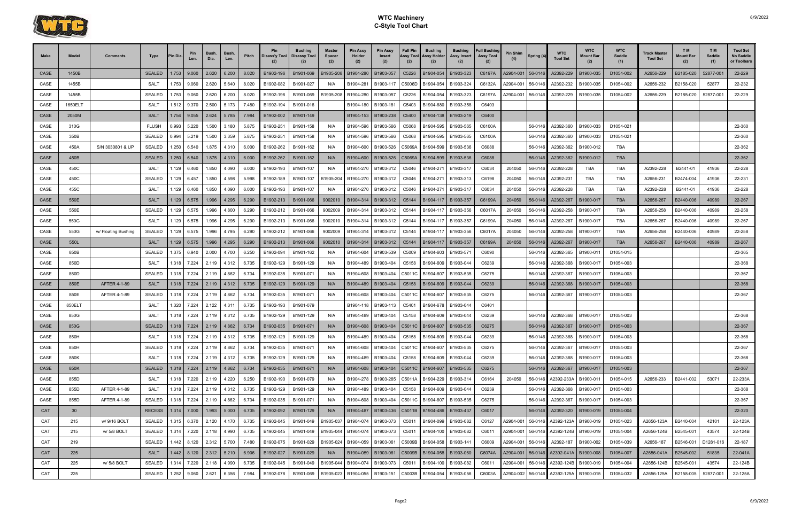

| <b>Make</b> | Model           | <b>Comments</b>     | Type          | 'in Dia | Pin<br>Len.                   | <b>Bush</b><br>Dia. | Bush.<br>Len. | Pitch | <b>Pin</b><br>Disass'y Tool   Disassy Tool | <b>Bushing</b> | <b>Master</b><br><b>Spacer</b> | <b>Pin Assy</b><br>Holder<br>(2) | <b>Pin Assy</b><br>Insert<br>(2) | <b>Full Pin</b><br>Assy Tool<br>(2) | <b>Bushing</b><br><b>Assy Holder</b><br>(2)            | <b>Bushing</b><br>Assy Insert | <b>Full Bushing</b><br><b>Assy Tool</b><br>(2) | Pin Shim  | <b>Spring (4)</b> | <b>WTC</b><br><b>Tool Set</b>                | <b>WTC</b><br>Mount Bar | <b>WTC</b><br>Saddle<br>(1) | Track Master<br><b>Tool Set</b> | TM <sub></sub><br>Mount Bar<br>(2) | T M<br>Saddle<br>(1) | <b>Tool Set</b><br>No Saddle<br>or Toolbars |
|-------------|-----------------|---------------------|---------------|---------|-------------------------------|---------------------|---------------|-------|--------------------------------------------|----------------|--------------------------------|----------------------------------|----------------------------------|-------------------------------------|--------------------------------------------------------|-------------------------------|------------------------------------------------|-----------|-------------------|----------------------------------------------|-------------------------|-----------------------------|---------------------------------|------------------------------------|----------------------|---------------------------------------------|
| CASE        | 1450B           |                     | <b>SEALED</b> | 1.753   | 9.060                         | 2.620               | 6.200         | 8.020 | B1902-196                                  | B1901-069      | B1905-208                      | B1904-280                        | B1903-057                        | C5226                               | B1904-054                                              | B1903-323                     | C6197A                                         | A2904-001 | 56-0146           | A2392-229                                    | B1900-035               | D1054-002                   | A2656-229                       | B2185-020                          | 52877-00             | 22-229                                      |
| CASE        | 1455B           |                     | SALT          | 1.753   | 9.060                         | 2.620               | 5.640         | 8.020 | B1902-082                                  | B1901-027      | N/A                            | B1904-281                        | B1903-117                        | C5006D                              | B1904-054                                              | B1903-324                     | C6132A                                         | A2904-001 | 56-0146           | A2392-232                                    | B1900-035               | D1054-002                   | A2656-232                       | B2158-020                          | 52877                | 22-232                                      |
| CASE        | 1455B           |                     | <b>SEALED</b> | .753    | 9.060                         | 2.620               | 6.200         | 8.020 | B1902-196                                  | B1901-069      | B1905-208                      | B1904-280                        | B1903-057                        | C5226                               | B1904-054                                              | B1903-323                     | C6197A                                         | 42904-001 | 56-0146           | A2392-229                                    | B1900-035               | D1054-002                   | A2656-229                       | B2185-020                          | 52877-001            | 22-229                                      |
| CASE        | 1650ELT         |                     | SALT          | 1.512   | 9.370                         | 2.500               | 5.173         | 7.480 | B1902-194                                  | B1901-016      |                                | B1904-180                        | B1903-181                        | C5403                               | B1904-680                                              | B1903-358                     | C6403                                          |           |                   |                                              |                         |                             |                                 |                                    |                      |                                             |
| <b>CASE</b> | 2050M           |                     | <b>SALT</b>   | 1.754   | 9.055                         | 2.624               | 5.785         | 7.984 | B1902-002                                  | B1901-149      |                                | B1904-153                        | B1903-238                        | C5400                               | B1904-138                                              | B1903-219                     | C6400                                          |           |                   |                                              |                         |                             |                                 |                                    |                      |                                             |
| CASE        | 310G            |                     | <b>FLUSH</b>  | 0.993   | 5.220                         | 1.500               | 3.180         | 5.875 | B1902-251                                  | B1901-158      | N/A                            | B1904-596                        | B1903-566                        | C5068                               | B1904-595                                              | B1903-565                     | C6100A                                         |           | 56-0146           | A2392-360                                    | B1900-033               | D1054-021                   |                                 |                                    |                      | 22-360                                      |
| CASE        | 350B            |                     | <b>SEALED</b> | 0.994   | 5.219                         | 1.500               | 3.359         | 5.875 | B1902-251                                  | B1901-158      | N/A                            | B1904-596                        | B1903-566                        | C5068                               | B1904-595                                              | B1903-565                     | C6100A                                         |           | 56-0146           | A2392-360                                    | B1900-033               | D1054-021                   |                                 |                                    |                      | 22-360                                      |
| CASE        | 450A            | S/N 3030801 & UP    | <b>SEALED</b> | 1.250   | 6.540                         | 1.875               | 4.310         | 6.000 | B1902-262                                  | B1901-162      | N/A                            | B1904-600                        | B1903-526                        | C5069A                              | B1904-599                                              | B1903-536                     | C6088                                          |           | 56-0146           | A2392-362                                    | B1900-012               | TBA                         |                                 |                                    |                      | 22-362                                      |
| CASE        | 450B            |                     | <b>SEALED</b> | 1.250   | 6.540                         | 1.875               | 4.310         | 6.000 | B1902-262                                  | B1901-162      | N/A                            | B1904-600                        | B1903-526                        | C5069A                              | B1904-599                                              | B1903-536                     | C6088                                          |           | 56-0146           | A2392-362                                    | B1900-012               | <b>TBA</b>                  |                                 |                                    |                      | 22-362                                      |
| CASE        | 450C            |                     | SALT          | 1.129   | 6.460                         | 1.850               | 4.090         | 6.000 | B1902-193                                  | B1901-107      | N/A                            | B1904-270                        | B1903-312                        | C5046                               | B1904-271                                              | B1903-317                     | C6034                                          | 204050    | 56-0146           | A2392-228                                    | TBA                     | TBA                         | A2392-228                       | B2441-01                           | 41936                | 22-228                                      |
| CASE        | 450C            |                     | <b>SEALED</b> | 1.129   | 6.457                         | 1.850               | 4.598         | 5.998 | B1902-189                                  | B1901-107      | B1905-204                      | B1904-270                        | B1903-312                        | C5046                               | B1904-271                                              | B1903-313                     | C6198                                          | 204050    | 56-0146           | A2392-231                                    | <b>TBA</b>              | TBA                         | A2656-231                       | B2474-004                          | 41936                | 22-231                                      |
| CASE        | 455C            |                     | SALT          | 1.129   | 6.460                         | 1.850               | 4.090         | 6.000 | B1902-193                                  | B1901-107      | N/A                            | B1904-270                        | B1903-312                        | C5046                               | B1904-271                                              | B1903-317                     | C6034                                          | 204050    | 56-0146           | A2392-228                                    | TBA                     | TBA                         | A2392-228                       | B2441-01                           | 41936                | 22-228                                      |
| <b>CASE</b> | 550E            |                     | <b>SALT</b>   | 1.129   | 6.575                         | 1.996               | 4.295         | 6.290 | B1902-213                                  | B1901-066      | 9002010                        | B1904-314                        | B1903-312                        | C5144                               | B1904-117                                              | B1903-357                     | C6199A                                         | 204050    | 56-0146           | A2392-267                                    | B1900-017               | <b>TBA</b>                  | A2656-267                       | B2440-006                          | 40989                | 22-267                                      |
| CASE        | 550E            |                     | <b>SEALED</b> | 1.129   | 6.575                         | 1.996               | 4.800         | 6.290 | B1902-212                                  | B1901-066      | 9002009                        | B1904-314                        | B1903-312                        | C5144                               | B1904-117                                              | B1903-356                     | C6017A                                         | 204050    | 56-0146           | A2392-258                                    | B1900-017               | <b>TBA</b>                  | A2656-258                       | B2440-006                          | 40989                | 22-258                                      |
| CASE        | 550G            |                     | <b>SALT</b>   | 1.129   | 6.575                         | 1.996               | 4.295         | 6.290 | B1902-213                                  | B1901-066      | 9002010                        | B1904-314                        | B1903-312                        | C5144                               | B1904-117                                              | B1903-357                     | C6199A                                         | 204050    | 56-0146           | A2392-267                                    | B1900-017               | TBA                         | A2656-267                       | B2440-006                          | 40989                | 22-267                                      |
| CASE        | 550G            | w/ Floating Bushing | <b>SEALED</b> | .129    | 6.575                         | 1.996               | 4.795         | 6.290 | B1902-212                                  | B1901-066      | 9002009                        | B1904-314                        | B1903-312                        | C5144                               | B1904-117                                              | B1903-356                     | C6017A                                         | 204050    | 56-0146           | A2392-258                                    | B1900-017               | TBA                         | A2656-258                       | B2440-006                          | 40989                | 22-258                                      |
| CASE        | 550L            |                     | <b>SALT</b>   | 1.129   | 6.575                         | 1.996               | 4.295         | 6.290 | B1902-213                                  | B1901-066      | 9002010                        | B1904-314                        | B1903-312                        | C5144                               | B1904-117                                              | B1903-357                     | C6199A                                         | 204050    | 56-0146           | A2392-267                                    | B1900-017               | <b>TBA</b>                  | A2656-267                       | B2440-006                          | 40989                | 22-267                                      |
| CASE        | 850B            |                     | <b>SEALED</b> | 1.375   | 6.940                         | 2.000               | 4.700         | 6.250 | B1902-094                                  | B1901-162      | N/A                            | B1904-604                        | B1903-539                        | C5009                               | B1904-603                                              | B1903-571                     | C6090                                          |           | 56-0146           | A2392-365                                    | B1900-011               | D1054-015                   |                                 |                                    |                      | 22-365                                      |
| CASE        | 850D            |                     | SALT          | 1.318   | 7.224                         | 2.119               | 4.312         | 6.735 | B1902-129                                  | B1901-129      | N/A                            | B1904-489                        | B1903-404                        | C5158                               | B1904-609                                              | B1903-044                     | C6239                                          |           | 56-0146           | A2392-368                                    | B1900-017               | D1054-003                   |                                 |                                    |                      | 22-368                                      |
| CASE        | 850D            |                     | <b>SEALED</b> | 1.318   | 7.224                         | 2.119               | 4.862         | 6.734 | B1902-035                                  | B1901-071      | N/A                            | B1904-608                        | B1903-404                        | C5011C                              | B1904-607                                              | B1903-535                     | C6275                                          |           | 56-0146           | A2392-367                                    | B1900-017               | D1054-003                   |                                 |                                    |                      | 22-367                                      |
| <b>CASE</b> | 850E            | AFTER 4-1-89        | <b>SALT</b>   | 1.318   | 17.224                        | 2.119               | 4.312         | 6.735 | B1902-129                                  | B1901-129      | N/A                            | B1904-489                        | B1903-404                        | C5158                               | B1904-609                                              | B1903-044                     | C6239                                          |           | 56-0146           | A2392-368                                    | B1900-017               | D1054-003                   |                                 |                                    |                      | 22-368                                      |
| CASE        | 850E            | AFTER 4-1-89        | <b>SEALED</b> | 1.318   | 7.224                         | 2.119               | 4.862         | 6.734 | B1902-035                                  | B1901-071      | N/A                            | B1904-608                        | B1903-404                        | C5011C                              | B1904-607                                              | B1903-535                     | C6275                                          |           | 56-0146           | A2392-367                                    | B1900-017               | D1054-003                   |                                 |                                    |                      | 22-367                                      |
| CASE        | 850ELT          |                     | SALT          | 1.320   | 7.224                         | 2.122               | 4.311         | 6.735 | B1902-193                                  | B1901-079      |                                | B1904-118                        | B1903-113                        | C5401                               | B1904-678                                              | B1903-044                     | C6401                                          |           |                   |                                              |                         |                             |                                 |                                    |                      |                                             |
| CASE        | 850G            |                     | <b>SALT</b>   | 1.318   | 7.224                         | 2.119               | 4.312         | 6.735 | B1902-129                                  | B1901-129      | N/A                            | B1904-489                        | B1903-404                        | C5158                               | B1904-609                                              | B1903-044                     | C6239                                          |           | 56-0146           | A2392-368                                    | B1900-017               | D1054-003                   |                                 |                                    |                      | 22-368                                      |
| CASE        | 850G            |                     | <b>SEALED</b> | 1.318   | 7.224                         | 2.119               | 4.862         | 6.734 | B1902-035                                  | B1901-071      | N/A                            | B1904-608                        | B1903-404                        | C5011C                              | B1904-607                                              | B1903-535                     | C6275                                          |           | 56-0146           | A2392-367                                    | B1900-017               | D1054-003                   |                                 |                                    |                      | 22-367                                      |
| CASE        | 850H            |                     | SALT          | 1.318   |                               | 7.224 2.119         | 4.312         | 6.735 | B1902-129                                  | B1901-129      | N/A                            |                                  | B1904-489 B1903-404              |                                     | C5158 B1904-609 B1903-044                              |                               | C6239                                          |           | 56-0146           | A2392-368                                    | B1900-017               | D1054-003                   |                                 |                                    |                      | 22-368                                      |
| CASE        | 850H            |                     | <b>SEALED</b> |         | 1.318 7.224 2.119             |                     | 4.862         | 6.734 | B1902-035                                  | B1901-071      | N/A                            | B1904-608                        | B1903-404                        |                                     | C5011C B1904-607 B1903-535                             |                               | C6275                                          |           | 56-0146           | A2392-367                                    | B1900-017               | D1054-003                   |                                 |                                    |                      | 22-367                                      |
| CASE        | 850K            |                     | SALT          |         | 1.318 7.224                   | 2.119               | 4.312         | 6.735 | B1902-129                                  | B1901-129      | N/A                            | B1904-489                        | B1903-404                        |                                     | C5158 B1904-609 B1903-044                              |                               | C6239                                          |           | 56-0146           | A2392-368                                    | B1900-017               | D1054-003                   |                                 |                                    |                      | 22-368                                      |
| CASE        | 850K            |                     | <b>SEALED</b> |         | $1.318$ 7.224                 | 2.119               | 4.862         | 6.734 | B1902-035                                  | B1901-071      | N/A                            |                                  |                                  |                                     | B1904-608   B1903-404   C5011C   B1904-607   B1903-535 |                               | C6275                                          |           | 56-0146           | A2392-367                                    | B1900-017               | D1054-003                   |                                 |                                    |                      | 22-367                                      |
| CASE        | 855D            |                     | SALT          |         | 1.318 7.220 2.119             |                     | 4.220         | 6.250 | B1902-190                                  | B1901-079      | N/A                            | B1904-278                        | B1903-265                        |                                     | C5011A B1904-229                                       | B1903-314                     | C6164                                          | 204050    | 56-0146           | A2392-233A                                   | B1900-011               | D1054-015                   | A2656-233                       | B2441-002                          | 53071                | 22-233A                                     |
| CASE        | 855D            | AFTER 4-1-89        | SALT          |         | 1.318 7.224                   | 2.119               | 4.312         | 6.735 | B1902-129                                  | B1901-129      | N/A                            | B1904-489                        | B1903-404                        |                                     | C5158 B1904-609 B1903-044                              |                               | C6239                                          |           | 56-0146           | A2392-368                                    | B1900-017               | D1054-003                   |                                 |                                    |                      | 22-368                                      |
| CASE        | 855D            | AFTER 4-1-89        | <b>SEALED</b> |         | 1.318 7.224                   | 2.119               | 4.862         | 6.734 | B1902-035                                  | B1901-071      | N/A                            | B1904-608                        |                                  |                                     | B1903-404   C5011C B1904-607                           | B1903-535                     | C6275                                          |           | 56-0146           | A2392-367                                    | B1900-017               | D1054-003                   |                                 |                                    |                      | 22-367                                      |
| CAT         | 30 <sup>°</sup> |                     | <b>RECESS</b> |         | $1.314$ 7.000                 | 1.993               | 5.000         | 6.735 | B1902-092                                  | B1901-129      | N/A                            | B1904-487                        | B1903-436                        |                                     | C5011B B1904-486                                       | B1903-437                     | C6017                                          |           | $56 - 0146$       | A2392-320                                    | B1900-019               | D1054-004                   |                                 |                                    |                      | 22-320                                      |
| CAT         | 215             | w/ 9/16 BOLT        | SEALED        |         | 1.315 6.370 2.120             |                     | 4.170         | 6.735 | B1902-045                                  | B1901-049      | B1905-037                      | B1904-074                        | B1903-073                        |                                     | C5011 B1904-099 B1903-082                              |                               | C6127                                          | A2904-001 |                   | 56-0146 A2392-123A B1900-019                 |                         | D1054-023                   | A2656-123A                      | B2440-004                          | 42101                | 22-123A                                     |
| CAT         | 215             | w/ 5/8 BOLT         | <b>SEALED</b> | 1.314   | 7.220                         | 2.118               | 4.990         | 6.735 | B1902-045                                  | B1901-049      | B1905-044                      | B1904-074                        | B1903-073                        |                                     | C5011 B1904-100 B1903-082                              |                               | C6011                                          | A2904-001 | 56-0146           | A2392-124B                                   | B1900-019               | D1054-004                   | A2656-124B                      | B2545-001                          | 43574                | 22-124B                                     |
| CAT         | 219             |                     | SEALED        |         | 1.442 8.120 2.312             |                     | 5.700         | 7.480 | B1902-075                                  | B1901-029      | B1905-024                      | B1904-059                        | B1903-061                        |                                     | C5009B B1904-058 B1903-141                             |                               | C6009                                          | A2904-001 | 56-0146           | A2392-187                                    | B1900-002               | D1054-039                   | A2656-187                       | B2546-001                          | D1281-016            | 22-187                                      |
| CAT         | 225             |                     | SALT          |         | 1.442   8.120   2.312   5.210 |                     |               | 6.906 | B1902-027                                  | B1901-029      | N/A                            |                                  |                                  |                                     | B1904-059   B1903-061   C5009B   B1904-058   B1903-060 |                               | C6074A                                         |           |                   | A2904-001   56-0146   A2392-041A   B1900-008 |                         | D1054-007                   | A2656-041A                      | B2545-002                          | 51835                | 22-041A                                     |
| CAT         | 225             | w/ 5/8 BOLT         | <b>SEALED</b> | 1.314   | 7.220                         | 2.118               | 4.990         | 6.735 | B1902-045                                  | B1901-049      | B1905-044                      | B1904-074                        | B1903-073                        |                                     | C5011   B1904-100   B1903-082                          |                               | C6011                                          | A2904-001 | 56-0146           | A2392-124B B1900-019                         |                         | D1054-004                   | A2656-124B                      | B2545-001                          | 43574                | 22-124B                                     |
| CAT         | 225             |                     | <b>SEALED</b> | 1.252   | 9.060                         | 2.621               | 6.356         | 7.984 | B1902-078                                  | B1901-069      | B1905-023                      | B1904-055                        | B1903-151                        |                                     | C5003B B1904-054                                       | B1903-056                     | C6003A                                         | A2904-002 |                   | 56-0146 A2392-125A B1900-015                 |                         | D1054-032                   | A2656-125A                      | B2158-005                          | 52877-001            | 22-125A                                     |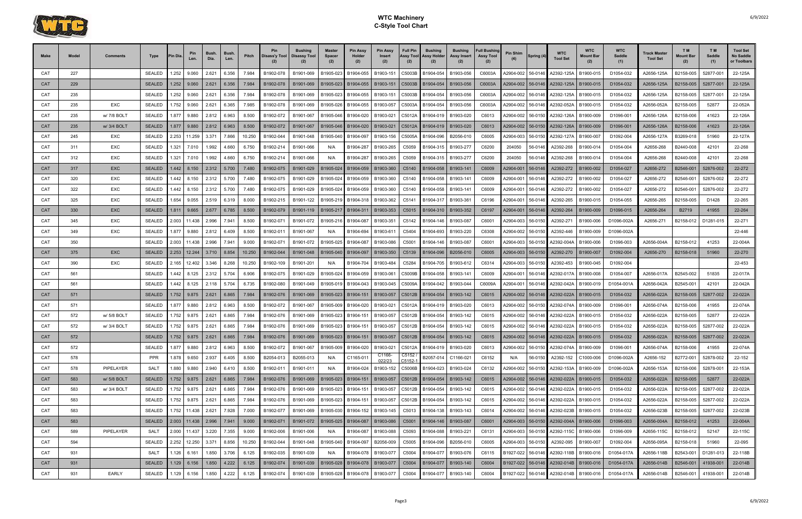

| <b>Make</b> | Model | Comments     | Type                           | <b>Pin Dia</b> | Pin<br>Len.              | Bush.<br>Dia. | <b>Bush</b><br>Len. | Pitch  | Pin<br>Disass'y Tool                                                                               | <b>Bushing</b><br>Disassy Tool | <b>Master</b><br><b>Spacer</b><br>(2) | <b>Pin Assy</b><br>Holder<br>(2) | <b>Pin Assy</b><br><b>Insert</b><br>(2) | <b>Full Pin</b><br>Assy Tool<br>(2) | <b>Bushing</b><br>Assy Holder<br>(2) | <b>Bushing</b><br>Assy Insert<br>(2) | <b>Full Bushing</b><br><b>Assy Tool</b><br>(2) | Pin Shim          | Spring (4) | <b>WTC</b><br><b>Tool Set</b>                | <b>WTC</b><br>Mount Bar | <b>WTC</b><br>Saddle<br>(1) | Track Master<br><b>Tool Set</b> | T M<br><b>Mount Bar</b><br>(2) | T M<br>Saddle<br>(1) | <b>Tool Set</b><br>No Saddle<br>or Toolbars |
|-------------|-------|--------------|--------------------------------|----------------|--------------------------|---------------|---------------------|--------|----------------------------------------------------------------------------------------------------|--------------------------------|---------------------------------------|----------------------------------|-----------------------------------------|-------------------------------------|--------------------------------------|--------------------------------------|------------------------------------------------|-------------------|------------|----------------------------------------------|-------------------------|-----------------------------|---------------------------------|--------------------------------|----------------------|---------------------------------------------|
| CAT         | 227   |              | <b>SEALED</b>                  | 1.252          | 9.060                    | 2.621         | 6.356               | 7.984  | B1902-078                                                                                          | B1901-069                      | B1905-023                             | B1904-055                        | B1903-151                               | C5003B                              | B1904-054                            | B1903-056                            | C6003A                                         | A2904-002         | 56-0146    | A2392-125A                                   | B1900-015               | D1054-032                   | A2656-125A                      | B2158-005                      | 52877-00             | 22-125A                                     |
| <b>CAT</b>  | 229   |              | <b>SEALED</b>                  | 1.252          | 9.060                    | 2.621         | 6.356               | 7.984  | B1902-078                                                                                          | B1901-069                      | B1905-023                             | B1904-055                        | B1903-151                               | C5003B                              | B1904-054                            | B1903-056                            | C6003A                                         | A2904-002         | 56-0146    | A2392-125A                                   | B1900-015               | D1054-032                   | A2656-125A                      | B2158-005                      | 52877-001            | 22-125A                                     |
| CAT         | 235   |              | <b>SEALED</b>                  | 1.252          | 9.060                    | 2.621         | 6.356               | 7.984  | B1902-078                                                                                          | B1901-069                      | B1905-023                             | B1904-055                        | B1903-151                               | C5003B                              | B1904-054                            | B1903-056                            | C6003A                                         | A2904-002         | 56-0146    | A2392-125A                                   | B1900-015               | D1054-032                   | A2656-125A                      | B2158-005                      | 52877-00             | 22-125A                                     |
| CAT         | 235   | EXC          | <b>SEALED</b>                  |                | 1.752 9.060              | 2.621         | 6.365               | 7.985  | B1902-078                                                                                          | B1901-069                      | B1905-026                             | B1904-055                        | B1903-057                               | C5003A                              | B1904-054                            | B1903-056                            | C6003A                                         | A2904-002         | 56-0146    | A2392-052A                                   | B1900-015               | D1054-032                   | A2656-052A                      | B2158-005                      | 52877                | 22-052A                                     |
| CAT         | 235   | w/ 7/8 BOLT  | <b>SEALED</b>                  | 1.877          | 9.880                    | 2.812         | 6.963               | 8.500  | B1902-072                                                                                          | B1901-067                      | B1905-046                             | B1904-020                        | B1903-021                               | C5012A                              | B1904-019                            | B1903-020                            | C6013                                          | A2904-002         | 56-0150    | A2392-126A                                   | B1900-009               | D1096-001                   | A2656-126A                      | B2158-006                      | 41623                | 22-126A                                     |
| <b>CAT</b>  | 235   | w/ 3/4 BOLT  | <b>SEALED</b>                  | 1.877          | 9.880                    | 2.812         | 6.963               | 8.500  | B1902-072                                                                                          | B1901-067                      | B1905-046                             | B1904-020                        | B1903-021                               | C5012A                              | B1904-019                            | B1903-020                            | C6013                                          | A2904-002         | 56-0150    | A2392-126A                                   | B1900-009               | D1096-001                   | A2656-126A                      | B2158-006                      | 41623                | 22-126A                                     |
| CAT         | 245   | EXC          | <b>SEALED</b>                  | 2.253          | 11.259                   | 3.371         | 7.866               | 10.250 | B1902-044                                                                                          | B1901-048                      | B1905-040                             | B1904-097                        | B1903-156                               | C5005A                              | B1904-096                            | B2056-010                            | C6005                                          | A2904-003         | 56-0150    | A2392-127A                                   | B1900-007               | D1092-004                   | A2656-127A                      | B3269-018                      | 51960                | 22-127A                                     |
| CAT         | 311   | <b>EXC</b>   | <b>SEALED</b>                  | 1.321          | 7.010                    | 1.992         | 4.660               | 6.750  | B1902-214                                                                                          | B1901-066                      | N/A                                   | B1904-287                        | B1903-265                               | C5059                               | B1904-315                            | B1903-277                            | C6200                                          | 204050            | 56-0146    | A2392-268                                    | B1900-014               | D1054-004                   | A2656-268                       | B2440-008                      | 42101                | 22-268                                      |
| CAT         | 312   | EXC          | <b>SEALED</b>                  | 1.321          | 7.010                    | 1.992         | 4.660               | 6.750  | B1902-214                                                                                          | B1901-066                      | N/A                                   | B1904-287                        | B1903-265                               | C5059                               | B1904-315                            | B1903-27                             | C6200                                          | 204050            | 56-0146    | A2392-268                                    | B1900-014               | D1054-004                   | A2656-268                       | B2440-008                      | 42101                | 22-268                                      |
| CAT         | 317   | <b>EXC</b>   | <b>SEALED</b>                  |                | $1.442$ 8.150            | 2.312         | 5.700               | 7.480  | B1902-075                                                                                          | B1901-029                      | B1905-024                             | B1904-059                        | B1903-360                               | C5140                               | B1904-058                            | B1903-141                            | C6009                                          | A2904-001         | 56-0146    | A2392-272                                    | B1900-002               | D1054-027                   | A2656-272                       | B2546-001                      | 52876-002            | 22-272                                      |
| CAT         | 320   | EXC          | <b>SEALED</b>                  | 1.442          | 8.150                    | 2.312         | 5.700               | 7.480  | B1902-075                                                                                          | B1901-029                      | B1905-024                             | B1904-059                        | B1903-360                               | C5140                               | B1904-058                            | B1903-141                            | C6009                                          | A2904-001         | 56-0146    | A2392-272                                    | B1900-002               | D1054-027                   | A2656-272                       | B2546-001                      | 52876-002            | 22-272                                      |
| CAT         | 322   | EXC          | <b>SEALED</b>                  | 1.442          | 8.150                    | 2.312         | 5.700               | 7.480  | B1902-075                                                                                          | B1901-029                      | B1905-024                             | B1904-059                        | B1903-360                               | C5140                               | B1904-058                            | B1903-141                            | C6009                                          | A2904-001         | 56-0146    | A2392-272                                    | B1900-002               | D1054-027                   | A2656-272                       | B2546-001                      | 52876-002            | 22-272                                      |
| CAT         | 325   | EXC          | <b>SEALED</b>                  | 1.654          | 9.055                    | 2.519         | 6.319               | 8.000  | B1902-215                                                                                          | B1901-122                      | B1905-21                              | B1904-318                        | B1903-362                               | C5141                               | B1904-317                            | B1903-36                             | C6196                                          | A2904-001         | 56-0146    | A2392-265                                    | B1900-015               | D1054-055                   | A2656-265                       | B2158-005                      | D1428                | 22-265                                      |
| CAT         | 330   | <b>EXC</b>   | <b>SEALED</b>                  | 1.811          | 9.665                    | 2.677         | 6.785               | 8.500  | B1902-079                                                                                          | B1901-119                      | B1905-217                             | B1904-311                        | B1903-353                               | C5015                               | B1904-310                            | B1903-352                            | C6197                                          | A2904-001         | 56-0146    | A2392-264                                    | B1900-009               | D1096-015                   | A2656-264                       | B2719                          | 41955                | 22-264                                      |
| CAT         | 345   | EXC          | <b>SEALED</b>                  | 2.003          | 11.438                   | 2.996         | 7.941               | 8.500  | B1902-071                                                                                          | B1901-072                      | B1905-216                             | B1904-087                        | B1903-351                               | C5142                               | B1904-146                            | B1903-087                            | C6001                                          | A2904-003         | 56-0150    | A2392-271                                    | B1900-006               | D1096-002A                  | A2656-271                       | B2158-012                      | D1281-015            | 22-271                                      |
| CAT         | 349   | EXC          | <b>SEALED</b>                  | 1.877          | 9.880                    | 2.812         | 6.409               | 8.500  | B1902-01                                                                                           | B1901-067                      | N/A                                   | B1904-694                        | B1903-611                               | C5404                               | B1904-693                            | B1903-220                            | C6308                                          | A2904-002         | 56-0150    | A2392-446                                    | B1900-009               | D1096-002A                  |                                 |                                |                      | 22-446                                      |
| CAT         | 350   |              | <b>SEALED</b>                  | 2.003          | 11.438                   | 2.996         | 7.941               | 9.000  | B1902-071                                                                                          | B1901-072                      | B1905-02                              | B1904-087                        | B1903-086                               | C5001                               | B1904-146                            | B1903-087                            | C6001                                          | A2904-003         | 56-0150    | A2392-004A                                   | B1900-006               | D1096-003                   | A2656-004A                      | B2158-012                      | 41253                | 22-004A                                     |
| <b>CAT</b>  | 375   | <b>EXC</b>   | <b>SEALED</b>                  | 2.253          | 12.244                   | 3.710         | 8.854               | 10.250 | B1902-044                                                                                          | B1901-048                      | B1905-040                             | B1904-097                        | B1903-350                               | C5139                               | B1904-096                            | B2056-010                            | C6005                                          | A2904-003         | 56-0150    | A2392-270                                    | B1900-007               | D1092-004                   | A2656-270                       | B2158-018                      | 51960                | 22-270                                      |
| CAT         | 390   | EXC          | <b>SEALED</b>                  | 2.165          | 12.402                   | 3.346         | 8.268               | 10.250 | B1902-109                                                                                          | B1901-201                      | N/A                                   | B1904-704                        | B1903-484                               | C5284                               | B1904-705                            | B1903-612                            | C6314                                          | A2904-003         | 56-0150    | A2392-453                                    | B1900-045               | D1092-004                   |                                 |                                |                      | 22-453                                      |
| CAT         | 561   |              | <b>SEALED</b>                  | 1.442          | 8.125                    | 2.312         | 5.704               | 6.906  | B1902-075                                                                                          | B1901-029                      | B1905-024                             | B1904-059                        | B1903-061                               | C5009B                              | B1904-058                            | B1903-14                             | C6009                                          | A2904-001         | 56-0146    | A2392-017A                                   | B1900-008               | D1054-007                   | A2656-017A                      | B2545-002                      | 51835                | 22-017A                                     |
| CAT         | 561   |              | SEALED                         | .442           | 8.125                    | 2.118         | 5.704               | 6.735  | B1902-080                                                                                          | B1901-049                      | B1905-019                             | B1904-043                        | B1903-045                               | C5009A                              | B1904-042                            | B1903-044                            | C6009A                                         | A2904-001         | 56-0146    | A2392-042A                                   | B1900-019               | D1054-001A                  | A2656-042A                      | B2545-001                      | 42101                | 22-042A                                     |
| CAT         | 571   |              | <b>SEALED</b>                  | 1.752          | 9.875                    | 2.621         | 6.865               | 7.984  | B1902-076                                                                                          | B1901-069                      | B1905-023                             | B1904-151                        | B1903-057                               | C5012B                              | B1904-054                            | B1903-142                            | C6015                                          | A2904-002         | 56-0146    | A2392-022A                                   | B1900-015               | D1054-032                   | A2656-022A                      | B2158-005                      | 52877-002            | 22-022A                                     |
| CAT         | 571   |              | <b>SEALED</b>                  | 1.877          | 9.880                    | 2.812         | 6.963               | 8.500  | B1902-072                                                                                          | B1901-067                      | B1905-009                             | B1904-020                        | B1903-021                               | C5012A                              | B1904-019                            | B1903-020                            | C6013                                          | A2904-002         | 56-0150    | A2392-074A                                   | B1900-009               | D1096-001                   | A2656-074A                      | B2158-006                      | 41955                | 22-074A                                     |
| CAT         | 572   | w/ 5/8 BOLT  | <b>SEALED</b>                  |                | 1.752 9.875              | 2.621         | 6.865               | 7.984  | B1902-076                                                                                          | B1901-069                      | B1905-023                             | B1904-151                        | B1903-057                               | C5012B                              | B1904-054                            | B1903-142                            | C6015                                          | A2904-002         | 56-0146    | A2392-022A                                   | B1900-015               | D1054-032                   | A2656-022A                      | B2158-005                      | 52877                | 22-022A                                     |
| CAT         | 572   | w/ 3/4 BOLT  | <b>SEALED</b>                  | 1.752          | 9.875                    | 2.621         | 6.865               | 7.984  | B1902-076                                                                                          | B1901-069                      | B1905-023                             | B1904-151                        | B1903-057                               | C5012B                              | B1904-054                            | B1903-142                            | C6015                                          | A2904-002         | 56-0146    | A2392-022A                                   | B1900-015               | D1054-032                   | A2656-022A                      | B2158-005                      | 52877-002            | 22-022A                                     |
| CAT         | 572   |              | SEALED 1.752 9.875 2.621 6.865 |                |                          |               |                     |        | 7.984   B1902-076   B1901-069   B1905-023   B1904-151   B1903-057   C5012B   B1904-054   B1903-142 |                                |                                       |                                  |                                         |                                     |                                      |                                      |                                                |                   |            | C6015 A2904-002 56-0146 A2392-022A B1900-015 |                         | D1054-032                   | A2656-022A                      | B2158-005                      | 52877-002            | 22-022A                                     |
| CAT         | 572   |              | SEALED                         | 1.877          | 9.880                    | 2.812         | 6.963               | 8.500  | B1902-072                                                                                          | B1901-067                      | B1905-009                             | B1904-020                        | B1903-021                               | C5012A                              | B1904-019                            | B1903-020                            | C6013                                          | A2904-002         | 56-0150    | A2392-074A                                   | B1900-009               | D1096-001                   | A2656-074A                      | B2158-006                      | 41955                | 22-074A                                     |
| CAT         | 578   |              | <b>PPR</b>                     |                | 1.878 9.650              | 2.937         | 6.405               | 8.500  | B2054-013                                                                                          | B2055-013                      | N/A                                   | C1165-011                        | C1166-<br>022/23                        | C5152<br>C5152-1                    | B2057-014                            | C1166-021                            | C6152                                          | N/A               | 56-0150    | A2392-152                                    | C1000-006               | D1096-002A                  | A2656-152                       | B2772-001                      | 52878-002            | 22-152                                      |
| CAT         | 578   | PIPELAYER    | SALT                           |                | 1.880 9.880              | 2.940         | 6.410               | 8.500  | B1902-011                                                                                          | B1901-011                      | N/A                                   | B1904-024                        | B1903-152                               | C5006B                              | B1904-023                            | B1903-024                            | C6132                                          | A2904-002         | 56-0150    | A2392-153A                                   | B1900-009               | D1096-002A                  | A2656-153A                      | B2158-006                      | 52878-001            | 22-153A                                     |
| <b>CAT</b>  | 583   | w/ 5/8 BOLT  | <b>SEALED</b>                  |                | $1.752$ 9.875            | 2.621         | 6.865               | 7.984  | B1902-076                                                                                          | B1901-069                      | B1905-023                             | B1904-151                        | B1903-057                               |                                     | C5012B B1904-054                     | B1903-142                            | C6015                                          | A2904-002         |            | 56-0146 A2392-022A                           | B1900-015               | D1054-032                   | A2656-022A                      | B2158-005                      | 52877                | 22-022A                                     |
| CAT         | 583   | w/ 3/4 BOLT  | <b>SEALED</b>                  |                | 1.752 9.875              | 2.621         | 6.865               | 7.984  | B1902-076                                                                                          | B1901-069                      | B1905-023                             | B1904-151                        | B1903-057                               |                                     | C5012B B1904-054                     | B1903-142                            | C6015                                          | A2904-002 56-0146 |            | A2392-022A                                   | B1900-015               | D1054-032                   | A2656-022A                      | B2158-005                      | 52877-002            | 22-022A                                     |
| CAT         | 583   |              | SEALED 1.752 9.875             |                |                          | 2.621         | 6.865               | 7.984  | B1902-076                                                                                          | B1901-069                      | B1905-023                             | B1904-151                        | B1903-057                               |                                     | C5012B B1904-054                     | B1903-142                            | C6015                                          | A2904-002         | 56-0146    | A2392-022A                                   | B1900-015               | D1054-032                   | A2656-022A                      | B2158-005                      | 52877-002            | 22-022A                                     |
| CAT         | 583   |              | SEALED                         |                | 1.752 11.438             | 2.621         | 7.928               | 7.000  | B1902-077                                                                                          | B1901-069                      | B1905-030                             | B1904-152                        | B1903-145                               | C5013                               | B1904-138                            | B1903-143                            | C6014                                          | A2904-002         | 56-0146    | A2392-023B                                   | B1900-015               | D1054-032                   | A2656-023B                      | B2158-005                      | 52877-002            | 22-023B                                     |
| <b>CAT</b>  | 583   |              | SEALED                         |                | $2.003$   11.438   2.996 |               | 7.941               | 9.000  | B1902-071                                                                                          | B1901-072                      | B1905-025                             | B1904-087                        | B1903-086                               | C5001                               | B1904-146                            | B1903-087                            | C6001                                          | A2904-003         |            | 56-0150 A2392-004A                           | B1900-006               | D1096-003                   | A2656-004A                      | B2158-012                      | 41253                | 22-004A                                     |
| CAT         | 589   | PIPELAYER    | SALT                           |                | 2.000 11.437             | 3.220         | 7.355               | 9.000  | B1902-006                                                                                          | B1901-006                      | N/A                                   | B1904-087                        | B1903-088                               | C5093                               | B1904-088                            | B1903-221                            | C6131                                          | A2904-003         | 56-0150    | A2392-115C                                   | B1900-006               | D1096-009                   | A2656-115C                      | B2158-012                      | 52147                | 22-115C                                     |
| CAT         | 594   |              | SEALED                         |                | 2.252 12.250             | 3.371         | 8.856               | 10.250 | B1902-044                                                                                          | B1901-048                      | B1905-040                             | B1904-097                        | B2056-009                               | C5005                               | B1904-096                            | B2056-010                            | C6005                                          | A2904-003         | 56-0150    | A2392-095                                    | B1900-007               | D1092-004                   | A2656-095A                      | B2158-018                      | 51960                | 22-095                                      |
| CAT         | 931   |              | SALT                           |                | 1.126 6.161              | 1.850         | 3.706               | 6.125  | B1902-035                                                                                          | B1901-039                      | N/A                                   | B1904-078                        | B1903-077                               | C5004                               | B1904-077                            | B1903-076                            | C6115                                          | B1927-022 56-0146 |            | A2392-118B                                   | B1900-016               | D1054-017A                  | A2656-118B                      | B2543-001                      | D1281-013            | 22-118B                                     |
| <b>CAT</b>  | 931   |              | SEALED                         |                | $1.129$ 6.156            | 1.850         | 4.222               | 6.125  | B1902-074                                                                                          | B1901-039                      | B1905-028                             | B1904-078                        | B1903-077                               | C5004                               | B1904-077                            | B1903-140                            | C6004                                          | B1927-022         | 56-0146    | A2392-014B   B1900-016                       |                         | D1054-017A                  | A2656-014B                      | B2546-001                      | 41938-001            | 22-014B                                     |
| CAT         | 931   | <b>EARLY</b> | SEALED                         |                | 1.129 6.156              | 1.850         | 4.222               | 6.125  | B1902-074                                                                                          | B1901-039                      | B1905-028                             | B1904-078                        | B1903-077                               | C5004                               | B1904-077                            | B1903-140                            | C6004                                          | B1927-022         | 56-0146    | A2392-014B                                   | B1900-016               | D1054-017A                  | A2656-014B                      | B2546-001                      | 41938-001            | 22-014B                                     |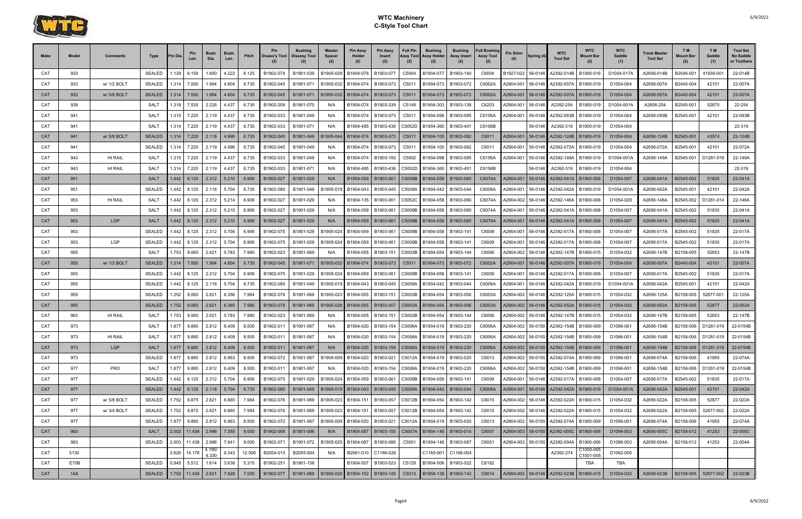

| Make       | Model | <b>Comments</b> | Type                | <b>Pin Dia</b> | Pin<br>Len.             | <b>Bush</b><br>Dia. | Bush.<br>Len. | Pitch  | Pin<br>  Disass'y Tool   Disassy Tool | <b>Bushing</b> | <b>Master</b><br><b>Spacer</b> | <b>Pin Assy</b><br>Holder<br>(2)  | <b>Pin Assy</b><br>Insert<br>(2) | <b>Full Pin</b><br>Assy Tool<br>(2) | <b>Bushing</b><br>Assy Holder<br>(2)                   | <b>Bushing</b><br>Assy Insert<br>(2) | <b>Full Bushing</b><br><b>Assy Tool</b><br>(2) | Pin Shim  | Spring (4) | <b>WTC</b><br><b>Tool Set</b>            | <b>WTC</b><br>Mount Bar | <b>WTC</b><br>Saddle<br>(1) | <b>Track Master</b><br><b>Tool Set</b> | T M<br><b>Mount Bar</b><br>(2) | T <sub>M</sub><br>Saddle<br>(1) | <b>Tool Set</b><br>No Saddle<br>or Toolbars |
|------------|-------|-----------------|---------------------|----------------|-------------------------|---------------------|---------------|--------|---------------------------------------|----------------|--------------------------------|-----------------------------------|----------------------------------|-------------------------------------|--------------------------------------------------------|--------------------------------------|------------------------------------------------|-----------|------------|------------------------------------------|-------------------------|-----------------------------|----------------------------------------|--------------------------------|---------------------------------|---------------------------------------------|
| CAT        | 933   |                 | <b>SEALED</b>       | l.129          | 6.156                   | 1.850               | 4.222         | 6.125  | B1902-074                             | B1901-039      | B1905-028                      | B1904-078                         | B1903-07                         | C5004                               | B1904-07                                               | B1903-140                            | C6004                                          | B1927-022 | 56-0146    | 42392-014B                               | B1900-016               | D1054-017A                  | A2656-014B                             | B2546-00 <sup>*</sup>          | 41938-00                        | 22-014B                                     |
| CAT        | 933   | w/ 1/2 BOLT     | <b>SEALED</b>       | 1.314          | 7.000                   | 1.994               | 4.804         | 6.735  | B1902-045                             | B1901-071      | B1905-032                      | B1904-074                         | B1903-073                        | C5011                               | B1904-073                                              | B1903-072                            | C6002A                                         | A2904-001 | 56-0146    | A2392-007A                               | B1900-019               | D1054-004                   | A2656-007A                             | B2440-004                      | 42101                           | 22-007A                                     |
| <b>CAT</b> | 933   | w/ 5/8 BOLT     | <b>SEALED</b>       | 1.314          | 7.000                   | 1.994               | 4.804         | 6.735  | B1902-045                             | B1901-071      | B1905-032                      | B1904-074                         | B1903-073                        | C5011                               | B1904-073                                              | B1903-072                            | C6002A                                         | A2904-001 | 56-0146    | A2392-007A                               | B1900-019               | D1054-004                   | A2656-007A                             | B2440-004                      | 42101                           | 22-007A                                     |
| CAT        | 939   |                 | <b>SALT</b>         | 1.318          | 7.535                   | 2.228               | 4.437         | 6.735  | B1902-208                             | B1901-070      | N/A                            | B1904-074                         | B1903-339                        | C5149                               | B1904-303                                              | B1903-138                            | C6203                                          | 42904-001 | 56-0146    | A2392-254                                | B1900-019               | D1054-001A                  | A2656-254                              | B2545-00                       | 52875                           | 22-254                                      |
| CAT        | 941   |                 | <b>SALT</b>         | 1.315          | 7.220                   | 2.119               | 4.437         | 6.735  | B1902-033                             | B1901-049      | N/A                            | B1904-074                         | B1903-073                        | C501                                | B1904-098                                              | B1903-095                            | C6156A                                         | A2904-001 | 56-0146    | A2392-093B                               | B1900-019               | D1054-004                   | A2656-093B                             | B2545-00                       | 42101                           | 22-093B                                     |
| CAT        | 941   |                 | <b>SALT</b>         | 1.314          | 7.220                   | 2.119               | 4.437         | 6.735  | B1902-033                             | B1901-071      | N/A                            | B1904-485                         | B1903-436                        | C5052D                              | B1904-360                                              | B1903-40                             | C6156B                                         |           | 56-0146    | A2392-319                                | B1900-019               | D1054-004                   |                                        |                                |                                 | 22-319                                      |
| <b>CAT</b> | 941   | w/ 5/8 BOLT     | <b>SEALED</b>       | 1.314          | 7.220                   | 2.118               | 4.990         | 6.735  | B1902-045                             | B1901-049      | B1905-044                      | B1904-074                         | B1903-073                        | C5011                               | B1904-100                                              | B1903-082                            | C6011                                          | A2904-001 | 56-0146    | A2392-124B                               | B1900-019               | D1054-004                   | A2656-124B                             | B2545-001                      | 43574                           | 22-124B                                     |
| CAT        | 941   |                 | <b>SEALED</b>       | 1.314          | 7.220                   | 2.119               | 4.996         | 6.735  | B1902-045                             | B1901-049      | N/A                            | B1904-074                         | B1903-073                        | C5011                               | B1904-100                                              | B1903-082                            | C6011                                          | A2904-001 | 56-0146    | A2392-072A                               | B1900-019               | D1054-004                   | A2656-072A                             | B2545-001                      | 42101                           | 22-072A                                     |
| CAT        | 943   | HI RAIL         | SALT                | 1.315          | 7.220                   | 2.119               | 4.437         | 6.735  | B1902-033                             | B1901-049      | N/A                            | B1904-074                         | B1903-150                        | C5002                               | B1904-098                                              | B1903-095                            | C6156A                                         | 42904-001 | 56-0146    | A2392-149A                               | B1900-019               | D1054-001A                  | A2656-149A                             | B2545-001                      | D1281-018                       | 22-149A                                     |
| CAT        | 943   | <b>HI RAIL</b>  | <b>SALT</b>         | 1.314          | 7.220                   | 2.119               | 4.437         | 6.735  | B1902-033                             | B1901-071      | N/A                            | B1904-485                         | B1903-436                        | C5052D                              | B1904-360                                              | B1903-40                             | C6156B                                         |           | 56-0146    | A2392-319                                | B1900-019               | D1054-004                   |                                        |                                |                                 | 22-319                                      |
| <b>CAT</b> | 951   |                 | <b>SALT</b>         | 1.442          | 8.120                   | 2.312               | 5.210         | 6.906  | B1902-027                             | B1901-029      | N/A                            | B1904-059                         | B1903-061                        | C5009B                              | B1904-058                                              | B1903-060                            | C6074A                                         | A2904-001 | 56-0146    | A2392-041A                               | B1900-008               | D1054-007                   | A2656-041A                             | B2545-002                      | 51835                           | 22-041A                                     |
| CAT        | 951   |                 | <b>SEALED</b>       | 1.442          | 8.125                   | 2.118               | 5.704         | 6.735  | B1902-080                             | B1901-049      | B1905-01                       | B1904-043                         | B1903-045                        | C5009A                              | B1904-042                                              | B1903-044                            | C6009A                                         | 42904-001 | 56-0146    | A2392-042A                               | B1900-019               | D1054-001A                  | A2656-042A                             | B2545-001                      | 42101                           | 22-042A                                     |
| CAT        | 953   | HI RAIL         | <b>SALT</b>         | 1.442          | 8.120                   | 2.312               | 5.214         | 6.906  | B1902-027                             | B1901-029      | N/A                            | B1904-135                         | B1903-061                        | C5052C                              | B1904-058                                              | B1903-060                            | C6074A                                         | A2904-002 | 56-0146    | A2392-146A                               | B1900-008               | D1054-029                   | A2656-146A                             | B2545-002                      | D1281-01                        | 22-146A                                     |
| CAT        | 953   |                 | <b>SALT</b>         | 1.442          | 8.120                   | 2.312               | 5.210         | 6.906  | B1902-027                             | B1901-029      | N/A                            | B1904-059                         | B1903-061                        | C5009B                              | B1904-058                                              | B1903-060                            | C6074A                                         | A2904-001 | 56-0146    | A2392-041A                               | B1900-008               | D1054-007                   | A2656-041A                             | B2545-002                      | 51835                           | 22-041A                                     |
| <b>CAT</b> | 953   | <b>LGP</b>      | <b>SALT</b>         | 1.442          | 8.120                   | 2.312               | 5.210         | 6.906  | B1902-027                             | B1901-029      | N/A                            | B1904-059                         | B1903-061                        | C5009B                              | B1904-058                                              | B1903-060                            | C6074A                                         | 42904-001 | 56-0146    | A2392-041A                               | B1900-008               | D1054-007                   | A2656-041A                             | B2545-002                      | 51835                           | 22-041A                                     |
| CAT        | 953   |                 | <b>SEALED</b>       | 1.442          | 8.125                   | 2.312               | 5.704         | 6.906  | B1902-075                             | B1901-029      | B1905-024                      | B1904-059                         | B1903-061                        | C5009B                              | B1904-058                                              | B1903-14                             | C6009                                          | 42904-001 | 56-0146    | A2392-017/                               | B1900-008               | D1054-007                   | A2656-017A                             | B2545-002                      | 51835                           | 22-017A                                     |
| CAT        | 953   | LGP             | <b>SEALED</b>       | 1.442          | 8.125                   | 2.312               | 5.704         | 6.906  | B1902-075                             | B1901-029      | B1905-024                      | B1904-059                         | B1903-061                        | C5009B                              | B1904-058                                              | B1903-141                            | C6009                                          | A2904-001 | 56-0146    | A2392-017A                               | B1900-008               | D1054-007                   | A2656-017A                             | B2545-002                      | 51835                           | 22-017A                                     |
| CAT        | 955   |                 | <b>SALT</b>         | 1.753          | 9.060                   | 2.621               | 5.783         | 7.980  | B1902-023                             | B1901-069      | N/A                            | B1904-055                         | B1903-151                        | C5003B                              | B1904-054                                              | B1903-144                            | C6006                                          | 42904-002 | 56-0146    | A2392-147B                               | B1900-015               | D1054-032                   | A2656-147B                             | B2158-005                      | 52653                           | 22-147B                                     |
| <b>CAT</b> | 955   | w/ 1/2 BOLT     | <b>SEALED</b>       | 1.314          | 7.000                   | 1.994               | 4.804         | 6.735  | B1902-045                             | B1901-071      | B1905-032                      | B1904-074                         | B1903-073                        | C5011                               | B1904-073                                              | B1903-072                            | C6002A                                         | A2904-001 | 56-0146    | A2392-007A                               | B1900-019               | D1054-004                   | A2656-007A                             | B2440-004                      | 42101                           | 22-007A                                     |
| CAT        | 955   |                 | <b>SEALED</b>       | 1.442          | 8.125                   | 2.312               | 5.704         | 6.906  | B1902-075                             | B1901-029      | B1905-024                      | B1904-059                         | B1903-061                        | C5009B                              | B1904-058                                              | B1903-141                            | C6009                                          | 42904-001 | 56-0146    | A2392-017A                               | B1900-008               | D1054-007                   | A2656-017A                             | B2545-002                      | 51835                           | 22-017A                                     |
| CAT        | 955   |                 | <b>SEALED</b>       | 1.442          | 8.125                   | 2.118               | 5.704         | 6.735  | B1902-080                             | B1901-049      | B1905-019                      | B1904-043                         | B1903-045                        | C5009A                              | B1904-042                                              | B1903-044                            | C6009A                                         | 42904-001 | 56-0146    | A2392-042A                               | B1900-019               | D1054-001A                  | A2656-042A                             | B2545-001                      | 42101                           | 22-042A                                     |
| CAT        | 955   |                 | <b>SEALED</b>       | .252           | 9.060                   | 2.621               | 6.356         | 7.984  | B1902-078                             | B1901-069      | B1905-02                       | B1904-055                         | B1903-151                        | C5003B                              | B1904-054                                              | B1903-056                            | C6003A                                         | 42904-002 | 56-0146    | A2392-125A                               | B1900-015               | D1054-032                   | A2656-125A                             | B2158-005                      | 52877-001                       | 22-125A                                     |
| <b>CAT</b> | 955   |                 | <b>SEALED</b>       | 1.752          | 9.060                   | 2.621               | 6.365         | 7.985  | B1902-078                             | B1901-069      | B1905-026                      | B1904-055                         | B1903-057                        | C5003A                              | B1904-054                                              | B1903-056                            | C6003A                                         | A2904-002 | 56-0146    | A2392-052A                               | B1900-015               | D1054-032                   | A2656-052A                             | B2158-005                      | 52877                           | 22-052A                                     |
| CAT        | 963   | HI RAIL         | SALT                | 1.753          | 9.060                   | 2.621               | 5.783         | 7.980  | B1902-023                             | B1901-069      | N/A                            | B1904-055                         | B1903-151                        | C5003B                              | B1904-054                                              | B1903-144                            | C6006                                          | 42904-002 | 56-0146    | A2392-147B                               | B1900-015               | D1054-032                   | A2656-147B                             | B2158-005                      | 52653                           | 22-147B                                     |
| CAT        | 973   |                 | <b>SALT</b>         | 1.877          | 9.880                   | 2.812               | 6.409         | 8.500  | B1902-011                             | B1901-067      | N/A                            | B1904-020                         | B1903-154                        | C5006A                              | B1904-019                                              | B1903-220                            | C6006A                                         | 42904-002 | 56-015(    | A2392-154B                               | B1900-009               | D1096-001                   | A2656-154B                             | B2158-006                      | D1281-019                       | 22-0154B                                    |
| CAT        | 973   | HI RAIL         | SALT                | 1.877          | 9.880                   | 2.812               | 6.409         | 8.500  | B1902-011                             | B1901-067      | N/A                            |                                   |                                  |                                     | B1904-020   B1903-154   C5006A   B1904-019   B1903-220 |                                      | C6006A                                         |           |            | A2904-002 56-0150 A2392-154B B1900-009   |                         | D1096-001                   | A2656-154B                             | B2158-006                      | D1281-019                       | 22-0154B                                    |
| <b>CAT</b> | 973   | <b>LGP</b>      | <b>SALT</b>         | 1.877          | $9.880$   2.812   6.409 |                     |               | 8.500  | B1902-011                             | B1901-067      | N/A                            |                                   |                                  |                                     | B1904-020   B1903-154   C5006A   B1904-019   B1903-220 |                                      | C6006A                                         |           |            | A2904-002 56-0150 A2392-154B   B1900-009 |                         | D1096-001                   | A2656-154B                             | B2158-006                      | D1281-019                       | 22-0154B                                    |
| CAT        | 973   |                 | <b>SEALED</b>       | 1.877          | 9.880                   | 2.812               | 6.963         | 8.500  | B1902-072                             | B1901-067      | B1905-009                      | B1904-020                         |                                  |                                     | B1903-021   C5012A   B1904-019   B1903-020             |                                      | C6013                                          |           |            | A2904-002 56-0150 A2392-074A             | B1900-009               | D1096-001                   | A2656-074A                             | B2158-006                      | 41955                           | 22-074A                                     |
| CAT        | 977   | PRO             | SALT                | 1.877          | 9.880                   | 2.812               | 6.409         | 8.500  | B1902-011                             | B1901-067      | N/A                            | B1904-020                         | B1903-154                        | C5006A                              | B1904-019                                              | B1903-220                            | C6006A                                         | A2904-002 | 56-0150    | A2392-154B   B1900-009                   |                         | D1096-001                   | A2656-154B                             | B2158-006                      | D1281-019                       | 22-0154B                                    |
| CAT        | 977   |                 | <b>SEALED</b>       |                | 1.442 8.125             | 2.312               | 5.704         | 6.906  | B1902-075                             | B1901-029      | B1905-024                      | B1904-059                         | B1903-061                        |                                     | C5009B B1904-058 B1903-141                             |                                      | C6009                                          | A2904-001 | 56-0146    | A2392-017A                               | B1900-008               | D1054-007                   | A2656-017A                             | B2545-002                      | 51835                           | 22-017A                                     |
| CAT        | 977   |                 | <b>SEALED</b>       |                | 1.442 8.125             | 2.118               | 5.704         | 6.735  | B1902-080                             | B1901-049      |                                | B1905-019   B1904-043   B1903-045 |                                  |                                     | C5009A B1904-042   B1903-044                           |                                      | C6009A                                         | A2904-001 |            | 56-0146 A2392-042A   B1900-019           |                         | D1054-001A                  | A2656-042A                             | B2545-001                      | 42101                           | 22-042A                                     |
| CAT        | 977   | w/ 5/8 BOLT     | <b>SEALED</b>       |                | 1.752 9.875             | 2.621               | 6.865         | 7.984  | B1902-076                             | B1901-069      | B1905-023                      | B1904-151                         | B1903-057                        |                                     | C5012B B1904-054                                       | B1903-142                            | C6015                                          | A2904-002 | 56-0146    | A2392-022A                               | B1900-015               | D1054-032                   | A2656-022A                             | B2158-005                      | 52877                           | 22-022A                                     |
| CAT        | 977   | w/ 3/4 BOLT     | <b>SEALED</b>       |                | 1.752 9.875             | 2.621               | 6.865         | 7.984  | B1902-076                             | B1901-069      | B1905-023                      | B1904-151                         | B1903-057                        |                                     | C5012B B1904-054                                       | B1903-142                            | C6015                                          | A2904-002 | 56-0146    | A2392-022A                               | B1900-015               | D1054-032                   | A2656-022A                             | B2158-005                      | 52877-002                       | 22-022A                                     |
| CAT        | 977   |                 | SEALED              | 1.877          | 9.880                   | 2.812               | 6.963         | 8.500  | B1902-072                             | B1901-067      | B1905-009                      | B1904-020                         | B1903-021                        |                                     | C5012A B1904-019 B1903-020                             |                                      | C6013                                          | A2904-002 | 56-0150    | A2392-074A                               | B1900-009               | D1096-001                   | A2656-074A                             | B2158-006                      | 41955                           | 22-074A                                     |
| <b>CAT</b> | 983   |                 | SALT                |                | 2.002   11.438   2.996  |                     | 7.355         | 9.000  | B1902-006                             | B1901-006      | N/A                            | B1904-087                         | B1903-155                        |                                     | C5007A B1904-146   B1903-014                           |                                      | C6007                                          | A2904-003 | 56-0150    | A2392-005C   B1900-006                   |                         | D1096-003                   | A2656-005C                             | B2158-012                      | 41253                           | 22-005C                                     |
| CAT        | 983   |                 | SEALED 2.003 11.438 |                |                         | 2.996               | 7.941         | 9.000  | B1902-071                             | B1901-072      | B1905-025                      | B1904-087                         | B1903-086                        | C5001                               | B1904-146   B1903-087                                  |                                      | C6001                                          | A2904-003 | 56-0150    | A2392-004A                               | B1900-006               | D1096-003                   | A2656-004A                             | B2158-012                      | 41253                           | 22-004A                                     |
| CAT        | 5130  |                 |                     |                | 2.626 14.176            | 4.195/<br>4.330     | 9.343         | 12.500 | B2054-015                             | B2055-004      | N/A                            | B2061-010                         | C1166-026                        |                                     |                                                        | C1165-001 C1166-004                  |                                                |           |            | A2392-274                                | C1000-005<br>C1001-005  | D1092-005                   |                                        |                                |                                 |                                             |
| CAT        | E70B  |                 | <b>SEALED</b>       |                | 0.945 5.512             | 1.614               | 3.638         | 5.315  | B1902-251                             | B1901-158      |                                | B1904-507                         | B1903-523                        |                                     | C5129 B1904-506 B1903-522                              |                                      | C6182                                          |           |            |                                          | TBA                     | TBA                         |                                        |                                |                                 |                                             |
| CAT        | 14A   |                 | <b>SEALED</b>       |                | 1.752   11.438   2.621  |                     | 7.928         | 7.000  | B1902-077                             |                | B1901-069   B1905-030          | B1904-152 B1903-145               |                                  |                                     | C5013 B1904-138 B1903-143                              |                                      | C6014                                          | A2904-002 |            | 56-0146 A2392-023B B1900-015             |                         | D1054-032                   | A2656-023B                             | B2158-005                      | 52877-002                       | 22-023B                                     |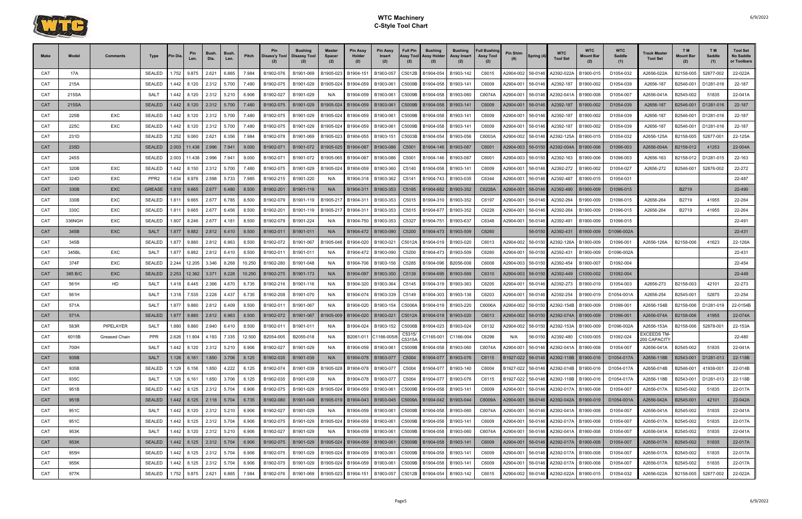

| <b>Make</b> | Model        | Comments         | Type                  | 'in Dia | Pin<br>Len.                | Bush.<br>Dia.  | Bush.<br>Len.  | Pitch          | Pin<br>Disass'y Tool   | Bushing<br><b>Disassy Tool</b> | Master<br><b>Spacer</b><br>(2) | <b>Pin Assy</b><br>Holder<br>(2) | <b>Pin Assy</b><br>Insert<br>(2) | <b>Full Pin</b><br>Assy Tool<br>(2) | <b>Bushing</b><br>Assy Holder<br>(2)            | <b>Bushing</b><br>Assy Insert<br>(2) | <b>Full Bushing</b><br><b>Assy Tool</b><br>(2) | Pin Shim               | Spring (4)         | <b>WTC</b><br><b>Tool Set</b>                  | <b>WTC</b><br>Mount Bar | <b>WTC</b><br>Saddle<br>(1) | <b>Track Master</b><br><b>Tool Set</b> | T M<br><b>Mount Bar</b><br>(2) | T M<br>Saddle<br>(1) | <b>Tool Set</b><br><b>No Saddle</b><br>or Toolbars |
|-------------|--------------|------------------|-----------------------|---------|----------------------------|----------------|----------------|----------------|------------------------|--------------------------------|--------------------------------|----------------------------------|----------------------------------|-------------------------------------|-------------------------------------------------|--------------------------------------|------------------------------------------------|------------------------|--------------------|------------------------------------------------|-------------------------|-----------------------------|----------------------------------------|--------------------------------|----------------------|----------------------------------------------------|
| CAT         | 17A          |                  | <b>SEALED</b>         | .752    | 9.875                      | 2.621          | 6.865          | 7.984          | B1902-076              | B1901-069                      | B1905-023                      | B1904-151                        | B1903-057                        | C5012B                              | B1904-054                                       | B1903-142                            | C6015                                          | 42904-002              | 56-0146            | A2392-022A                                     | B1900-015               | D1054-032                   | A2656-022A                             | B2158-005                      | 52877-002            | 22-022A                                            |
| CAT         | 215A         |                  | <b>SEALED</b>         | .442    | 8.120                      | 2.312          | 5.700          | 7.480          | B1902-075              | B1901-029                      | B1905-024                      | B1904-059                        | B1903-061                        | C5009B                              | B1904-058                                       | B1903-141                            | C6009                                          | 42904-001              | 56-0146            | A2392-187                                      | B1900-002               | D1054-039                   | A2656-187                              | B2546-001                      | D1281-016            | 22-187                                             |
| CAT         | 215SA        |                  | SALT                  | 1.442   | 8.120                      | 2.312          | 5.210          | 6.906          | B1902-027              | B1901-029                      | N/A                            | B1904-059                        | B1903-061                        | C5009B                              | B1904-058                                       | B1903-060                            | C6074A                                         | A2904-001              | 56-0146            | A2392-041A                                     | B1900-008               | D1054-007                   | A2656-041A                             | B2545-002                      | 51835                | 22-041A                                            |
| <b>CAT</b>  | 215SA        |                  | <b>SEALED</b>         | 1.442   | 8.120                      | 2.312          | 5.700          | 7.480          | B1902-075              | B1901-029                      | B1905-024                      | B1904-059                        | B1903-061                        | C5009B                              | B1904-058                                       | B1903-141                            | C6009                                          | A2904-001              | 56-0146            | A2392-187                                      | B1900-002               | D1054-039                   | A2656-187                              | B2546-001                      | D1281-016            | 22-187                                             |
| CAT         | 225B         | EXC              | <b>SEALED</b>         | .442    | 8.120                      | 2.312          | 5.700          | 7.480          | B1902-075              | B1901-029                      | B1905-024                      | B1904-059                        | B1903-061                        | C5009B                              | B1904-058                                       | B1903-14                             | C6009                                          | 42904-001              | 56-0146            | A2392-187                                      | B1900-002               | D1054-039                   | A2656-187                              | B2546-001                      | D1281-016            | 22-187                                             |
| CAT         | 225C         | EXC              | <b>SEALED</b>         | .442    | 8.120                      | 2.312          | 5.700          | 7.480          | B1902-075              | B1901-029                      | B1905-024                      | B1904-059                        | B1903-061                        | C5009B                              | B1904-058                                       | B1903-141                            | C6009                                          | 42904-001              | 56-0146            | A2392-187                                      | B1900-002               | D1054-039                   | A2656-187                              | B2546-001                      | D1281-016            | 22-187                                             |
| CAT         | 231D         |                  | <b>SEALED</b>         | .252    | 9.060                      | 2.621          | 6.356          | 7.984          | B1902-078              | B1901-069                      | B1905-023                      | B1904-055                        | B1903-151                        | C5003B                              | B1904-054                                       | B1903-056                            | C6003A                                         | A2904-002              | 56-0146            | A2392-125A                                     | B1900-015               | D1054-032                   | A2656-125A                             | B2158-005                      | 52877-001            | 22-125A                                            |
| <b>CAT</b>  | 235D         |                  | <b>SEALED</b>         | 2.003   | 11.438                     | 2.996          | 7.941          | 9.000          | B1902-071              | B1901-072                      | B1905-025                      | B1904-087                        | B1903-086                        | C5001                               | B1904-146                                       | B1903-087                            | C6001                                          | A2904-003              | 56-0150            | A2392-004A                                     | B1900-006               | D1096-003                   | A2656-004A                             | B2158-012                      | 41253                | 22-004A                                            |
| CAT         | 245S         |                  | <b>SEALED</b>         | 2.003   | 11.438                     | 2.996          | 7.941          | 9.000          | B1902-071              | B1901-072                      | B1905-065                      | B1904-087                        | B1903-086                        | C5001                               | B1904-146                                       | B1903-087                            | C6001                                          | 42904-003              | 56-0150            | A2392-163                                      | B1900-006               | D1096-003                   | A2656-163                              | B2158-012                      | D1281-015            | 22-163                                             |
| CAT         | 320B         | EXC              | <b>SEALED</b>         | .442    | 8.150                      | 2.312          | 5.700          | 7.480          | B1902-075              | B1901-029                      | B1905-024                      | B1904-059                        | B1903-360                        | C5140                               | B1904-058                                       | B1903-141                            | C6009                                          | A2904-001              | 56-0146            | A2392-272                                      | B1900-002               | D1054-027                   | A2656-272                              | B2546-001                      | 52876-002            | 22-272                                             |
| CAT         | 324D         | EXC              | PPR <sub>2</sub>      | 1.634   | 8.976                      | 2.598          | 5.733          | 7.985          | B1902-215              | B1901-220                      | N/A                            | B1904-318                        | B1903-362                        | C5141                               | B1904-743                                       | B1903-035                            | C6344                                          | A2904-001              | 56-0146            | A2392-487                                      | B1900-015               | D1054-031                   |                                        |                                |                      | 22-487                                             |
| <b>CAT</b>  | 330B         | <b>EXC</b>       | <b>GREASE</b>         | 1.810   | 9.665                      | 2.677          | 6.480          | 8.500          | B1902-201              | B1901-119                      | N/A                            | B1904-311                        | B1903-353                        | C5185                               | B1904-682                                       | B1903-352                            | C6228A                                         | A2904-001              | 56-0146            | A2392-490                                      | B1900-009               | D1096-015                   |                                        | B2719                          |                      | 22-490                                             |
| CAT         | 330B         | <b>EXC</b>       | <b>SEALED</b>         | 1.811   | 9.665                      | 2.677          | 6.785          | 8.500          | B1902-079              | B1901-119                      | B1905-21                       | B1904-311                        | B1903-353                        | C5015                               | B1904-310                                       | B1903-352                            | C6197                                          | 42904-001              | 56-0146            | A2392-264                                      | B1900-009               | D1096-015                   | A2656-264                              | B2719                          | 41955                | 22-264                                             |
| CAT         | 330C         | EXC              | <b>SEALED</b>         | 1.811   | 9.665                      | 2.677          | 6.456          | 8.500          | B1902-201              | B1901-119                      | B1905-21                       | B1904-311                        | B1903-353                        | C5015                               | B1904-677                                       | B1903-352                            | C6228                                          | A2904-001              | 56-0146            | A2392-264                                      | B1900-009               | D1096-015                   | A2656-264                              | B2719                          | 41955                | 22-264                                             |
| CAT         | 336NGH       | <b>EXC</b>       | <b>SEALED</b>         | .807    | 8.246                      | 2.677          | 4.181          | 8.500          | B1902-079              | B1901-224                      |                                | B1904-750                        | B1903-353                        | C5327                               | B1904-751                                       | B1903-637                            | C6348                                          | 42904-001              | 56-0146            | A2392-491                                      | B1900-009               | D1096-015                   |                                        |                                |                      | 22-491                                             |
| <b>CAT</b>  | 345B         | <b>EXC</b>       | <b>SALT</b>           | 1.877   | 9.882                      | 2.812          | 6.410          | 8.500          | B1902-011              | B1901-011                      | N/A                            | B1904-472                        | B1903-090                        | C5200                               | B1904-473                                       | B1903-509                            | C6260                                          |                        | 56-0150            | A2392-431                                      | B1900-009               | D1096-002A                  |                                        |                                |                      | 22-431                                             |
| CAT         | 345B         |                  | <b>SEALED</b>         | 1.877   | 9.880                      | 2.812          | 6.963          | 8.500          | B1902-072              | B1901-067                      | B1905-046                      | B1904-020                        | B1903-021                        | C5012A                              | B1904-019                                       | B1903-020                            | C6013                                          | A2904-002              | 56-0150            | A2392-126A                                     | B1900-009               | D1096-001                   | A2656-126A                             | B2158-006                      | 41623                | 22-126A                                            |
| CAT         | 345BL        | EXC              | <b>SALT</b>           | 1.877   | 9.882                      | 2.812          | 6.410          | 8.500          | B1902-011              | B1901-011                      | N/A                            | B1904-472                        | B1903-090                        | C5200                               | B1904-473                                       | B1903-509                            | C6260                                          | 42904-001              | 56-0150            | A2392-431                                      | B1900-009               | D1096-002A                  |                                        |                                |                      | 22-431                                             |
| CAT         | 374F         | <b>EXC</b>       | <b>SEALED</b>         | 2.244   | 12.205                     | 3.346          | 8.268          | 10.250         | B1902-280              | B1901-048                      | N/A                            | B1904-706                        | B1903-156                        | C5285                               | B1904-096                                       | B2056-008                            | C6008                                          | A2904-003              | 56-0150            | A2392-454                                      | B1900-007               | D1092-004                   |                                        |                                |                      | 22-454                                             |
| CAT         | 385 B/C      | <b>EXC</b>       | <b>SEALED</b>         | 2.253   | 12.362                     | 3.371          | 8.228          | 10.250         | B1902-275              | B1901-173                      | N/A                            | B1904-097                        | B1903-350                        | C5139                               | B1904-695                                       | B1903-569                            | C6310                                          | 42904-003              | 56-0150            | A2392-449                                      | C1000-002               | D1092-004                   |                                        |                                |                      | 22-449                                             |
| CAT         | 561H         | HD               | <b>SALT</b>           | 1.418   | 8.445                      | 2.366          | 4.670          | 6.735          | B1902-216              | B1901-116                      | N/A                            | B1904-320                        | B1903-364                        | C5145                               | B1904-319                                       | B1903-363                            | C6205                                          | A2904-001              | 56-0146            | A2392-273                                      | B1900-019               | D1054-003                   | A2656-273                              | B2158-003                      | 42101                | 22-273                                             |
| CAT         | 561H         |                  | SALT                  | 1.318   | 7.535                      | 2.228          | 4.437          | 6.735          | B1902-208              | B1901-070                      | N/A                            | B1904-074                        | B1903-339                        | C5149                               | B1904-303                                       | B1903-138                            | C6203                                          | 42904-001              | 56-0146            | A2392-254                                      | B1900-019               | D1054-001/                  | A2656-254                              | B2545-001                      | 52875                | 22-254                                             |
| CAT         | 571A         |                  | <b>SALT</b>           | 1.877   | 9.880                      | 2.812          | 6.409          | 8.500          | B1902-011              | B1901-067                      | N/A                            | B1904-020                        | B1903-154                        | C5006A                              | B1904-019                                       | B1903-220                            | C6006A                                         | 42904-002              | 56-0150            | A2392-154B                                     | B1900-009               | D1096-001                   | A2656-154B                             | B2158-006                      | D1281-019            | 22-0154B                                           |
| <b>CAT</b>  | 571A         |                  | <b>SEALED</b>         | 1.877   | 9.880                      | 2.812          | 6.963          | 8.500          | B1902-072              | B1901-067                      | B1905-009                      | B1904-020                        | B1903-021                        | C5012A                              | B1904-019   B1903-020                           |                                      | C6013                                          | A2904-002              | 56-0150            | A2392-074A   B1900-009                         |                         | D1096-001                   | A2656-074A                             | B2158-006                      | 41955                | 22-074A                                            |
| CAT         | 583R         | <b>PIPELAYER</b> | <b>SALT</b>           | 0.880   | 9.880                      | 2.940          | 6.410          | 8.500          | B1902-011              | B1901-011                      | N/A                            | B1904-024                        | B1903-152                        | C5006B                              | B1904-023                                       | B1903-024                            | C6132                                          | A2904-002              | 56-0150            | A2392-153A                                     | B1900-009               | D1096-002A                  | A2656-153A<br>EXCEEDS TM-              | B2158-006                      | 52878-00             | 22-153A                                            |
| CAT         | 6015B        | Greased Chain    | <b>PPR</b>            | 2.626   | 11.804                     | 4.193          | 7.335          |                | 12.500 B2054-005       | B2055-018                      | N/A                            | B2061-011 C1166-005/6 B2061-011  |                                  |                                     | $\overline{\text{C53}}$ 15/ C1165-001 C1166-004 |                                      | C6298                                          | N/A                    |                    | 56-0150 A2392-480 C1000-005                    |                         | D1092-024                   | 200 CAPACITY                           |                                |                      | 22-480                                             |
| CAT         | 700H         |                  | <b>SALT</b>           | 1.442   | 8.120                      | 2.312          | 5.210          | 6.906          | B1902-027              | B1901-029                      | N/A                            | B1904-059                        | B1903-061                        | C5009B                              | B1904-058                                       | B1903-060                            | C6074A                                         | A2904-001              | 56-0146            | A2392-041A B1900-008                           |                         | D1054-007                   | A2656-041A                             | B2545-002                      | 51835                | 22-041A                                            |
| <b>CAT</b>  | 935B         |                  | <b>SALT</b>           |         | $1.126$ 6.161              | 1.850          | 3.706          | 6.125          | B1902-035              | B1901-039                      | N/A                            |                                  | B1904-078   B1903-077            |                                     | C5004 B1904-077   B1903-076                     |                                      | C6115                                          |                        |                    | B1927-022 56-0146 A2392-118B B1900-016         |                         | D1054-017A                  | A2656-118B                             | B2543-001                      | D1281-013            | 22-118B                                            |
| CAT         | 935B         |                  | <b>SEALED</b><br>SALT |         | 1.129 6.156                | 1.850          | 4.222          | 6.125          | B1902-074              | B1901-039                      | B1905-028                      | B1904-078                        | B1903-077                        | C5004                               | B1904-077                                       | B1903-140                            | C6004                                          | B1927-022 56-0146      |                    | A2392-014B B1900-016                           |                         | D1054-017A                  | A2656-014B                             | B2546-001                      | 41938-001            | 22-014B                                            |
| CAT<br>CAT  | 935C<br>951B |                  | <b>SEALED</b>         |         | 1.126 6.161<br>1.442 8.125 | 1.850<br>2.312 | 3.706<br>5.704 | 6.125          | B1902-035<br>B1902-075 | B1901-039<br>B1901-029         | N/A<br>B1905-024               | B1904-078<br>B1904-059           | B1903-077<br>B1903-061           | C5004<br>C5009B                     | B1904-077   B1903-076<br>B1904-058              | B1903-141                            | C6115                                          | B1927-022<br>A2904-001 | 56-0146<br>56-0146 | A2392-118B   B1900-016<br>A2392-017A B1900-008 |                         | D1054-017A<br>D1054-007     | A2656-118B<br>A2656-017A               | B2543-001<br>B2545-002         | D1281-013<br>51835   | 22-118B<br>22-017A                                 |
| <b>CAT</b>  | 951B         |                  | <b>SEALED</b>         |         | 1.442 8.125 2.118          |                | 5.704          | 6.906<br>6.735 | B1902-080              | B1901-049                      | B1905-019                      | B1904-043                        | B1903-045                        |                                     | C5009A B1904-042 B1903-044                      |                                      | C6009<br>C6009A                                | A2904-001              |                    | 56-0146 A2392-042A B1900-019                   |                         | D1054-001A                  | A2656-042A                             | B2545-001                      | 42101                | 22-042A                                            |
| CAT         | 951C         |                  | SALT                  | 1.442   | 8.120                      | 2.312          | 5.210          | 6.906          | B1902-027              | B1901-029                      | N/A                            | B1904-059                        | B1903-061                        | C5009B                              | B1904-058                                       | B1903-060                            | C6074A                                         | A2904-001              | 56-0146            | A2392-041A                                     | B1900-008               | D1054-007                   | A2656-041A                             | B2545-002                      | 51835                | 22-041A                                            |
| CAT         | 951C         |                  | <b>SEALED</b>         |         | 1.442 8.125                | 2.312          | 5.704          | 6.906          | B1902-075              | B1901-029                      | B1905-024                      | B1904-059                        | B1903-061                        |                                     | C5009B B1904-058                                | B1903-141                            | C6009                                          | A2904-001              | 56-0146            | A2392-017A B1900-008                           |                         | D1054-007                   | A2656-017A                             | B2545-002                      | 51835                | 22-017A                                            |
| CAT         | 953K         |                  | SALT                  |         | 1.442 8.120                | 2.312          | 5.210          | 6.906          | B1902-027              | B1901-029                      | N/A                            | B1904-059                        | B1903-061                        |                                     | C5009B B1904-058                                | B1903-060                            | C6074A                                         | A2904-001              | 56-0146            | A2392-041A B1900-008                           |                         | D1054-007                   | A2656-041A                             | B2545-002                      | 51835                | 22-041A                                            |
| <b>CAT</b>  | 953K         |                  | <b>SEALED</b>         |         | 1.442 8.125 2.312          |                | 5.704          | 6.906          | B1902-075              | B1901-029                      | B1905-024                      | B1904-059   B1903-061            |                                  |                                     | C5009B B1904-058 B1903-141                      |                                      | C6009                                          | A2904-001              |                    | 56-0146 A2392-017A B1900-008                   |                         | D1054-007                   | A2656-017A                             | B2545-002                      | 51835                | 22-017A                                            |
| CAT         | 955H         |                  | <b>SEALED</b>         |         | 1.442 8.125                | 2.312          | 5.704          | 6.906          | B1902-075              | B1901-029                      | B1905-024                      | B1904-059                        | B1903-061                        | C5009B                              | B1904-058 B1903-141                             |                                      | C6009                                          | A2904-001              |                    | 56-0146 A2392-017A B1900-008                   |                         | D1054-007                   | A2656-017A                             | B2545-002                      | 51835                | 22-017A                                            |
| CAT         | 955K         |                  | <b>SEALED</b>         |         | 1.442 8.125                | 2.312          | 5.704          | 6.906          | B1902-075              | B1901-029                      | B1905-024                      | B1904-059                        | B1903-061                        | C5009B                              | B1904-058                                       | B1903-141                            | C6009                                          | A2904-001              | 56-0146            | A2392-017A                                     | B1900-008               | D1054-007                   | A2656-017A                             | B2545-002                      | 51835                | 22-017A                                            |
| CAT         | 977K         |                  | <b>SEALED</b>         | 1.752   | 9.875                      | 2.621          | 6.865          | 7.984          | B1902-076              | B1901-069                      | B1905-023                      | B1904-151                        | B1903-057                        | C5012B                              | B1904-054                                       | B1903-142                            | C6015                                          | A2904-002              | 56-0146            | A2392-022A                                     | B1900-015               | D1054-032                   | A2656-022A                             | B2158-005                      | 52877-002            | 22-022A                                            |
|             |              |                  |                       |         |                            |                |                |                |                        |                                |                                |                                  |                                  |                                     |                                                 |                                      |                                                |                        |                    |                                                |                         |                             |                                        |                                |                      |                                                    |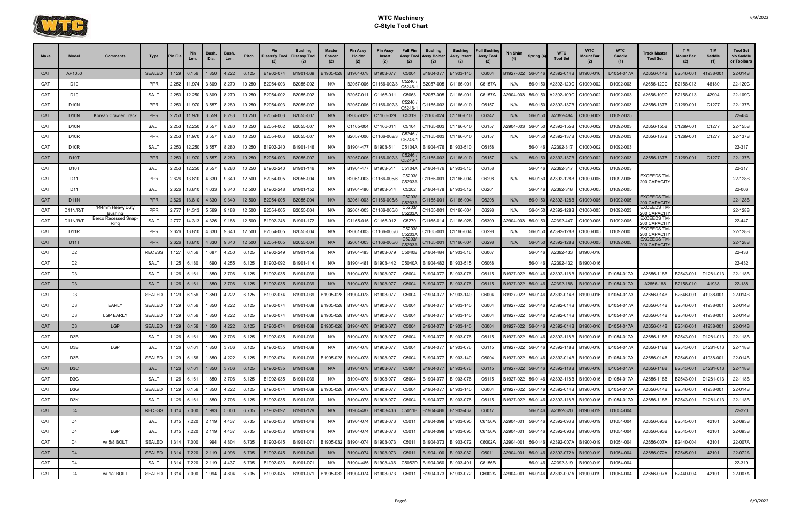

| Make       | Model             | Comments                     | Type             | 'in Dia | Pin<br>Len.   | <b>Bush</b><br>Dia. | Bush<br>Len. | Pitch  | Disass'y Tool | Bushing<br><b>Disassy Tool</b> | <b>Master</b><br><b>Spacer</b><br>(2) | <b>Pin Assy</b><br>Holder<br>(2) | <b>Pin Assy</b><br>Insert<br>(2) | <b>Full Pin</b><br>Assy Tool<br>(2) | <b>Bushing</b><br>Assy Holder<br>(2) | <b>Bushing</b><br>Assy Insert<br>(2) | <b>Full Bushing</b><br><b>Assy Tool</b><br>(2) | Pin Shim          | Spring (4) | <b>WTC</b><br><b>Tool Set</b>                | <b>WTC</b><br>Mount Bar | <b>WTC</b><br>Saddle<br>(1) | Track Master<br><b>Tool Set</b>    | T M<br><b>Mount Bar</b><br>(2) | T <sub>M</sub><br>Saddle<br>(1) | <b>Tool Set</b><br><b>No Saddle</b><br>or Toolbars |
|------------|-------------------|------------------------------|------------------|---------|---------------|---------------------|--------------|--------|---------------|--------------------------------|---------------------------------------|----------------------------------|----------------------------------|-------------------------------------|--------------------------------------|--------------------------------------|------------------------------------------------|-------------------|------------|----------------------------------------------|-------------------------|-----------------------------|------------------------------------|--------------------------------|---------------------------------|----------------------------------------------------|
| <b>CAT</b> | AP1050            |                              | <b>SEALED</b>    | 1.129   | 6.156         | 1.850               | 4.222        | 6.125  | B1902-074     | B1901-039                      | B1905-028                             | B1904-078                        | B1903-07                         | C5004                               | B1904-077                            | B1903-140                            | C6004                                          | B1927-022         | 56-0146    | A2392-014B                                   | B1900-016               | D1054-017A                  | A2656-014B                         | B2546-001                      | 41938-00                        | 22-014B                                            |
| CAT        | D10               |                              | <b>PPR</b>       | 2.252   | 11.974        | 3.809               | 8.270        | 10.250 | B2054-003     | B2055-002                      | N/A                                   | B2057-006                        | C1166-002                        | C5246<br>C5246-                     | B2057-005                            | C1166-00                             | C6157A                                         | N/A               | 56-0150    | A2392-120C                                   | C1000-002               | D1092-003                   | A2656-120C                         | B2158-013                      | 46180                           | 22-120C                                            |
| CAT        | D10               |                              | <b>SALT</b>      | 2.253   | 12.250        | 3.809               | 8.270        | 10.250 | B2054-002     | B2055-002                      | N/A                                   | B2057-011                        | $C1166-01'$                      | C5063                               | B2057-005                            | $C1166-00'$                          | C6157A                                         | 42904-003         | 56-0150    | 42392-109C                                   | C1000-002               | D1092-003                   | A2656-109C                         | B2158-013                      | 42904                           | 22-109C                                            |
| CAT        | D <sub>10</sub> N |                              | <b>PPR</b>       | 2.253   | 11.970        | 3.557               | 8.280        | 10.250 | B2054-003     | B2055-007                      | N/A                                   | B2057-006                        | C1166-002                        | C5246<br>C5246-                     | C1165-003                            | C1166-010                            | C6157                                          | N/A               | 56-0150    | A2392-137B                                   | C1000-002               | D1092-003                   | A2656-137B                         | C1269-001                      | C1277                           | 22-137B                                            |
| <b>CAT</b> | <b>D10N</b>       | <b>Korean Crawler Track</b>  | <b>PPR</b>       | 2.253   | 11.976        | 3.559               | 8.283        | 10.250 | B2054-003     | B2055-007                      | N/A                                   | B2057-022                        | C1166-029                        | C5319                               | C1165-024                            | C1166-010                            | C6342                                          | N/A               | 56-0150    | A2392-484                                    | C1000-002               | D1092-025                   |                                    |                                |                                 | 22-484                                             |
| CAT        | <b>D10N</b>       |                              | SAL <sub>1</sub> | 2.253   | 12.250        | 3.557               | 8.280        | 10.250 | B2054-002     | B2055-007                      | N/A                                   | C1165-004                        | $C1166-01'$                      | C5104                               | C1165-003                            | C1166-010                            | C6157                                          | 42904-003         | 56-0150    | A2392-155B                                   | C1000-002               | D1092-003                   | A2656-155B                         | C1269-001                      | C <sub>1277</sub>               | 22-155B                                            |
| CAT        | <b>D10R</b>       |                              | <b>PPR</b>       | 2.253   | 11.970        | 3.557               | 8.280        | 10.250 | B2054-003     | B2055-007                      | N/A                                   | B2057-006                        | C1166-002                        | C5246<br>C5246-                     | C1165-003                            | C1166-010                            | C6157                                          | N/A               | 56-0150    | A2392-137B                                   | C1000-002               | D1092-003                   | A2656-137B                         | C1269-001                      | C1277                           | 22-137B                                            |
| CAT        | <b>D10R</b>       |                              | SALT             | 2.253   | 12.250        | 3.557               | 8.280        | 10.250 | B1902-240     | B1901-146                      | N/A                                   | B1904-477                        | B1903-511                        | C5104A                              | B1904-476                            | B1903-510                            | C6158                                          |                   | 56-0146    | A2392-317                                    | C1000-002               | D1092-003                   |                                    |                                |                                 | 22-317                                             |
| <b>CAT</b> | D <sub>10</sub> T |                              | <b>PPR</b>       | 2.253   | 11.970        | 3.557               | 8.280        | 10.250 | B2054-003     | B2055-007                      | N/A                                   | B2057-006                        | C1166-002/                       | C5246<br>C5246-1                    | C1165-003                            | C1166-010                            | C6157                                          | N/A               | 56-0150    | A2392-137B                                   | C1000-002               | D1092-003                   | A2656-137B                         | C1269-001                      | C1277                           | 22-137B                                            |
| CAT        | D <sub>10</sub> T |                              | <b>SALT</b>      | 2.253   | 12.250        | 3.557               | 8.280        | 10.250 | B1902-240     | B1901-146                      | N/A                                   | B1904-477                        | B1903-511                        | C5104A                              | B1904-476                            | B1903-510                            | C6158                                          |                   | 56-0146    | A2392-317                                    | C1000-002               | D1092-003                   |                                    |                                |                                 | 22-317                                             |
| CAT        | D <sub>11</sub>   |                              | <b>PPR</b>       | 2.626   | 13.810        | 4.330               | 9.340        | 12.500 | B2054-005     | B2055-004                      | N/A                                   | B2061-003                        | C1166-005                        | C5203<br>C5203/                     | C1165-001                            | C1166-004                            | C6298                                          | N/A               | 56-0150    | A2392-128B                                   | C1000-005               | D1092-005                   | EXCEEDS TM-<br>200 CAPACITY        |                                |                                 | 22-128B                                            |
| CAT        | D11               |                              | <b>SALT</b>      | 2.626   | 13.810        | 4.033               | 9.340        | 12.500 | B1902-248     | B1901-152                      | N/A                                   | B1904-480                        | B1903-514                        | C5202                               | B1904-478                            | B1903-512                            | C6261                                          |                   | 56-0146    | A2392-318                                    | C1000-005               | D1092-005                   |                                    |                                |                                 | 22-006                                             |
| <b>CAT</b> | <b>D11N</b>       |                              | <b>PPR</b>       | 2.626   | 13.810        | 4.330               | 9.340        | 12.500 | B2054-005     | B2055-004                      | N/A                                   |                                  | B2061-003 C1166-005              | C5203<br>C5203A                     | C1165-001                            | C1166-004                            | C6298                                          | N/A               | 56-0150    | A2392-128B                                   | C1000-005               | D1092-005                   | <b>EXCEEDS TM-</b><br>200 CAPACITY |                                |                                 | 22-128B                                            |
| CAT        | D11N/R/T          | 144mm Heavy Duty<br>Bushing  | PPR              | 2.777   | 14.313        | 5.569               | 9.188        | 12.500 | B2054-005     | B2055-004                      | N/A                                   | B2061-003                        | C1166-005                        | C5203<br>C5203                      | C1165-001                            | C1166-004                            | C6298                                          | N/A               | 56-0150    | A2392-128B                                   | C1000-005               | D1092-023                   | EXCEEDS TM-<br>200 CAPACITY        |                                |                                 | 22-128B                                            |
| CAT        | D11N/R/T          | Berco Recessed Snap-<br>Ring | SAL <sub>1</sub> | 2.777   | 14.313        | 4.326               | 9.188        | 12.500 | B1902-248     | B1901-172                      | N/A                                   | C1165-015                        | C1166-012                        | C5279                               | C1165-014                            | C1166-028                            | C6309                                          | A2904-003         | 56-0150    | A2392-447                                    | C1000-005               | D1092-005                   | EXCEEDS TM-<br>200 CAPACITY        |                                |                                 | 22-447                                             |
| <b>CAT</b> | <b>D11R</b>       |                              | <b>PPR</b>       | 2.626   | 13.810        | 4.330               | 9.340        | 12.500 | B2054-005     | B2055-004                      | N/A                                   | B2061-003                        | C1166-005/                       | C5203<br>25203                      | C1165-001                            | C1166-004                            | C6298                                          | N/A               | 56-0150    | A2392-128B                                   | C1000-005               | D1092-005                   | <b>EXCEEDS TM-</b><br>200 CAPACITY |                                |                                 | 22-128B                                            |
| <b>CAT</b> | <b>D11T</b>       |                              | <b>PPR</b>       | 2.626   | 13.810        | 4.330               | 9.340        | 12.500 | B2054-005     | B2055-004                      | N/A                                   | B2061-003                        | C1166-005                        | C5203<br>C5203/                     | C1165-001                            | C1166-004                            | C6298                                          | N/A               | 56-0150    | A2392-128B                                   | C1000-005               | D1092-005                   | EXCEEDS TM-<br>200 CAPACITY        |                                |                                 | 22-128B                                            |
| CAT        | D <sub>2</sub>    |                              | <b>RECESS</b>    | .127    | 6.156         | 1.687               | 4.250        | 6.125  | B1902-249     | B1901-156                      | N/A                                   | B1904-483                        | B1903-079                        | C5040B                              | B1904-484                            | B1903-516                            | C6067                                          |                   | 56-0146    | A2392-433                                    | B1900-016               |                             |                                    |                                |                                 | 22-433                                             |
| CAT        | D <sub>2</sub>    |                              | SALT             | .125    | 6.180         | 1.690               | 4.255        | 6.125  | B1902-092     | B1901-114                      | N/A                                   | B1904-481                        | B1903-442                        | C5040A                              | B1904-482                            | B1903-515                            | C6068                                          |                   | 56-0146    | A2392-432                                    | B1900-016               |                             |                                    |                                |                                 | 22-432                                             |
| CAT        | D <sub>3</sub>    |                              | <b>SALT</b>      | 1.126   | 6.161         | 1.850               | 3.706        | 6.125  | B1902-035     | B1901-039                      | N/A                                   | B1904-078                        | B1903-077                        | C5004                               | B1904-077                            | B1903-076                            | C6115                                          | B1927-022         | 56-0146    | A2392-118B                                   | B1900-016               | D1054-017A                  | A2656-118B                         | B2543-001                      | D1281-013                       | 22-118B                                            |
| <b>CAT</b> | D <sub>3</sub>    |                              | <b>SALT</b>      | .126    | 6.161         | 1.850               | 3.706        | 6.125  | B1902-035     | B1901-039                      | N/A                                   | B1904-078                        | B1903-077                        | C5004                               | B1904-077                            | B1903-076                            | C6115                                          | B1927-022         | 56-0146    | A2392-188                                    | B1900-016               | D1054-017A                  | A2656-188                          | B2158-010                      | 41938                           | 22-188                                             |
| CAT        | D3                |                              | <b>SEALED</b>    | .129    | 6.156         | 1.850               | 4.222        | 6.125  | B1902-074     | B1901-039                      | B1905-028                             | B1904-078                        | B1903-077                        | C5004                               | B1904-077                            | B1903-140                            | C6004                                          | B1927-022         | 56-0146    | A2392-014B                                   | B1900-016               | D1054-017A                  | A2656-014B                         | B2546-001                      | 41938-00                        | 22-014B                                            |
| CAT        | D <sub>3</sub>    | <b>EARLY</b>                 | <b>SEALED</b>    | .129    | 6.156         | 1.850               | 4.222        | 6.125  | B1902-074     | B1901-039                      | B1905-028                             | B1904-078                        | B1903-077                        | C5004                               | B1904-077                            | B1903-140                            | C6004                                          | B1927-022         | 56-0146    | A2392-014B                                   | B1900-016               | D1054-017A                  | A2656-014B                         | B2546-001                      | 41938-00                        | 22-014B                                            |
| CAT        | D <sub>3</sub>    | <b>LGP EARLY</b>             | <b>SEALED</b>    | .129    | 6.156         | 1.850               | 4.222        | 6.125  | B1902-074     | B1901-039                      | B1905-028                             | B1904-078                        | B1903-077                        | C5004                               | B1904-077                            | B1903-140                            | C6004                                          | B1927-022         | 56-0146    | A2392-014B                                   | B1900-016               | D1054-017A                  | A2656-014B                         | B2546-001                      | 41938-001                       | 22-014B                                            |
| <b>CAT</b> | D <sub>3</sub>    | <b>LGP</b>                   | <b>SEALED</b>    | 1.129   | 6.156         | 1.850               | 4.222        | 6.125  | B1902-074     | B1901-039                      | B1905-028                             | B1904-078                        | B1903-077                        | C5004                               | B1904-077                            | B1903-140                            | C6004                                          | B1927-022         | 56-0146    | A2392-014B                                   | B1900-016               | D1054-017A                  | A2656-014B                         | B2546-001                      | 41938-00                        | 22-014B                                            |
| CAT        | D3B               |                              | <b>SALT</b>      | .126    | 6.161         | 1.850               | 3.706        | 6.125  | B1902-035     | B1901-039                      | N/A                                   | B1904-078                        | B1903-077                        |                                     | C5004 B1904-077                      | B1903-076                            | C6115                                          | B1927-022         | 56-0146    | A2392-118B B1900-016                         |                         | D1054-017A                  | A2656-118B                         | B2543-001                      | D1281-013                       | 22-118B                                            |
| CAT        | D3B               | LGP                          | <b>SALT</b>      | .126    | 6.161         | 1.850               | 3.706        | 6.125  | B1902-035     | B1901-039                      | N/A                                   | B1904-078                        | B1903-077                        | C5004                               | B1904-077                            | B1903-076                            | C6115                                          | B1927-022         | 56-0146    | A2392-118B   B1900-016                       |                         | D1054-017A                  | A2656-118B                         | B2543-001                      | D1281-013                       | 22-118B                                            |
| CAT        | D3B               |                              | <b>SEALED</b>    |         | 1.129 6.156   | 1.850               | 4.222        | 6.125  | B1902-074     | B1901-039                      | B1905-028                             |                                  | B1904-078   B1903-077            | C5004                               |                                      | B1904-077 B1903-140                  | C6004                                          | B1927-022 56-0146 |            | A2392-014B   B1900-016                       |                         | D1054-017A                  | A2656-014B                         | B2546-001                      | 41938-001                       | 22-014B                                            |
| <b>CAT</b> | D <sub>3</sub> C  |                              | <b>SALT</b>      |         | $1.126$ 6.161 | 1.850               | 3.706        | 6.125  | B1902-035     | B1901-039                      | N/A                                   |                                  | B1904-078   B1903-077            | C5004                               |                                      | B1904-077   B1903-076                | C6115                                          |                   |            | B1927-022   56-0146   A2392-118B   B1900-016 |                         | D1054-017A                  | A2656-118B                         | B2543-001                      | D1281-013                       | 22-118B                                            |
| CAT        | D3G               |                              | SALT             |         | 1.126 6.161   | 1.850               | 3.706        | 6.125  | B1902-035     | B1901-039                      | N/A                                   | B1904-078                        | B1903-077                        | C5004                               | B1904-077                            | B1903-076                            | C6115                                          | B1927-022         | 56-0146    | A2392-118B B1900-016                         |                         | D1054-017A                  | A2656-118B                         | B2543-001                      | D1281-013                       | 22-118B                                            |
| CAT        | D3G               |                              | <b>SEALED</b>    |         | $.129$ 6.156  | 1.850               | 4.222        | 6.125  | B1902-074     | B1901-039                      | B1905-028                             | B1904-078                        | B1903-077                        | C5004                               | B1904-077                            | B1903-140                            | C6004                                          | B1927-022 56-0146 |            | A2392-014B   B1900-016                       |                         | D1054-017A                  | A2656-014B                         | B2546-001                      | 41938-001                       | 22-014B                                            |
| CAT        | D3K               |                              | SALT             |         | 1.126 6.161   | 1.850               | 3.706        | 6.125  | B1902-035     | B1901-039                      | N/A                                   | B1904-078                        | B1903-077                        | C5004                               | B1904-077                            | B1903-076                            | C6115                                          | B1927-022         | 56-0146    | A2392-118B                                   | B1900-016               | D1054-017A                  | A2656-118B                         | B2543-001                      | D1281-013                       | 22-118B                                            |
| CAT        | D <sub>4</sub>    |                              | <b>RECESS</b>    |         | $1.314$ 7.000 | 1.993               | 5.000        | 6.735  | B1902-092     | B1901-129                      | N/A                                   | B1904-487                        | B1903-436                        |                                     | C5011B B1904-486 B1903-437           |                                      | C6017                                          |                   | 56-0146    | A2392-320   B1900-019                        |                         | D1054-004                   |                                    |                                |                                 | 22-320                                             |
| CAT        | D4                |                              | SALT             |         | 1.315 7.220   | 2.119               | 4.437        | 6.735  | B1902-033     | B1901-049                      | N/A                                   | B1904-074                        | B1903-073                        | C5011                               | B1904-098                            | B1903-095                            | C6156A                                         | A2904-001         | 56-0146    | A2392-093B                                   | B1900-019               | D1054-004                   | A2656-093B                         | B2545-001                      | 42101                           | 22-093B                                            |
| CAT        | D4                | LGP                          | SALT             |         | 1.315 7.220   | 2.119               | 4.437        | 6.735  | B1902-033     | B1901-049                      | N/A                                   | B1904-074                        | B1903-073                        | C5011                               | B1904-098                            | B1903-095                            | C6156A                                         | A2904-001         | 56-0146    | A2392-093B                                   | B1900-019               | D1054-004                   | A2656-093B                         | B2545-001                      | 42101                           | 22-093B                                            |
| CAT        | D4                | w/ 5/8 BOLT                  | <b>SEALED</b>    |         | 1.314 7.000   | 1.994               | 4.804        | 6.735  | B1902-045     | B1901-071                      | B1905-032                             | B1904-074                        | B1903-073                        | C5011                               | B1904-073                            | B1903-072                            | C6002A                                         | A2904-001         | 56-0146    | A2392-007A   B1900-019                       |                         | D1054-004                   | A2656-007A                         | B2440-004                      | 42101                           | 22-007A                                            |
| <b>CAT</b> | D <sub>4</sub>    |                              | <b>SEALED</b>    |         | 1.314 7.220   | 2.119               | 4.996        | 6.735  | B1902-045     | B1901-049                      | N/A                                   | B1904-074                        | B1903-073                        | C5011                               |                                      | B1904-100   B1903-082                | C6011                                          | A2904-001         |            | 56-0146 A2392-072A B1900-019                 |                         | D1054-004                   | A2656-072A                         | B2545-001                      | 42101                           | 22-072A                                            |
| CAT        | D4                |                              | SALT             |         | 1.314 7.220   | 2.119               | 4.437        | 6.735  | B1902-033     | B1901-071                      | N/A                                   | B1904-485                        | B1903-436                        | C5052D                              | B1904-360                            | B1903-40                             | C6156B                                         |                   | 56-0146    | A2392-319                                    | B1900-019               | D1054-004                   |                                    |                                |                                 | 22-319                                             |
| CAT        | D4                | w/ 1/2 BOLT                  | <b>SEALED</b>    | 1.314   | 7.000         | 1.994               | 4.804        | 6.735  | B1902-045     | B1901-071                      | B1905-032                             | B1904-074                        | B1903-073                        | C5011                               | B1904-073                            | B1903-072                            | C6002A                                         | A2904-001         | 56-0146    | A2392-007A                                   | B1900-019               | D1054-004                   | A2656-007A                         | B2440-004                      | 42101                           | 22-007A                                            |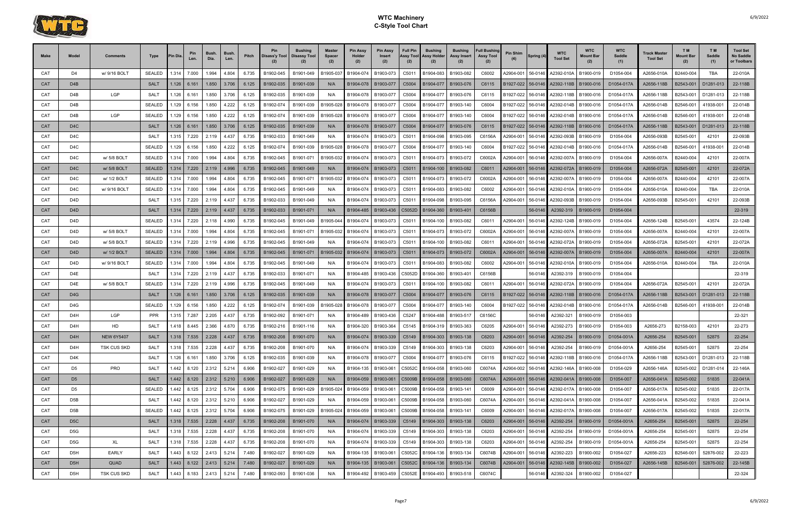

| <b>Make</b> | Model            | Comments          | Type          | <b>IPin Dia</b> | Len.                    | <b>Bush</b><br>Dia. | Bush<br>Len. | Pitch | Pin<br>Disass'y Tool | <b>Bushing</b><br><b>Disassy Tool</b> | <b>Master</b><br><b>Spacer</b><br>(2) | <b>Pin Assy</b><br>Holder<br>(2) | <b>Pin Assy</b><br>Insert<br>(2) | <b>Full Pin</b><br>Assy Tool<br>(2) | <b>Bushing</b><br>Assy Holder<br>(2) | <b>Bushing</b><br>Assy Insert                         | <b>Full Bushing</b><br><b>Assy Tool</b><br>(2) | Pin Shim          | Spring (4) | <b>WTC</b><br><b>Tool Set</b>         | <b>WTC</b><br>Mount Bar | <b>WTC</b><br>Saddle<br>(1) | Track Master<br><b>Tool Set</b> | TM <sub></sub><br><b>Mount Bar</b><br>(2) | T M<br>Saddle<br>(1) | <b>Tool Set</b><br>No Saddle<br>or Toolbars |
|-------------|------------------|-------------------|---------------|-----------------|-------------------------|---------------------|--------------|-------|----------------------|---------------------------------------|---------------------------------------|----------------------------------|----------------------------------|-------------------------------------|--------------------------------------|-------------------------------------------------------|------------------------------------------------|-------------------|------------|---------------------------------------|-------------------------|-----------------------------|---------------------------------|-------------------------------------------|----------------------|---------------------------------------------|
| CAT         | D4               | w/ 9/16 BOLT      | <b>SEALED</b> | 1.314           | 7.000                   | 1.994               | 4.804        | 6.735 | B1902-045            | B1901-049                             | B1905-03                              | B1904-074                        | B1903-073                        | C5011                               | B1904-083                            | B1903-082                                             | C6002                                          | A2904-001         | 56-0146    | A2392-010A                            | B1900-019               | D1054-004                   | A2656-010A                      | B2440-004                                 | <b>TBA</b>           | 22-010A                                     |
| <b>CAT</b>  | D <sub>4</sub> B |                   | <b>SALT</b>   | 1.126           | 6.161                   | 1.850               | 3.706        | 6.125 | B1902-035            | B1901-039                             | N/A                                   | B1904-078                        | B1903-077                        | C5004                               | B1904-077                            | B1903-076                                             | C6115                                          | B1927-022         | 56-0146    | A2392-118B                            | B1900-016               | D1054-017A                  | A2656-118B                      | B2543-001                                 | D1281-013            | 22-118B                                     |
| CAT         | D4B              | LGP               | <b>SALT</b>   | 1.126           | 6.161                   | 1.850               | 3.706        | 6.125 | B1902-035            | B1901-039                             | N/A                                   | B1904-078                        | B1903-077                        | C5004                               | B1904-077                            | B1903-076                                             | C6115                                          | B1927-022         | 56-0146    | A2392-118B                            | B1900-016               | D1054-017A                  | A2656-118B                      | B2543-001                                 | D1281-013            | 22-118B                                     |
| CAT         | D4B              |                   | <b>SEALED</b> | 1.129           | 6.156                   | 1.850               | 4.222        | 6.125 | B1902-074            | B1901-039                             | B1905-028                             | B1904-078                        | B1903-07                         | C5004                               | B1904-077                            | B1903-140                                             | C6004                                          | B1927-022         | 56-0146    | A2392-014B                            | B1900-016               | D1054-017A                  | A2656-014B                      | B2546-001                                 | 41938-00             | 22-014B                                     |
| CAT         | D4B              | <b>LGP</b>        | <b>SEALED</b> | .129            | 6.156                   | 1.850               | 4.222        | 6.125 | B1902-074            | B1901-039                             | B1905-028                             | B1904-078                        | B1903-077                        | C5004                               | B1904-077                            | B1903-140                                             | C6004                                          | B1927-022         | 56-0146    | A2392-014B                            | B1900-016               | D1054-017A                  | A2656-014B                      | B2546-001                                 | 41938-00             | 22-014B                                     |
| <b>CAT</b>  | D <sub>4</sub> C |                   | <b>SALT</b>   | 1.126           | 6.161                   | 1.850               | 3.706        | 6.125 | B1902-035            | B1901-039                             | N/A                                   | B1904-078                        | B1903-077                        | C5004                               | B1904-077                            | B1903-076                                             | C6115                                          | B1927-022         | 56-0146    | A2392-118B                            | B1900-016               | D1054-017A                  | A2656-118B                      | B2543-001                                 | D1281-013            | 22-118B                                     |
| CAT         | D4C              |                   | SALT          | 1.315           | 7.220                   | 2.119               | 4.437        | 6.735 | B1902-033            | B1901-049                             | N/A                                   | B1904-074                        | B1903-073                        | C5011                               | B1904-098                            | B1903-095                                             | C6156A                                         | A2904-001         | 56-0146    | A2392-093B                            | B1900-019               | D1054-004                   | A2656-093B                      | B2545-001                                 | 42101                | 22-093B                                     |
| CAT         | D <sub>4</sub> C |                   | <b>SEALED</b> | 1.129           | 6.156                   | 1.850               | 4.222        | 6.125 | B1902-074            | B1901-039                             | B1905-028                             | B1904-078                        | B1903-077                        | C5004                               | B1904-077                            | B1903-140                                             | C6004                                          | B1927-022         | 56-0146    | A2392-014B                            | B1900-016               | D1054-017A                  | A2656-014B                      | B2546-001                                 | 41938-00             | 22-014B                                     |
| CAT         | D <sub>4</sub> C | w/ 5/8 BOLT       | <b>SEALED</b> | 1.314           | 7.000                   | 1.994               | 4.804        | 6.735 | B1902-045            | B1901-071                             | B1905-032                             | B1904-074                        | B1903-073                        | C5011                               | B1904-073                            | B1903-072                                             | C6002A                                         | A2904-001         | 56-0146    | A2392-007A                            | B1900-019               | D1054-004                   | A2656-007A                      | B2440-004                                 | 42101                | 22-007A                                     |
| <b>CAT</b>  | D <sub>4</sub> C | w/ 5/8 BOLT       | <b>SEALED</b> |                 | $1.314$ 7.220           | 2.119               | 4.996        | 6.735 | B1902-045            | B1901-049                             | N/A                                   | B1904-074                        | B1903-073                        | C <sub>5011</sub>                   | B1904-100                            | B1903-082                                             | C6011                                          | A2904-001         | 56-0146    | A2392-072A                            | B1900-019               | D1054-004                   | A2656-072A                      | B2545-001                                 | 42101                | 22-072A                                     |
| CAT         | D <sub>4</sub> C | w/ 1/2 BOLT       | <b>SEALED</b> | 1.314           | 7.000                   | 1.994               | 4.804        | 6.735 | B1902-045            | B1901-071                             | B1905-032                             | B1904-074                        | B1903-073                        | C5011                               | B1904-073                            | B1903-072                                             | C6002A                                         | A2904-001         | 56-0146    | A2392-007A                            | B1900-019               | D1054-004                   | A2656-007A                      | B2440-004                                 | 42101                | 22-007A                                     |
| CAT         | D <sub>4</sub> C | w/ 9/16 BOLT      | <b>SEALED</b> | 1.314           | 7.000                   | 1.994               | 4.804        | 6.735 | B1902-045            | B1901-049                             | N/A                                   | B1904-074                        | B1903-073                        | C5011                               | B1904-083                            | B1903-082                                             | C6002                                          | A2904-001         | 56-0146    | A2392-010A                            | B1900-019               | D1054-004                   | A2656-010A                      | B2440-004                                 | <b>TBA</b>           | 22-010A                                     |
| CAT         | D4D              |                   | SALT          | 1.315           | 7.220                   | 2.119               | 4.437        | 6.735 | B1902-033            | B1901-049                             | N/A                                   | B1904-074                        | B1903-073                        | C5011                               | B1904-098                            | B1903-095                                             | C6156A                                         | A2904-001         | 56-0146    | A2392-093B                            | B1900-019               | D1054-004                   | A2656-093B                      | B2545-001                                 | 42101                | 22-093B                                     |
| CAT         | D <sub>4</sub> D |                   | <b>SALT</b>   | 1.314           | 7.220                   | 2.119               | 4.437        | 6.735 | B1902-033            | B1901-071                             | N/A                                   | B1904-485                        | B1903-436                        | C5052D                              | B1904-360                            | B1903-40                                              | C6156B                                         |                   | 56-0146    | A2392-319                             | B1900-019               | D1054-004                   |                                 |                                           |                      | 22-319                                      |
| CAT         | D4D              |                   | <b>SEALED</b> | 1.314           | 7.220                   | 2.118               | 4.990        | 6.735 | B1902-045            | B1901-049                             | B1905-044                             | B1904-074                        | B1903-073                        | C5011                               | B1904-100                            | B1903-082                                             | C6011                                          | A2904-001         | 56-0146    | A2392-124B                            | B1900-019               | D1054-004                   | A2656-124B                      | B2545-001                                 | 43574                | 22-124B                                     |
| CAT         | D4D              | w/ 5/8 BOLT       | <b>SEALED</b> | 1.314           | 7.000                   | 1.994               | 4.804        | 6.735 | B1902-045            | B1901-071                             | B1905-032                             | B1904-074                        | B1903-073                        | C5011                               | B1904-073                            | B1903-072                                             | C6002A                                         | A2904-001         | 56-0146    | A2392-007A                            | B1900-019               | D1054-004                   | A2656-007A                      | B2440-004                                 | 42101                | 22-007A                                     |
| CAT         | D4D              | w/ 5/8 BOLT       | <b>SEALED</b> | 1.314           | 7.220                   | 2.119               | 4.996        | 6.735 | B1902-045            | B1901-049                             | N/A                                   | B1904-074                        | B1903-073                        | C5011                               | B1904-100                            | B1903-082                                             | C6011                                          | A2904-001         | 56-0146    | A2392-072A                            | B1900-019               | D1054-004                   | A2656-072A                      | B2545-001                                 | 42101                | 22-072A                                     |
| CAT         | D4D              | w/ 1/2 BOLT       | <b>SEALED</b> | 1.314 I         | 7.000                   | 1.994               | 4.804        | 6.735 | B1902-045            | B1901-071                             | B1905-032                             | B1904-074                        | B1903-073                        | C5011                               | B1904-073                            | B1903-072                                             | C6002A                                         | A2904-001         | 56-0146    | A2392-007A                            | B1900-019               | D1054-004                   | A2656-007A                      | B2440-004                                 | 42101                | 22-007A                                     |
| CAT         | D4D              | w/ 9/16 BOLT      | <b>SEALED</b> | 1.314           | 7.000                   | 1.994               | 4.804        | 6.735 | B1902-045            | B1901-049                             | N/A                                   | B1904-074                        | B1903-073                        | C5011                               | B1904-083                            | B1903-082                                             | C6002                                          | A2904-001         | 56-0146    | A2392-010A                            | B1900-019               | D1054-004                   | A2656-010A                      | B2440-004                                 | <b>TBA</b>           | 22-010A                                     |
| CAT         | D4E              |                   | <b>SALT</b>   | 1.314           | 7.220                   | 2.119               | 4.437        | 6.735 | B1902-033            | B1901-071                             | N/A                                   | B1904-485                        | B1903-436                        | C5052D                              | B1904-360                            | B1903-40                                              | C6156B                                         |                   | 56-0146    | A2392-319                             | B1900-019               | D1054-004                   |                                 |                                           |                      | 22-319                                      |
| CAT         | D4E              | w/ 5/8 BOLT       | <b>SEALED</b> | 1.314           | 7.220                   | 2.119               | 4.996        | 6.735 | B1902-045            | B1901-049                             | N/A                                   | B1904-074                        | B1903-073                        | C5011                               | B1904-100                            | B1903-082                                             | C6011                                          | A2904-001         | 56-0146    | A2392-072A                            | B1900-019               | D1054-004                   | A2656-072A                      | B2545-001                                 | 42101                | 22-072A                                     |
| CAT         | D <sub>4</sub> G |                   | <b>SALT</b>   | 1.126           | 6.161                   | 1.850               | 3.706        | 6.125 | B1902-035            | B1901-039                             | N/A                                   | B1904-078                        | B1903-077                        | C5004                               | B1904-077                            | B1903-076                                             | C6115                                          | B1927-022         | 56-0146    | A2392-118B                            | B1900-016               | D1054-017A                  | A2656-118B                      | B2543-001                                 | D1281-013            | 22-118B                                     |
| CAT         | D4G              |                   | <b>SEALED</b> | 1.129           | 6.156                   | 1.850               | 4.222        | 6.125 | B1902-074            | B1901-039                             | B1905-028                             | B1904-078                        | B1903-07                         | C5004                               | B1904-07                             | B1903-140                                             | C6004                                          | B1927-022         | 56-0146    | A2392-014B                            | B1900-016               | D1054-017A                  | A2656-014B                      | B2546-001                                 | 41938-00             | 22-014B                                     |
| CAT         | D4H              | LGP               | <b>PPR</b>    |                 | 1.315 7.287             | 2.205               | 4.437        | 6.735 | B1902-092            | B1901-071                             | N/A                                   | B1904-489                        | B1903-436                        | C5247                               | B1904-488                            | B1903-51                                              | C6156C                                         |                   | 56-0146    | A2392-321                             | B1900-019               | D1054-003                   |                                 |                                           |                      | 22-321                                      |
| CAT         | D4H              | HD                | <b>SALT</b>   | 1.418           | 8.445                   | 2.366               | 4.670        | 6.735 | B1902-216            | B1901-116                             | N/A                                   | B1904-320                        | B1903-364                        | C5145                               | B1904-319                            | B1903-363                                             | C6205                                          | A2904-001         | 56-0146    | A2392-273                             | B1900-019               | D1054-003                   | A2656-273                       | B2158-003                                 | 42101                | 22-273                                      |
| CAT         | D <sub>4</sub> H | <b>NEW 6Y5407</b> | SALT          |                 |                         |                     |              |       | 6.735 B1902-208      | B1901-070                             | N/A                                   |                                  |                                  |                                     |                                      | B1904-074   B1903-339   C5149   B1904-303   B1903-138 | C6203                                          |                   |            | A2904-001 56-0146 A2392-254 B1900-019 |                         | D1054-001A                  | A2656-254                       | B2545-001                                 | 52875                | 22-254                                      |
| CAT         | D4H              | TSK CUS SKD       | SALT          |                 | 1.318 7.535             | 2.228               | 4.437        | 6.735 | B1902-208            | B1901-070                             | N/A                                   | B1904-074                        | B1903-339                        | C5149                               |                                      | B1904-303   B1903-138                                 | C6203                                          | A2904-001         | 56-0146    | A2392-254                             | B1900-019               | D1054-001A                  | A2656-254                       | B2545-001                                 | 52875                | 22-254                                      |
| CAT         | D4K              |                   | SALT          |                 | 1.126 6.161             | 1.850               | 3.706        | 6.125 | B1902-035            | B1901-039                             | N/A                                   | B1904-078                        | B1903-077                        |                                     | C5004 B1904-077 B1903-076            |                                                       | C6115                                          | B1927-022 56-0146 |            | A2392-118B   B1900-016                |                         | D1054-017A                  | A2656-118B                      | B2543-001                                 | D1281-013            | 22-118B                                     |
| CAT         | D5               | PRO               | SALT          |                 | 1.442 8.120             | 2.312               | 5.214        | 6.906 | B1902-027            | B1901-029                             | N/A                                   | B1904-135                        | B1903-061                        |                                     | C5052C B1904-058                     | B1903-060                                             | C6074A                                         | A2904-002         |            | 56-0146 A2392-146A                    | B1900-008               | D1054-029                   | A2656-146A                      | B2545-002                                 | D1281-014            | 22-146A                                     |
| <b>CAT</b>  | D <sub>5</sub>   |                   | <b>SALT</b>   |                 | 1.442 8.120 2.312       |                     | 5.210        | 6.906 | B1902-027            | B1901-029                             | N/A                                   | B1904-059                        | B1903-061                        |                                     | C5009B B1904-058                     | B1903-060                                             | C6074A                                         | A2904-001         |            | 56-0146 A2392-041A                    | B1900-008               | D1054-007                   | A2656-041A                      | B2545-002                                 | 51835                | 22-041A                                     |
| CAT         | D5               |                   | SEALED        |                 | 1.442 8.125             | 2.312               | 5.704        | 6.906 | B1902-075            | B1901-029                             | B1905-024                             | B1904-059                        | B1903-061                        | C5009B                              | B1904-058                            | B1903-141                                             | C6009                                          | A2904-001         | 56-0146    | A2392-017A                            | B1900-008               | D1054-007                   | A2656-017A                      | B2545-002                                 | 51835                | 22-017A                                     |
| CAT         | D5B              |                   | SALT          |                 | 1.442 8.120             | 2.312               | 5.210        | 6.906 | B1902-027            | B1901-029                             | N/A                                   | B1904-059                        | B1903-061                        | C5009B                              | B1904-058                            | B1903-060                                             | C6074A                                         | A2904-001         | 56-0146    | A2392-041A                            | B1900-008               | D1054-007                   | A2656-041A                      | B2545-002                                 | 51835                | 22-041A                                     |
| CAT         | D <sub>5</sub> B |                   | <b>SEALED</b> |                 | 1.442 8.125             | 2.312               | 5.704        | 6.906 | B1902-075            | B1901-029                             | B1905-024                             | B1904-059                        | B1903-061                        | C5009B                              | B1904-058                            | B1903-141                                             | C6009                                          | A2904-001         | 56-0146    | A2392-017A                            | B1900-008               | D1054-007                   | A2656-017A                      | B2545-002                                 | 51835                | 22-017A                                     |
| <b>CAT</b>  | D <sub>5</sub> C |                   | <b>SALT</b>   |                 | $1.318$ 7.535 2.228     |                     | 4.437        | 6.735 | B1902-208            | B1901-070                             | N/A                                   | B1904-074                        | B1903-339                        | C5149                               |                                      | B1904-303   B1903-138                                 | C6203                                          | A2904-001         | 56-0146    | A2392-254                             | B1900-019               | D1054-001A                  | A2656-254                       | B2545-001                                 | 52875                | 22-254                                      |
| CAT         | D5G              |                   | SALT          |                 | 1.318 7.535             | 2.228               | 4.437        | 6.735 | B1902-208            | B1901-070                             | N/A                                   | B1904-074                        | B1903-339                        | C5149                               | B1904-303                            | B1903-138                                             | C6203                                          | A2904-001         | 56-0146    | A2392-254                             | B1900-019               | D1054-001A                  | A2656-254                       | B2545-001                                 | 52875                | 22-254                                      |
| CAT         | D5G              | XL                | SALT          |                 | 1.318 7.535             | 2.228               | 4.437        | 6.735 | B1902-208            | B1901-070                             | N/A                                   | B1904-074                        | B1903-339                        | C5149                               | B1904-303                            | B1903-138                                             | C6203                                          | A2904-001         | 56-0146    | A2392-254                             | B1900-019               | D1054-001A                  | A2656-254                       | B2545-001                                 | 52875                | 22-254                                      |
| CAT         | D5H              | <b>EARLY</b>      | SALT          |                 | 1.443 8.122             | 2.413               | 5.214        | 7.480 | B1902-027            | B1901-029                             | N/A                                   | B1904-135                        | B1903-061                        | C5052C                              |                                      | B1904-136   B1903-134                                 | C6074B                                         | A2904-001         | 56-0146    | A2392-223                             | B1900-002               | D1054-027                   | A2656-223                       | B2546-001                                 | 52876-002            | 22-223                                      |
| <b>CAT</b>  | D <sub>5</sub> H | QUAD              | <b>SALT</b>   |                 | $1.443$   8.122   2.413 |                     | 5.214        | 7.480 | B1902-027            | B1901-029                             | N/A                                   | B1904-135                        | B1903-061                        |                                     | C5052C B1904-136                     | B1903-134                                             | C6074B                                         | A2904-001         | 56-0146    | A2392-145B                            | B1900-002               | D1054-027                   | A2656-145B                      | B2546-001                                 | 52876-002            | 22-145B                                     |
| CAT         | D5H              | TSK CUS SKD       | SALT          |                 | 1.443 8.183             | 2.413               | 5.214        | 7.480 | B1902-093            | B1901-036                             | N/A                                   | B1904-492                        | B1903-459                        | C5052E                              | B1904-493                            | B1903-518                                             | C6074C                                         |                   | 56-0146    | A2392-324                             | B1900-002               | D1054-027                   |                                 |                                           |                      | 22-324                                      |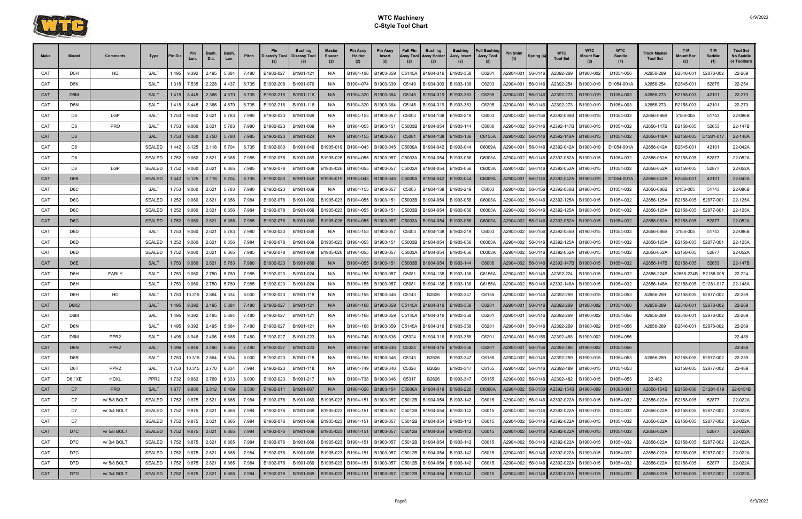

| Make       | Model            | Comments         | Type               | <b>Pin Dia</b> | Pin<br>Len.             | <b>Bush</b><br>Dia.           | <b>Bush</b><br>Len. | Pitch | Pin<br>Disass'y Tool | <b>Bushing</b><br>Disassy Tool | <b>Master</b><br>Spacer<br>(2) | <b>Pin Assy</b><br>Holder<br>(2) | <b>Pin Assy</b><br>Insert<br>(2) | <b>Full Pin</b><br>Assy Tool<br>(2) | <b>Bushing</b><br>Assy Holder<br>(2) | <b>Bushing</b><br>Assy Insert<br>(2)                  | <b>Full Bushing</b><br><b>Assy Tool</b><br>(2) | Pin Shim  | Spring (4) | <b>WTC</b><br><b>Tool Set</b>                | <b>WTC</b><br>Mount Bar | <b>WTC</b><br><b>Saddle</b><br>(1) | <b>Track Master</b><br><b>Tool Set</b> | T M<br><b>Mount Bar</b><br>(2) | T <sub>M</sub><br>Saddle<br>(1) | <b>Tool Set</b><br>No Saddle<br>or Toolbars |
|------------|------------------|------------------|--------------------|----------------|-------------------------|-------------------------------|---------------------|-------|----------------------|--------------------------------|--------------------------------|----------------------------------|----------------------------------|-------------------------------------|--------------------------------------|-------------------------------------------------------|------------------------------------------------|-----------|------------|----------------------------------------------|-------------------------|------------------------------------|----------------------------------------|--------------------------------|---------------------------------|---------------------------------------------|
| CAT        | D <sub>5</sub> H | HD               | <b>SALT</b>        | 1.495          | 9.392                   | 2.495                         | 5.684               | 7.480 | B1902-027            | B1901-121                      | N/A                            | B1904-168                        | B1903-359                        | C5145A                              | B1904-316                            | B1903-358                                             | C6201                                          | A2904-001 | 56-0146    | A2392-269                                    | B1900-002               | D1054-056                          | A2656-269                              | B2546-001                      | 52876-002                       | 22-269                                      |
| CAT        | D5K              |                  | <b>SALT</b>        | 1.318          | 7.535                   | 2.228                         | 4.437               | 6.735 | B1902-208            | B1901-070                      | N/A                            | B1904-074                        | B1903-339                        | C5149                               | B1904-303                            | B1903-138                                             | C6203                                          | A2904-001 | 56-0146    | A2392-254                                    | B1900-019               | D1054-001A                         | A2656-254                              | B2545-001                      | 52875                           | 22-254                                      |
| <b>CAT</b> | D5M              |                  | <b>SALT</b>        |                | $1.418$ 8.445           | 2.366                         | 4.670               | 6.735 | B1902-216            | B1901-116                      | N/A                            | B1904-320                        | B1903-364                        | C5145                               | B1904-319                            | B1903-363                                             | C6205                                          | A2904-001 | 56-0146    | A2392-273                                    | B1900-019               | D1054-003                          | A2656-273                              | B2158-003                      | 42101                           | 22-273                                      |
| CAT        | D5N              |                  | <b>SALT</b>        | 1.418          | 8.445                   | 2.366                         | 4.670               | 6.735 | B1902-216            | B1901-116                      | N/A                            | B1904-320                        | B1903-364                        | C5145                               | B1904-319                            | B1903-363                                             | C6205                                          | A2904-001 | 56-0146    | A2392-273                                    | B1900-019               | D1054-003                          | A2656-273                              | B2158-003                      | 42101                           | 22-273                                      |
| CAT        | D <sub>6</sub>   | LGP              | <b>SALT</b>        | 1.753          | 9.060                   | 2.621                         | 5.783               | 7.980 | B1902-023            | B1901-069                      | N/A                            | B1904-153                        | B1903-057                        | C5003                               | B1904-138                            | B1903-219                                             | C6003                                          | A2904-002 | 56-0156    | A2392-086B                                   | B1900-015               | D1054-032                          | A2656-086B                             | 2158-005                       | 51743                           | 22-086B                                     |
| CAT        | D <sub>6</sub>   | PRO              | <b>SALT</b>        | 1.753          | 9.060                   | 2.621                         | 5.783               | 7.980 | B1902-023            | B1901-069                      | N/A                            | B1904-055                        | B1903-151                        | C5003B                              | B1904-054                            | B1903-144                                             | C6006                                          | A2904-002 | 56-0146    | A2392-147B                                   | B1900-015               | D1054-032                          | A2656-147B                             | B2158-005                      | 52653                           | 22-147B                                     |
| CAT        | D <sub>6</sub>   |                  | <b>SALT</b>        |                | 1.753 9.060             | 2.750                         | 5.780               | 7.985 | B1902-023            | B1901-024                      | N/A                            | B1904-155                        | B1903-057                        | C5081                               | B1904-138                            | B1903-136                                             | C6155A                                         | A2904-002 | 56-0146    | A2392-148A                                   | B1900-015               | D1054-032                          | A2656-148A                             | B2158-005                      | D1281-017                       | 22-148A                                     |
| CAT        | D <sub>6</sub>   |                  | <b>SEALED</b>      | .442           | 8.125                   | 2.118                         | 5.704               | 6.735 | B1902-080            | B1901-049                      | B1905-01                       | B1904-043                        | B1903-045                        | C5009A                              | B1904-042                            | B1903-044                                             | C6009A                                         | A2904-001 | 56-0146    | A2392-042A                                   | B1900-019               | D1054-001A                         | A2656-042A                             | B2545-001                      | 42101                           | 22-042A                                     |
| CAT        | D6               |                  | <b>SEALED</b>      | .752           | 9.060                   | 2.621                         | 6.365               | 7.985 | B1902-078            | B1901-069                      | B1905-026                      | B1904-055                        | B1903-057                        | C5003A                              | B1904-054                            | B1903-056                                             | C6003A                                         | A2904-002 | 56-0146    | A2392-052A                                   | B1900-015               | D1054-032                          | A2656-052A                             | B2158-005                      | 52877                           | 22-052A                                     |
| CAT        | D <sub>6</sub>   | <b>LGP</b>       | <b>SEALED</b>      |                | 1.752 9.060             | 2.621                         | 6.365               | 7.985 | B1902-078            | B1901-069                      | B1905-026                      | B1904-055                        | B1903-057                        | C5003A                              | B1904-054                            | B1903-056                                             | C6003A                                         | A2904-002 | 56-0146    | A2392-052A                                   | B1900-015               | D1054-032                          | A2656-052A                             | B2158-005                      | 52877                           | 22-052A                                     |
| CAT        | D6B              |                  | <b>SEALED</b>      |                | 1.442 8.125             | 2.118                         | 5.704               | 6.735 | B1902-080            | B1901-049                      | B1905-019                      | B1904-043                        | B1903-045                        | C5009A                              | B1904-042                            | B1903-044                                             | C6009A                                         | A2904-001 | 56-0146    | A2392-042A                                   | B1900-019               | D1054-001A                         | A2656-042A                             | B2545-001                      | 42101                           | 22-042A                                     |
| CAT        | D6C              |                  | SALT               | 1.753          | 9.060                   | 2.621                         | 5.783               | 7.980 | B1902-023            | B1901-069                      | N/A                            | B1904-153                        | B1903-057                        | C5003                               | B1904-138                            | B1903-219                                             | C6003                                          | A2904-002 | 56-0156    | A2392-086B                                   | B1900-015               | D1054-032                          | A2656-086B                             | 2158-005                       | 51743                           | 22-086B                                     |
| CAT        | D6C              |                  | <b>SEALED</b>      | 1.252          | 9.060                   | 2.621                         | 6.356               | 7.984 | B1902-078            | B1901-069                      | B1905-023                      | B1904-055                        | B1903-151                        | C5003B                              | B1904-054                            | B1903-056                                             | C6003A                                         | A2904-002 | 56-0146    | A2392-125A                                   | B1900-015               | D1054-032                          | A2656-125A                             | B2158-005                      | 52877-001                       | 22-125A                                     |
| CAT        | D6C              |                  | <b>SEALED</b>      | .252           | 9.060                   | 2.621                         | 6.356               | 7.984 | B1902-078            | B1901-069                      | B1905-023                      | B1904-055                        | B1903-151                        | C5003B                              | B1904-054                            | B1903-056                                             | C6003A                                         | A2904-002 | 56-0146    | A2392-125A                                   | B1900-015               | D1054-032                          | A2656-125A                             | B2158-005                      | 52877-001                       | 22-125A                                     |
| <b>CAT</b> | D <sub>6</sub> C |                  | <b>SEALED</b>      | .752           | 9.060                   | 2.621                         | 6.365               | 7.985 | B1902-078            | B1901-069                      | B1905-026                      | B1904-055                        | B1903-057                        | C5003A                              | B1904-054                            | B1903-056                                             | C6003A                                         | A2904-002 | 56-0146    | A2392-052A                                   | B1900-015               | D1054-032                          | A2656-052A                             | B2158-005                      | 52877                           | 22-052A                                     |
| CAT        | D6D              |                  | SALT               | 1.753          | 9.060                   | 2.621                         | 5.783               | 7.980 | B1902-023            | B1901-069                      | N/A                            | B1904-153                        | B1903-057                        | C5003                               | B1904-138                            | B1903-219                                             | C6003                                          | A2904-002 | 56-0156    | A2392-086B                                   | B1900-015               | D1054-032                          | A2656-086B                             | 2158-005                       | 51743                           | 22-086B                                     |
| CAT        | D6D              |                  | <b>SEALED</b>      | .252           | 9.060                   | 2.621                         | 6.356               | 7.984 | B1902-078            | B1901-069                      | B1905-023                      | B1904-055                        | B1903-151                        | C5003B                              | B1904-054                            | B1903-056                                             | C6003A                                         | A2904-002 | 56-0146    | A2392-125A                                   | B1900-015               | D1054-032                          | A2656-125A                             | B2158-005                      | 52877-001                       | 22-125A                                     |
| CAT        | D6D              |                  | <b>SEALED</b>      | .752           | 9.060                   | 2.621                         | 6.365               | 7.985 | B1902-078            | B1901-069                      | B1905-026                      | B1904-055                        | B1903-057                        | C5003A                              | B1904-054                            | B1903-056                                             | C6003A                                         | A2904-002 | 56-0146    | A2392-052A                                   | B1900-015               | D1054-032                          | A2656-052A                             | B2158-005                      | 52877                           | 22-052A                                     |
| CAT        | D6E              |                  | <b>SALT</b>        |                | 1.753 9.060             | 2.621                         | 5.783               | 7.980 | B1902-023            | B1901-069                      | N/A                            | B1904-055                        | B1903-151                        | C5003B                              | B1904-054                            | B1903-144                                             | C6006                                          | A2904-002 | 56-0146    | A2392-147B                                   | B1900-015               | D1054-032                          | A2656-147B                             | B2158-005                      | 52653                           | 22-147B                                     |
| CAT        | D6H              | <b>EARLY</b>     | <b>SALT</b>        | 1.753          | 9.060                   | 2.750                         | 5.780               | 7.985 | B1902-023            | B1901-024                      | N/A                            | B1904-155                        | B1903-057                        | C5081                               | B1904-138                            | B1903-136                                             | C6155A                                         | A2904-002 | 56-0146    | A2392-224                                    | B1900-015               | D1054-032                          | A2656-224B                             | 42656-224B                     | B2158-005                       | 22-224                                      |
| CAT        | D6H              |                  | <b>SALT</b>        | .753           | 9.060                   | 2.750                         | 5.780               | 7.985 | B1902-023            | B1901-024                      | N/A                            | B1904-155                        | B1903-057                        | C5081                               | B1904-138                            | B1903-136                                             | C6155A                                         | A2904-002 | 56-0146    | A2392-148A                                   | B1900-015               | D1054-032                          | A2656-148A                             | B2158-005                      | D1281-017                       | 22-148A                                     |
| CAT        | D6H              | HD               | <b>SALT</b>        | 1.753          | 10.315                  | 2.864                         | 6.334               | 8.000 | B1902-023            | B1901-118                      | N/A                            | B1904-155                        | B1903-346                        | C5143                               | B2626                                | B1903-347                                             | C6155                                          | A2904-002 | 56-0146    | A2392-259                                    | B1900-015               | D1054-053                          | A2656-259                              | B2158-005                      | 52877-002                       | 22-259                                      |
| CAT        | <b>D6K2</b>      |                  | <b>SALT</b>        |                | 1.495 9.392             | 2.495                         | 5.684               | 7.480 | B1902-027            | B1901-121                      | N/A                            | B1904-168                        | B1903-359                        | C5145A                              | B1904-316                            | B1903-358                                             | C6201                                          | A2904-001 | 56-0146    | A2392-269                                    | B1900-002               | D1054-056                          | A2656-269                              | B2546-001                      | 52876-002                       | 22-269                                      |
| CAT        | D6M              |                  | <b>SALT</b>        | .495           | 9.392                   | 2.495                         | 5.684               | 7.480 | B1902-027            | B1901-121                      | N/A                            | B1904-168                        | B1903-359                        | C5145A                              |                                      | B1904-316   B1903-358                                 | C6201                                          | A2904-001 | 56-0146    | A2392-269                                    | B1900-002               | D1054-056                          | A2656-269                              | B2546-001                      | 52876-002                       | 22-269                                      |
| CAT        | D6N              |                  | SALT               | .495           | 9.392                   | 2.495                         | 5.684               | 7.480 | B1902-027            | B1901-121                      | N/A                            | B1904-168                        | B1903-359                        | C5145A                              | B1904-316                            | B1903-358                                             | C6201                                          | A2904-001 | 56-0146    | A2392-269                                    | B1900-002               | D1054-056                          | A2656-269                              | B2546-001                      | 52876-002                       | 22-269                                      |
| CAT        | D6M              | PPR <sub>2</sub> | SALT               | 1.496          | 8.946                   | 2.496                         | 5.685               |       | 7.480 B1902-027      | B1901-223                      | N/A                            |                                  |                                  |                                     |                                      | B1904-748   B1903-636   C5324   B1904-316   B1903-358 | C6201                                          |           |            | A2904-001 56-0156 A2392-488                  | B1900-002               | D1054-056                          |                                        |                                |                                 | 22-488                                      |
| <b>CAT</b> | D6N              | PPR <sub>2</sub> | <b>SALT</b>        |                |                         | 1.496   8.946   2.496   5.685 |                     | 7.480 | B1902-027            | B1901-223                      | N/A                            | B1904-748                        | B1903-636                        | C5324                               | B1904-316                            | B1903-358                                             | C6201                                          | A2904-001 |            | 56-0156 A2392-488                            | B1900-002               | D1054-056                          |                                        |                                |                                 | 22-488                                      |
| CAT        | D6R              |                  | SALT               |                | 1.753 10.315 2.864      |                               | 6.334               | 8.000 | B1902-023            | B1901-118                      | N/A                            | B1904-155                        | B1903-346                        | C5143                               | B2626                                | B1903-347                                             | C6155                                          | A2904-002 | 56-0146    | A2392-259                                    | B1900-015               | D1054-053                          | A2656-259                              | B2158-005                      | 52877-002                       | 22-259                                      |
| CAT        | D6T              | PPR <sub>2</sub> | <b>SALT</b>        |                | 1.753 10.315            | 2.770                         | 6.334               | 7.984 | B1902-023            | B1901-118                      | N/A                            | B1904-749                        | B1903-346                        | C5326                               | B2626                                | B1903-347                                             | C6155                                          | A2904-002 | 56-0146    | A2392-489                                    | B1900-015               | D1054-053                          |                                        | B2158-005                      | 52877-002                       | 22-489                                      |
| CAT        | D6 / XE          | <b>HDXL</b>      | PPR <sub>2</sub>   |                | 1.732 9.882             | 2.769                         | 6.333               | 8.000 | B1902-023            | B1901-217                      | N/A                            | B1904-738                        | B1903-346                        | C5317                               | B2626                                | B1903-347                                             | C6155                                          | A2904-002 | 56-0146    | A2392-482                                    | B1900-015               | D1054-053                          | 22-482                                 |                                |                                 |                                             |
| <b>CAT</b> | D7               | <b>PRO</b>       | <b>SALT</b>        |                | $1.877$   9.880   2.812 |                               | 6.409               | 8.500 | B1902-011            | B1901-067                      | N/A                            |                                  | B1904-020   B1903-154            | C5006A                              | B1904-019                            | B1903-220                                             | C6006A                                         |           |            | A2904-002   56-0150   A2392-154B   B1900-009 |                         | D1096-001                          | A2656-154B                             | B2158-006                      | D1281-019                       | 22-0154B                                    |
| CAT        | D7               | w/ 5/8 BOLT      | SEALED             |                | 1.752 9.875             | 2.621                         | 6.865               | 7.984 | B1902-076            | B1901-069                      | B1905-023                      | B1904-151                        | B1903-057                        | C5012B                              | B1904-054                            | B1903-142                                             | C6015                                          | A2904-002 |            | 56-0146 A2392-022A                           | B1900-015               | D1054-032                          | A2656-022A                             | B2158-005                      | 52877                           | 22-022A                                     |
| CAT        | D7               | w/ 3/4 BOLT      | <b>SEALED</b>      |                | 1.752 9.875             | 2.621                         | 6.865               | 7.984 | B1902-076            | B1901-069                      | B1905-023                      | B1904-151                        | B1903-057                        | C5012B                              | B1904-054                            | B1903-142                                             | C6015                                          | A2904-002 | 56-0146    | A2392-022A                                   | B1900-015               | D1054-032                          | A2656-022A                             | B2158-005                      | 52877-002                       | 22-022A                                     |
| CAT        | D7               |                  | SEALED             |                | 1.752 9.875             | 2.621                         | 6.865               | 7.984 | B1902-076            | B1901-069                      | B1905-023                      | B1904-151                        | B1903-057                        |                                     | C5012B B1904-054                     | B1903-142                                             | C6015                                          | A2904-002 |            | 56-0146 A2392-022A                           | B1900-015               | D1054-032                          | A2656-022A                             | B2158-005                      | 52877-002                       | 22-022A                                     |
| <b>CAT</b> | D7C              | w/ 5/8 BOLT      | <b>SEALED</b>      |                | $1.752$ 9.875 2.621     |                               | 6.865               | 7.984 | B1902-076            | B1901-069                      | B1905-023                      | B1904-151                        | B1903-057                        |                                     | C5012B B1904-054                     | B1903-142                                             | C6015                                          | A2904-002 |            | 56-0146 A2392-022A                           | B1900-015               | D1054-032                          | A2656-022A                             |                                | 52877                           | 22-022A                                     |
| CAT        | D7C              | w/ 3/4 BOLT      | <b>SEALED</b>      |                | 1.752 9.875             | 2.621                         | 6.865               | 7.984 | B1902-076            | B1901-069                      | B1905-023                      | B1904-151                        | B1903-057                        | C5012B                              | B1904-054                            | B1903-142                                             | C6015                                          | A2904-002 | 56-0146    | A2392-022A                                   | B1900-015               | D1054-032                          | A2656-022A                             | B2158-005                      | 52877-002                       | 22-022A                                     |
| CAT        | D7C              |                  | SEALED             |                | 1.752 9.875             | 2.621                         | 6.865               | 7.984 | B1902-076            | B1901-069                      | B1905-023                      | B1904-151                        | B1903-057                        |                                     | C5012B B1904-054                     | B1903-142                                             | C6015                                          | A2904-002 | 56-0146    | A2392-022A                                   | B1900-015               | D1054-032                          | A2656-022A                             | B2158-005                      | 52877-002                       | 22-022A                                     |
| CAT        | D7D              | w/ 5/8 BOLT      | SEALED             |                | 1.752 9.875             | 2.621                         | 6.865               | 7.984 | B1902-076            | B1901-069                      | B1905-023                      | B1904-151                        | B1903-057                        | C5012B                              | B1904-054                            | B1903-142                                             | C6015                                          | A2904-002 | 56-0146    | A2392-022A                                   | B1900-015               | D1054-032                          | A2656-022A                             | B2158-005                      | 52877                           | 22-022A                                     |
| <b>CAT</b> | D7D              | w/ 3/4 BOLT      | SEALED 1.752 9.875 |                |                         | 2.621                         | 6.865               | 7.984 | B1902-076            | B1901-069                      |                                | B1905-023 B1904-151              | B1903-057                        |                                     | C5012B B1904-054                     | B1903-142                                             | C6015                                          | A2904-002 |            | 56-0146 A2392-022A   B1900-015               |                         | D1054-032                          | A2656-022A                             | B2158-005                      | 52877-002                       | 22-022A                                     |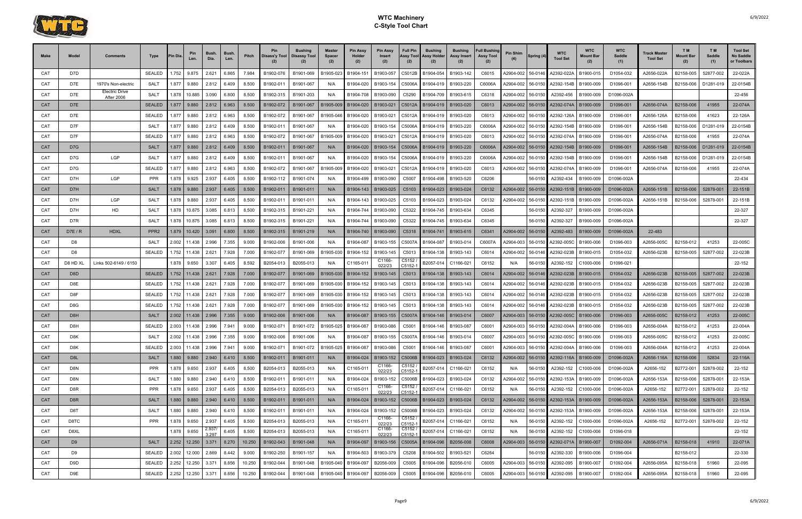

| Make       | Model          | Comments                            | Type             | 'in Dia | Pin<br>Len.                   | <b>Bush</b><br>Dia. | <b>Bush</b><br>Len. | Pitch  | Pin<br>Disass'y Tool | <b>Bushing</b><br><b>Disassy Tool</b> | <b>Master</b><br><b>Spacer</b><br>(2) | <b>Pin Assy</b><br>Holder<br>(2) | <b>Pin Assy</b><br><b>Insert</b><br>(2)  | <b>Full Pin</b><br>Assy Tool<br>(2) | <b>Bushing</b><br>Assy Holder<br>(2) | <b>Bushing</b><br>Assy Insert<br>(2) | <b>Full Bushing</b><br><b>Assy Tool</b><br>(2) | Pin Shim  | Spring (4) | <b>WTC</b><br><b>Tool Set</b>  | <b>WTC</b><br><b>Mount Bar</b> | <b>WTC</b><br><b>Saddle</b><br>(1) | Track Master<br><b>Tool Set</b> | T M<br><b>Mount Bar</b><br>(2) | T <sub>M</sub><br>Saddle<br>(1) | <b>Tool Set</b><br>No Saddle<br>or Toolbars |
|------------|----------------|-------------------------------------|------------------|---------|-------------------------------|---------------------|---------------------|--------|----------------------|---------------------------------------|---------------------------------------|----------------------------------|------------------------------------------|-------------------------------------|--------------------------------------|--------------------------------------|------------------------------------------------|-----------|------------|--------------------------------|--------------------------------|------------------------------------|---------------------------------|--------------------------------|---------------------------------|---------------------------------------------|
| CAT        | D7D            |                                     | <b>SEALED</b>    | .752    | 9.875                         | 2.621               | 6.865               | 7.984  | B1902-076            | B1901-069                             | B1905-023                             | B1904-151                        | B1903-057                                | C5012B                              | B1904-054                            | B1903-142                            | C6015                                          | A2904-002 | 56-0146    | A2392-022A                     | B1900-015                      | D1054-032                          | A2656-022A                      | B2158-005                      | 52877-002                       | 22-022A                                     |
| CAT        | D7E            | 1970's Non-electric                 | <b>SALT</b>      | 1.877   | 9.880                         | 2.812               | 6.409               | 8.500  | B1902-011            | B1901-067                             | N/A                                   | B1904-020                        | B1903-154                                | C5006A                              | B1904-019                            | B1903-220                            | C6006A                                         | A2904-002 | 56-0150    | A2392-154B                     | B1900-009                      | D1096-001                          | A2656-154B                      | B2158-006                      | D1281-019                       | 22-0154B                                    |
| CAT        | D7E            | <b>Electric Drive</b><br>After 2006 | <b>SALT</b>      | 1.878   | 10.885                        | 3.090               | 6.800               | 8.500  | B1902-315            | B1901-203                             | N/A                                   | B1904-708                        | B1903-090                                | C5290                               | B1904-709                            | B1903-615                            | C6318                                          | A2904-002 | 56-0150    | A2392-456                      | B1900-009                      | D1096-002A                         |                                 |                                |                                 | 22-456                                      |
| <b>CAT</b> | D7E            |                                     | <b>SEALED</b>    | 1.877   | 9.880                         | 2.812               | 6.963               | 8.500  | B1902-072            | B1901-067                             | B1905-009                             | B1904-020                        | B1903-021                                | C5012A                              | B1904-019                            | B1903-020                            | C6013                                          | A2904-002 | 56-0150    | A2392-074A                     | B1900-009                      | D1096-001                          | A2656-074A                      | B2158-006                      | 41955                           | 22-074A                                     |
| CAT        | D7E            |                                     | <b>SEALED</b>    | 1.877   | 9.880                         | 2.812               | 6.963               | 8.500  | B1902-072            | B1901-067                             | B1905-046                             | B1904-020                        | B1903-021                                | C5012A                              | B1904-019                            | B1903-020                            | C6013                                          | A2904-002 | 56-0150    | A2392-126A                     | B1900-009                      | D1096-001                          | A2656-126A                      | B2158-006                      | 41623                           | 22-126A                                     |
| CAT        | D7F            |                                     | <b>SALT</b>      | 1.877   | 9.880                         | 2.812               | 6.409               | 8.500  | B1902-01             | B1901-067                             | N/A                                   | B1904-020                        | B1903-154                                | C5006A                              | B1904-019                            | B1903-220                            | C6006A                                         | A2904-002 | 56-0150    | A2392-154B                     | B1900-009                      | D1096-00                           | A2656-154B                      | B2158-006                      | D1281-019                       | 22-0154B                                    |
| CAT        | D7F            |                                     | <b>SEALED</b>    | 1.877   | 9.880                         | 2.812               | 6.963               | 8.500  | B1902-072            | B1901-067                             | B1905-009                             | B1904-020                        | B1903-021                                | C5012A                              | B1904-019                            | B1903-020                            | C6013                                          | A2904-002 | 56-0150    | A2392-074A                     | B1900-009                      | D1096-001                          | A2656-074A                      | B2158-006                      | 41955                           | 22-074A                                     |
| <b>CAT</b> | D7G            |                                     | <b>SALT</b>      | 1.877   | 9.880                         | 2.812               | 6.409               | 8.500  | B1902-011            | B1901-067                             | N/A                                   | B1904-020                        | B1903-154                                | C5006A                              | B1904-019                            | B1903-220                            | C6006A                                         | A2904-002 | 56-0150    | A2392-154B                     | B1900-009                      | D1096-001                          | A2656-154B                      | B2158-006                      | D1281-019                       | 22-0154B                                    |
| CAT        | D7G            | LGP                                 | SAL <sub>1</sub> | 1.877   | 9.880                         | 2.812               | 6.409               | 8.500  | B1902-01             | B1901-067                             | N/A                                   | B1904-020                        | B1903-154                                | C5006A                              | B1904-019                            | B1903-220                            | C6006A                                         | A2904-002 | 56-0150    | A2392-154B                     | B1900-009                      | D1096-00                           | A2656-154B                      | B2158-006                      | D1281-019                       | 22-0154B                                    |
| CAT        | D7G            |                                     | <b>SEALED</b>    | 1.877   | 9.880                         | 2.812               | 6.963               | 8.500  | B1902-072            | B1901-067                             | B1905-009                             | B1904-020                        | B1903-021                                | C5012A                              | B1904-019                            | B1903-020                            | C6013                                          | A2904-002 | 56-0150    | A2392-074A                     | B1900-009                      | D1096-001                          | A2656-074A                      | B2158-006                      | 41955                           | 22-074A                                     |
| CAT        | D7H            | LGP                                 | <b>PPR</b>       | 1.878   | 9.925                         | 2.937               | 6.405               | 8.500  | B1902-112            | B1901-074                             | N/A                                   | B1904-499                        | B1903-090                                | C5007                               | B1904-498                            | B1903-520                            | C6206                                          |           | 56-0150    | A2392-434                      | B1900-009                      | D1096-002A                         |                                 |                                |                                 | 22-434                                      |
| <b>CAT</b> | D7H            |                                     | <b>SALT</b>      | 1.878   | 9.880                         | 2.937               | 6.405               | 8.500  | B1902-011            | B1901-011                             | N/A                                   | B1904-143                        | B1903-025                                | C5103                               | B1904-023                            | B1903-024                            | C6132                                          | A2904-002 | 56-0150    | A2392-151B                     | B1900-009                      | D1096-002A                         | A2656-151B                      | B2158-006                      | 52878-001                       | 22-151B                                     |
| CAT        | D7H            | LGP                                 | <b>SALT</b>      | 1.878   | 9.880                         | 2.937               | 6.405               | 8.500  | B1902-01             | B1901-011                             | N/A                                   | B1904-143                        | B1903-025                                | C5103                               | B1904-023                            | B1903-024                            | C6132                                          | A2904-002 | 56-0150    | A2392-151B                     | B1900-009                      | D1096-002A                         | A2656-151B                      | B2158-006                      | 52878-001                       | 22-151B                                     |
| CAT        | D7H            | HD                                  | <b>SALT</b>      | 1.878   | 10.875                        | 3.085               | 6.813               | 8.500  | B1902-315            | B1901-221                             | N/A                                   | B1904-744                        | B1903-090                                | C5322                               | B1904-745                            | B1903-634                            | C6345                                          |           | 56-0150    | A2392-327                      | B1900-009                      | D1096-002A                         |                                 |                                |                                 | 22-327                                      |
| CAT        | D7R            |                                     | <b>SALT</b>      | .878    | 10.875                        | 3.085               | 6.813               | 8.500  | B1902-315            | B1901-221                             | N/A                                   | B1904-744                        | B1903-090                                | C5322                               | B1904-745                            | B1903-634                            | C6345                                          |           | 56-0150    | A2392-327                      | B1900-009                      | D1096-002A                         |                                 |                                |                                 | 22-327                                      |
| <b>CAT</b> | D7E/R          | <b>HDXL</b>                         | PPR <sub>2</sub> |         | 1.879 10.420                  | 3.091               | 6.800               | 8.500  | B1902-315            | B1901-219                             | N/A                                   | B1904-740                        | B1903-090                                | C5318                               | B1904-741                            | B1903-615                            | C6341                                          | A2904-002 | 56-0150    | A2392-483                      | B1900-009                      | D1096-002A                         | 22-483                          |                                |                                 |                                             |
| CAT        | D <sub>8</sub> |                                     | SALT             | 2.002   | 11.438                        | 2.996               | 7.355               | 9.000  | B1902-006            | B1901-006                             | N/A                                   | B1904-087                        | B1903-155                                | C5007A                              | B1904-087                            | B1903-014                            | C6007A                                         | A2904-003 | 56-0150    | A2392-005C                     | B1900-006                      | D1096-003                          | A2656-005C                      | B2158-012                      | 41253                           | 22-005C                                     |
| CAT        | D8             |                                     | <b>SEALED</b>    | .752    | 11.438                        | 2.621               | 7.928               | 7.000  | B1902-077            | B1901-069                             | B1905-030                             | B1904-152                        | B1903-145                                | C5013                               | B1904-138                            | B1903-143                            | C6014                                          | A2904-002 | 56-0146    | A2392-023B                     | B1900-015                      | D1054-032                          | A2656-023B                      | B2158-005                      | 52877-002                       | 22-023B                                     |
| CAT        | D8 HD XL       | Links 502-6149 / 6150               |                  | 1.878   | 9.650                         | 3.307               | 6.405               | 8.592  | B2054-013            | B2055-013                             | N/A                                   | C1165-011                        | C1166-<br>022/23                         | C5152<br>$C5152 -$                  | 32057-014                            | C1166-02                             | C6152                                          | N/A       | 56-0150    | A2392-152                      | C1000-006                      | D1096-021                          |                                 |                                |                                 | 22-152                                      |
| CAT        | D8D            |                                     | <b>SEALED</b>    |         | 1.752 11.438                  | 2.621               | 7.928               | 7.000  | B1902-077            | B1901-069                             | B1905-030                             | B1904-152                        | B1903-145                                | C <sub>5013</sub>                   | B1904-138                            | B1903-143                            | C6014                                          | A2904-002 | 56-0146    | A2392-023B                     | B1900-015                      | D1054-032                          | A2656-023B                      | B2158-005                      | 52877-002                       | 22-023B                                     |
| CAT        | D8E            |                                     | <b>SEALED</b>    | .752    | 11.438                        | 2.621               | 7.928               | 7.000  | B1902-077            | B1901-069                             | B1905-030                             | B1904-152                        | B1903-145                                | C5013                               | B1904-138                            | B1903-143                            | C6014                                          | A2904-002 | 56-0146    | A2392-023B                     | B1900-015                      | D1054-032                          | A2656-023B                      | B2158-005                      | 52877-002                       | 22-023B                                     |
| CAT        | D8F            |                                     | <b>SEALED</b>    | .752    | 11.438                        | 2.621               | 7.928               | 7.000  | B1902-077            | B1901-069                             | B1905-030                             | B1904-152                        | B1903-145                                | C5013                               | B1904-138                            | B1903-143                            | C6014                                          | A2904-002 | 56-0146    | A2392-023B                     | B1900-015                      | D1054-032                          | A2656-023B                      | B2158-005                      | 52877-002                       | 22-023B                                     |
| CAT        | D8G            |                                     | <b>SEALED</b>    | .752    | 11.438                        | 2.621               | 7.928               | 7.000  | B1902-077            | B1901-069                             | B1905-030                             | B1904-152                        | B1903-145                                | C5013                               | B1904-138                            | B1903-143                            | C6014                                          | A2904-002 | 56-0146    | A2392-023B                     | B1900-015                      | D1054-032                          | A2656-023B                      | B2158-005                      | 52877-002                       | 22-023B                                     |
| <b>CAT</b> | D8H            |                                     | <b>SALT</b>      |         | 2.002 11.438                  | 2.996               | 7.355               | 9.000  | B1902-006            | B1901-006                             | N/A                                   | B1904-087                        | B1903-155                                | C5007A                              | B1904-146                            | B1903-014                            | C6007                                          | A2904-003 | 56-0150    | A2392-005C   B1900-006         |                                | D1096-003                          | A2656-005C                      | B2158-012                      | 41253                           | 22-005C                                     |
| CAT        | D8H            |                                     | <b>SEALED</b>    | 2.003   | 11.438                        | 2.996               | 7.941               | 9.000  | B1902-071            | B1901-072                             | B1905-025                             | B1904-087                        | B1903-086                                | C5001                               | B1904-146                            | B1903-087                            | C6001                                          | A2904-003 | 56-0150    | A2392-004/                     | B1900-006                      | D1096-003                          | A2656-004A                      | B2158-012                      | 41253                           | 22-004A                                     |
| CAT        | D8K            |                                     | <b>SALT</b>      | 2.002   | 11.438                        | 2.996               | 7.355               | 9.000  | B1902-006            | B1901-006                             | N/A                                   |                                  | B1904-087   B1903-155   C5007A B1904-146 |                                     |                                      | B1903-014                            | C6007                                          | A2904-003 |            | 56-0150 A2392-005C B1900-006   |                                | D1096-003                          | A2656-005C                      | B2158-012                      | 41253                           | 22-005C                                     |
| CAT        | D8K            |                                     | <b>SEALED</b>    | 2.003   | 11.438                        | 2.996               | 7.941               | 9.000  | B1902-071            | B1901-072                             | B1905-025                             | B1904-087                        | B1903-086                                | C5001                               | B1904-146                            | B1903-087                            | C6001                                          | A2904-003 | 56-0150    | A2392-004A                     | B1900-006                      | D1096-003                          | A2656-004A                      | B2158-012                      | 41253                           | 22-004A                                     |
| <b>CAT</b> | D8L            |                                     | <b>SALT</b>      |         | 1.880   9.880   2.940   6.410 |                     |                     | 8.500  | B1902-011            | B1901-011                             | N/A                                   | B1904-024                        | B1903-152                                | C5006B                              |                                      | B1904-023   B1903-024                | C6132                                          | A2904-002 |            | 56-0150 A2392-116A   B1900-009 |                                | D1096-002A                         | A2656-116A                      | B2158-006                      | 52834                           | 22-116A                                     |
| CAT        | D8N            |                                     | <b>PPR</b>       |         | 1.878 9.650                   | 2.937               | 6.405               | 8.500  | B2054-013            | B2055-013                             | N/A                                   | C1165-011                        | C1166-<br>022/23                         | C5152<br>C5152-1                    | B2057-014                            | C1166-021                            | C6152                                          | N/A       | 56-0150    | A2392-152                      | C1000-006                      | D1096-002A                         | A2656-152                       | B2772-001                      | 52878-002                       | 22-152                                      |
| CAT        | D8N            |                                     | SALT             | 1.880   | 9.880                         | 2.940               | 6.410               | 8.500  | B1902-011            | B1901-011                             | N/A                                   | B1904-024                        | B1903-152                                | C5006B                              |                                      | B1904-023   B1903-024                | C6132                                          | A2904-002 | 56-0150    | A2392-153A                     | B1900-009                      | D1096-002A                         | A2656-153A                      | B2158-006                      | 52878-001                       | 22-153A                                     |
| CAT        | D8R            |                                     | <b>PPR</b>       |         | 1.878 9.650                   | 2.937               | 6.405               | 8.500  | B2054-013            | B2055-013                             | N/A                                   | C1165-011                        | C1166-<br>022/23                         | C5152<br>C5152-1                    | B2057-014                            | C1166-021                            | C6152                                          | N/A       | 56-0150    | A2392-152                      | C1000-006                      | D1096-002A                         | A2656-152                       | B2772-001                      | 52878-002                       | 22-152                                      |
| <b>CAT</b> | D8R            |                                     | <b>SALT</b>      |         | 1.880 9.880                   | 2.940               | 6.410               | 8.500  | B1902-011            | B1901-011                             | N/A                                   | B1904-024                        | B1903-152                                | C5006B                              | B1904-023                            | B1903-024                            | C6132                                          | A2904-002 |            | 56-0150 A2392-153A             | B1900-009                      | D1096-002A                         | A2656-153A                      | B2158-006                      | 52878-001                       | 22-153A                                     |
| CAT        | D8T            |                                     | <b>SALT</b>      | 1.880   | 9.880                         | 2.940               | 6.410               | 8.500  | B1902-011            | B1901-011                             | N/A                                   | B1904-024                        | B1903-152                                | C5006B                              | B1904-023                            | B1903-024                            | C6132                                          | A2904-002 | 56-0150    | A2392-153A                     | B1900-009                      | D1096-002A                         | A2656-153A                      | B2158-006                      | 52878-001                       | 22-153A                                     |
| CAT        | D8TC           |                                     | <b>PPR</b>       |         | 1.878 9.650                   | 2.937               | 6.405               | 8.500  | B2054-013            | B2055-013                             | N/A                                   | C1165-011                        | C1166-<br>022/23                         | C5152<br>C5152-1                    |                                      | B2057-014   C1166-021                | C6152                                          | N/A       | 56-0150    | A2392-152                      | C1000-006                      | D1096-002A                         | A2656-152                       | B2772-001                      | 52878-002                       | 22-152                                      |
| CAT        | D8XL           |                                     |                  |         | 1.878 9.650                   | 2.937/<br>3.297     | 6.405               | 8.500  | B2054-013            | B2055-013                             | N/A                                   | C1165-011                        | C1166-<br>022/23                         | C5152<br>C5152-1                    | B2057-014                            | C1166-021                            | C6152                                          | N/A       | 56-0150    | A2392-152                      | C1000-006                      | D1096-018                          |                                 |                                |                                 | 22-152                                      |
| CAT        | D <sub>9</sub> |                                     | <b>SALT</b>      |         | 2.252 12.250 3.371            |                     | 8.270               | 10.250 | B1902-043            | B1901-048                             | N/A                                   | B1904-097                        | B1903-156                                | C5005A                              | B1904-096                            | B2056-008                            | C6008                                          | A2904-003 | 56-0150    | A2392-071A                     | B1900-007                      | D1092-004                          | A2656-071A                      | B2158-018                      | 41910                           | 22-071A                                     |
| CAT        | D9             |                                     | SEALED           |         | 2.002   12.000   2.869        |                     | 8.442               | 9.000  | B1902-250            | B1901-157                             | N/A                                   | B1904-503                        | B1903-379                                | C5208                               | B1904-502                            | B1903-521                            | C6264                                          |           | 56-0150    | A2392-330                      | B1900-006                      | D1096-004                          |                                 | B2158-012                      |                                 | 22-330                                      |
| CAT        | D9D            |                                     | SEALED           |         | 2.252 12.250                  | 3.371               | 8.856               | 10.250 | B1902-044            | B1901-048                             | B1905-040                             | B1904-097                        | B2056-009                                | C5005                               | B1904-096                            | B2056-010                            | C6005                                          | A2904-003 | 56-0150    | A2392-095                      | B1900-007                      | D1092-004                          | A2656-095A                      | B2158-018                      | 51960                           | 22-095                                      |
| CAT        | D9E            |                                     | <b>SEALED</b>    | 2.252   | 12.250                        | 3.371               | 8.856               | 10.250 | B1902-044            | B1901-048                             | B1905-040                             | B1904-097                        | B2056-009                                | C5005                               | B1904-096                            | B2056-010                            | C6005                                          | A2904-003 | 56-0150    | A2392-095                      | B1900-007                      | D1092-004                          | A2656-095A                      | B2158-018                      | 51960                           | 22-095                                      |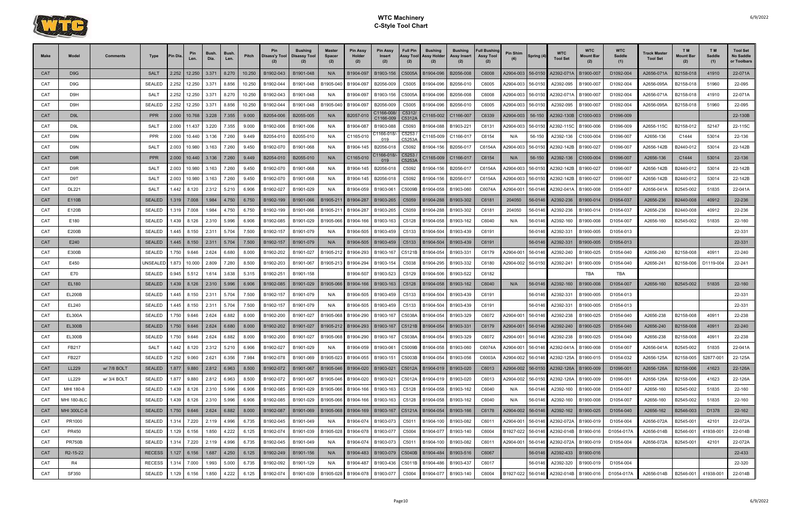

| <b>Make</b> | Model                 | <b>Comments</b> | Type            | Pin Dia | Len.          | Bush.<br>Dia.          | Bush.<br>Len. | Pitch  | Pin       | <b>Bushing</b><br>Disass'y Tool   Disassy Tool                                 | <b>Master</b><br>Spacer<br>(2) | <b>Pin Assy</b><br>Holder<br>(2) | <b>Pin Assy</b><br><b>Insert</b><br>(2) | <b>Full Pin</b><br>Assy Tool<br>(2) | <b>Bushing</b><br><b>Assy Holder</b><br>(2) | <b>Bushing</b><br>Assy Insert<br>(2) | <b>Full Bushing</b><br><b>Assy Tool</b><br>(2) | Pin Shim  | Spring (4) | <b>WTC</b><br><b>Tool Set</b> | <b>WTC</b><br>Mount Bar | <b>WTC</b><br>Saddle<br>(1) | <b>Track Master</b><br><b>Tool Set</b> | T M<br><b>Mount Bar</b><br>(2) | T M<br>Saddle<br>(1) | <b>Tool Set</b><br>No Saddle<br>or Toolbars |
|-------------|-----------------------|-----------------|-----------------|---------|---------------|------------------------|---------------|--------|-----------|--------------------------------------------------------------------------------|--------------------------------|----------------------------------|-----------------------------------------|-------------------------------------|---------------------------------------------|--------------------------------------|------------------------------------------------|-----------|------------|-------------------------------|-------------------------|-----------------------------|----------------------------------------|--------------------------------|----------------------|---------------------------------------------|
| <b>CAT</b>  | D <sub>9</sub> G      |                 | <b>SALT</b>     | 2.252   | 12.250        | 3.371                  | 8.270         | 10.250 | B1902-043 | B1901-048                                                                      | N/A                            | B1904-097                        | B1903-156                               | C5005A                              | B1904-096                                   | B2056-008                            | C6008                                          | A2904-003 | 56-0150    | A2392-071A                    | B1900-007               | D1092-004                   | A2656-071A                             | B2158-018                      | 41910                | 22-071A                                     |
| CAT         | D9G                   |                 | <b>SEALED</b>   | 2.252   | 12.250        | 3.371                  | 8.856         | 10.250 | B1902-044 | B1901-048                                                                      | B1905-040                      | B1904-097                        | B2056-009                               | C5005                               | B1904-096                                   | B2056-010                            | C6005                                          | A2904-003 | 56-0150    | A2392-095                     | B1900-007               | D1092-004                   | A2656-095A                             | B2158-018                      | 51960                | 22-095                                      |
| CAT         | D9H                   |                 | SALT            | 2.252   | 12.250        | 3.371                  | 8.270         | 10.250 | B1902-043 | B1901-048                                                                      | N/A                            | B1904-097                        | B1903-156                               | C5005A                              | B1904-096                                   | B2056-008                            | C6008                                          | A2904-003 | 56-0150    | A2392-071A                    | B1900-007               | D1092-004                   | A2656-071A                             | B2158-018                      | 41910                | 22-071A                                     |
| CAT         | D9H                   |                 | <b>SEALED</b>   | 2.252   | 12.250        | 3.371                  | 8.856         | 10.250 | B1902-044 | B1901-048                                                                      | B1905-040                      | B1904-097                        | B2056-009                               | C5005                               | B1904-096                                   | B2056-010                            | C6005                                          | A2904-003 | 56-0150    | A2392-095                     | B1900-007               | D1092-004                   | A2656-095A                             | B2158-018                      | 51960                | 22-095                                      |
| <b>CAT</b>  | D <sub>9</sub> L      |                 | <b>PPR</b>      | 2.000   | 10.768        | 3.228                  | 7.355         | 9.000  | B2054-006 | B2055-005                                                                      | N/A                            | B2057-010                        | C1166-008/<br>C1166-009                 | C5312/<br>C5312A                    | C1165-002                                   | C1166-007                            | C6339                                          | A2904-003 | 56-150     | A2392-130B                    | C1000-003               | D1096-009                   |                                        |                                |                      | 22-130B                                     |
| CAT         | D9L                   |                 | SALT            | 2.000   | 11.437        | 3.220                  | 7.355         | 9.000  | B1902-006 | B1901-006                                                                      | N/A                            | B1904-087                        | B1903-088                               | C5093                               | B1904-088                                   | B1903-221                            | C6131                                          | A2904-003 | 56-0150    | A2392-115C                    | B1900-006               | D1096-009                   | A2656-115C                             | B2158-012                      | 52147                | 22-115C                                     |
| CAT         | D9N                   |                 | <b>PPR</b>      | 2.000   | 10.440        | 3.136                  | 7.260         | 9.449  | B2054-010 | B2055-010                                                                      | N/A                            | C1165-010                        | C1166-018/-<br>019                      | C5253<br>C5253/                     | C1165-009                                   | C1166-01                             | C6154                                          | N/A       | 56-150     | A2392-136                     | C1000-004               | D1096-007                   | A2656-136                              | C1444                          | 53014                | 22-136                                      |
| CAT         | D9N                   |                 | <b>SALT</b>     | 2.003   | 10.980        | 3.163                  | 7.260         | 9.450  | B1902-070 | B1901-068                                                                      | N/A                            | B1904-145                        | B2056-018                               | C5092                               | B1904-156                                   | B2056-01                             | C6154A                                         | A2904-003 | 56-0150    | A2392-142B                    | B1900-027               | D1096-007                   | A2656-142B                             | B2440-012                      | 53014                | 22-142B                                     |
| <b>CAT</b>  | D <sub>9R</sub>       |                 | <b>PPR</b>      |         |               | 2.000   10.440   3.136 | 7.260         | 9.449  | B2054-010 | B2055-010                                                                      | N/A                            | C1165-010                        | C1166-018/<br>019                       | C5253<br>C5253A                     | C1165-009                                   | C1166-017                            | C6154                                          | N/A       | 56-150     | A2392-136                     | C1000-004               | D1096-007                   | A2656-136                              | C1444                          | 53014                | 22-136                                      |
| CAT         | D9R                   |                 | <b>SALT</b>     | 2.003   | 10.980        | 3.163                  | 7.260         | 9.450  | B1902-070 | B1901-068                                                                      | N/A                            | B1904-145                        | B2056-018                               | C5092                               | B1904-156                                   | B2056-01                             | C6154A                                         | A2904-003 | 56-0150    | A2392-142B                    | B1900-027               | D1096-007                   | A2656-142B                             | B2440-012                      | 53014                | 22-142B                                     |
| CAT         | D9T                   |                 | <b>SALT</b>     | 2.003   | 10.980        | 3.163                  | 7.260         | 9.450  | B1902-070 | B1901-068                                                                      | N/A                            | B1904-145                        | B2056-018                               | C5092                               | B1904-156                                   | B2056-01                             | C6154A                                         | A2904-003 | 56-0150    | A2392-142B                    | B1900-027               | D1096-007                   | A2656-142B                             | B2440-012                      | 53014                | 22-142B                                     |
| CAT         | <b>DL221</b>          |                 | SALT            | .442    | 8.120         | 2.312                  | 5.210         | 6.906  | B1902-027 | B1901-029                                                                      | N/A                            | B1904-059                        | B1903-061                               | C5009B                              | B1904-058                                   | B1903-060                            | C6074A                                         | A2904-001 | 56-0146    | A2392-041A                    | B1900-008               | D1054-007                   | A2656-041A                             | B2545-002                      | 51835                | 22-041A                                     |
| <b>CAT</b>  | E110B                 |                 | <b>SEALED</b>   |         | 1.319 7.008   | 1.984                  | 4.750         | 6.750  | B1902-199 | B1901-066                                                                      | B1905-211                      | B1904-287                        | B1903-265                               | C5059                               | B1904-288                                   | B1903-302                            | C6181                                          | 204050    | 56-0146    | A2392-236                     | B1900-014               | D1054-037                   | A2656-236                              | B2440-008                      | 40912                | 22-236                                      |
| CAT         | E120B                 |                 | SEALED          | 1.319   | 7.008         | 1.984                  | 4.750         | 6.750  | B1902-199 | B1901-066                                                                      | B1905-21                       | B1904-287                        | B1903-265                               | C5059                               | B1904-288                                   | B1903-302                            | C6181                                          | 204050    | 56-0146    | A2392-236                     | B1900-014               | D1054-037                   | A2656-236                              | B2440-008                      | 40912                | 22-236                                      |
| CAT         | E180                  |                 | SEALED          | .439    | 8.126         | 2.310                  | 5.996         | 6.906  | B1902-085 | B1901-029                                                                      | B1905-066                      | B1904-166                        | B1903-163                               | C5128                               | B1904-058                                   | B1903-162                            | C6040                                          | N/A       | 56-0146    | A2392-160                     | B1900-008               | D1054-007                   | A2656-160                              | B2545-002                      | 51835                | 22-160                                      |
| CAT         | E200B                 |                 | <b>SEALED</b>   | .445    | 8.150         | 2.311                  | 5.704         | 7.500  | B1902-157 | B1901-079                                                                      | N/A                            | B1904-505                        | B1903-459                               | C5133                               | B1904-504                                   | B1903-439                            | C6191                                          |           | 56-0146    | A2392-331                     | B1900-005               | D1054-013                   |                                        |                                |                      | 22-331                                      |
| CAT         | E240                  |                 | <b>SEALED</b>   | 1.445 I | 8.150         | 2.311                  | 5.704         | 7.500  | B1902-157 | B1901-079                                                                      | N/A                            | B1904-505                        | B1903-459                               | C5133                               | B1904-504                                   | B1903-439                            | C6191                                          |           | 56-0146    | A2392-331                     | B1900-005               | D1054-013                   |                                        |                                |                      | 22-331                                      |
| CAT         | E300B                 |                 | SEALED          | 1.750   | 9.646         | 2.624                  | 6.680         | 8.000  | B1902-202 | B1901-027                                                                      | B1905-212                      | B1904-293                        | B1903-167                               | C5121B                              | B1904-054                                   | B1903-33                             | C6179                                          | A2904-001 | 56-0146    | A2392-240                     | B1900-025               | D1054-040                   | A2656-240                              | B2158-008                      | 40911                | 22-240                                      |
| CAT         | E450                  |                 | <b>UNSEALED</b> | 1.873   | 10.000        | 2.809                  | 7.280         | 8.500  | B1902-203 | B1901-067                                                                      | B1905-213                      | B1904-294                        | B1903-154                               | C5038                               | B1904-295                                   | B1903-332                            | C6180                                          | A2904-002 | 56-0150    | A2392-241                     | B1900-009               | D1054-040                   | A2656-241                              | B2158-006                      | D1119-004            | 22-241                                      |
| CAT         | E70                   |                 | SEALED          | 0.945   | 5.512         | 1.614                  | 3.638         | 5.315  | B1902-251 | B1901-158                                                                      |                                | B1904-507                        | B1903-523                               | C5129                               | B1904-506                                   | B1903-522                            | C6182                                          |           |            |                               | <b>TBA</b>              | TBA                         |                                        |                                |                      |                                             |
| <b>CAT</b>  | EL180                 |                 | <b>SEALED</b>   | 1.439   | 8.126         | 2.310                  | 5.996         | 6.906  | B1902-085 | B1901-029                                                                      | B1905-066                      | B1904-166                        | B1903-163                               | C5128                               | B1904-058                                   | B1903-162                            | C6040                                          | N/A       | 56-0146    | A2392-160                     | B1900-008               | D1054-007                   | A2656-160                              | B2545-002                      | 51835                | 22-160                                      |
| CAT         | <b>EL200B</b>         |                 | <b>SEALED</b>   | .445    | 8.150         | 2.311                  | 5.704         | 7.500  | B1902-157 | B1901-079                                                                      | N/A                            | B1904-505                        | B1903-459                               | C5133                               | B1904-504                                   | B1903-439                            | C6191                                          |           | 56-0146    | A2392-331                     | B1900-005               | D1054-013                   |                                        |                                |                      | 22-331                                      |
| CAT         | EL240                 |                 | SEALED          | .445    | 8.150         | 2.311                  | 5.704         | 7.500  | B1902-157 | B1901-079                                                                      | N/A                            | B1904-505                        | B1903-459                               | C5133                               | B1904-504                                   | B1903-439                            | C6191                                          |           | 56-0146    | A2392-331                     | B1900-005               | D1054-013                   |                                        |                                |                      | 22-331                                      |
| CAT         | <b>EL300A</b>         |                 | SEALED          | 1.750   | 9.646         | 2.624                  | 6.882         | 8.000  | B1902-200 | B1901-027                                                                      | B1905-068                      | B1904-290                        | B1903-167                               | C5038A                              | B1904-054                                   | B1903-329                            | C6072                                          | A2904-001 | 56-0146    | A2392-238                     | B1900-025               | D1054-040                   | A2656-238                              | B2158-008                      | 40911                | 22-238                                      |
| CAT         | <b>EL300B</b>         |                 | <b>SEALED</b>   | 1.750   | 9.646         | 2.624                  | 6.680         | 8.000  | B1902-202 | B1901-027                                                                      | B1905-212                      | B1904-293                        | B1903-167                               | C5121B                              | B1904-054                                   | B1903-331                            | C6179                                          | A2904-001 | 56-0146    | A2392-240                     | B1900-025               | D1054-040                   | A2656-240                              | B2158-008                      | 40911                | 22-240                                      |
| CAT         | <b>EL300B</b>         |                 | SEALED 1.750    |         |               | 9.646 2.624 6.882      |               | 8.000  | B1902-200 | B1901-027   B1905-068   B1904-290   B1903-167   C5038A   B1904-054   B1903-329 |                                |                                  |                                         |                                     |                                             |                                      | C6072                                          |           |            | A2904-001 56-0146 A2392-238   | B1900-025               | D1054-040                   | A2656-238                              | B2158-008                      | 40911                | 22-238                                      |
| CAT         | FB217                 |                 | SALT            | .442    | 8.120         | 2.312                  | 5.210         | 6.906  | B1902-027 | B1901-029                                                                      | N/A                            | B1904-059                        | B1903-061                               | C5009B                              | B1904-058                                   | B1903-060                            | C6074A                                         | A2904-001 | 56-0146    | A2392-041A                    | B1900-008               | D1054-007                   | A2656-041A                             | B2545-002                      | 51835                | 22-041A                                     |
| CAT         | FB227                 |                 | SEALED          |         | 1.252 9.060   | 2.621                  | 6.356         | 7.984  | B1902-078 | B1901-069                                                                      | B1905-023                      | B1904-055                        | B1903-151                               | C5003B                              | B1904-054                                   | B1903-056                            | C6003A                                         | A2904-002 | 56-0146    | A2392-125A                    | B1900-015               | D1054-032                   | A2656-125A                             | B2158-005                      | 52877-001            | 22-125A                                     |
| <b>CAT</b>  | <b>LL229</b>          | w/ 7/8 BOLT     | SEALED          |         | 1.877 9.880   | 2.812                  | 6.963         | 8.500  | B1902-072 | B1901-067                                                                      | B1905-046                      | B1904-020                        | B1903-021                               | C5012A                              | B1904-019                                   | B1903-020                            | C6013                                          | A2904-002 |            | 56-0150 A2392-126A            | B1900-009               | D1096-001                   | A2656-126A                             | B2158-006                      | 41623                | 22-126A                                     |
| CAT         | LL229                 | w/ 3/4 BOLT     | SEALED          | 1.877   | 9.880         | 2.812                  | 6.963         | 8.500  | B1902-072 | B1901-067                                                                      | B1905-046                      | B1904-020                        | B1903-021                               | C5012A                              | B1904-019                                   | B1903-020                            | C6013                                          | A2904-002 | 56-0150    | A2392-126A                    | B1900-009               | D1096-001                   | A2656-126A                             | B2158-006                      | 41623                | 22-126A                                     |
| CAT         | MHI 180-8             |                 | SEALED          |         | 1.439 8.126   | 2.310                  | 5.996         | 6.906  | B1902-085 | B1901-029                                                                      | B1905-066                      | B1904-166                        | B1903-163                               | C5128                               | B1904-058                                   | B1903-162                            | C6040                                          | N/A       | 56-0146    | A2392-160                     | B1900-008               | D1054-007                   | A2656-160                              | B2545-002                      | 51835                | 22-160                                      |
| CAT         | MHI 180-8LC           |                 | SEALED          |         | 1.439 8.126   | 2.310                  | 5.996         | 6.906  | B1902-085 | B1901-029                                                                      | B1905-066                      | B1904-166                        | B1903-163                               | C5128                               | B1904-058                                   | B1903-162                            | C6040                                          | N/A       | 56-0146    | A2392-160                     | B1900-008               | D1054-007                   | A2656-160                              | B2545-002                      | 51835                | 22-160                                      |
| <b>CAT</b>  | MHI 300LC-8           |                 | <b>SEALED</b>   |         | 1.750 9.646   | 2.624                  | 6.882         | 8.000  | B1902-087 | B1901-069                                                                      | B1905-068                      | B1904-169                        | B1903-167                               |                                     | C5121A B1904-054                            | B1903-166                            | C6178                                          | A2904-002 |            | 56-0146 A2392-162             | B1900-025               | D1054-040                   | A2656-162                              | B2546-003                      | D1378                | 22-162                                      |
| CAT         | PR1000                |                 | SEALED          |         | 1.314 7.220   | 2.119                  | 4.996         | 6.735  | B1902-045 | B1901-049                                                                      | N/A                            | B1904-074                        | B1903-073                               | C5011                               | B1904-100                                   | B1903-082                            | C6011                                          | A2904-001 | 56-0146    | A2392-072A                    | B1900-019               | D1054-004                   | A2656-072A                             | B2545-001                      | 42101                | 22-072A                                     |
| CAT         | PR450                 |                 | SEALED          |         | 1.129 6.156   | 1.850                  | 4.222         | 6.125  | B1902-074 | B1901-039                                                                      | B1905-028                      | B1904-078                        | B1903-077                               | C5004                               | B1904-077                                   | B1903-140                            | C6004                                          | B1927-022 | 56-0146    | A2392-014B                    | B1900-016               | D1054-017A                  | A2656-014B                             | B2546-001                      | 41938-001            | 22-014B                                     |
| CAT         | <b>PR750B</b>         |                 | SEALED          |         | 1.314 7.220   | 2.119                  | 4.996         | 6.735  | B1902-045 | B1901-049                                                                      | N/A                            | B1904-074                        | B1903-073                               | C5011                               | B1904-100                                   | B1903-082                            | C6011                                          | A2904-001 | 56-0146    | A2392-072A                    | B1900-019               | D1054-004                   | A2656-072A                             | B2545-001                      | 42101                | 22-072A                                     |
| <b>CAT</b>  | R <sub>2</sub> -15-22 |                 | <b>RECESS</b>   |         | $1.127$ 6.156 | 1.687                  | 4.250         | 6.125  | B1902-249 | B1901-156                                                                      | N/A                            | B1904-483                        | B1903-079                               | C5040B                              | B1904-484                                   | B1903-516                            | C6067                                          |           | 56-0146    | A2392-433                     | B1900-016               |                             |                                        |                                |                      | 22-433                                      |
| CAT         | R4                    |                 | <b>RECESS</b>   |         | 1.314 7.000   | 1.993                  | 5.000         | 6.735  | B1902-092 | B1901-129                                                                      | N/A                            | B1904-487                        | B1903-436                               | C5011B                              | B1904-486                                   | B1903-437                            | C6017                                          |           | 56-0146    | A2392-320                     | B1900-019               | D1054-004                   |                                        |                                |                      | 22-320                                      |
| CAT         | SF350                 |                 | SEALED          |         | .129 6.156    | 1.850                  | 4.222         | 6.125  | B1902-074 | B1901-039                                                                      | B1905-028                      | B1904-078                        | B1903-077                               | C5004                               | B1904-077                                   | B1903-140                            | C6004                                          | B1927-022 | 56-0146    | A2392-014B                    | B1900-016               | D1054-017A                  | A2656-014B                             | B2546-001                      | 41938-001            | 22-014B                                     |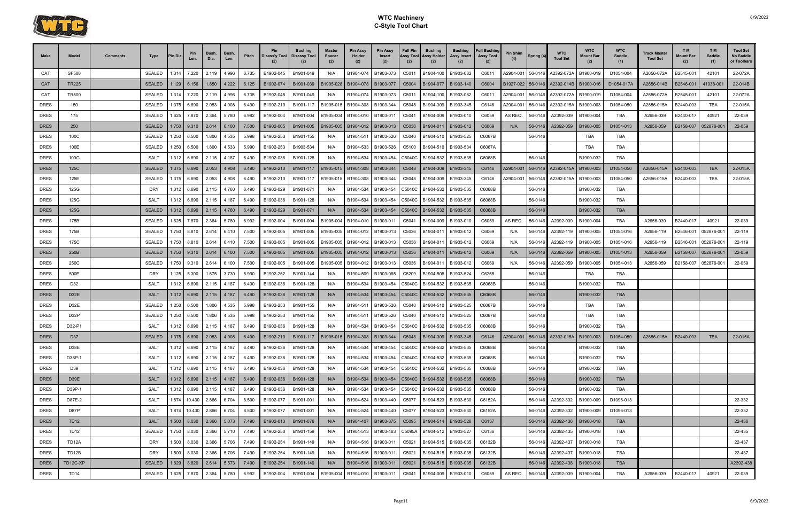

| Make        | Model             | Comments | Type                           | <b>Pin Dia</b> | Pin<br>Len.               | <b>Bush</b><br>Dia. | Bush.<br>Len. | Pitch | <b>Pin</b><br>Disass'y Tool   Disassy Tool | <b>Bushing</b>                                                                    | Master<br><b>Spacer</b><br>(2) | Pin Assy<br>Holder<br>(2) | <b>Pin Assy</b><br>Insert<br>(2) | <b>Full Pin</b><br>Assy Tool<br>(2) | <b>Bushing</b><br><b>Assy Holder</b><br>(2) | <b>Bushing</b><br>Assy Insert | <b>Full Bushing</b><br><b>Assy Tool</b> | <b>Pin Shim</b> | Spring (4   | WTC<br><b>Tool Set</b>                       | <b>WTC</b><br><b>Mount Bar</b><br>(2) | <b>WTC</b><br>Saddle<br>(1) | Track Master<br><b>Tool Set</b> | <b>TM</b><br><b>Mount Bar</b><br>(2) | T M<br>Saddle<br>(1) | <b>Tool Set</b><br>No Saddle<br>or Toolbars |
|-------------|-------------------|----------|--------------------------------|----------------|---------------------------|---------------------|---------------|-------|--------------------------------------------|-----------------------------------------------------------------------------------|--------------------------------|---------------------------|----------------------------------|-------------------------------------|---------------------------------------------|-------------------------------|-----------------------------------------|-----------------|-------------|----------------------------------------------|---------------------------------------|-----------------------------|---------------------------------|--------------------------------------|----------------------|---------------------------------------------|
| CAT         | <b>SF500</b>      |          | <b>SEALED</b>                  |                | 1.314 7.220               | 2.119               | 4.996         | 6.735 | B1902-045                                  | B1901-049                                                                         | N/A                            | B1904-074                 | B1903-073                        | C5011                               | B1904-100                                   | B1903-082                     | C6011                                   | A2904-001       | 56-0146     | A2392-072A                                   | B1900-019                             | D1054-004                   | A2656-072A                      | B2545-001                            | 42101                | 22-072A                                     |
| <b>CAT</b>  | <b>TR225</b>      |          | <b>SEALED</b>                  |                | $.129$ 6.156              | 1.850               | 4.222         | 6.125 | B1902-074                                  | B1901-039                                                                         | B1905-028                      | B1904-078                 | B1903-077                        | C5004                               | B1904-077                                   | B1903-140                     | C6004                                   | B1927-022       |             | 56-0146 A2392-014B   B1900-016               |                                       | D1054-017A                  | A2656-014B                      | B2546-001                            | 41938-00             | 22-014B                                     |
| CAT         | <b>TR500</b>      |          | <b>SEALED</b>                  |                | 1.314 7.220               | 2.119               | 4.996         | 6.735 | B1902-045                                  | B1901-049                                                                         | N/A                            | B1904-074                 | B1903-073                        | C5011                               | B1904-100   B1903-082                       |                               | C6011                                   | A2904-001       | 56-0146     | A2392-072A                                   | B1900-019                             | D1054-004                   | A2656-072A                      | B2545-001                            | 42101                | 22-072A                                     |
| <b>DRES</b> | 150               |          | <b>SEALED</b>                  | 1.375          | 6.690                     | 2.053               | 4.908         | 6.490 | B1902-210                                  | B1901-117                                                                         | B1905-015                      | B1904-308                 | B1903-344                        | C5048                               | B1904-309                                   | B1903-345                     | C6146                                   | A2904-001       | 56-0146     | A2392-015A                                   | B1900-003                             | D1054-050                   | A2656-015A                      | B2440-003                            | TBA                  | 22-015A                                     |
| DRES        | 175               |          | <b>SEALED</b>                  | 1.625          | 7.870                     | 2.364               | 5.780         | 6.992 | B1902-004                                  | B1901-004                                                                         | B1905-004                      | B1904-010                 | B1903-011                        | C5041                               | B1904-009                                   | B1903-010                     | C6059                                   | AS REQ.         | 56-0146     | A2392-039                                    | B1900-004                             | TBA                         | A2656-039                       | B2440-017                            | 40921                | 22-039                                      |
| <b>DRES</b> | 250               |          | <b>SEALED</b>                  |                | 1.750 9.310               | 2.614               | 6.100         | 7.500 | B1902-005                                  | B1901-005                                                                         | B1905-005                      | B1904-012                 | B1903-013                        | C <sub>5036</sub>                   | B1904-011                                   | B1903-012                     | C6069                                   | N/A             | 56-0146     | A2392-059                                    | B1900-005                             | D1054-013                   | A2656-059                       | B2158-007                            | 052876-001           | 22-059                                      |
| DRES        | 100C              |          | <b>SEALED</b>                  | 1.250          | 6.500                     | 1.806               | 4.535         | 5.998 | B1902-253                                  | B1901-155                                                                         | N/A                            | B1904-511                 | B1903-526                        | C5040                               | B1904-510   B1903-525                       |                               | C6067B                                  |                 | 56-0146     |                                              | TBA                                   | TBA                         |                                 |                                      |                      |                                             |
| <b>DRES</b> | 100E              |          | <b>SEALED</b>                  | 1.250          | 6.500                     | 1.800               | 4.533         | 5.990 | B1902-253                                  | B1903-534                                                                         | N/A                            | B1904-533                 | B1903-526                        | C5100                               | B1904-510                                   | B1903-534                     | C6067A                                  |                 |             |                                              | TBA                                   | TBA                         |                                 |                                      |                      |                                             |
| <b>DRES</b> | 100G              |          | <b>SALT</b>                    | 1.312          | 6.690                     | 2.115               | 4.187         | 6.490 | B1902-036                                  | B1901-128                                                                         | N/A                            | B1904-534                 | B1903-454                        | C5040C                              | B1904-532   B1903-535                       |                               | C6068B                                  |                 | 56-0146     |                                              | B1900-032                             | TBA                         |                                 |                                      |                      |                                             |
| <b>DRES</b> | 125C              |          | <b>SEALED</b>                  |                | 1.375 6.690               | 2.053               | 4.908         | 6.490 | B1902-210                                  | B1901-117                                                                         | B1905-015                      | B1904-308                 | B1903-344                        | C5048                               | B1904-309                                   | B1903-345                     | C6146                                   | A2904-001       |             | 56-0146 A2392-015A                           | B1900-003                             | D1054-050                   | A2656-015A                      | B2440-003                            | <b>TBA</b>           | 22-015A                                     |
| <b>DRES</b> | 125E              |          | <b>SEALED</b>                  | 1.375          | 6.690                     | 2.053               | 4.908         | 6.490 | B1902-210                                  | B1901-117                                                                         | B1905-015                      | B1904-308                 | B1903-344                        | C5048                               | B1904-309                                   | B1903-345                     | C6146                                   | A2904-001       | 56-0146     | A2392-015A                                   | B1900-003                             | D1054-050                   | A2656-015A                      | B2440-003                            | TBA                  | 22-015A                                     |
| <b>DRES</b> | 125G              |          | DRY                            | 1.312          | 6.690                     | 2.115               | 4.760         | 6.490 | B1902-029                                  | B1901-071                                                                         | N/A                            | B1904-534                 | B1903-454                        | C5040C                              | B1904-532   B1903-535                       |                               | C6068B                                  |                 | 56-0146     |                                              | B1900-032                             | TBA                         |                                 |                                      |                      |                                             |
| <b>DRES</b> | 125G              |          | <b>SALT</b>                    | 1.312          | 6.690                     | 2.115               | 4.187         | 6.490 | B1902-036                                  | B1901-128                                                                         | N/A                            | B1904-534                 | B1903-454                        | C5040C                              | B1904-532                                   | B1903-535                     | C6068B                                  |                 | 56-0146     |                                              | B1900-032                             | <b>TBA</b>                  |                                 |                                      |                      |                                             |
| <b>DRES</b> | 125G              |          | <b>SEALED</b>                  |                | $1.312 \mid 6.690$        | 2.115               | 4.760         | 6.490 | B1902-029                                  | B1901-071                                                                         | N/A                            | B1904-534                 | B1903-454                        | C5040C                              | B1904-532                                   | B1903-535                     | C6068B                                  |                 | 56-0146     |                                              | B1900-032                             | <b>TBA</b>                  |                                 |                                      |                      |                                             |
| <b>DRES</b> | 175B              |          | <b>SEALED</b>                  | 1.625          | 7.870                     | 2.364               | 5.780         | 6.992 | B1902-004                                  | B1901-004                                                                         | B1905-004                      | B1904-010                 | B1903-011                        | C5041                               | B1904-009                                   | B1903-010                     | C6059                                   | AS REQ.         | 56-0146     | A2392-039                                    | B1900-004                             | TBA                         | A2656-039                       | B2440-017                            | 40921                | 22-039                                      |
| <b>DRES</b> | 175B              |          | SEALED                         | 1.750          | 8.810                     | 2.614               | 6.410         | 7.500 | B1902-005                                  | B1901-005                                                                         | B1905-005                      | B1904-012                 | B1903-013                        | C5036                               | B1904-011                                   | B1903-012                     | C6069                                   | N/A             | 56-0146     | A2392-119                                    | B1900-005                             | D1054-016                   | A2656-119                       | B2546-001                            | 052876-00            | 22-119                                      |
| <b>DRES</b> | 175C              |          | <b>SEALED</b>                  |                | 1.750 8.810               | 2.614               | 6.410         | 7.500 | B1902-005                                  | B1901-005                                                                         | B1905-005                      | B1904-012                 | B1903-013                        | C5036                               | B1904-011                                   | B1903-012                     | C6069                                   | N/A             | 56-0146     | A2392-119                                    | B1900-005                             | D1054-016                   | A2656-119                       | B2546-001                            | 052876-00            | 22-119                                      |
| <b>DRES</b> | 250B              |          | <b>SEALED</b>                  |                | 1.750   9.310   2.614     |                     | 6.100         | 7.500 | B1902-005                                  | B1901-005                                                                         | B1905-005                      | B1904-012                 | B1903-013                        | C5036                               | B1904-011                                   | B1903-012                     | C6069                                   | N/A             | 56-0146     | A2392-059                                    | B1900-005                             | D1054-013                   | A2656-059                       | B2158-007                            | 052876-00            | 22-059                                      |
| DRES        | 250C              |          | <b>SEALED</b>                  | 1.750          | 9.310                     | 2.614               | 6.100         | 7.500 | B1902-005                                  | B1901-005                                                                         | B1905-005                      | B1904-012                 | B1903-013                        | C5036                               | B1904-011                                   | B1903-012                     | C6069                                   | N/A             | 56-0146     | A2392-059                                    | B1900-005                             | D1054-013                   | A2656-059                       | B2158-007                            | 052876-00            | 22-059                                      |
| <b>DRES</b> | 500E              |          | DRY                            |                | 1.125 5.300               | 1.675               | 3.730         | 5.990 | B1902-252                                  | B1901-144                                                                         | N/A                            | B1904-509                 | B1903-065                        | C5209                               | B1904-508                                   | B1903-524                     | C6265                                   |                 | 56-0146     |                                              | TBA                                   | TBA                         |                                 |                                      |                      |                                             |
| <b>DRES</b> | D32               |          | SALT                           |                | 1.312 6.690               | 2.115               | 4.187         | 6.490 | B1902-036                                  | B1901-128                                                                         | N/A                            | B1904-534                 | B1903-454                        | C5040C                              | B1904-532   B1903-535                       |                               | C6068B                                  |                 | 56-0146     |                                              | B1900-032                             | TBA                         |                                 |                                      |                      |                                             |
| <b>DRES</b> | D <sub>32</sub> E |          | <b>SALT</b>                    |                | $1.312 \mid 6.690$        | 2.115               | 4.187         | 6.490 | B1902-036                                  | B1901-128                                                                         | N/A                            | B1904-534                 | B1903-454                        | C5040C                              | B1904-532                                   | B1903-535                     | C6068B                                  |                 | 56-0146     |                                              | B1900-032                             | <b>TBA</b>                  |                                 |                                      |                      |                                             |
| <b>DRES</b> | D32E              |          | <b>SEALED</b>                  | 1.250          | 6.500                     | 1.806               | 4.535         | 5.998 | B1902-253                                  | B1901-155                                                                         | N/A                            | B1904-511                 | B1903-526                        | C5040                               | B1904-510   B1903-525                       |                               | C6067B                                  |                 | 56-0146     |                                              | TBA                                   | <b>TBA</b>                  |                                 |                                      |                      |                                             |
| <b>DRES</b> | D32P              |          | <b>SEALED</b>                  |                | 1.250 6.500               | 1.806               | 4.535         | 5.998 | B1902-253                                  | B1901-155                                                                         | N/A                            | B1904-511                 | B1903-526                        | C5040                               | B1904-510   B1903-525                       |                               | C6067B                                  |                 | 56-0146     |                                              | TBA                                   | TBA                         |                                 |                                      |                      |                                             |
| <b>DRES</b> | D32-P1            |          | <b>SALT</b>                    | 1.312          | 6.690                     | 2.115               | 4.187         | 6.490 | B1902-036                                  | B1901-128                                                                         | N/A                            | B1904-534                 | B1903-454                        | C5040C                              | B1904-532   B1903-535                       |                               | C6068B                                  |                 | 56-0146     |                                              | B1900-032                             | TBA                         |                                 |                                      |                      |                                             |
| <b>DRES</b> | D37               |          | SEALED 1.375 6.690 2.053 4.908 |                |                           |                     |               |       |                                            | 6.490 B1902-210 B1901-117 B1905-015 B1904-308 B1903-344 C5048 B1904-309 B1903-345 |                                |                           |                                  |                                     |                                             |                               |                                         |                 |             | C6146 A2904-001 56-0146 A2392-015A B1900-003 |                                       | D1054-050                   | A2656-015A                      | B2440-003                            | <b>TBA</b>           | 22-015A                                     |
| <b>DRES</b> | D38E              |          | SALT                           |                | 1.312 6.690               | 2.115 4.187         |               | 6.490 | B1902-036                                  | B1901-128                                                                         | N/A                            | B1904-534                 | B1903-454                        |                                     | C5040C B1904-532 B1903-535                  |                               | C6068B                                  |                 | 56-0146     |                                              | B1900-032                             | TBA                         |                                 |                                      |                      |                                             |
| DRES        | D38P-1            |          | SALT                           |                | 1.312 6.690               | 2.115               | 4.187         | 6.490 | B1902-036                                  | B1901-128                                                                         | N/A                            | B1904-534                 |                                  |                                     | B1903-454   C5040C   B1904-532   B1903-535  |                               | C6068B                                  |                 | 56-0146     |                                              | B1900-032                             | TBA                         |                                 |                                      |                      |                                             |
| <b>DRES</b> | D39               |          | SALT                           |                | 1.312 6.690               | 2.115               | 4.187         | 6.490 | B1902-036                                  | B1901-128                                                                         | N/A                            | B1904-534                 |                                  |                                     | B1903-454   C5040C   B1904-532   B1903-535  |                               | C6068B                                  |                 | 56-0146     |                                              | B1900-032                             | <b>TBA</b>                  |                                 |                                      |                      |                                             |
| <b>DRES</b> | D39E              |          | <b>SALT</b>                    |                | $1.312$ 6.690 2.115 4.187 |                     |               | 6.490 | B1902-036                                  | B1901-128                                                                         | N/A                            | B1904-534                 | B1903-454                        |                                     | C5040C B1904-532 B1903-535                  |                               | C6068B                                  |                 | 56-0146     |                                              | B1900-032                             | <b>TBA</b>                  |                                 |                                      |                      |                                             |
| <b>DRES</b> | D39P-1            |          | SALT                           |                | 1.312 6.690               | 2.115               | 4.187         | 6.490 | B1902-036                                  | B1901-128                                                                         | N/A                            | B1904-534                 | B1903-454                        |                                     | C5040C B1904-532 B1903-535                  |                               | C6068B                                  |                 | 56-0146     |                                              | B1900-032                             | TBA                         |                                 |                                      |                      |                                             |
| <b>DRES</b> | D87E-2            |          | SALT                           |                | 1.874 10.430              | 2.866               | 6.704         | 8.500 | B1902-077                                  | B1901-001                                                                         | N/A                            | B1904-524                 | B1903-440                        |                                     | C5077 B1904-523 B1903-530                   |                               | C6152A                                  |                 | 56-0146     | A2392-332                                    | B1900-009                             | D1096-013                   |                                 |                                      |                      | 22-332                                      |
| <b>DRES</b> | D87P              |          | <b>SALT</b>                    |                | 1.874 10.430 2.866        |                     | 6.704         | 8.500 | B1902-077                                  | B1901-001                                                                         | N/A                            | B1904-524                 | B1903-440                        |                                     | C5077 B1904-523 B1903-530                   |                               | C6152A                                  |                 | 56-0146     | A2392-332                                    | B1900-009                             | D1096-013                   |                                 |                                      |                      | 22-332                                      |
| <b>DRES</b> | TD <sub>12</sub>  |          | <b>SALT</b>                    |                | 1.500 8.030 2.366         |                     | 5.073         | 7.490 | B1902-013                                  | B1901-076                                                                         | N/A                            |                           | B1904-407   B1903-375            |                                     | C5095   B1904-514   B1903-528               |                               | C6137                                   |                 | $56 - 0146$ | A2392-436   B1900-018                        |                                       | <b>TBA</b>                  |                                 |                                      |                      | 22-436                                      |
| <b>DRES</b> | TD12              |          | <b>SEALED</b>                  |                | 1.750 8.030               | 2.366               | 5.710         | 7.490 | B1902-250                                  | B1901-159                                                                         | N/A                            | B1904-513                 | B1903-463                        |                                     | C5095A B1904-512 B1903-527                  |                               | C6136                                   |                 | 56-0146     | A2392-435                                    | B1900-018                             | <b>TBA</b>                  |                                 |                                      |                      | 22-435                                      |
| <b>DRES</b> | TD12A             |          | DRY                            |                | 1.500 8.030               | 2.366               | 5.706         | 7.490 | B1902-254                                  | B1901-149                                                                         | N/A                            | B1904-516                 | B1903-011                        |                                     | C5021 B1904-515 B1903-035                   |                               | C6132B                                  |                 | 56-0146     | A2392-437                                    | B1900-018                             | TBA                         |                                 |                                      |                      | 22-437                                      |
| <b>DRES</b> | TD12B             |          | DRY                            |                | 1.500 8.030               | 2.366               | 5.706         | 7.490 | B1902-254                                  | B1901-149                                                                         | N/A                            | B1904-516                 | B1903-011                        | C5021                               | B1904-515 B1903-035                         |                               | C6132B                                  |                 | 56-0146     | A2392-437                                    | B1900-018                             | TBA                         |                                 |                                      |                      | 22-437                                      |
| <b>DRES</b> | TD12C-XP          |          | <b>SEALED</b>                  |                | $1.629$ 8.820 2.614       |                     | 5.573         | 7.490 | B1902-254                                  | B1901-149                                                                         | N/A                            |                           | B1904-516   B1903-011            |                                     | C5021   B1904-515   B1903-035               |                               | C6132B                                  |                 | 56-0146     | A2392-438                                    | B1900-018                             | <b>TBA</b>                  |                                 |                                      |                      | A2392-438                                   |
| DRES        | TD14              |          | <b>SEALED</b>                  |                | 1.625 7.870               | 2.364               | 5.780         | 6.992 | B1902-004                                  | B1901-004                                                                         | B1905-004                      | B1904-010                 | B1903-011                        | C5041                               | B1904-009 B1903-010                         |                               | C6059                                   | AS REQ.         |             | 56-0146 A2392-039                            | B1900-004                             | TBA                         | A2656-039                       | B2440-017                            | 40921                | 22-039                                      |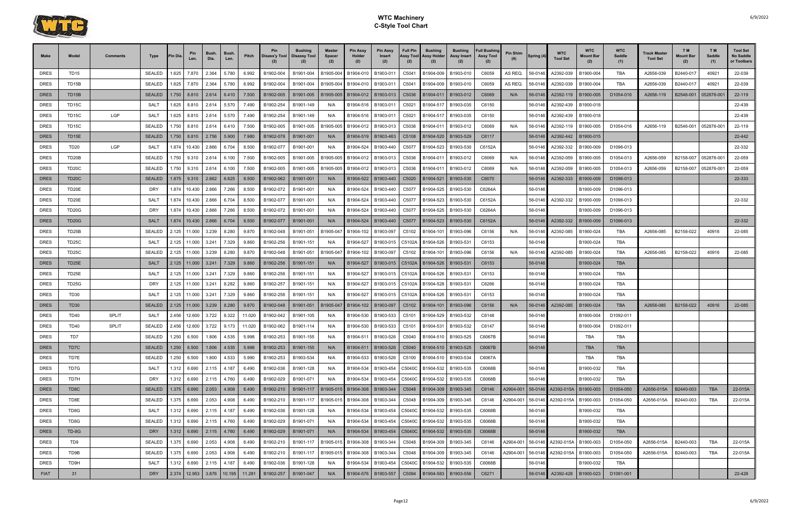

| <b>Make</b> | Model              | <b>Comments</b> | Type          | <b>Pin Dia</b> | Pin<br>Len.               | <b>Bush</b><br>Dia. | Bush<br>Len. | Pitch  | <b>Disass'y Tool   Disassy Tool</b> | <b>Bushing</b>      | <b>Master</b><br><b>Spacer</b> | Pin Assy<br>Holder<br>(2) | <b>Pin Assy</b><br>Insert<br>(2)                       | Full Pin<br><b>Assy Tool</b><br>(2) | <b>Bushing</b><br><b>Assy Holder</b><br>(2) | <b>Bushing</b><br>Assy Insert | <b>Full Bushing</b><br><b>Assy Tool</b><br>(2) | <b>Pin Shim</b> | Spring (4 | <b>WTC</b><br><b>Tool Set</b>          | <b>WTC</b><br><b>Mount Bar</b><br>(2) | <b>WTC</b><br>Saddle<br>(1) | <b>Frack Master</b><br><b>Tool Set</b> | T <sub>M</sub><br>Mount Bar<br>(2) | T M<br>Saddle<br>(1) | <b>Tool Set</b><br>No Saddle<br>or Toolbars |
|-------------|--------------------|-----------------|---------------|----------------|---------------------------|---------------------|--------------|--------|-------------------------------------|---------------------|--------------------------------|---------------------------|--------------------------------------------------------|-------------------------------------|---------------------------------------------|-------------------------------|------------------------------------------------|-----------------|-----------|----------------------------------------|---------------------------------------|-----------------------------|----------------------------------------|------------------------------------|----------------------|---------------------------------------------|
| <b>DRES</b> | <b>TD15</b>        |                 | <b>SEALED</b> | 1.625          | 7.870                     | 2.364               | 5.780        | 6.992  | B1902-004                           | B1901-004           | B1905-004                      | B1904-010                 | B1903-011                                              | C5041                               | B1904-009                                   | B1903-010                     | C6059                                          | AS REQ.         | 56-0146   | A2392-039                              | B1900-004                             | TBA                         | A2656-039                              | B2440-017                          | 40921                | 22-039                                      |
| <b>DRES</b> | TD <sub>15</sub> B |                 | <b>SEALED</b> | 1.625          | 7.870                     | 2.364               | 5.780        | 6.992  | B1902-004                           | B1901-004           | B1905-004                      | B1904-010                 | B1903-011                                              | C5041                               | B1904-009                                   | B1903-010                     | C6059                                          | AS REQ.         | 56-0146   | A2392-039                              | B1900-004                             | TBA                         | A2656-039                              | B2440-017                          | 40921                | 22-039                                      |
| <b>DRES</b> | <b>TD15B</b>       |                 | <b>SEALED</b> | 1.750          | 8.810                     | 2.614               | 6.410        | 7.500  | B1902-005                           | B1901-005           | B1905-005                      | B1904-012                 | B1903-013                                              | C5036                               | B1904-011                                   | B1903-012                     | C6069                                          | N/A             | 56-0146   | A2392-119                              | B1900-005                             | D1054-016                   | A2656-119                              | B2546-001                          | 052876-00            | 22-119                                      |
| <b>DRES</b> | TD <sub>15</sub> C |                 | SALT          | 1.625          | 8.810                     | 2.614               | 5.570        | 7.490  | B1902-254                           | B1901-149           | N/A                            | B1904-516                 | B1903-01                                               | C5021                               | B1904-51                                    | B1903-035                     | C6150                                          |                 | 56-0146   | A2392-439                              | B1900-018                             |                             |                                        |                                    |                      | 22-439                                      |
| <b>DRES</b> | TD <sub>15</sub> C | LGP             | SALT          | 1.625          | 8.810                     | 2.614               | 5.570        | 7.490  | B1902-254                           | B1901-149           | N/A                            | B1904-516                 | B1903-01                                               | C5021                               | B1904-51                                    | B1903-035                     | C6150                                          |                 | 56-0146   | A2392-439                              | B1900-018                             |                             |                                        |                                    |                      | 22-439                                      |
| <b>DRES</b> | TD15C              |                 | <b>SEALED</b> | 1.750          | 8.810                     | 2.614               | 6.410        | 7.500  | B1902-005                           | B1901-005           | B1905-005                      | B1904-012                 | B1903-013                                              | C5036                               | B1904-011                                   | B1903-012                     | C6069                                          | N/A             | 56-0146   | A2392-119                              | B1900-005                             | D1054-016                   | A2656-119                              | B2546-001                          | 052876-001           | 22-119                                      |
| <b>DRES</b> | TD15E              |                 | <b>SEALED</b> | 1.750          | 8.810                     | 2.756               | 5.900        | 7.980  | B1902-078                           | B1901-001           | N/A                            | B1904-519                 | B1903-463                                              | C5108                               | B1904-520                                   | B1903-529                     | C6117                                          |                 | 56-0146   | A2392-442                              | B1900-015                             |                             |                                        |                                    |                      | 22-442                                      |
| <b>DRES</b> | <b>TD20</b>        | LGP             | SALT          | 1.874          | 10.430                    | 2.866               | 6.704        | 8.500  | B1902-077                           | B1901-001           | N/A                            | B1904-524                 | B1903-440                                              | C5077                               | B1904-523                                   | B1903-530                     | C6152A                                         |                 | 56-0146   | A2392-332                              | B1900-009                             | D1096-013                   |                                        |                                    |                      | 22-332                                      |
| <b>DRES</b> | TD20B              |                 | <b>SEALED</b> | 1.750          | 9.310                     | 2.614               | 6.100        | 7.500  | B1902-005                           | B1901-005           | B1905-005                      | B1904-012                 | B1903-013                                              | C5036                               | B1904-011                                   | B1903-012                     | C6069                                          | N/A             | 56-0146   | A2392-059                              | B1900-005                             | D1054-013                   | A2656-059                              | B2158-007                          | 052876-00            | 22-059                                      |
| <b>DRES</b> | TD20C              |                 | <b>SEALED</b> | 1.750          | 9.310                     | 2.614               | 6.100        | 7.500  | B1902-005                           | B1901-005           | B1905-005                      | B1904-012                 | B1903-013                                              | C5036                               | B1904-01                                    | B1903-012                     | C6069                                          | N/A             | 56-0146   | A2392-059                              | B1900-005                             | D1054-013                   | A2656-059                              | B2158-007                          | 052876-00            | 22-059                                      |
| <b>DRES</b> | <b>TD20C</b>       |                 | <b>SEALED</b> | 1.875          | 9.310                     | 2.862               | 6.625        | 8.500  | B1902-062                           | B1901-001           | N/A                            | B1904-522                 | B1903-440                                              | C5020                               | B1904-521                                   | B1903-530                     | C6070                                          |                 | 56-0146   | A2392-333                              | B1900-009                             | D1096-013                   |                                        |                                    |                      | 22-333                                      |
| <b>DRES</b> | TD20E              |                 | DRY           | 1.874          | 10.430                    | 2.866               | 7.266        | 8.500  | B1902-072                           | B1901-001           | N/A                            | B1904-524                 | B1903-440                                              | C5077                               | B1904-525                                   | B1903-530                     | C6264A                                         |                 | 56-0146   |                                        | B1900-009                             | D1096-013                   |                                        |                                    |                      |                                             |
| <b>DRES</b> | TD20E              |                 | SALT          | 1.874          | 10.430                    | 2.866               | 6.704        | 8.500  | B1902-077                           | B1901-001           | N/A                            | B1904-524                 | B1903-440                                              | C5077                               | B1904-523                                   | B1903-530                     | C6152A                                         |                 | 56-0146   | A2392-332                              | B1900-009                             | D1096-013                   |                                        |                                    |                      | 22-332                                      |
| <b>DRES</b> | <b>TD20G</b>       |                 | <b>DRY</b>    | 1.874          | 10.430                    | 2.866               | 7.266        | 8.500  | B1902-072                           | B1901-001           | N/A                            | B1904-524                 | B1903-440                                              | C5077                               | B1904-525                                   | B1903-530                     | C6264A                                         |                 | 56-0146   |                                        | B1900-009                             | D1096-013                   |                                        |                                    |                      |                                             |
| <b>DRES</b> | TD20G              |                 | <b>SALT</b>   | 1.874          | 10.430                    | 2.866               | 6.704        | 8.500  | B1902-077                           | B1901-001           | N/A                            | B1904-524                 | B1903-440                                              | C5077                               | B1904-523   B1903-530                       |                               | C6152A                                         |                 | 56-0146   | A2392-332                              | B1900-009                             | D1096-013                   |                                        |                                    |                      | 22-332                                      |
| <b>DRES</b> | TD25B              |                 | <b>SEALED</b> | 2.125          | 11.000                    | 3.239               | 8.280        | 9.870  | B1902-048                           | B1901-051           | B1905-04                       | B1904-102                 | B1903-097                                              |                                     | C5102 B1904-101                             | B1903-096                     | C6156                                          | N/A             | 56-0146   | A2392-085                              | B1900-024                             | TBA                         | A2656-085                              | B2158-022                          | 40916                | 22-085                                      |
| <b>DRES</b> | TD <sub>25</sub> C |                 | SALT          | 2.125          | 11.000                    | 3.241               | 7.329        | 9.860  | B1902-256                           | B1901-151           | N/A                            | B1904-527                 | B1903-015                                              | C5102A                              | B1904-526                                   | B1903-531                     | C6153                                          |                 | 56-0146   |                                        | B1900-024                             | TBA                         |                                        |                                    |                      |                                             |
| <b>DRES</b> | TD25C              |                 | <b>SEALED</b> | 2.125          | 11.000                    | 3.239               | 8.280        | 9.870  | B1902-048                           | B1901-051           | B1905-047                      | B1904-102                 | B1903-097                                              | C5102                               | B1904-101                                   | B1903-096                     | C6156                                          | N/A             | 56-0146   | A2392-085                              | B1900-024                             | TBA                         | A2656-085                              | B2158-022                          | 40916                | 22-085                                      |
| <b>DRES</b> | TD25E              |                 | <b>SALT</b>   | 2.125          | 11.000                    | 3.241               | 7.329        | 9.860  | B1902-256                           | B1901-151           | N/A                            | B1904-527                 | B1903-015                                              | C5102A                              | B1904-526                                   | B1903-531                     | C6153                                          |                 | 56-0146   |                                        | B1900-024                             | <b>TBA</b>                  |                                        |                                    |                      |                                             |
| <b>DRES</b> | TD25E              |                 | SALT          | 2.125          | 11.000                    | 3.241               | 7.329        | 9.860  | B1902-256                           | B1901-151           | N/A                            | B1904-527                 | B1903-015   C5102A                                     |                                     | B1904-526                                   | B1903-531                     | C6153                                          |                 | 56-0146   |                                        | B1900-024                             | TBA                         |                                        |                                    |                      |                                             |
| <b>DRES</b> | TD25G              |                 | <b>DRY</b>    | 2.125          | 11.000                    | 3.241               | 8.282        | 9.860  | B1902-257                           | B1901-151           | N/A                            | B1904-527                 | B1903-015   C5102A                                     |                                     | B1904-528                                   | B1903-531                     | C6266                                          |                 | 56-0146   |                                        | B1900-024                             | TBA                         |                                        |                                    |                      |                                             |
| <b>DRES</b> | <b>TD30</b>        |                 | SALT          | 2.125          | 11.000                    | 3.241               | 7.329        | 9.860  | B1902-256                           | B1901-151           | N/A                            | B1904-527                 | B1903-015                                              | C5102A                              | B1904-526                                   | B1903-53                      | C6153                                          |                 | 56-0146   |                                        | B1900-024                             | TBA                         |                                        |                                    |                      |                                             |
| <b>DRES</b> | TD <sub>30</sub>   |                 | <b>SEALED</b> | 2.125          | 11.000                    | 3.239               | 8.280        | 9.870  | B1902-048                           | B1901-051           | B1905-047                      | B1904-102                 | B1903-097                                              | C5102                               | B1904-101                                   | B1903-096                     | C6156                                          | N/A             | 56-0146   | A2392-085                              | B1900-024                             | <b>TBA</b>                  | A2656-085                              | B2158-022                          | 40916                | 22-085                                      |
| <b>DRES</b> | <b>TD40</b>        | <b>SPLIT</b>    | SALT          | 2.456          | 12.600                    | 3.722               | 8.322        | 11.020 | B1902-042                           | B1901-105           | N/A                            | B1904-530                 | B1903-533                                              | C5101                               | B1904-529                                   | B1903-532                     | C6148                                          |                 | 56-0146   |                                        | B1900-004                             | D1092-011                   |                                        |                                    |                      |                                             |
| <b>DRES</b> | <b>TD40</b>        | <b>SPLIT</b>    | <b>SEALED</b> | 2.456          | 12.600                    | 3.722               | 9.173        | 11.020 | B1902-062                           | B1901-114           | N/A                            | B1904-530                 | B1903-533                                              | C5101                               | B1904-531                                   | B1903-532                     | C6147                                          |                 | 56-0146   |                                        | B1900-004                             | D1092-011                   |                                        |                                    |                      |                                             |
| <b>DRES</b> | TD7                |                 | SEALED        | 1.250          | 6.500                     | 1.806               | 4.535        | 5.998  |                                     | B1902-253 B1901-155 | N/A                            |                           | B1904-511   B1903-526   C5040   B1904-510   B1903-525  |                                     |                                             |                               | C6067B                                         |                 | 56-0146   |                                        | TBA                                   | TBA                         |                                        |                                    |                      |                                             |
| <b>DRES</b> | TD7C               |                 | <b>SEALED</b> |                | $1.250$ 6.500 1.806 4.535 |                     |              | 5.998  | B1902-253                           | B1901-155           | N/A                            |                           | B1904-511   B1903-526                                  |                                     | C5040 B1904-510 B1903-525                   |                               | C6067B                                         |                 | 56-0146   |                                        | <b>TBA</b>                            | <b>TBA</b>                  |                                        |                                    |                      |                                             |
| <b>DRES</b> | TD7E               |                 | SEALED        | 1.250          | 6.500                     | 1.800               | 4.533        | 5.990  | B1902-253                           | B1903-534           | N/A                            | B1904-533                 | B1903-526                                              |                                     | C5100 B1904-510 B1903-534                   |                               | C6067A                                         |                 |           |                                        | TBA                                   | TBA                         |                                        |                                    |                      |                                             |
| <b>DRES</b> | TD7G               |                 | SALT          |                | 1.312 6.690               | 2.115               | 4.187        | 6.490  | B1902-036                           | B1901-128           | N/A                            | B1904-534                 |                                                        |                                     | B1903-454   C5040C   B1904-532   B1903-535  |                               | C6068B                                         |                 | 56-0146   |                                        | B1900-032                             | TBA                         |                                        |                                    |                      |                                             |
| <b>DRES</b> | TD7H               |                 | DRY           |                | 1.312 6.690               | 2.115               | 4.760        | 6.490  | B1902-029                           | B1901-071           | N/A                            | B1904-534                 |                                                        |                                     | B1903-454   C5040C B1904-532   B1903-535    |                               | C6068B                                         |                 | 56-0146   |                                        | B1900-032                             | TBA                         |                                        |                                    |                      |                                             |
| <b>DRES</b> | TD8C               |                 | <b>SEALED</b> |                | 1.375 6.690               | 2.053               | 4.908        | 6.490  | B1902-210                           | B1901-117 B1905-015 |                                |                           | B1904-308   B1903-344                                  |                                     | C5048 B1904-309 B1903-345                   |                               | C6146                                          | A2904-001       |           | 56-0146 A2392-015A B1900-003           |                                       | D1054-050                   | A2656-015A                             | B2440-003                          | <b>TBA</b>           | 22-015A                                     |
| <b>DRES</b> | TD8E               |                 | <b>SEALED</b> | 1.375          | 6.690                     | 2.053               | 4.908        | 6.490  | B1902-210                           | B1901-117           | B1905-015                      | B1904-308                 | B1903-344                                              |                                     | C5048 B1904-309 B1903-345                   |                               | C6146                                          | A2904-001       |           | 56-0146 A2392-015A                     | B1900-003                             | D1054-050                   | A2656-015A                             | B2440-003                          | TBA                  | 22-015A                                     |
| <b>DRES</b> | TD8G               |                 | SALT          |                | 1.312 6.690               | 2.115               | 4.187        | 6.490  | B1902-036                           | B1901-128           | N/A                            | B1904-534                 |                                                        |                                     | B1903-454   C5040C B1904-532   B1903-535    |                               | C6068B                                         |                 | 56-0146   |                                        | B1900-032                             | TBA                         |                                        |                                    |                      |                                             |
| <b>DRES</b> | TD8G               |                 | <b>SEALED</b> | 1.312          | 6.690                     | 2.115               | 4.760        | 6.490  | B1902-029                           | B1901-071           | N/A                            | B1904-534                 |                                                        |                                     | B1903-454   C5040C B1904-532   B1903-535    |                               | C6068B                                         |                 | 56-0146   |                                        | B1900-032                             | TBA                         |                                        |                                    |                      |                                             |
| <b>DRES</b> | TD-8G              |                 | <b>DRY</b>    |                | $1.312 \mid 6.690$        | 2.115               | 4.760        | 6.490  | B1902-029                           | B1901-071           | N/A                            |                           | B1904-534   B1903-454   C5040C   B1904-532   B1903-535 |                                     |                                             |                               | C6068B                                         |                 | 56-0146   |                                        | B1900-032                             | <b>TBA</b>                  |                                        |                                    |                      |                                             |
| <b>DRES</b> | TD9                |                 | <b>SEALED</b> |                | 1.375 6.690               | 2.053               | 4.908        | 6.490  | B1902-210                           | B1901-117           | B1905-015                      | B1904-308                 | B1903-344                                              |                                     | C5048 B1904-309 B1903-345                   |                               | C6146                                          | A2904-001       | 56-0146   | A2392-015A                             | B1900-003                             | D1054-050                   | A2656-015A                             | B2440-003                          | TBA                  | 22-015A                                     |
| <b>DRES</b> | TD9B               |                 | <b>SEALED</b> | 1.375          | 6.690                     | 2.053               | 4.908        | 6.490  | B1902-210                           | B1901-117 B1905-015 |                                | B1904-308                 | B1903-344                                              |                                     | C5048 B1904-309 B1903-345                   |                               | C6146                                          |                 |           | A2904-001 56-0146 A2392-015A B1900-003 |                                       | D1054-050                   | A2656-015A                             | B2440-003                          | <b>TBA</b>           | 22-015A                                     |
| <b>DRES</b> | TD9H               |                 | SALT          | 1.312          | 6.690                     | 2.115               | 4.187        | 6.490  | B1902-036                           | B1901-128           | N/A                            | B1904-534                 |                                                        |                                     | B1903-454   C5040C B1904-532   B1903-535    |                               | C6068B                                         |                 | 56-0146   |                                        | B1900-032                             | TBA                         |                                        |                                    |                      |                                             |
| <b>FIAT</b> | 31                 |                 | <b>DRY</b>    |                | 2.374 12.953 3.876        |                     | 10.195       | 11.281 | B1902-257                           | B1901-047           | N/A                            |                           | B1904-576   B1903-557                                  |                                     | C5094 B1904-583 B1903-556                   |                               | C6271                                          |                 | 56-0146   | A2392-428                              | B1900-023                             | D1091-001                   |                                        |                                    |                      | 22-428                                      |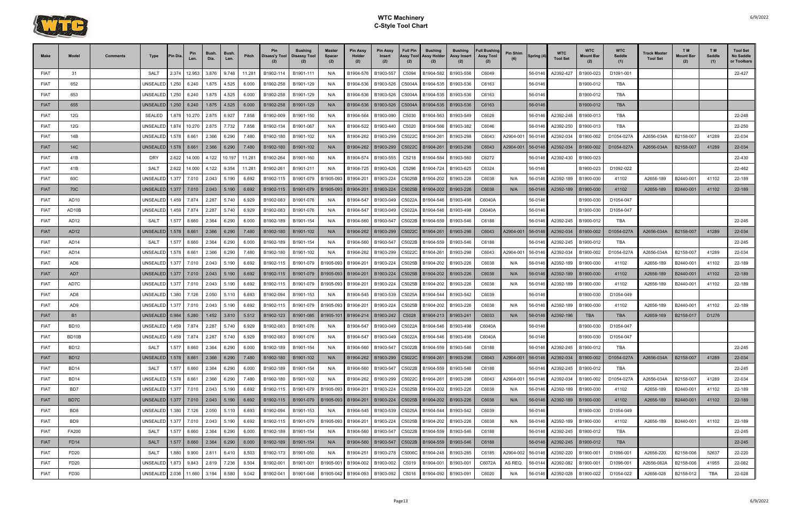

| <b>Make</b> | Model            | Comments | Type                 | 'in Dia | Len.          | <b>Bush</b><br>Dia. | <b>Bush</b><br>Len. | Pitch  | <b>Pin</b><br>Disass'y Tool | <b>Bushing</b><br>Disassy Tool | <b>Master</b><br><b>Spacer</b><br>(2) | <b>Pin Assy</b><br>Holder<br>(2) | <b>Pin Assy</b><br>Insert<br>(2)                       | <b>Full Pin</b><br>Assy Tool<br>(2) | <b>Bushing</b><br>Assy Holder<br>(2) | <b>Bushing</b><br>Assy Insert<br>(2) | <b>Full Bushing</b><br><b>Assy Tool</b><br>(2) | <b>Pin Shim</b> | Spring (4) | <b>WTC</b><br><b>Tool Set</b> | <b>WTC</b><br>Mount Bar<br>(2) | <b>WTC</b><br><b>Saddle</b><br>(1) | <b>Frack Master</b><br><b>Tool Set</b> | TM.<br>Mount Baı<br>(2) | T <sub>M</sub><br>Saddle<br>(1) | <b>Tool Set</b><br>No Saddle<br>or Toolbars |
|-------------|------------------|----------|----------------------|---------|---------------|---------------------|---------------------|--------|-----------------------------|--------------------------------|---------------------------------------|----------------------------------|--------------------------------------------------------|-------------------------------------|--------------------------------------|--------------------------------------|------------------------------------------------|-----------------|------------|-------------------------------|--------------------------------|------------------------------------|----------------------------------------|-------------------------|---------------------------------|---------------------------------------------|
| <b>FIAT</b> | 31               |          | SALT                 | 2.374   | 12.953        | 3.876               | 9.748               | 11.281 | B1902-114                   | B1901-111                      | N/A                                   | B1904-576                        | B1903-557                                              | C5094                               | B1904-582                            | B1903-556                            | C6049                                          |                 | 56-0146    | A2392-427                     | B1900-023                      | D1091-001                          |                                        |                         |                                 | 22-427                                      |
| <b>FIAT</b> | 652              |          | UNSEALED             | 1.250   | 6.240         | 1.875               | 4.525               | 6.000  | B1902-258                   | B1901-129                      | N/A                                   | B1904-536                        | B1903-526                                              | C5004A                              | B1904-535                            | B1903-536                            | C6163                                          |                 | 56-0146    |                               | B1900-012                      | TBA                                |                                        |                         |                                 |                                             |
| <b>FIAT</b> | 653              |          | UNSEALED             | 1.250   | 6.240         | 1.875               | 4.525               | 6.000  | B1902-258                   | B1901-129                      | N/A                                   | B1904-536                        | B1903-526                                              | C5004A                              | B1904-535                            | B1903-536                            | C6163                                          |                 | 56-0146    |                               | B1900-012                      | TBA                                |                                        |                         |                                 |                                             |
| <b>FIAT</b> | 655              |          | <b>UNSEALED</b>      | 1.250   | 6.240         | 1.875               | 4.525               | 6.000  | B1902-258                   | B1901-129                      | N/A                                   | B1904-536                        | B1903-526                                              | C5004A                              | B1904-535                            | B1903-536                            | C6163                                          |                 | 56-0146    |                               | B1900-012                      | <b>TBA</b>                         |                                        |                         |                                 |                                             |
| <b>FIAT</b> | 12G              |          | <b>SEALED</b>        | 1.878   | 10.270        | 2.875               | 6.927               | 7.858  | B1902-009                   | B1901-150                      | N/A                                   | B1904-564                        | B1903-090                                              | C5030                               | B1904-563                            | B1903-549                            | C6028                                          |                 | 56-0146    | A2392-248                     | B1900-013                      | TBA                                |                                        |                         |                                 | 22-248                                      |
| <b>FIAT</b> | 12G              |          | UNSEALED             | 1.874   | 10.270        | 2.875               | 7.732               | 7.858  | B1902-134                   | B1901-067                      | N/A                                   | B1904-522                        | B1903-440                                              | C5020                               | B1904-566                            | B1903-382                            | C6046                                          |                 | 56-0146    | A2392-250                     | B1900-013                      | TBA                                |                                        |                         |                                 | 22-250                                      |
| <b>FIAT</b> | 14B              |          | UNSEALED             | 1.578   | 8.661         | 2.366               | 6.290               | 7.480  | B1902-180                   | B1901-102                      | N/A                                   | B1904-262                        | B1903-299                                              | C5022C                              | B1904-261                            | B1903-298                            | C6043                                          | A2904-001       | 56-0146    | A2392-034                     | B1900-002                      | D1054-027A                         | A2656-034A                             | B2158-007               | 41289                           | 22-034                                      |
| <b>FIAT</b> | 14C              |          | <b>UNSEALED</b>      | 1.578   | 8.661         | 2.366               | 6.290               | 7.480  | B1902-180                   | B1901-102                      | N/A                                   | B1904-262                        | B1903-299                                              | C5022C                              | B1904-261                            | B1903-298                            | C6043                                          | A2904-001       | 56-0146    | A2392-034                     | B1900-002                      | D1054-027A                         | A2656-034A                             | B2158-007               | 41289                           | 22-034                                      |
| <b>FIAT</b> | 41B              |          | DRY                  | 2.622   | 14.000        | 4.122               | 10.197              | 11.281 | B1902-264                   | B1901-160                      | N/A                                   | B1904-574                        | B1903-555                                              | C5218                               | B1904-584                            | B1903-560                            | C6272                                          |                 | 56-0146    | A2392-430                     | B1900-023                      |                                    |                                        |                         |                                 | 22-430                                      |
| <b>FIAT</b> | 41B              |          | <b>SALT</b>          | 2.622   | 14.000        | 4.122               | 9.354               | 11.281 | B1902-261                   | B1901-211                      | N/A                                   | B1904-725                        | B1903-626                                              | C5296                               | B1904-724                            | B1903-625                            | C6324                                          |                 | 56-0146    |                               | B1900-023                      | D1092-022                          |                                        |                         |                                 | 22-462                                      |
| <b>FIAT</b> | 60C              |          | UNSEALED             | 1.377   | 7.010         | 2.043               | 5.190               | 6.692  | B1902-115                   | B1901-079                      | B1905-093                             | B1904-201                        | B1903-224                                              | C5025B                              | B1904-202                            | B1903-226                            | C6038                                          | N/A             | 56-0146    | A2392-189                     | B1900-030                      | 41102                              | A2656-189                              | B2440-001               | 41102                           | 22-189                                      |
| <b>FIAT</b> | 70C              |          | <b>UNSEALED</b>      | 1.377   | 7.010         | 2.043               | 5.190               | 6.692  | B1902-115                   | B1901-079                      | B1905-093                             | B1904-201                        | B1903-224                                              | C5025B                              | B1904-202                            | B1903-226                            | C6038                                          | N/A             | 56-0146    | A2392-189                     | B1900-030                      | 41102                              | A2656-189                              | B2440-001               | 41102                           | 22-189                                      |
| <b>FIAT</b> | AD <sub>10</sub> |          | <b>UNSEALED</b>      | 1.459   | 7.874         | 2.287               | 5.740               | 6.929  | B1902-083                   | B1901-076                      | N/A                                   | B1904-547                        | B1903-049                                              | C5022A                              | B1904-546                            | B1903-498                            | C6040A                                         |                 | 56-0146    |                               | B1900-030                      | D1054-047                          |                                        |                         |                                 |                                             |
| <b>FIAT</b> | AD10B            |          | UNSEALED             | 1.459   | 7.874         | 2.287               | 5.740               | 6.929  | B1902-083                   | B1901-076                      | N/A                                   | B1904-547                        | B1903-049                                              | C5022A                              | B1904-546                            | B1903-498                            | C6040A                                         |                 | 56-0146    |                               | B1900-030                      | D1054-047                          |                                        |                         |                                 |                                             |
| <b>FIAT</b> | AD12             |          | SALT                 | 1.577   | 8.660         | 2.364               | 6.290               | 6.000  | B1902-189                   | B1901-154                      | N/A                                   | B1904-560                        | B1903-547                                              | C5022B                              | B1904-559                            | B1903-546                            | C6188                                          |                 | 56-0146    | A2392-245                     | B1900-012                      | TBA                                |                                        |                         |                                 | 22-245                                      |
| <b>FIAT</b> | <b>AD12</b>      |          | <b>UNSEALED</b>      |         | 1.578   8.661 | 2.366               | 6.290               | 7.480  | B1902-180                   | B1901-102                      | N/A                                   | B1904-262                        | B1903-299                                              | C5022C                              | B1904-261                            | B1903-298                            | C6043                                          | A2904-001       | 56-0146    | A2392-034                     | B1900-002                      | D1054-027A                         | A2656-034A                             | B2158-007               | 41289                           | 22-034                                      |
| <b>FIAT</b> | AD14             |          | <b>SALT</b>          | 1.577   | 8.660         | 2.364               | 6.290               | 6.000  | B1902-189                   | B1901-154                      | N/A                                   | B1904-560                        | B1903-547                                              | C5022B                              | B1904-559                            | B1903-546                            | C6188                                          |                 | 56-0146    | A2392-245                     | B1900-012                      | TBA                                |                                        |                         |                                 | 22-245                                      |
| <b>FIAT</b> | AD14             |          | UNSEALED             | 1.578   | 8.661         | 2.366               | 6.290               | 7.480  | B1902-180                   | B1901-102                      | N/A                                   | B1904-262                        | B1903-299                                              | C5022C                              | B1904-261                            | B1903-298                            | C6043                                          | 42904-001       | 56-0146    | A2392-034                     | B1900-002                      | D1054-027A                         | A2656-034A                             | B2158-007               | 41289                           | 22-034                                      |
| <b>FIAT</b> | AD6              |          | UNSEALED             | 1.377   | 7.010         | 2.043               | 5.190               | 6.692  | B1902-115                   | B1901-079                      | B1905-093                             | B1904-201                        | B1903-224                                              | C5025B                              | B1904-202                            | B1903-226                            | C6038                                          | N/A             | 56-0146    | A2392-189                     | B1900-030                      | 41102                              | A2656-189                              | B2440-001               | 41102                           | 22-189                                      |
| <b>FIAT</b> | AD7              |          | UNSEALED 1.377       |         | 7.010         | 2.043               | 5.190               | 6.692  | B1902-115                   | B1901-079                      | B1905-093                             | B1904-201                        | B1903-224                                              | C5025B                              | B1904-202                            | B1903-226                            | C6038                                          | N/A             | 56-0146    | A2392-189                     | B1900-030                      | 41102                              | A2656-189                              | B2440-001               | 41102                           | 22-189                                      |
| <b>FIAT</b> | AD7C             |          | UNSEALED             | 1.377   | 7.010         | 2.043               | 5.190               | 6.692  | B1902-115                   | B1901-079                      | B1905-093                             | B1904-201                        | B1903-224                                              | C5025B                              | B1904-202                            | B1903-226                            | C6038                                          | N/A             | 56-0146    | A2392-189                     | B1900-030                      | 41102                              | A2656-189                              | B2440-001               | 41102                           | 22-189                                      |
| <b>FIAT</b> | AD <sub>8</sub>  |          | UNSEALED             | 1.380   | 7.126         | 2.050               | 5.110               | 6.693  | B1902-094                   | B1901-153                      | N/A                                   | B1904-545                        | B1903-539                                              | C5025A                              | B1904-544                            | B1903-542                            | C6039                                          |                 | 56-0146    |                               | B1900-030                      | D1054-049                          |                                        |                         |                                 |                                             |
| <b>FIAT</b> | AD9              |          | UNSEALED             | 1.377   | 7.010         | 2.043               | 5.190               | 6.692  | B1902-115                   | B1901-079                      | B1905-093                             | B1904-201                        | B1903-224                                              | C5025B                              | B1904-202                            | B1903-226                            | C6038                                          | N/A             | 56-0146    | A2392-189                     | B1900-030                      | 41102                              | A2656-189                              | B2440-001               | 41102                           | 22-189                                      |
| <b>FIAT</b> | <b>B1</b>        |          | UNSEALED 0.984       |         | 5.280         | 1.452               | 3.810               | 5.512  | B1902-123                   | B1901-085                      | B1905-101                             | B1904-214                        | B1903-242                                              | C5028                               |                                      | B1904-213   B1903-241                | C6033                                          | N/A             | 56-0146    | A2392-196                     | <b>TBA</b>                     | <b>TBA</b>                         | A2659-169                              | B2158-017               | D1276                           |                                             |
| <b>FIAT</b> | <b>BD10</b>      |          | UNSEALED             | 1.459   | 7.874         | 2.287               | 5.740               | 6.929  | B1902-083                   | B1901-076                      | N/A                                   | B1904-547                        | B1903-049                                              | C5022A                              | B1904-546                            | B1903-498                            | C6040A                                         |                 | 56-0146    |                               | B1900-030                      | D1054-047                          |                                        |                         |                                 |                                             |
| <b>FIAT</b> | BD10B            |          | UNSEALED 1.459       |         | 7.874         | 2.287               | 5.740               | 6.929  | B1902-083                   | B1901-076                      | N/A                                   | B1904-547                        | B1903-049                                              |                                     | C5022A B1904-546                     | B1903-498                            | C6040A                                         |                 | 56-0146    |                               | B1900-030                      | D1054-047                          |                                        |                         |                                 |                                             |
| <b>FIAT</b> | <b>BD12</b>      |          | SALT                 | 1.577   | 8.660         | 2.364               | 6.290               | 6.000  | B1902-189                   | B1901-154                      | N/A                                   | B1904-560                        | B1903-547                                              | C5022B                              | B1904-559                            | B1903-546                            | C6188                                          |                 | 56-0146    | A2392-245                     | B1900-012                      | TBA                                |                                        |                         |                                 | 22-245                                      |
| <b>FIAT</b> | BD12             |          | UNSEALED 1.578 8.661 |         |               | 2.366               | 6.290               | 7.480  | B1902-180                   | B1901-102                      | N/A                                   |                                  | B1904-262   B1903-299   C5022C   B1904-261   B1903-298 |                                     |                                      |                                      | C6043                                          | A2904-001       | 56-0146    | A2392-034                     | B1900-002                      | D1054-027A                         | A2656-034A                             | B2158-007               | 41289                           | 22-034                                      |
| <b>FIAT</b> | BD14             |          | SALT                 |         | 1.577 8.660   | 2.364               | 6.290               | 6.000  | B1902-189                   | B1901-154                      | N/A                                   | B1904-560                        | B1903-547                                              | C5022B                              | B1904-559                            | B1903-546                            | C6188                                          |                 | 56-0146    | A2392-245                     | B1900-012                      | TBA                                |                                        |                         |                                 | 22-245                                      |
| <b>FIAT</b> | <b>BD14</b>      |          | UNSEALED 1.578 8.661 |         |               | 2.366               | 6.290               | 7.480  | B1902-180                   | B1901-102                      | N/A                                   | B1904-262                        | B1903-299                                              |                                     | C5022C B1904-261                     | B1903-298                            | C6043                                          | A2904-001       | 56-0146    | A2392-034                     | B1900-002                      | D1054-027A                         | A2656-034A                             | B2158-007               | 41289                           | 22-034                                      |
| <b>FIAT</b> | BD7              |          | UNSEALED 1.377 7.010 |         |               | 2.043               | 5.190               | 6.692  | B1902-115                   | B1901-079                      | B1905-093                             | B1904-201                        | B1903-224                                              | C5025B                              | B1904-202                            | B1903-226                            | C6038                                          | N/A             | 56-0146    | A2392-189                     | B1900-030                      | 41102                              | A2656-189                              | B2440-001               | 41102                           | 22-189                                      |
| <b>FIAT</b> | BD7C             |          |                      |         |               | 2.043               | 5.190               | 6.692  | B1902-115                   | B1901-079                      | B1905-093                             | B1904-201                        | B1903-224                                              |                                     | C5025B B1904-202                     | B1903-226                            | C6038                                          | N/A             | 56-0146    | A2392-189                     | B1900-030                      | 41102                              | A2656-189                              | B2440-001               | 41102                           | 22-189                                      |
| <b>FIAT</b> | BD8              |          | UNSEALED 1.380 7.126 |         |               | 2.050               | 5.110               | 6.693  | B1902-094                   | B1901-153                      | N/A                                   | B1904-545                        | B1903-539                                              | C5025A                              | B1904-544                            | B1903-542                            | C6039                                          |                 | 56-0146    |                               | B1900-030                      | D1054-049                          |                                        |                         |                                 |                                             |
| <b>FIAT</b> | BD9              |          |                      |         |               | 2.043               | 5.190               | 6.692  | B1902-115                   | B1901-079                      | B1905-093                             | B1904-201                        | B1903-224                                              | C5025B                              | B1904-202                            | B1903-226                            | C6038                                          | N/A             | 56-0146    | A2392-189                     | B1900-030                      | 41102                              | A2656-189                              | B2440-001               | 41102                           | 22-189                                      |
| <b>FIAT</b> | FA200            |          | SALT                 |         | 1.577 8.660   | 2.364               | 6.290               | 6.000  | B1902-189                   | B1901-154                      | N/A                                   | B1904-560                        | B1903-547                                              |                                     | C5022B B1904-559                     | B1903-546                            | C6188                                          |                 | 56-0146    | A2392-245                     | B1900-012                      | TBA                                |                                        |                         |                                 | 22-245                                      |
| <b>FIAT</b> | FD <sub>14</sub> |          | <b>SALT</b>          |         | 1.577 8.660   | 2.364               | 6.290               | 6.000  | B1902-189                   | B1901-154                      | N/A                                   | B1904-560                        | B1903-547                                              |                                     | C5022B B1904-559                     | B1903-546                            | C6188                                          |                 | 56-0146    | A2392-245                     | B1900-012                      | <b>TBA</b>                         |                                        |                         |                                 | 22-245                                      |
| <b>FIAT</b> | <b>FD20</b>      |          | SALT                 |         | 1.880 9.900   | 2.811               | 6.410               | 8.503  | B1902-173                   | B1901-050                      | N/A                                   | B1904-251                        | B1903-278                                              | C5006C                              | B1904-248                            | B1903-285                            | C6185                                          | 42904-002       | 56-0146    | A2392-220                     | B1900-001                      | D1096-001                          | A2656-220                              | B2158-006               | 52637                           | 22-220                                      |
| <b>FIAT</b> | FD <sub>20</sub> |          | UNSEALED 1.873 9.843 |         |               | 2.819               | 7.236               | 8.504  | B1902-001                   | B1901-001                      | B1905-00                              | B1904-002                        | B1903-002                                              | C5019                               | B1904-001                            | B1903-001                            | C6072A                                         | AS REQ.         | 56-0144    | A2392-082                     | B1900-001                      | D1096-001                          | A2656-082A                             | B2158-006               | 41955                           | 22-082                                      |
| FIAT        | <b>FD30</b>      |          | UNSEALED 2.036       |         | 11.660        | 3.194               | 8.580               | 9.042  | B1902-041                   | B1901-046                      | B1905-042                             | B1904-093                        | B1903-092                                              | C5016                               | B1904-092                            | B1903-091                            | C6020                                          | N/A             | 56-0146    | A2392-028                     | B1900-022                      | D1054-022                          | A2656-028                              | B2158-012               | TBA                             | 22-028                                      |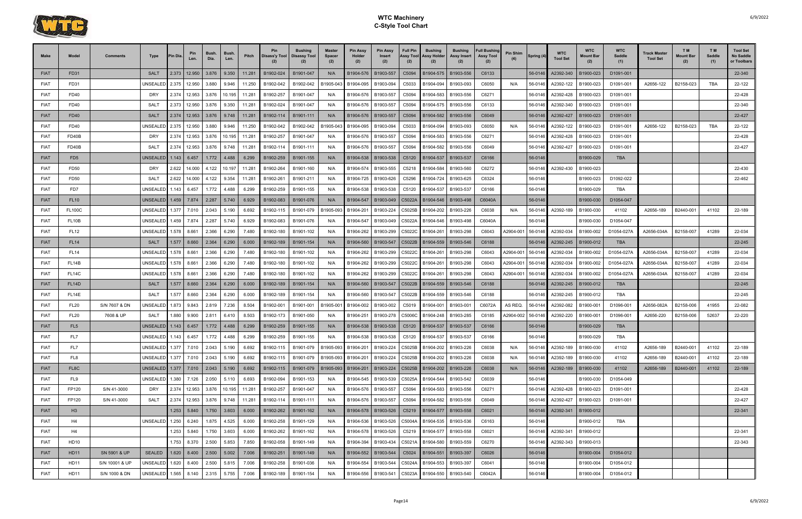

| <b>Make</b>                | Model                          | <b>Comments</b> | Type                    | <b>Pin Dia</b> | Pin<br>Len.        | Bush.<br>Dia.  | Bush.<br>Len.  | Pitch          | Pin                    | <b>Bushing</b><br>Disass'y Tool   Disassy Tool | <b>Master</b><br><b>Spacer</b><br>(2) | <b>Pin Assy</b><br>Holder<br>(2) | <b>Pin Assy</b><br>Insert<br>(2) | <b>Full Pin</b><br>Assy Tool<br>(2) | <b>Bushing</b><br>Assy Holder<br>(2)   | Bushing<br>Assy Insert<br>(2) | <b>Full Bushing</b><br><b>Assy Tool</b><br>(2) | <b>Pin Shim</b> | Spring (4)         | <b>WTC</b><br><b>Tool Set</b> | <b>WTC</b><br>Mount Bar<br>(2) | <b>WTC</b><br><b>Saddle</b><br>(1) | <b>Track Master</b><br><b>Tool Set</b> | <b>TM</b><br>Mount Bar<br>(2) | T M<br>Saddle<br>(1) | <b>Tool Set</b><br>No Saddle<br>or Toolbars |
|----------------------------|--------------------------------|-----------------|-------------------------|----------------|--------------------|----------------|----------------|----------------|------------------------|------------------------------------------------|---------------------------------------|----------------------------------|----------------------------------|-------------------------------------|----------------------------------------|-------------------------------|------------------------------------------------|-----------------|--------------------|-------------------------------|--------------------------------|------------------------------------|----------------------------------------|-------------------------------|----------------------|---------------------------------------------|
| <b>FIAT</b>                | FD31                           |                 | <b>SALT</b>             | 2.373          | 12.950             | 3.876          | 9.350          | 11.281         | B1902-024              | B1901-047                                      | N/A                                   | B1904-576                        | B1903-557                        | C5094                               | B1904-575                              | B1903-556                     | C6133                                          |                 | 56-0146            | A2392-340                     | B1900-023                      | D1091-001                          |                                        |                               |                      | 22-340                                      |
| <b>FIAT</b>                | FD31                           |                 | UNSEALED                | 2.375          | 12.950             | 3.880          | 9.946          | 11.250         | B1902-042              | B1902-042                                      | B1905-043                             | B1904-095                        | B1903-094                        | C5033                               | B1904-094                              | B1903-093                     | C6050                                          | N/A             | 56-0146            | A2392-122                     | B1900-023                      | D1091-001                          | A2656-122                              | B2158-023                     | <b>TBA</b>           | 22-122                                      |
| <b>FIAT</b>                | <b>FD40</b>                    |                 | <b>DRY</b>              | 2.374          | 12.953             | 3.876          | 10.195         | 11.281         | B1902-257              | B1901-047                                      | N/A                                   | B1904-576                        | B1903-557                        | C5094                               | B1904-583                              | B1903-556                     | C6271                                          |                 | 56-0146            | A2392-428                     | B1900-023                      | D1091-001                          |                                        |                               |                      | 22-428                                      |
| <b>FIAT</b>                | FD40                           |                 | <b>SALT</b>             | 2.373          | 12.950             | 3.876          | 9.350          | 11.281         | B1902-024              | B1901-047                                      | N/A                                   | B1904-576                        | B1903-557                        | C5094                               | B1904-575                              | B1903-556                     | C6133                                          |                 | 56-0146            | A2392-340                     | B1900-023                      | D1091-001                          |                                        |                               |                      | 22-340                                      |
| <b>FIAT</b>                | <b>FD40</b>                    |                 | <b>SALT</b>             | 2.374          | 12.953             | 3.876          | 9.748          | 11.281         | B1902-114              | B1901-111                                      | N/A                                   | B1904-576                        | B1903-557                        | C5094                               | B1904-582                              | B1903-556                     | C6049                                          |                 | 56-0146            | A2392-427                     | B1900-023                      | D1091-001                          |                                        |                               |                      | 22-427                                      |
| <b>FIAT</b>                | FD40                           |                 | UNSEALED                | 2.375          | 12.950             | 3.880          | 9.946          | 11.250         | B1902-042              | B1902-042                                      | B1905-043                             | B1904-095                        | B1903-094                        | C5033                               | B1904-094                              | B1903-093                     | C6050                                          | N/A             | 56-0146            | A2392-122                     | B1900-023                      | D1091-001                          | A2656-122                              | B2158-023                     | <b>TBA</b>           | 22-122                                      |
| <b>FIAT</b>                | FD40B                          |                 | <b>DRY</b>              | 2.374          | 12.953             | 3.876          | 10.195         | 11.281         | B1902-257              | B1901-047                                      | N/A                                   | B1904-576                        | B1903-557                        | C5094                               | B1904-583                              | B1903-556                     | C6271                                          |                 | 56-0146            | A2392-428                     | B1900-023                      | D1091-001                          |                                        |                               |                      | 22-428                                      |
| <b>FIAT</b>                | FD40B                          |                 | <b>SALT</b>             | 2.374          | 12.953             | 3.876          | 9.748          | 11.281         | B1902-114              | B1901-111                                      | N/A                                   | B1904-576                        | B1903-557                        | C5094                               | B1904-582                              | B1903-556                     | C6049                                          |                 | 56-0146            | A2392-427                     | B1900-023                      | D1091-001                          |                                        |                               |                      | 22-427                                      |
| <b>FIAT</b>                | FD <sub>5</sub>                |                 | <b>UNSEALED</b>         | 1.143          | 6.457              | 1.772          | 4.488          | 6.299          | B1902-259              | B1901-155                                      | N/A                                   | B1904-538                        | B1903-538                        | C5120                               | B1904-537                              | B1903-537                     | C6166                                          |                 | 56-0146            |                               | B1900-029                      | <b>TBA</b>                         |                                        |                               |                      |                                             |
| <b>FIAT</b>                | <b>FD50</b>                    |                 | <b>DRY</b>              | 2.622          | 14.000             | 4.122          | 10.197         | 11.281         | B1902-264              | B1901-160                                      | N/A                                   | B1904-574                        | B1903-555                        | C5218                               | B1904-584                              | B1903-560                     | C6272                                          |                 | 56-0146            | A2392-430                     | B1900-023                      |                                    |                                        |                               |                      | 22-430                                      |
| <b>FIAT</b>                | <b>FD50</b>                    |                 | <b>SALT</b>             | 2.622          | 14.000             | 4.122          | 9.354          | 11.281         | B1902-261              | B1901-211                                      | N/A                                   | B1904-725                        | B1903-626                        | C5296                               | B1904-724                              | B1903-625                     | C6324                                          |                 | 56-0146            |                               | B1900-023                      | D1092-022                          |                                        |                               |                      | 22-462                                      |
| <b>FIAT</b>                | FD7                            |                 | UNSEALED                | 1.143          | 6.457              | 1.772          | 4.488          | 6.299          | B1902-259              | B1901-155                                      | N/A                                   | B1904-538                        | B1903-538                        | C5120                               | B1904-537                              | B1903-537                     | C6166                                          |                 | 56-0146            |                               | B1900-029                      | TBA                                |                                        |                               |                      |                                             |
| <b>FIAT</b>                | <b>FL10</b>                    |                 | UNSEALED <sup>1</sup>   | 1.459          | 7.874              | 2.287          | 5.740          | 6.929          | B1902-083              | B1901-076                                      | N/A                                   | B1904-547                        | B1903-049                        | C5022A                              | B1904-546                              | B1903-498                     | C6040A                                         |                 | 56-0146            |                               | B1900-030                      | D1054-047                          |                                        |                               |                      |                                             |
| <b>FIAT</b>                | <b>FL100C</b>                  |                 | UNSEALED                | 1.377          | 7.010              | 2.043          | 5.190          | 6.692          | B1902-115              | B1901-079                                      | B1905-093                             | B1904-201                        | B1903-224                        | C5025B                              | B1904-202                              | B1903-226                     | C6038                                          | N/A             | 56-0146            | A2392-189                     | B1900-030                      | 41102                              | A2656-189                              | B2440-001                     | 41102                | 22-189                                      |
| <b>FIAT</b>                | FL <sub>10</sub> B             |                 | UNSEALED                | 1.459          | 7.874              | 2.287          | 5.740          | 6.929          | B1902-083              | B1901-076                                      | N/A                                   | B1904-547                        | B1903-049                        | C5022A                              | B1904-546                              | B1903-498                     | C6040A                                         |                 | 56-0146            |                               | B1900-030                      | D1054-047                          |                                        |                               |                      |                                             |
| <b>FIAT</b>                | <b>FL12</b>                    |                 | UNSEALED                | 1.578          | 8.661              | 2.366          | 6.290          | 7.480          | B1902-180              | B1901-102                                      | N/A                                   | B1904-262                        | B1903-299                        | C5022C                              | B1904-261                              | B1903-298                     | C6043                                          | A2904-001       | 56-0146            | A2392-034                     | B1900-002                      | D1054-027A                         | A2656-034A                             | B2158-007                     | 41289                | 22-034                                      |
| <b>FIAT</b>                | <b>FL14</b>                    |                 | <b>SALT</b>             | 1.577          | 8.660              | 2.364          | 6.290          | 6.000          | B1902-189              | B1901-154                                      | N/A                                   | B1904-560                        | B1903-547                        | C5022B                              | B1904-559                              | B1903-546                     | C6188                                          |                 | 56-0146            | A2392-245                     | B1900-012                      | <b>TBA</b>                         |                                        |                               |                      | 22-245                                      |
| <b>FIAT</b>                | <b>FL14</b>                    |                 | UNSEALED                | 1.578          | 8.661              | 2.366          | 6.290          | 7.480          | B1902-180              | B1901-102                                      | N/A                                   | B1904-262                        | B1903-299                        | C5022C                              | B1904-261                              | B1903-298                     | C6043                                          | 42904-001       | 56-0146            | A2392-034                     | B1900-002                      | D1054-027A                         | A2656-034A                             | B2158-007                     | 41289                | 22-034                                      |
| <b>FIAT</b>                | FL <sub>14</sub> B             |                 | <b>UNSEALED</b>         | 1.578          | 8.661              | 2.366          | 6.290          | 7.480          | B1902-180              | B1901-102                                      | N/A                                   | B1904-262                        | B1903-299                        | C5022C                              | B1904-261                              | B1903-298                     | C6043                                          | A2904-001       | 56-0146            | A2392-034                     | B1900-002                      | D1054-027A                         | A2656-034A                             | B2158-007                     | 41289                | 22-034                                      |
| <b>FIAT</b>                | FL <sub>14</sub> C             |                 | UNSEALED                | 1.578          | 8.661              | 2.366          | 6.290          | 7.480          | B1902-180              | B1901-102                                      | N/A                                   | B1904-262                        | B1903-299                        | C5022C                              | B1904-261                              | B1903-298                     | C6043                                          | A2904-001       | 56-0146            | A2392-034                     | B1900-002                      | D1054-027A                         | A2656-034A                             | B2158-007                     | 41289                | 22-034                                      |
| <b>FIAT</b>                | FL <sub>14</sub> D             |                 | <b>SALT</b>             | 1.577          | 8.660              | 2.364          | 6.290          | 6.000          | B1902-189              | B1901-154                                      | N/A                                   | B1904-560                        | B1903-547                        | C5022B                              | B1904-559                              | B1903-546                     | C6188                                          |                 | 56-0146            | A2392-245                     | B1900-012                      | <b>TBA</b>                         |                                        |                               |                      | 22-245                                      |
| <b>FIAT</b>                | FL <sub>14E</sub>              |                 | SALT                    | 1.577          | 8.660              | 2.364          | 6.290          | 6.000          | B1902-189              | B1901-154                                      | N/A                                   | B1904-560                        | B1903-547                        | C5022B                              | B1904-559                              | B1903-546                     | C6188                                          |                 | 56-0146            | A2392-245                     | B1900-012                      | TBA                                |                                        |                               |                      | 22-245                                      |
| <b>FIAT</b>                | <b>FL20</b>                    | S/N 7607 & DN   | JNSEALED                | 1.873          | 9.843              | 2.819<br>2.811 | 7.236          | 8.504<br>8.503 | B1902-001              | B1901-001                                      | B1905-00                              | B1904-002                        | B1903-002                        | C5019                               | B1904-001                              | B1903-001                     | C6072A                                         | AS REQ.         | 56-0144            | A2392-082                     | B1900-001                      | D1096-001                          | A2656-082A                             | B2158-006                     | 41955                | 22-082<br>22-220                            |
| <b>FIAT</b><br><b>FIAT</b> | <b>FL20</b><br>FL <sub>5</sub> | 7608 & UP       | SALT<br><b>UNSEALED</b> | 1.880<br>1.143 | 9.900<br>6.457     | 1.772          | 6.410<br>4.488 | 6.299          | B1902-173<br>B1902-259 | B1901-050<br>B1901-155                         | N/A                                   | B1904-251<br>B1904-538           | B1903-278<br>B1903-538           | C5006C<br>C5120                     | B1904-248                              | B1903-285<br>B1903-537        | C6185<br>C6166                                 | A2904-002       | 56-0146<br>56-0146 | A2392-220                     | B1900-001<br>B1900-029         | D1096-001<br><b>TBA</b>            | A2656-220                              | B2158-006                     | 52637                |                                             |
| <b>FIAT</b>                | FL7                            |                 | UNSEALED 1.143          |                | 6.457              | 1.772          | 4.488          | 6.299          | B1902-259              | B1901-155                                      | N/A<br>N/A                            | B1904-538                        | B1903-538                        |                                     | B1904-537<br>C5120 B1904-537 B1903-537 |                               | C6166                                          |                 | 56-0146            |                               | B1900-029                      | TBA                                |                                        |                               |                      |                                             |
| <b>FIAT</b>                | FL7                            |                 | UNSEALED                | 1.377          | 7.010              | 2.043          | 5.190          | 6.692          | B1902-115              | B1901-079                                      | B1905-093                             | B1904-201                        | B1903-224                        | C5025B                              | B1904-202                              | B1903-226                     | C6038                                          | N/A             | 56-0146            | A2392-189                     | B1900-030                      | 41102                              | A2656-189                              | B2440-001                     | 41102                | 22-189                                      |
| <b>FIAT</b>                | FL8                            |                 | UNSEALED 1.377 7.010    |                |                    | 2.043          | 5.190          | 6.692          | B1902-115              | B1901-079                                      | B1905-093                             | B1904-201                        | B1903-224                        | C5025B                              | B1904-202                              | B1903-226                     | C6038                                          | N/A             | 56-0146            | A2392-189                     | B1900-030                      | 41102                              | A2656-189                              | B2440-001                     | 41102                | 22-189                                      |
| <b>FIAT</b>                | FL8C                           |                 |                         |                |                    | 2.043          | 5.190          | 6.692          | B1902-115              | B1901-079                                      | B1905-093                             | B1904-201                        | B1903-224                        | C5025B                              | B1904-202                              | B1903-226                     | C6038                                          | N/A             | 56-0146            | A2392-189                     | B1900-030                      | 41102                              | A2656-189                              | B2440-001                     | 41102                | 22-189                                      |
| <b>FIAT</b>                | FL9                            |                 | UNSEALED 1.380          |                | 7.126              | 2.050          | 5.110          | 6.693          | B1902-094              | B1901-153                                      | N/A                                   | B1904-545                        | B1903-539                        | C5025A                              | B1904-544                              | B1903-542                     | C6039                                          |                 | 56-0146            |                               | B1900-030                      | D1054-049                          |                                        |                               |                      |                                             |
| <b>FIAT</b>                | FP120                          | S/N 41-3000     | DRY                     |                | 2.374 12.953       | 3.876          | 10.195         | 11.281         | B1902-257              | B1901-047                                      | N/A                                   | B1904-576                        | B1903-557                        | C5094                               | B1904-583                              | B1903-556                     | C6271                                          |                 | 56-0146            | A2392-428                     | B1900-023                      | D1091-001                          |                                        |                               |                      | 22-428                                      |
| <b>FIAT</b>                | FP120                          | S/N 41-3000     | SALT                    |                | 2.374 12.953       | 3.876          | 9.748          | 11.281         | B1902-114              | B1901-111                                      | N/A                                   | B1904-576                        | B1903-557                        | C5094                               | B1904-582                              | B1903-556                     | C6049                                          |                 | 56-0146            | A2392-427                     | B1900-023                      | D1091-001                          |                                        |                               |                      | 22-427                                      |
| <b>FIAT</b>                | H3                             |                 |                         |                | 1.253 5.840        | 1.750          | 3.603          | 6.000          | B1902-262              | B1901-162                                      | N/A                                   | B1904-578                        | B1903-526                        |                                     | C5219   B1904-577   B1903-558          |                               | C6021                                          |                 | 56-0146            | A2392-341                     | B1900-012                      |                                    |                                        |                               |                      | 22-341                                      |
| <b>FIAT</b>                | H4                             |                 | UNSEALED                | 1.250          | 6.240              | 1.875          | 4.525          | 6.000          | B1902-258              | B1901-129                                      | N/A                                   | B1904-536                        | B1903-526                        | C5004A                              | B1904-535                              | B1903-536                     | C6163                                          |                 | 56-0146            |                               | B1900-012                      | TBA                                |                                        |                               |                      |                                             |
| <b>FIAT</b>                | H4                             |                 |                         |                | 1.253 5.840        | 1.750          | 3.603          | 6.000          | B1902-262              | B1901-162                                      | N/A                                   | B1904-578                        | B1903-526                        | C5219                               | B1904-577                              | B1903-558                     | C6021                                          |                 | 56-0146            | A2392-341                     | B1900-012                      |                                    |                                        |                               |                      | 22-341                                      |
| <b>FIAT</b>                | <b>HD10</b>                    |                 |                         |                | 1.753 8.370        | 2.500          | 5.853          | 7.850          | B1902-058              | B1901-149                                      | N/A                                   | B1904-394                        | B1903-434                        | C5021A                              | B1904-580                              | B1903-559                     | C6270                                          |                 | 56-0146            | A2392-343                     | B1900-013                      |                                    |                                        |                               |                      | 22-343                                      |
| <b>FIAT</b>                | HD11                           | SN 5901 & UP    | <b>SEALED</b>           |                | $1.620 \mid 8.400$ | 2.500          | 5.002          | 7.006          | B1902-251              | B1901-149                                      | N/A                                   | B1904-552                        | B1903-544                        | C5024                               | B1904-551                              | B1903-397                     | C6026                                          |                 | 56-0146            |                               | B1900-004                      | D1054-012                          |                                        |                               |                      |                                             |
| <b>FIAT</b>                | <b>HD11</b>                    | S/N 10001 & UP  | UNSEALED 1.620          |                | 8.400              | 2.500          | 5.815          | 7.006          | B1902-258              | B1901-036                                      | N/A                                   | B1904-554                        | B1903-544                        | C5024A                              | B1904-553                              | B1903-397                     | C6041                                          |                 | 56-0146            |                               | B1900-004                      | D1054-012                          |                                        |                               |                      |                                             |
| <b>FIAT</b>                | HD11                           | S/N 1000 & DN   | UNSEALED                | 1.565          | 8.140              | 2.315          | 5.755          | 7.006          | B1902-189              | B1901-154                                      | N/A                                   | B1904-556                        | B1903-541                        | C5023A                              | B1904-550                              | B1903-540                     | C6042A                                         |                 | 56-0146            |                               | B1900-004                      | D1054-012                          |                                        |                               |                      |                                             |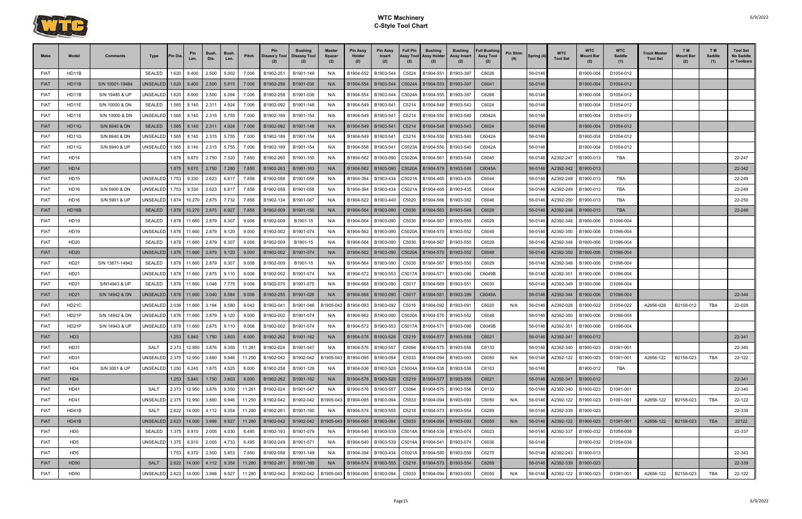

| <b>Make</b> | Model              | <b>Comments</b> | Type                            | Pin Dia       | Pin<br>Len.   | Bush.<br>Dia.            | <b>Bush</b><br>Len. | Pitch  | Pin<br>(2) | <b>Bushing</b><br>Disass'y Tool   Disassy Tool | <b>Master</b><br><b>Spacer</b><br>(2) | Pin Assy<br>Holder<br>(2) | <b>Pin Assy</b><br>Insert<br>(2)                      | <b>Full Pin</b><br>Assy Tool<br>(2) | <b>Bushing</b><br>Assy Holder<br>(2) | Bushing<br>Assy Insert<br>(2) | <b>Full Bushing</b><br><b>Assy Tool</b><br>(2) | <b>Pin Shim</b> | Spring (4) | <b>WTC</b><br><b>Tool Set</b> | <b>WTC</b><br>Mount Bar<br>(2) | <b>WTC</b><br>Saddle<br>(1) | <b>Track Master</b><br><b>Tool Set</b> | T M<br>Mount Baı<br>(2) | T M<br>Saddle<br>(1) | <b>Tool Set</b><br>No Saddle<br>or Toolbars |
|-------------|--------------------|-----------------|---------------------------------|---------------|---------------|--------------------------|---------------------|--------|------------|------------------------------------------------|---------------------------------------|---------------------------|-------------------------------------------------------|-------------------------------------|--------------------------------------|-------------------------------|------------------------------------------------|-----------------|------------|-------------------------------|--------------------------------|-----------------------------|----------------------------------------|-------------------------|----------------------|---------------------------------------------|
| <b>FIAT</b> | HD11B              |                 | SEALED                          |               | 1.620 8.400   | 2.500                    | 5.002               | 7.006  | B1902-251  | B1901-149                                      | N/A                                   | B1904-552                 | B1903-544                                             | C5024                               | B1904-551                            | B1903-397                     | C6026                                          |                 | 56-0146    |                               | B1900-004                      | D1054-012                   |                                        |                         |                      |                                             |
| <b>FIAT</b> | HD11B              | S/N 10001-19484 | <b>JNSEALED</b>                 |               | $1.620$ 8.400 | 2.500                    | 5.815               | 7.006  | B1902-258  | B1901-036                                      | N/A                                   | B1904-554                 | B1903-544                                             | C5024A                              | B1904-553                            | B1903-397                     | C6041                                          |                 | 56-0146    |                               | B1900-004                      | D1054-012                   |                                        |                         |                      |                                             |
| <b>FIAT</b> | HD11B              | S/N 19485 & UP  | UNSEALED                        | 1.620         | 8.600         | 2.500                    | 6.094               | 7.006  | B1902-258  | B1901-036                                      | N/A                                   | B1904-554                 | B1903-544                                             | C5024A                              | B1904-555                            | B1903-397                     | C6268                                          |                 | 56-0146    |                               | B1900-004                      | D1054-012                   |                                        |                         |                      |                                             |
| <b>FIAT</b> | HD11E              | S/N 10000 & DN  | SEALED                          | 1.565         | 8.140         | 2.311                    | 4.924               | 7.006  | B1902-092  | B1901-148                                      | N/A                                   | B1904-549                 | B1903-541                                             | C5214                               | B1904-548                            | B1903-543                     | C6024                                          |                 | 56-0146    |                               | B1900-004                      | D1054-012                   |                                        |                         |                      |                                             |
| <b>FIAT</b> | HD11E              | S/N 10000 & DN  | <b>JNSEALED</b>                 |               | 1.565 8.140   | 2.315                    | 5.755               | 7.000  | B1902-189  | B1901-154                                      | N/A                                   | B1904-549                 | B1903-541                                             | C5214                               | B1904-550                            | B1903-540                     | C6042A                                         |                 | 56-0146    |                               | B1900-004                      | D1054-012                   |                                        |                         |                      |                                             |
| <b>FIAT</b> | HD11G              | S/N 8940 & DN   | <b>SEALED</b>                   |               | $1.565$ 8.140 | 2.311                    | 4.924               | 7.006  | B1902-092  | B1901-148                                      | N/A                                   | B1904-549                 | B1903-541                                             | C5214                               | B1904-548                            | B1903-543                     | C6024                                          |                 | 56-0146    |                               | B1900-004                      | D1054-012                   |                                        |                         |                      |                                             |
| <b>FIAT</b> | HD11G              | S/N 8940 & DN   | UNSEALED                        | 1.565         | 8.140         | 2.315                    | 5.755               | 7.000  | B1902-189  | B1901-154                                      | N/A                                   | B1904-549                 | B1903-541                                             | C5214                               | B1904-550                            | B1903-540                     | C6042A                                         |                 | 56-0146    |                               | B1900-004                      | D1054-012                   |                                        |                         |                      |                                             |
| <b>FIAT</b> | HD11G              | S/N 8940 & UP   | <b>JNSEALED</b>                 | 1.565         | 8.140         | 2.315                    | 5.755               | 7.006  | B1902-189  | B1901-154                                      | N/A                                   | B1904-556                 | B1903-541                                             | C5023A                              | B1904-550                            | B1903-540                     | C6042A                                         |                 | 56-0146    |                               | B1900-004                      | D1054-012                   |                                        |                         |                      |                                             |
| <b>FIAT</b> | <b>HD14</b>        |                 |                                 |               | 1.878 9.670   | 2.750                    | 7.320               | 7.850  | B1902-260  | B1901-150                                      | N/A                                   | B1904-562                 | B1903-090                                             | C5020A                              | B1904-561                            | B1903-548                     | C6045                                          |                 | 56-0146    | A2392-247                     | B1900-013                      | TBA                         |                                        |                         |                      | 22-247                                      |
| <b>FIAT</b> | HD14               |                 |                                 |               | 1.875 9.670   | 2.750                    | 7.280               | 7.850  | B1902-263  | B1901-163                                      | N/A                                   | B1904-562                 | B1903-090                                             | C5020A                              | B1904-579                            | B1903-548                     | C6045A                                         |                 | 56-0146    | A2392-342                     | B1900-013                      |                             |                                        |                         |                      | 22-342                                      |
| <b>FIAT</b> | <b>HD15</b>        |                 | UNSEALED                        |               | 1.753 9.330   | 2.623                    | 6.817               | 7.858  | B1902-058  | B1901-058                                      | N/A                                   | B1904-394                 | B1903-434                                             | C5021A                              | B1904-465                            | B1903-435                     | C6044                                          |                 | 56-0146    | A2392-249                     | B1900-013                      | TBA                         |                                        |                         |                      | 22-249                                      |
| <b>FIAT</b> | HD16               | S/N 5900 & DN   | UNSEALED                        |               | 1.753 9.330   | 2.623                    | 6.817               | 7.858  | B1902-058  | B1901-058                                      | N/A                                   | B1904-394                 | B1903-434                                             | C5021A                              | B1904-465                            | B1903-435                     | C6044                                          |                 | 56-0146    | A2392-249                     | B1900-013                      | TBA                         |                                        |                         |                      | 22-249                                      |
| <b>FIAT</b> | <b>HD16</b>        | S/N 5901 & UP   |                                 |               |               | 2.875                    | 7.732               | 7.858  | B1902-134  | B1901-067                                      | N/A                                   | B1904-522                 | B1903-440                                             | C5020                               | B1904-566                            | B1903-382                     | C6046                                          |                 | 56-0146    | A2392-250                     | B1900-013                      | TBA                         |                                        |                         |                      | 22-250                                      |
| <b>FIAT</b> | HD <sub>16</sub> B |                 | <b>SEALED</b>                   |               |               | 1.878   10.270   2.875   | 6.927               | 7.858  | B1902-009  | B1901-150                                      | N/A                                   | B1904-564                 | B1903-090                                             | C <sub>5030</sub>                   | B1904-563                            | B1903-549                     | C6028                                          |                 | 56-0146    | A2392-248                     | B1900-013                      | <b>TBA</b>                  |                                        |                         |                      | 22-248                                      |
| <b>FIAT</b> | HD19               |                 | SEALED                          | 1.878         | 11.660        | 2.879                    | 8.307               | 9.008  | B1902-009  | B1901-15                                       | N/A                                   | B1904-564                 | B1903-090                                             | C5030                               | B1904-567                            | B1903-550                     | C6029                                          |                 | 56-0146    | A2392-348                     | B1900-006                      | D1096-004                   |                                        |                         |                      |                                             |
| <b>FIAT</b> | HD19               |                 | UNSEALED                        | 1.876         | 11.660        | 2.879                    | 9.120               | 9.000  | B1902-002  | B1901-074                                      | N/A                                   | B1904-562                 | B1903-090                                             | C5020A                              | B1904-570                            | B1903-552                     | C6048                                          |                 | 56-0146    | A2392-350                     | B1900-006                      | D1096-004                   |                                        |                         |                      |                                             |
| <b>FIAT</b> | HD20               |                 | SEALED                          | 1.878         | 11.660        | 2.879                    | 8.307               | 9.008  | B1902-009  | B1901-15                                       | N/A                                   | B1904-564                 | B1903-090                                             | C5030                               | B1904-567                            | B1903-550                     | C6029                                          |                 | 56-0146    | A2392-348                     | B1900-006                      | D1096-004                   |                                        |                         |                      |                                             |
| <b>FIAT</b> | HD20               |                 |                                 |               |               | 2.879                    | 9.120               | 9.000  | B1902-002  | B1901-074                                      | N/A                                   | B1904-562                 | B1903-090                                             | C5020A                              | B1904-570                            | B1903-552                     | C6048                                          |                 | 56-0146    | A2392-350                     | B1900-006                      | D1096-004                   |                                        |                         |                      |                                             |
| <b>FIAT</b> | HD21               | S/N 13871-14942 | SEALED                          | 1.878         | 11.660        | 2.879                    | 8.307               | 9.008  | B1902-009  | B1901-15                                       | N/A                                   | B1904-564                 | B1903-090                                             | C5030                               | B1904-567                            | B1903-550                     | C6029                                          |                 | 56-0146    | A2392-348                     | B1900-006                      | D1096-004                   |                                        |                         |                      |                                             |
| <b>FIAT</b> | HD21               |                 | UNSEALED                        |               | 1.878 11.660  | 2.875                    | 9.110               | 9.008  | B1902-002  | B1901-074                                      | N/A                                   | B1904-572                 | B1903-553                                             | C5017A                              | B1904-571                            | B1903-090                     | C6049B                                         |                 | 56-0146    | A2392-351                     | B1900-006                      | D1096-004                   |                                        |                         |                      |                                             |
| <b>FIAT</b> | HD21               | S/N14943 & UP   | SEALED                          | 1.878         | 11.660        | 3.048                    | 7.775               | 9.008  | B1902-075  | B1901-075                                      | N/A                                   | B1904-568                 | B1903-090                                             | C5017                               | B1904-569                            | B1903-551                     | C6030                                          |                 | 56-0146    | A2392-349                     | B1900-006                      | D1096-004                   |                                        |                         |                      |                                             |
| <b>FIAT</b> | HD21               | S/N 14942 & DN  |                                 |               |               | 3.040                    | 8.584               | 9.008  | B1902-255  | B1901-026                                      | N/A                                   | B1904-568                 | B1903-090                                             | C5017                               | B1904-581                            | B1903-399                     | C6049A                                         |                 | 56-0146    | A2392-344                     | B1900-006                      | D1096-004                   |                                        |                         |                      | 22-344                                      |
| <b>FIAT</b> | HD21C              |                 | UNSEALED 2.036                  |               | 11.660        | 3.194                    | 8.580               | 9.042  | B1902-041  | B1901-046                                      | B1905-042                             | B1904-093                 | B1903-092                                             | C5016                               | B1904-092                            | B1903-091                     | C6020                                          | N/A             | 56-0146    | A2392-028                     | B1900-022                      | D1054-022                   | A2656-028                              | B2158-012               | TBA                  | 22-028                                      |
| <b>FIAT</b> | HD21P              | S/N 14942 & DN  | JNSEALED 1.876                  |               | 11.660        | 2.879                    | 9.120               | 9.000  | B1902-002  | B1901-074                                      | N/A                                   | B1904-562                 | B1903-090                                             | C5020A                              |                                      | B1904-570 B1903-552           | C6048                                          |                 | 56-0146    | A2392-350                     | B1900-006                      | D1096-004                   |                                        |                         |                      |                                             |
| <b>FIAT</b> | HD21P              | S/N 14943 & UP  | UNSEALED                        | 1.878         | 11.660        | 2.875                    | 9.110               | 9.008  | B1902-002  | B1901-074                                      | N/A                                   | B1904-572                 | B1903-553                                             | C5017A                              | B1904-571                            | B1903-090                     | C6049B                                         |                 | 56-0146    | A2392-351                     | B1900-006                      | D1096-004                   |                                        |                         |                      |                                             |
| <b>FIAT</b> | HD <sub>3</sub>    |                 |                                 | $1.253$ 5.840 |               | 1.750                    | 3.603               | 6.000  | B1902-262  | B1901-162                                      | N/A                                   |                           | B1904-578   B1903-526   C5219   B1904-577   B1903-558 |                                     |                                      |                               | C6021                                          |                 |            |                               | 56-0146 A2392-341 B1900-012    |                             |                                        |                         |                      | 22-341                                      |
| <b>FIAT</b> | HD31               |                 | SALT                            | 2.373         | 12.950        | 3.876                    | 9.350               | 11.281 | B1902-024  | B1901-047                                      | N/A                                   | B1904-576                 | B1903-557                                             | C5094                               | B1904-575                            | B1903-556                     | C6133                                          |                 | 56-0146    | A2392-340                     | B1900-023                      | D1091-001                   |                                        |                         |                      | 22-340                                      |
| <b>FIAT</b> | HD31               |                 | UNSEALED 2.375 12.950           |               |               | 3.880                    | 9.946               | 11.250 | B1902-042  | B1902-042                                      | B1905-043                             | B1904-095                 | B1903-094                                             | C5033                               | B1904-094                            | B1903-093                     | C6050                                          | N/A             | 56-0146    | A2392-122                     | B1900-023                      | D1091-001                   | A2656-122                              | B2158-023               | <b>TBA</b>           | 22-122                                      |
| <b>FIAT</b> | HD4                | S/N 3001 & UP   | UNSEALED 1.250 6.240            |               |               | 1.875                    | 4.525               | 6.000  | B1902-258  | B1901-129                                      | N/A                                   | B1904-536                 | B1903-526                                             | C5004A                              | B1904-535                            | B1903-536                     | C6163                                          |                 | 56-0146    |                               | B1900-012                      | TBA                         |                                        |                         |                      |                                             |
| <b>FIAT</b> | HD4                |                 |                                 |               | $1.253$ 5.840 | 1.750                    | 3.603               | 6.000  | B1902-262  | B1901-162                                      | N/A                                   | B1904-578                 | B1903-526                                             |                                     | C5219   B1904-577   B1903-558        |                               | C6021                                          |                 | 56-0146    | A2392-341                     | B1900-012                      |                             |                                        |                         |                      | 22-341                                      |
| <b>FIAT</b> | <b>HD41</b>        |                 | SALT                            |               | 2.373 12.950  | 3.876                    | 9.350               | 11.281 | B1902-024  | B1901-047                                      | N/A                                   | B1904-576                 | B1903-557                                             | C5094                               | B1904-575                            | B1903-556                     | C6133                                          |                 | 56-0146    | A2392-340                     | B1900-023                      | D1091-001                   |                                        |                         |                      | 22-340                                      |
| <b>FIAT</b> | HD41               |                 | UNSEALED 2.375 12.950           |               |               | 3.880                    | 9.946               | 11.250 | B1902-042  | B1902-042                                      | B1905-043                             | B1904-095                 | B1903-094                                             | C5033                               | B1904-094                            | B1903-093                     | C6050                                          | N/A             | 56-0146    | A2392-122                     | B1900-023                      | D1091-001                   | A2656-122                              | B2158-023               | <b>TBA</b>           | 22-122                                      |
| <b>FIAT</b> | HD41B              |                 | SALT                            | 2.622         | 14.000        | 4.112                    | 9.354               | 11.280 | B1902-261  | B1901-160                                      | N/A                                   | B1904-574                 | B1903-555                                             | C5218                               | B1904-573 B1903-554                  |                               | C6269                                          |                 | 56-0146    | A2392-339                     | B1900-023                      |                             |                                        |                         |                      | 22-339                                      |
| <b>FIAT</b> | HD41B              |                 | UNSEALED 2.623   14.000   3.998 |               |               |                          | 9.927               | 11.280 | B1902-042  | B1902-042                                      | B1905-043                             | B1904-095                 | B1903-094                                             | C5033                               | B1904-094                            | B1903-093                     | C6050                                          | N/A             | 56-0146    | A2392-122                     | B1900-023                      | D1091-001                   | A2656-122                              | B2158-023               | <b>TBA</b>           | 22122                                       |
| <b>FIAT</b> | HD <sub>5</sub>    |                 | SEALED  1.375  6.910            |               |               | 2.005                    | 4.030               | 6.495  | B1902-193  | B1901-079                                      | N/A                                   | B1904-540                 | B1903-539                                             | C5014A                              | B1904-539                            | B1903-074                     | C6023                                          |                 | 56-0146    | A2392-337                     | B1900-032                      | D1054-038                   |                                        |                         |                      | 22-337                                      |
| <b>FIAT</b> | HD <sub>5</sub>    |                 | UNSEALED 1.375 6.910            |               |               | 2.005                    | 4.733               | 6.495  | B1902-249  | B1901-071                                      | N/A                                   | B1904-540                 | B1903-539                                             | C5014A                              | B1904-541                            | B1903-074                     | C6036                                          |                 | 56-0146    |                               | B1900-032                      | D1054-038                   |                                        |                         |                      |                                             |
| <b>FIAT</b> | HD <sub>5</sub>    |                 |                                 |               | 1.753 8.370   | 2.500                    | 5.853               | 7.850  | B1902-058  | B1901-149                                      | N/A                                   | B1904-394                 | B1903-434                                             | C5021A                              | B1904-580                            | B1903-559                     | C6270                                          |                 | 56-0146    | A2392-243                     | B1900-013                      |                             |                                        |                         |                      | 22-343                                      |
| <b>FIAT</b> | <b>HD50</b>        |                 | SALT                            |               |               | $2.622$   14.000   4.112 | 9.354               | 11.280 | B1902-261  | B1901-160                                      | N/A                                   | B1904-574                 | B1903-555                                             | C5218                               | B1904-573                            | B1903-554                     | C6269                                          |                 | 56-0146    | A2392-339                     | B1900-023                      |                             |                                        |                         |                      | 22-339                                      |
| <b>FIAT</b> | HD50               |                 | UNSEALED 2.623                  |               | 14.000        | 3.998                    | 9.927               | 11.280 | B1902-042  | B1902-042                                      | B1905-043                             | B1904-095                 | B1903-094                                             | C5033                               | B1904-094                            | B1903-093                     | C6050                                          | N/A             | 56-0146    | A2392-122                     | B1900-023                      | D1091-001                   | A2656-122                              | B2158-023               | TBA                  | 22-122                                      |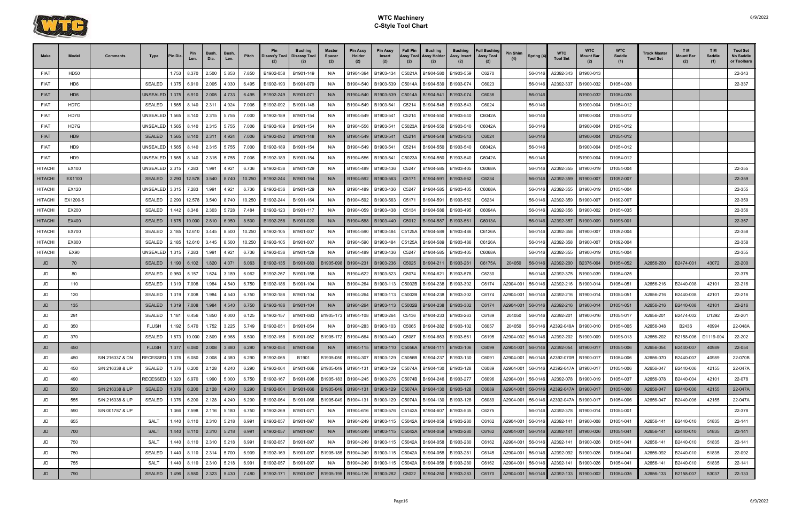

| Make           | Model           | Comments        | Type                 | <b>Pin Dia</b> | Pin<br>Len.              | <b>Bush</b><br>Dia.       | Bush.<br>Len. | Pitch  | <b>Pin</b><br>Disass'y Tool | <b>Bushing</b><br><b>Disassy Tool</b> | <b>Master</b><br><b>Spacer</b><br>(2) | <b>Pin Assy</b><br>Holder<br>(2) | <b>Pin Assy</b><br><b>Insert</b><br>(2)                                 | <b>Full Pin</b><br>Assy Tool<br>(2) | <b>Bushing</b><br>Assy Holder<br>(2) | Bushing<br>Assy Insert | <b>Full Bushing</b><br><b>Assy Tool</b><br>(2) | Pin Shim<br>(4) | Spring (4) | WTC<br><b>Tool Set</b>           | <b>WTC</b><br>Mount Bar | <b>WTC</b><br>Saddle<br>(1) | Track Master<br><b>Tool Set</b> | TM.<br><b>Mount Bar</b><br>(2) | T M<br>Saddle<br>(1) | <b>Tool Set</b><br>No Saddle<br>or Toolbars |
|----------------|-----------------|-----------------|----------------------|----------------|--------------------------|---------------------------|---------------|--------|-----------------------------|---------------------------------------|---------------------------------------|----------------------------------|-------------------------------------------------------------------------|-------------------------------------|--------------------------------------|------------------------|------------------------------------------------|-----------------|------------|----------------------------------|-------------------------|-----------------------------|---------------------------------|--------------------------------|----------------------|---------------------------------------------|
| <b>FIAT</b>    | HD50            |                 |                      |                | 1.753 8.370              | 2.500                     | 5.853         | 7.850  | B1902-058                   | B1901-149                             | N/A                                   | B1904-394                        | B1903-434                                                               | C5021A                              | B1904-580                            | B1903-559              | C6270                                          |                 | 56-0146    | A2392-343                        | B1900-013               |                             |                                 |                                |                      | 22-343                                      |
| <b>FIAT</b>    | HD6             |                 | <b>SEALED</b>        | 1.375          | 6.910                    | 2.005                     | 4.030         | 6.495  | B1902-193                   | B1901-079                             | N/A                                   | B1904-540                        | B1903-539                                                               | C5014A                              | B1904-539                            | B1903-074              | C6023                                          |                 | 56-0146    | A2392-337                        | B1900-032               | D1054-038                   |                                 |                                |                      | 22-337                                      |
| <b>FIAT</b>    | HD <sub>6</sub> |                 | <b>JNSEALED</b>      |                | $1.375$ 6.910            | 2.005                     | 4.733         | 6.495  | B1902-249                   | B1901-071                             | N/A                                   | B1904-540                        | B1903-539                                                               | C5014A                              | B1904-541                            | B1903-074              | C6036                                          |                 | 56-0146    |                                  | B1900-032               | D1054-038                   |                                 |                                |                      |                                             |
| <b>FIAT</b>    | HD7G            |                 | SEALED               | 1.565          | 8.140                    | 2.311                     | 4.924         | 7.006  | B1902-092                   | B1901-148                             | N/A                                   | B1904-549                        | B1903-541                                                               | C5214                               | B1904-548                            | B1903-543              | C6024                                          |                 | 56-0146    |                                  | B1900-004               | D1054-012                   |                                 |                                |                      |                                             |
| <b>FIAT</b>    | HD7G            |                 | <b>JNSEALED</b>      | 1.565          | 8.140                    | 2.315                     | 5.755         | 7.000  | B1902-189                   | B1901-154                             | N/A                                   | B1904-549                        | B1903-541                                                               | C5214                               | B1904-550                            | B1903-540              | C6042A                                         |                 | 56-0146    |                                  | B1900-004               | D1054-012                   |                                 |                                |                      |                                             |
| <b>FIAT</b>    | HD7G            |                 | JNSEALED             | 1.565          | 8.140                    | 2.315                     | 5.755         | 7.006  | B1902-189                   | B1901-154                             | N/A                                   | B1904-556                        | B1903-541                                                               | C5023A                              | B1904-550                            | B1903-540              | C6042A                                         |                 | 56-0146    |                                  | B1900-004               | D1054-012                   |                                 |                                |                      |                                             |
| <b>FIAT</b>    | HD <sub>9</sub> |                 | SEALED               |                | $1.565$ 8.140            | 2.311                     | 4.924         | 7.006  | B1902-092                   | B1901-148                             | N/A                                   | B1904-549                        | B1903-541                                                               | C5214                               | B1904-548                            | B1903-543              | C6024                                          |                 | 56-0146    |                                  | B1900-004               | D1054-012                   |                                 |                                |                      |                                             |
| <b>FIAT</b>    | HD9             |                 | UNSEALED             | 1.565          | 8.140                    | 2.315                     | 5.755         | 7.000  | B1902-189                   | B1901-154                             | N/A                                   | B1904-549                        | B1903-541                                                               | C5214                               | B1904-550                            | B1903-540              | C6042A                                         |                 | 56-0146    |                                  | B1900-004               | D1054-012                   |                                 |                                |                      |                                             |
| <b>FIAT</b>    | HD9             |                 | JNSEALED             | 1.565          | 8.140                    | 2.315                     | 5.755         | 7.006  | B1902-189                   | B1901-154                             | N/A                                   | B1904-556                        | B1903-541                                                               | C5023A                              | B1904-550                            | B1903-540              | C6042A                                         |                 | 56-0146    |                                  | B1900-004               | D1054-012                   |                                 |                                |                      |                                             |
| <b>HITACHI</b> | EX100           |                 | UNSEALED 2.315       |                | 7.283                    | 1.991                     | 4.921         | 6.736  | B1902-036                   | B1901-129                             | N/A                                   | B1904-489                        | B1903-436                                                               | C5247                               | B1904-585                            | B1903-405              | C6068A                                         |                 | 56-0146    | A2392-355                        | B1900-019               | D1054-004                   |                                 |                                |                      | 22-355                                      |
| <b>HITACH</b>  | EX1100          |                 | <b>SEALED</b>        | 2.290          | 12.578                   | 3.540                     | 8.740         | 10.250 | B1902-244                   | B1901-164                             | N/A                                   | B1904-592                        | B1903-563                                                               | C5171                               | B1904-591                            | B1903-562              | C6234                                          |                 | 56-0146    | A2392-359                        | B1900-007               | D1092-007                   |                                 |                                |                      | 22-359                                      |
| <b>HITACHI</b> | EX120           |                 | JNSEALED 3.315 7.283 |                |                          | 1.991                     | 4.921         | 6.736  | B1902-036                   | B1901-129                             | N/A                                   | B1904-489                        | B1903-436                                                               | C5247                               | B1904-585                            | B1903-405              | C6068A                                         |                 | 56-0146    | A2392-355                        | B1900-019               | D1054-004                   |                                 |                                |                      | 22-355                                      |
| <b>HITACHI</b> | EX1200-5        |                 | SEALED               | 2.290          | 12.578                   | 3.540                     | 8.740         | 10.250 | B1902-244                   | B1901-164                             | N/A                                   | B1904-592                        | B1903-563                                                               | C5171                               | B1904-591                            | B1903-562              | C6234                                          |                 | 56-0146    | A2392-359                        | B1900-007               | D1092-007                   |                                 |                                |                      | 22-359                                      |
| <b>HITACHI</b> | EX200           |                 | <b>SEALED</b>        | 442. ا         | 8.346                    | 2.303                     | 5.728         | 7.484  | B1902-123                   | B1901-117                             | N/A                                   | B1904-059                        | B1903-438                                                               | C5134                               | B1904-586                            | B1903-495              | C6094A                                         |                 | 56-0146    | A2392-356                        | B1900-002               | D1054-035                   |                                 |                                |                      | 22-356                                      |
| <b>HITACHI</b> | EX400           |                 | <b>SEALED</b>        |                | $1.875$   10.000   2.810 |                           | 6.950         | 8.500  | B1902-258                   | B1901-020                             | N/A                                   | B1904-588                        | B1903-440                                                               | C5012                               | B1904-587   B1903-561                |                        | C6013A                                         |                 | 56-0146    | A2392-357                        | B1900-009               | D1096-001                   |                                 |                                |                      | 22-357                                      |
| <b>HITACHI</b> | EX700           |                 | SEALED               | 2.185          | 12.610                   | 3.445                     | 8.500         | 10.250 | B1902-105                   | B1901-007                             | N/A                                   | B1904-590                        | B1903-484                                                               | C5125A                              | B1904-589                            | B1903-486              | C6126A                                         |                 | 56-0146    | A2392-358                        | B1900-007               | D1092-004                   |                                 |                                |                      | 22-358                                      |
| <b>HITACHI</b> | EX800           |                 | <b>SEALED</b>        |                | 2.185 12.610             | 3.445                     | 8.500         | 10.250 | B1902-105                   | B1901-007                             | N/A                                   | B1904-590                        | B1903-484                                                               | C5125A                              | B1904-589                            | B1903-486              | C6126A                                         |                 | 56-0146    | A2392-358                        | B1900-007               | D1092-004                   |                                 |                                |                      | 22-358                                      |
| <b>HITACHI</b> | <b>EX90</b>     |                 | JNSEALED             |                | 1.315 7.283              | 1.991                     | 4.921         | 6.736  | B1902-036                   | B1901-129                             | N/A                                   | B1904-489                        | B1903-436                                                               | C5247                               | B1904-585                            | B1903-405              | C6068A                                         |                 | 56-0146    | A2392-355                        | B1900-019               | D1054-004                   |                                 |                                |                      | 22-355                                      |
| JD             | 70              |                 | SEALED               |                | 1.190 6.102              | 1.820                     | 4.071         | 6.063  | B1902-135                   | B1901-083                             | B1905-098                             | B1904-231                        | B1903-236                                                               | C5025                               | B1904-211                            | B1903-261              | C6175A                                         | 204050          | 56-0146    | A2392-200                        | B2376-004               | D1054-052                   | A2656-200                       | B2474-001                      | 43072                | 22-200                                      |
| JD             | 80              |                 | SEALED               | 0.950          | 5.157                    | 1.624                     | 3.189         | 6.062  | B1902-267                   | B1901-158                             | N/A                                   | B1904-622                        | B1903-523                                                               | C5074                               | B1904-621                            | B1903-578              | C6230                                          |                 | 56-0146    | A2392-375                        | B1900-039               | D1054-025                   |                                 |                                |                      | 22-375                                      |
| JD             | 110             |                 | <b>SEALED</b>        |                | 1.319 7.008              | 1.984                     | 4.540         | 6.750  | B1902-186                   | B1901-104                             | N/A                                   | B1904-264                        | B1903-113                                                               | C5002B                              | B1904-238                            | B1903-302              | C6174                                          | A2904-001       | 56-0146    | A2392-216                        | B1900-014               | D1054-051                   | A2656-216                       | B2440-008                      | 42101                | 22-216                                      |
| JD             | 120             |                 | <b>SEALED</b>        | 1.319          | 7.008                    | 1.984                     | 4.540         | 6.750  | B1902-186                   | B1901-104                             | N/A                                   | B1904-264                        | B1903-113                                                               | C5002B                              | B1904-238                            | B1903-302              | C6174                                          | A2904-001       | 56-0146    | A2392-216                        | B1900-014               | D1054-051                   | A2656-216                       | B2440-008                      | 42101                | 22-216                                      |
| JD             | 135             |                 | <b>SEALED</b>        |                | 1.319 7.008              | 1.984                     | 4.540         | 6.750  | B1902-186                   | B1901-104                             | N/A                                   | B1904-264                        | B1903-113                                                               | C5002B                              | B1904-238                            | B1903-302              | C6174                                          | A2904-001       | 56-0146    | A2392-216                        | B1900-014               | D1054-051                   | A2656-216                       | B2440-008                      | 42101                | 22-216                                      |
| JD             | 291             |                 | SEALED               | 1.181          | 6.456                    | 1.850                     | 4.000         | 6.125  | B1902-157                   | B1901-083                             | B1905-173                             | B1904-108                        | B1903-264                                                               | C5136                               | B1904-233                            | B1903-263              | C6189                                          | 204050          | 56-0146    | A2392-201                        | B1900-016               | D1054-017                   | A2656-201                       | B2474-002                      | D1292                | 22-201                                      |
| JD             | 350             |                 | <b>FLUSH</b>         | l.192          | 5.470                    | 1.752                     | 3.225         | 5.749  | B1902-051                   | B1901-054                             | N/A                                   | B1904-283                        | B1903-103                                                               | C5065                               | B1904-282                            | B1903-102              | C6057                                          | 204050          | 56-0146    | A2392-048A                       | B1900-010               | D1054-005                   | A2656-048                       | B2436                          | 40994                | 22-048A                                     |
|                | 370             |                 | SEALED               | 1.873          | 10.000                   | 2.809                     | 6.968         | 8.500  | B1902-156                   | B1901-062                             | B1905-172                             | B1904-664                        | B1903-440                                                               | C5087                               | B1904-663                            | B1903-561              | C6195                                          | A2904-002       | 56-0146    | A2392-202                        | B1900-009               | D1096-013                   | A2656-202                       | B2158-006                      | D1119-004            | 22-202                                      |
| JD             | 450             |                 | <b>FLUSH</b>         |                |                          | $1.377$ 6.080 2.008 3.880 |               | 6.290  | B1902-054                   | B1901-056                             | N/A                                   |                                  | B1904-115 B1903-110 C5056A                                              |                                     |                                      | B1904-111   B1903-106  | C6099                                          | A2904-001       |            | 56-0146 A2392-054                | B1900-017               | D1054-006                   | A2656-054                       | B2440-007                      | 40989                | 22-054                                      |
| JD             | 450             | S/N 216337 & DN |                      |                |                          | 2.008                     | 4.380         | 6.290  | B1902-065                   | B1901                                 | B1905-050                             | B1904-307                        | B1903-129 C5056B                                                        |                                     | B1904-237                            | B1903-130              | C6091                                          | A2904-001       | 56-0146    | A2392-070B B1900-017             |                         | D1054-006                   | A2656-070                       | B2440-007                      | 40989                | 22-070B                                     |
| JD             | 450             | S/N 216338 & UP | SEALED 1.376 6.200   |                |                          | 2.128                     | 4.240         | 6.290  | B1902-064                   | B1901-066                             | B1905-049                             | B1904-131                        |                                                                         |                                     | B1903-129   C5074A B1904-130         | B1903-128              | C6089                                          | A2904-001       | 56-0146    | A2392-047A                       | B1900-017               | D1054-006                   | A2656-047                       | B2440-006                      | 42155                | 22-047A                                     |
| JD             | 490             |                 | RECESSED 1.320 6.970 |                |                          | 1.990                     | 5.000         | 6.750  | B1902-167                   | B1901-096                             | B1905-183                             | B1904-245                        | B1903-276                                                               |                                     | C5074B B1904-246                     | B1903-277              | C6096                                          | A2904-001       | 56-0146    | A2392-078                        | B1900-019               | D1054-037                   | A2656-078                       | B2440-004                      | 42101                | 22-078                                      |
| JD             | 550             | S/N 216338 & UP | <b>SEALED</b>        |                | $1.376$ 6.200 2.128      |                           | 4.240         | 6.290  | B1902-064                   | B1901-066                             |                                       |                                  | B1905-049    B1904-131    B1903-129    C5074A    B1904-130    B1903-128 |                                     |                                      |                        | C6089                                          | A2904-001       |            | 56-0146   A2392-047A   B1900-017 |                         | D1054-006                   | A2656-047                       | B2440-006                      | 42155                | 22-047A                                     |
| JD             | 555             | S/N 216338 & UP | SEALED               |                | 1.376 6.200              | 2.128                     | 4.240         | 6.290  | B1902-064                   | B1901-066                             | B1905-049                             | B1904-131                        | B1903-129   C5074A                                                      |                                     | B1904-130                            | B1903-128              | C6089                                          | A2904-001       | 56-0146    | A2392-047A                       | B1900-017               | D1054-006                   | A2656-047                       | B2440-006                      | 42155                | 22-047A                                     |
| JD             | 590             | S/N 001787 & UP |                      |                | 1.366 7.598              | 2.116                     | 5.180         | 6.750  | B1902-269                   | B1901-071                             | N/A                                   | B1904-616                        | B1903-576                                                               | C5142A                              | B1904-607                            | B1903-535              | C6275                                          |                 | 56-0146    | A2392-378                        | B1900-014               | D1054-001                   |                                 |                                |                      | 22-378                                      |
| JD             | 655             |                 | SALT                 |                | 1.440 8.110              | 2.310                     | 5.218         | 6.991  | B1902-057                   | B1901-097                             | N/A                                   | B1904-249                        | B1903-115   C5042A                                                      |                                     | B1904-058                            | B1903-280              | C6162                                          | A2904-001       | 56-0146    | A2392-141                        | B1900-008               | D1054-041                   | A2656-141                       | B2440-010                      | 51835                | 22-141                                      |
| JD             | 700             |                 | <b>SALT</b>          |                | $1.440$ 8.110 2.310      |                           | 5.218         | 6.991  | B1902-057                   | B1901-097                             | N/A                                   |                                  | B1904-249   B1903-115   C5042A   B1904-058                              |                                     |                                      | B1903-280              | C6162                                          | A2904-001       | 56-0146    | A2392-141                        | B1900-026               | D1054-041                   | A2656-141                       | B2440-010                      | 51835                | 22-141                                      |
| JD             | 750             |                 | SALT                 |                | 1.440 8.110              | 2.310                     | 5.218         | 6.991  | B1902-057                   | B1901-097                             | N/A                                   | B1904-249                        | B1903-115                                                               | C5042A                              | B1904-058                            | B1903-280              | C6162                                          | A2904-001       | 56-0146    | A2392-141                        | B1900-026               | D1054-041                   | A2656-141                       | B2440-010                      | 51835                | 22-141                                      |
| JD             | 750             |                 | SEALED               |                | 1.440 8.110              | 2.314                     | 5.700         | 6.909  | B1902-169                   | B1901-097                             | B1905-185                             | B1904-249                        | B1903-115   C5042A                                                      |                                     | B1904-058                            | B1903-281              | C6145                                          | A2904-001       | 56-0146    | A2392-092                        | B1900-026               | D1054-041                   | A2656-092                       | B2440-010                      | 51835                | 22-092                                      |
| JD             | 755             |                 | SALT                 |                | 1.440 8.110              | 2.310                     | 5.218         | 6.991  | B1902-057                   | B1901-097                             | N/A                                   | B1904-249                        | B1903-115                                                               | C5042A                              | B1904-058                            | B1903-280              | C6162                                          | A2904-001       | 56-0146    | A2392-141                        | B1900-026               | D1054-041                   | A2656-141                       | B2440-010                      | 51835                | 22-141                                      |
| JD             | 790             |                 | <b>SEALED</b>        |                | 1.496 8.580              | 2.323                     | 5.430         | 7.480  | B1902-171                   | B1901-097                             | B1905-195                             |                                  | B1904-126 B1903-282                                                     | C5022                               | B1904-250                            | B1903-283              | C6170                                          | A2904-001       |            | 56-0146 A2392-133                | B1900-002               | D1054-035                   | A2656-133                       | B2158-007                      | 53037                | 22-133                                      |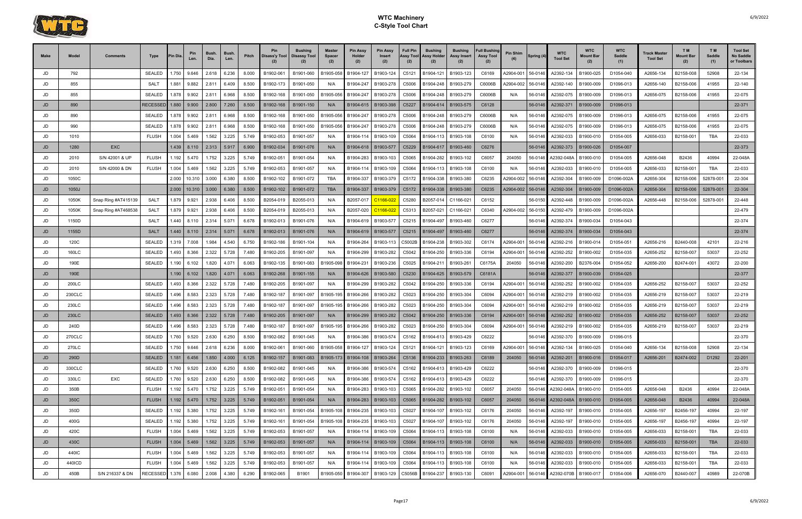

| <b>Make</b> | Model           | Comments            | Type                           | 'in Dia | Pin<br>Len.                  | Bush.<br>Dia.  | Bush.<br>Len.  | Pitch          | Pin<br>Disass'y Tool   | Bushing<br><b>Disassy Tool</b> | Master<br><b>Spacer</b><br>(2) | <b>Pin Assy</b><br>Holder<br>(2) | <b>Pin Assy</b><br>Insert<br>(2) | <b>Full Pin</b><br>Assy Tool<br>(2) | <b>Bushing</b><br>Assy Holder<br>(2)           | Bushing<br>Assy Insert<br>(2) | <b>Full Bushing</b><br><b>Assy Tool</b><br>(2) | Pin Shim  | Spring (4)         | <b>WTC</b><br><b>Tool Set</b> | <b>WTC</b><br>Mount Bar | <b>WTC</b><br>Saddle<br>(1) | <b>Track Master</b><br><b>Tool Set</b> | T M<br><b>Mount Bar</b><br>(2) | T M<br>Saddle<br>(1) | <b>Tool Set</b><br>No Saddle<br>or Toolbars |
|-------------|-----------------|---------------------|--------------------------------|---------|------------------------------|----------------|----------------|----------------|------------------------|--------------------------------|--------------------------------|----------------------------------|----------------------------------|-------------------------------------|------------------------------------------------|-------------------------------|------------------------------------------------|-----------|--------------------|-------------------------------|-------------------------|-----------------------------|----------------------------------------|--------------------------------|----------------------|---------------------------------------------|
| JD          | 792             |                     | <b>SEALED</b>                  | .750    | 9.646                        | 2.618          | 6.236          | 8.000          | B1902-061              | B1901-060                      | B1905-058                      | B1904-127                        | B1903-124                        | C5121                               | B1904-121                                      | B1903-123                     | C6169                                          | 42904-001 | 56-0146            | A2392-134                     | B1900-025               | D1054-040                   | A2656-134                              | B2158-008                      | 52908                | 22-134                                      |
| JD          | 855             |                     | SALT                           | .881    | 9.882                        | 2.811          | 6.409          | 8.500          | B1902-173              | B1901-050                      | N/A                            | B1904-247                        | B1903-278                        | C5006                               | B1904-248                                      | B1903-279                     | C6006B                                         | 42904-002 | 56-0146            | A2392-140                     | B1900-009               | D1096-013                   | A2656-140                              | B2158-006                      | 41955                | 22-140                                      |
| JD          | 855             |                     | <b>SEALED</b>                  | .878    | 9.902                        | 2.811          | 6.968          | 8.500          | B1902-168              | B1901-050                      | B1905-056                      | B1904-247                        | B1903-278                        | C5006                               | B1904-248                                      | B1903-279                     | C6006B                                         | N/A       | 56-0146            | A2392-075                     | B1900-009               | D1096-013                   | A2656-075                              | B2158-006                      | 41955                | 22-075                                      |
| JD          | 890             |                     | RECESSED                       | 1.880   | 9.900                        | 2.800          | 7.260          | 8.500          | B1902-168              | B1901-150                      | N/A                            | B1904-615                        | B1903-398                        | C5227                               | B1904-614                                      | B1903-575                     | C6128                                          |           | 56-0146            | A2392-371                     | B1900-009               | D1096-013                   |                                        |                                |                      | 22-371                                      |
| JD          | 890             |                     | <b>SEALED</b>                  | 1.878   | 9.902                        | 2.811          | 6.968          | 8.500          | B1902-168              | B1901-050                      | B1905-056                      | B1904-247                        | B1903-278                        | C5006                               | B1904-248                                      | B1903-279                     | C6006B                                         | N/A       | 56-0146            | A2392-075                     | B1900-009               | D1096-013                   | A2656-075                              | B2158-006                      | 41955                | 22-075                                      |
| JD          | 990             |                     | <b>SEALED</b>                  | .878    | 9.902                        | 2.811          | 6.968          | 8.500          | B1902-168              | B1901-050                      | B1905-056                      | B1904-247                        | B1903-278                        | C5006                               | B1904-248                                      | B1903-279                     | C6006B                                         | N/A       | 56-0146            | A2392-075                     | B1900-009               | D1096-013                   | A2656-075                              | B2158-006                      | 41955                | 22-075                                      |
| JD          | 1010            |                     | <b>FLUSH</b>                   | 1.004   | 5.469                        | 1.562          | 3.225          | 5.749          | B1902-053              | B1901-057                      | N/A                            | B1904-114                        | B1903-109                        | C5064                               | B1904-113                                      | B1903-108                     | C6100                                          | N/A       | 56-0146            | A2392-033                     | B1900-010               | D1054-005                   | A2656-033                              | B2158-001                      | <b>TBA</b>           | 22-033                                      |
| JD          | 1280            | <b>EXC</b>          |                                | 1.439   | 8.110                        | 2.313          | 5.917          | 6.900          | B1902-034              | B1901-076                      | N/A                            | B1904-618                        | B1903-577                        | C5229                               | B1904-617                                      | B1903-460                     | C6276                                          |           | 56-0146            | A2392-373                     | B1900-026               | D1054-007                   |                                        |                                |                      | 22-373                                      |
| JD          | 2010            | S/N 42001 & UP      | <b>FLUSH</b>                   | 1.192   | 5.470                        | 1.752          | 3.225          | 5.749          | B1902-051              | B1901-054                      | N/A                            | B1904-283                        | B1903-103                        | C5065                               | B1904-282                                      | B1903-102                     | C6057                                          | 204050    | 56-0146            | A2392-048A                    | B1900-010               | D1054-005                   | A2656-048                              | B2436                          | 40994                | 22-048A                                     |
| JD          | 2010            | S/N 42000 & DN      | <b>FLUSH</b>                   | 1.004   | 5.469                        | 1.562          | 3.225          | 5.749          | B1902-053              | B1901-057                      | N/A                            | B1904-114                        | B1903-109                        | C5064                               | B1904-113                                      | B1903-108                     | C6100                                          | N/A       | 56-0146            | A2392-033                     | B1900-010               | D1054-005                   | A2656-033                              | B2158-001                      | <b>TBA</b>           | 22-033                                      |
| JD          | 1050C           |                     |                                | 2.000   | 10.310                       | 3.000          | 6.380          | 8.500          | B1902-102              | B1901-072                      | <b>TBA</b>                     | B1904-337                        | B1903-379                        | C5172                               | B1904-338                                      | B1903-380                     | C6235                                          | 42904-002 | 56-0146            | A2392-304                     | B1900-009               | D1096-002A                  | A2656-304                              | B2158-006                      | 52878-00             | 22-304                                      |
| JD          | 1050J           |                     |                                | 2.000   | 10.310                       | 3.000          | 6.380          | 8.500          | B1902-102              | B1901-072                      | <b>TBA</b>                     | B1904-337                        | B1903-379                        | C5172                               | B1904-338                                      | B1903-380                     | C6235                                          | 42904-002 | 56-0146            | A2392-304                     | B1900-009               | D1096-002A                  | A2656-304                              | B2158-006                      | 52878-001            | 22-304                                      |
| JD          | 1050K           | Snap Ring #AT415139 | <b>SALT</b>                    | 1.879   | 9.921                        | 2.938          | 6.406          | 8.500          | B2054-019              | B2055-013                      | N/A                            | B2057-017                        | C1166-02                         | C5280                               | B2057-014                                      | C1166-02                      | C6152                                          |           | 56-0150            | A2392-448                     | B1900-009               | D1096-002A                  | A2656-448                              | B2158-006                      | 52878-00             | 22-448                                      |
| JD          | 1050K           | Snap Ring #AT468538 | <b>SALT</b>                    | 1.879   | 9.921                        | 2.938          | 6.406          | 8.500          | B2054-019              | B2055-013                      | N/A                            | B2057-020                        | C1166-02                         | C5313                               | B2057-021                                      | C1166-02                      | C6340                                          | 42904-002 | 56-0150            | A2392-479                     | B1900-009               | D1096-002A                  |                                        |                                |                      | 22-479                                      |
| JD          | 1150D           |                     | SAL <sub>1</sub>               | .440    | 8.110                        | 2.314          | 5.071          | 6.678          | B1902-013              | B1901-076                      | N/A                            | B1904-619                        | B1903-577                        | C5215                               | B1904-497                                      | B1903-460                     | C6277                                          |           | 56-0146            | A2392-374                     | B1900-034               | D1054-043                   |                                        |                                |                      | 22-374                                      |
| JD          | 1155D           |                     | <b>SALT</b>                    | 1.440   | 8.110                        | 2.314          | 5.071          | 6.678          | B1902-013              | B1901-076                      | N/A                            | B1904-619                        | B1903-577                        | C5215                               | B1904-497                                      | B1903-460                     | C6277                                          |           | 56-0146            | A2392-374                     | B1900-034               | D1054-043                   |                                        |                                |                      | 22-374                                      |
| JD          | 120C            |                     | <b>SEALED</b>                  | 1.319   | 7.008                        | 1.984          | 4.540          | 6.750          | B1902-186              | B1901-104                      | N/A                            | B1904-264                        | B1903-113                        | C5002B                              | B1904-238                                      | B1903-302                     | C6174                                          | A2904-001 | 56-0146            | A2392-216                     | B1900-014               | D1054-051                   | A2656-216                              | B2440-008                      | 42101                | 22-216                                      |
| JD          | 160LC           |                     | <b>SEALED</b>                  | .493    | 8.366                        | 2.322          | 5.728          | 7.480          | B1902-205              | B1901-097                      |                                | B1904-299                        | B1903-282                        | C5042                               | B1904-250                                      | B1903-336                     | C6194                                          | 42904-001 | 56-0146            | A2392-252                     | B1900-002               | D1054-035                   | A2656-252                              | B2158-007                      | 53037                | 22-252                                      |
| JD          | 190E            |                     | <b>SEALED</b>                  | 1.190   | 6.102                        | 1.820          | 4.071          | 6.063          | B1902-135              | B1901-083                      | B1905-098                      | B1904-231                        | B1903-236                        | C5025                               | B1904-211                                      | B1903-26                      | C6175A                                         | 204050    | 56-0146            | A2392-200                     | B2376-004               | D1054-052                   | A2656-200                              | B2474-001                      | 43072                | 22-200                                      |
| JD          | 190E            |                     |                                | 1.190   | 6.102                        | 1.820          | 4.071          | 6.063          | B1902-268              | B1901-155                      | N/A                            | B1904-626                        | B1903-580                        | C5230                               | B1904-625                                      | B1903-579                     | C6181A                                         |           | 56-0146            | A2392-377                     | B1900-039               | D1054-025                   |                                        |                                |                      | 22-377                                      |
| JD          | 200LC           |                     | <b>SEALED</b>                  | .493    | 8.366                        | 2.322          | 5.728          | 7.480          | B1902-205              | B1901-097                      | N/A                            | B1904-299                        | B1903-282                        | C5042                               | B1904-250                                      | B1903-336                     | C6194                                          | 42904-001 | 56-0146            | A2392-252                     | B1900-002               | D1054-035                   | A2656-252                              | B2158-007                      | 53037                | 22-252                                      |
| JD          | 230CLC          |                     | <b>SEALED</b>                  | .496    | 8.583                        | 2.323          | 5.728          | 7.480          | B1902-187              | B1901-097                      | B1905-195                      | B1904-266                        | B1903-282                        | C5023                               | B1904-250                                      | B1903-304                     | C6094                                          | A2904-001 | 56-0146            | A2392-219                     | B1900-002               | D1054-035                   | A2656-219                              | B2158-007                      | 53037                | 22-219                                      |
| JD          | 230LC           |                     | <b>SEALED</b>                  | .496    | 8.583                        | 2.323          | 5.728          | 7.480          | B1902-187              | B1901-097                      | B1905-195                      | B1904-266                        | B1903-282                        | C5023                               | B1904-250                                      | B1903-304                     | C6094                                          | 42904-001 | 56-0146            | A2392-219                     | B1900-002               | D1054-035                   | A2656-219                              | B2158-007                      | 53037                | 22-219                                      |
| JD          | 230LC           |                     | <b>SEALED</b>                  | .493    | 8.366                        | 2.322          | 5.728          | 7.480          | B1902-205              | B1901-097                      | N/A                            | B1904-299                        | B1903-282                        | C5042                               | B1904-250                                      | B1903-336                     | C6194                                          | A2904-001 | 56-0146            | A2392-252                     | B1900-002               | D1054-035                   | A2656-252                              | B2158-007                      | 53037                | 22-252                                      |
| JD          | 240D            |                     | <b>SEALED</b>                  | .496    | 8.583                        | 2.323          | 5.728          | 7.480          | B1902-187              | B1901-097                      | B1905-195                      | B1904-266                        | B1903-282                        | C5023                               | B1904-250                                      | B1903-304                     | C6094                                          | 42904-001 | 56-0146            | A2392-219                     | B1900-002               | D1054-035                   | A2656-219                              | B2158-007                      | 53037                | 22-219                                      |
| JD          | <b>270CLC</b>   |                     | <b>SEALED</b>                  | 1.760   | 9.520                        | 2.630          | 6.250          | 8.500          | B1902-082              | B1901-045                      | N/A                            | B1904-386                        | B1903-574                        | C5162                               | B1904-613                                      | B1903-429                     | C6222                                          |           | 56-0146            | A2392-370                     | B1900-009               | D1096-015                   |                                        |                                |                      | 22-370                                      |
| JD          | 270LC           |                     | <b>SEALED</b>                  | .750    | 9.646                        | 2.618          | 6.236          | 8.000          | B1902-061              | B1901-060                      | B1905-058                      | B1904-127                        | B1903-124                        | C5121                               | B1904-121                                      | B1903-123                     | C6169                                          | 42904-001 | 56-0146            | A2392-134                     | B1900-025               | D1054-040                   | A2656-134                              | B2158-008                      | 52908                | 22-134                                      |
| JD          | 290D            |                     | <b>SEALED</b>                  |         | $1.181 \ 6.456$              | 1.850          | 4.000          | 6.125          | B1902-157              | B1901-083                      | B1905-173                      |                                  | B1904-108   B1903-264            | C5136                               | B1904-233   B1903-263                          |                               | C6189                                          | 204050    | 56-0146            | A2392-201                     | B1900-016               | D1054-017                   | A2656-201                              | B2474-002                      | D1292                | 22-201                                      |
| JD          | 330CLC<br>330LC | EXC                 | <b>SEALED</b><br><b>SEALED</b> |         | 1.760 9.520                  | 2.630<br>2.630 | 6.250<br>6.250 | 8.500          | B1902-082              | B1901-045                      | N/A                            | B1904-386<br>B1904-386           | B1903-574                        | C5162                               | B1904-613                                      | B1903-429                     | C6222                                          |           | 56-0146<br>56-0146 | A2392-370                     | B1900-009<br>B1900-009  | D1096-015<br>D1096-015      |                                        |                                |                      | 22-370                                      |
| JD<br>JD    | 350B            |                     | <b>FLUSH</b>                   |         | 1.760 9.520<br>1.192   5.470 | 1.752          | 3.225          | 8.500<br>5.749 | B1902-082<br>B1902-051 | B1901-045<br>B1901-054         | N/A                            |                                  | B1903-574<br>B1903-103           | C5162<br>C5065                      | B1904-613   B1903-429<br>B1904-282   B1903-102 |                               | C6222<br>C6057                                 | 204050    | 56-0146            | A2392-370<br>A2392-048A       | B1900-010               | D1054-005                   | A2656-048                              | B2436                          | 40994                | 22-370<br>22-048A                           |
| JD          | 350C            |                     | <b>FLUSH</b>                   |         | $1.192$ 5.470                | 1.752          | 3.225          | 5.749          | B1902-051              | B1901-054                      | N/A<br>N/A                     | B1904-283<br>B1904-283           | B1903-103                        | C5065                               |                                                | B1904-282   B1903-102         | C6057                                          | 204050    | 56-0146            | A2392-048A                    | B1900-010               | D1054-005                   | A2656-048                              | B2436                          | 40994                | 22-048A                                     |
| JD          | 350D            |                     | <b>SEALED</b>                  |         | 1.192 5.380                  | 1.752          | 3.225          | 5.749          | B1902-161              | B1901-054                      | B1905-108                      | B1904-235                        | B1903-103                        | C5027                               |                                                | B1904-107 B1903-102           | C6176                                          | 204050    | 56-0146            | A2392-197                     | B1900-010               | D1054-005                   | A2656-197                              | B2456-197                      | 40994                | 22-197                                      |
| JD          | 400G            |                     | <b>SEALED</b>                  |         | 1.192 5.380                  | 1.752          | 3.225          | 5.749          | B1902-161              | B1901-054                      | B1905-108                      | B1904-235                        | B1903-103                        | C5027                               |                                                | B1904-107   B1903-102         | C6176                                          | 204050    | 56-0146            | A2392-197                     | B1900-010               | D1054-005                   | A2656-197                              | B2456-197                      | 40994                | 22-197                                      |
| JD          | 420C            |                     | <b>FLUSH</b>                   |         | 1.004 5.469                  | 1.562          | 3.225          | 5.749          | B1902-053              | B1901-057                      | N/A                            | B1904-114                        | B1903-109                        | C5064                               |                                                | B1904-113   B1903-108         | C6100                                          | N/A       | 56-0146            | A2392-033                     | B1900-010               | D1054-005                   | A2656-033                              | B2158-001                      | TBA                  | 22-033                                      |
| JD          | 430C            |                     | <b>FLUSH</b>                   |         | $1.004$ 5.469                | 1.562          | 3.225          | 5.749          | B1902-053              | B1901-057                      | N/A                            | B1904-114                        | B1903-109                        | C5064                               |                                                | B1904-113   B1903-108         | C6100                                          | N/A       | 56-0146            | A2392-033                     | B1900-010               | D1054-005                   | A2656-033                              | B2158-001                      | <b>TBA</b>           | 22-033                                      |
| JD          | 440IC           |                     | <b>FLUSH</b>                   | 1.004   | 5.469                        | 1.562          | 3.225          | 5.749          | B1902-053              | B1901-057                      | N/A                            | B1904-114                        | B1903-109                        | C5064                               |                                                | B1904-113   B1903-108         | C6100                                          | N/A       | 56-0146            | A2392-033                     | B1900-010               | D1054-005                   | A2656-033                              | B2158-001                      | TBA                  | 22-033                                      |
| JD          | 440ICD          |                     | <b>FLUSH</b>                   |         | 1.004 5.469                  | 1.562          | 3.225          | 5.749          | B1902-053              | B1901-057                      | N/A                            | B1904-114                        | B1903-109                        | C5064                               | B1904-113                                      | B1903-108                     | C6100                                          | N/A       | 56-0146            | A2392-033                     | B1900-010               | D1054-005                   | A2656-033                              | B2158-001                      | <b>TBA</b>           | 22-033                                      |
| JD          | 450B            | S/N 216337 & DN     | <b>RECESSED</b>                | 1.376   | 6.080                        | 2.008          | 4.380          | 6.290          | B1902-065              | B1901                          | B1905-050                      | B1904-307                        | B1903-129                        | C5056B                              | B1904-237                                      | B1903-130                     | C6091                                          | A2904-001 | 56-0146            | A2392-070B B1900-017          |                         | D1054-006                   | A2656-070                              | B2440-007                      | 40989                | 22-070B                                     |
|             |                 |                     |                                |         |                              |                |                |                |                        |                                |                                |                                  |                                  |                                     |                                                |                               |                                                |           |                    |                               |                         |                             |                                        |                                |                      |                                             |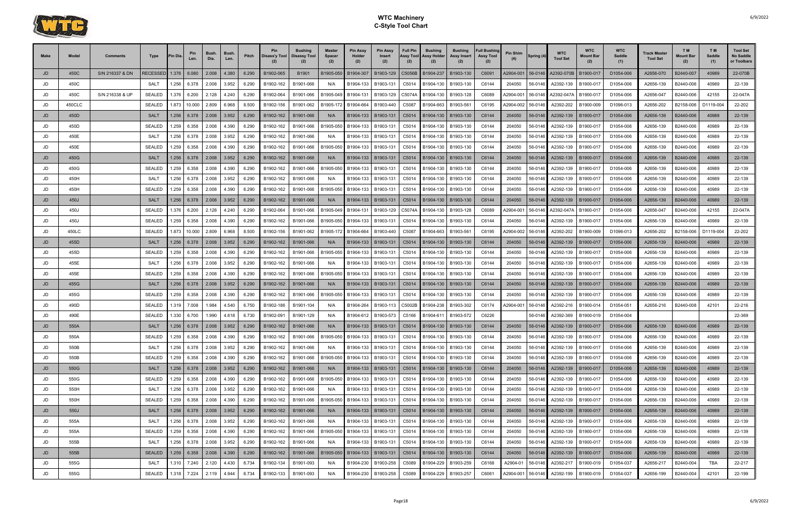

| Make | Model  | Comments        | Type           | <b>Pin Dia</b> | Len.        | Bush<br>Dia.            | Bush<br>Len. | Pitch | <b>Pin</b><br>Disass'y Tool | <b>Bushing</b><br>  Disassy Tool | <b>Master</b><br>Spacer<br>(2) | <b>Pin Assy</b><br>Holder<br>(2) | <b>Pin Assy</b><br>Insert<br>(2) | <b>Full Pin</b><br>Assy Tool<br>(2) | <b>Bushing</b><br><b>Assy Holder</b><br>(2) | <b>Bushing</b><br>Assy Insert | <b>Full Bushing</b><br><b>Assy Tool</b><br>(2) | Pin Shim  | Spring (4) | <b>WTC</b><br><b>Tool Set</b> | <b>WTC</b><br>Mount Bar | <b>WTC</b><br><b>Saddle</b><br>(1) | Track Master<br><b>Tool Set</b> | T <sub>M</sub><br><b>Mount Bar</b><br>(2) | T <sub>M</sub><br>Saddle<br>(1) | <b>Tool Set</b><br><b>No Saddle</b><br>or Toolbars |
|------|--------|-----------------|----------------|----------------|-------------|-------------------------|--------------|-------|-----------------------------|----------------------------------|--------------------------------|----------------------------------|----------------------------------|-------------------------------------|---------------------------------------------|-------------------------------|------------------------------------------------|-----------|------------|-------------------------------|-------------------------|------------------------------------|---------------------------------|-------------------------------------------|---------------------------------|----------------------------------------------------|
| JD   | 450C   | S/N 216337 & DN | <b>ECESSED</b> | 1.376          | 6.080       | 2.008                   | 4.380        | 6.290 | B1902-065                   | B1901                            | B1905-050                      | B1904-307                        | B1903-129                        | C5056B                              | B1904-237                                   | B1903-130                     | C6091                                          | A2904-001 | 56-0146    | A2392-070B                    | B1900-017               | D1054-006                          | A2656-070                       | B2440-007                                 | 40989                           | 22-070B                                            |
| JD   | 450C   |                 | <b>SALT</b>    | 1.256          | 6.378       | 2.008                   | 3.952        | 6.290 | B1902-162                   | B1901-066                        | N/A                            | B1904-133                        | B1903-131                        | C5014                               | B1904-130                                   | B1903-130                     | C6144                                          | 204050    | 56-0146    | A2392-139                     | B1900-017               | D1054-006                          | A2656-139                       | B2440-006                                 | 40989                           | 22-139                                             |
| JD   | 450C   | S/N 216338 & UP | <b>SEALED</b>  | 1.376          | 6.200       | 2.128                   | 4.240        | 6.290 | B1902-064                   | B1901-066                        | B1905-049                      | B1904-131                        | B1903-129                        | C5074A                              | B1904-130                                   | B1903-128                     | C6089                                          | A2904-001 | 56-0146    | A2392-047A                    | B1900-017               | D1054-006                          | A2656-047                       | B2440-006                                 | 42155                           | 22-047A                                            |
| JD   | 450CLC |                 | <b>SEALED</b>  | 1.873          | 10.000      | 2.809                   | 6.968        | 8.500 | B1902-156                   | B1901-062                        | B1905-172                      | B1904-664                        | B1903-440                        | C5087                               | B1904-663                                   | B1903-56                      | C6195                                          | A2904-002 | 56-0146    | A2392-202                     | B1900-009               | D1096-013                          | A2656-202                       | B2158-006                                 | D1119-004                       | 22-202                                             |
| JD   | 450D   |                 | <b>SALT</b>    | 1.256          | 6.378       | 2.008                   | 3.952        | 6.290 | B1902-162                   | B1901-066                        | N/A                            | B1904-133                        | B1903-131                        | C5014                               | B1904-130                                   | B1903-130                     | C6144                                          | 204050    | 56-0146    | A2392-139                     | B1900-017               | D1054-006                          | A2656-139                       | B2440-006                                 | 40989                           | 22-139                                             |
| JD   | 450D   |                 | <b>SEALED</b>  | .259           | 6.358       | 2.008                   | 4.390        | 6.290 | B1902-162                   | B1901-066                        | B1905-050                      | B1904-133                        | B1903-131                        | C5014                               | B1904-130                                   | B1903-130                     | C6144                                          | 204050    | 56-0146    | A2392-139                     | B1900-017               | D1054-006                          | A2656-139                       | B2440-006                                 | 40989                           | 22-139                                             |
| JD   | 450E   |                 | <b>SALT</b>    | 1.256          | 6.378       | 2.008                   | 3.952        | 6.290 | B1902-162                   | B1901-066                        | N/A                            | B1904-133                        | B1903-131                        | C5014                               | B1904-130                                   | B1903-130                     | C6144                                          | 204050    | 56-0146    | A2392-139                     | B1900-017               | D1054-006                          | A2656-139                       | B2440-006                                 | 40989                           | 22-139                                             |
| JD   | 450E   |                 | <b>SEALED</b>  | 1.259          | 6.358       | 2.008                   | 4.390        | 6.290 | B1902-162                   | B1901-066                        | B1905-050                      | B1904-133                        | B1903-131                        | C5014                               | B1904-130                                   | B1903-130                     | C6144                                          | 204050    | 56-0146    | A2392-139                     | B1900-017               | D1054-006                          | A2656-139                       | B2440-006                                 | 40989                           | 22-139                                             |
| JD   | 450G   |                 | <b>SALT</b>    | 1.256          | 6.378       | 2.008                   | 3.952        | 6.290 | B1902-162                   | B1901-066                        | N/A                            | B1904-133                        | B1903-131                        | C5014                               | B1904-130                                   | B1903-130                     | C6144                                          | 204050    | 56-0146    | A2392-139                     | B1900-017               | D1054-006                          | A2656-139                       | B2440-006                                 | 40989                           | 22-139                                             |
| JD   | 450G   |                 | <b>SEALED</b>  | 1.259          | 6.358       | 2.008                   | 4.390        | 6.290 | B1902-162                   | B1901-066                        | B1905-050                      | B1904-133                        | B1903-131                        | C5014                               | B1904-130                                   | B1903-130                     | C6144                                          | 204050    | 56-0146    | A2392-139                     | B1900-017               | D1054-006                          | A2656-139                       | B2440-006                                 | 40989                           | 22-139                                             |
| JD   | 450H   |                 | <b>SALT</b>    | 1.256          | 6.378       | 2.008                   | 3.952        | 6.290 | B1902-162                   | B1901-066                        | N/A                            | B1904-133                        | B1903-131                        | C5014                               | B1904-130                                   | B1903-130                     | C6144                                          | 204050    | 56-0146    | A2392-139                     | B1900-017               | D1054-006                          | A2656-139                       | B2440-006                                 | 40989                           | 22-139                                             |
| JD   | 450H   |                 | <b>SEALED</b>  | .259           | 6.358       | 2.008                   | 4.390        | 6.290 | B1902-162                   | B1901-066                        | B1905-050                      | B1904-133                        | B1903-131                        | C5014                               | B1904-130                                   | B1903-130                     | C6144                                          | 204050    | 56-0146    | A2392-139                     | B1900-017               | D1054-006                          | A2656-139                       | B2440-006                                 | 40989                           | 22-139                                             |
| JD   | 450J   |                 | <b>SALT</b>    | 1.256          | 6.378       | 2.008                   | 3.952        | 6.290 | B1902-162                   | B1901-066                        | N/A                            | B1904-133                        | B1903-131                        | C5014                               | B1904-130                                   | B1903-130                     | C6144                                          | 204050    | 56-0146    | A2392-139                     | B1900-017               | D1054-006                          | A2656-139                       | B2440-006                                 | 40989                           | 22-139                                             |
| JD   | 450J   |                 | <b>SEALED</b>  | 1.376          | 6.200       | 2.128                   | 4.240        | 6.290 | B1902-064                   | B1901-066                        | B1905-049                      | B1904-131                        | B1903-129                        | C5074A                              | B1904-130                                   | B1903-128                     | C6089                                          | A2904-001 | 56-0146    | A2392-047A                    | B1900-017               | D1054-006                          | A2656-047                       | B2440-006                                 | 42155                           | 22-047A                                            |
| JD   | 450J   |                 | <b>SEALED</b>  | 1.259          | 6.358       | 2.008                   | 4.390        | 6.290 | B1902-162                   | B1901-066                        | B1905-050                      | B1904-133                        | B1903-131                        | C5014                               | B1904-130                                   | B1903-130                     | C6144                                          | 204050    | 56-0146    | A2392-139                     | B1900-017               | D1054-006                          | A2656-139                       | B2440-006                                 | 40989                           | 22-139                                             |
| JD   | 450LC  |                 | <b>SEALED</b>  | 1.873          | 10.000      | 2.809                   | 6.968        | 8.500 | B1902-156                   | B1901-062                        | B1905-172                      | B1904-664                        | B1903-440                        | C5087                               | B1904-663                                   | B1903-56                      | C6195                                          | A2904-002 | 56-0146    | A2392-202                     | B1900-009               | D1096-013                          | A2656-202                       | B2158-006                                 | D1119-004                       | 22-202                                             |
| JD   | 455D   |                 | <b>SALT</b>    | 1.256          | 6.378       | 2.008                   | 3.952        | 6.290 | B1902-162                   | B1901-066                        | N/A                            | B1904-133                        | B1903-131                        | C5014                               | B1904-130                                   | B1903-130                     | C6144                                          | 204050    | 56-0146    | A2392-139                     | B1900-017               | D1054-006                          | A2656-139                       | B2440-006                                 | 40989                           | 22-139                                             |
| JD   | 455D   |                 | SEALED         | 1.259          | 6.358       | 2.008                   | 4.390        | 6.290 | B1902-162                   | B1901-066                        | B1905-050                      | B1904-133                        | B1903-131                        | C5014                               | B1904-130                                   | B1903-130                     | C6144                                          | 204050    | 56-0146    | A2392-139                     | B1900-017               | D1054-006                          | A2656-139                       | B2440-006                                 | 40989                           | 22-139                                             |
| JD   | 455E   |                 | <b>SALT</b>    | 1.256          | 6.378       | 2.008                   | 3.952        | 6.290 | B1902-162                   | B1901-066                        | N/A                            | B1904-133                        | B1903-131                        | C5014                               | B1904-130                                   | B1903-130                     | C6144                                          | 204050    | 56-0146    | A2392-139                     | B1900-017               | D1054-006                          | A2656-139                       | B2440-006                                 | 40989                           | 22-139                                             |
| JD   | 455E   |                 | <b>SEALED</b>  | l.259          | 6.358       | 2.008                   | 4.390        | 6.290 | B1902-162                   | B1901-066                        | B1905-050                      | B1904-133                        | B1903-131                        | C5014                               | B1904-130                                   | B1903-130                     | C6144                                          | 204050    | 56-0146    | A2392-139                     | B1900-017               | D1054-006                          | A2656-139                       | B2440-006                                 | 40989                           | 22-139                                             |
| JD   | 455G   |                 | <b>SALT</b>    | 1.256          | 6.378       | 2.008                   | 3.952        | 6.290 | B1902-162                   | B1901-066                        | N/A                            | B1904-133                        | B1903-131                        | C5014                               | B1904-130                                   | B1903-130                     | C6144                                          | 204050    | 56-0146    | A2392-139                     | B1900-017               | D1054-006                          | A2656-139                       | B2440-006                                 | 40989                           | 22-139                                             |
| JD   | 455G   |                 | <b>SEALED</b>  | 1.259          | 6.358       | 2.008                   | 4.390        | 6.290 | B1902-162                   | B1901-066                        | B1905-050                      | B1904-133                        | B1903-131                        | C5014                               | B1904-130                                   | B1903-130                     | C6144                                          | 204050    | 56-0146    | A2392-139                     | B1900-017               | D1054-006                          | A2656-139                       | B2440-006                                 | 40989                           | 22-139                                             |
| JD   | 490D   |                 | <b>SEALED</b>  | 1.319          | 7.008       | 1.984                   | 4.540        | 6.750 | B1902-186                   | B1901-104                        | N/A                            | B1904-264                        | B1903-113                        | C5002B                              | B1904-238                                   | B1903-302                     | C6174                                          | A2904-001 | 56-0146    | A2392-216                     | B1900-014               | D1054-051                          | A2656-216                       | B2440-008                                 | 42101                           | 22-216                                             |
| JD   | 490E   |                 | <b>SEALED</b>  | 1.330          | 6.700       | 1.990                   | 4.618        | 6.730 | B1902-091                   | B1901-129                        | N/A                            | B1904-612                        | B1903-573                        | C5166                               | B1904-611                                   | B1903-572                     | C6226                                          |           | 56-0146    | A2392-369                     | B1900-019               | D1054-004                          |                                 |                                           |                                 | 22-369                                             |
| JD   | 550A   |                 | <b>SALT</b>    | 1.256          | 6.378       | 2.008                   | 3.952        | 6.290 | B1902-162                   | B1901-066                        | N/A                            | B1904-133                        | B1903-131                        | C5014                               | B1904-130                                   | B1903-130                     | C6144                                          | 204050    | 56-0146    | A2392-139                     | B1900-017               | D1054-006                          | A2656-139                       | B2440-006                                 | 40989                           | 22-139                                             |
| JD   | 550A   |                 | SEALED         | 1.259          | 6.358       | 2.008                   | 4.390        | 6.290 | B1902-162                   | B1901-066                        | B1905-050                      | B1904-133                        | B1903-131                        |                                     | C5014 B1904-130                             | B1903-130                     | C6144                                          | 204050    | 56-0146    | A2392-139                     | B1900-017               | D1054-006                          | A2656-139                       | B2440-006                                 | 40989                           | 22-139                                             |
| JD   | 550B   |                 | SALT           |                |             | 1.256 6.378 2.008 3.952 |              | 6.290 | B1902-162                   | B1901-066                        | N/A                            | B1904-133                        | B1903-131                        | C5014                               | B1904-130                                   | B1903-130                     | C6144                                          | 204050    | 56-0146    | A2392-139                     | B1900-017               | D1054-006                          | A2656-139                       | B2440-006                                 | 40989                           | 22-139                                             |
| JD   | 550B   |                 | SEALED         |                | 1.259 6.358 | 2.008                   | 4.390        | 6.290 | B1902-162                   | B1901-066                        | B1905-050                      | B1904-133                        | B1903-131                        |                                     | C5014   B1904-130   B1903-130               |                               | C6144                                          | 204050    | 56-0146    | A2392-139                     | B1900-017               | D1054-006                          | A2656-139                       | B2440-006                                 | 40989                           | 22-139                                             |
| JD   | 550G   |                 | SALT           |                |             | $1.256$ 6.378 2.008     | 3.952        | 6.290 | B1902-162                   | B1901-066                        | N/A                            |                                  | B1904-133 B1903-131              |                                     | C5014   B1904-130   B1903-130               |                               | C6144                                          | 204050    |            | 56-0146 A2392-139             | B1900-017               | D1054-006                          | A2656-139                       | B2440-006                                 | 40989                           | 22-139                                             |
| JD   | 550G   |                 | SEALED         |                | 1.259 6.358 | 2.008                   | 4.390        | 6.290 | B1902-162                   | B1901-066                        | B1905-050                      | B1904-133                        | B1903-131                        | C5014                               | B1904-130                                   | B1903-130                     | C6144                                          | 204050    | 56-0146    | A2392-139                     | B1900-017               | D1054-006                          | A2656-139                       | B2440-006                                 | 40989                           | 22-139                                             |
| JD   | 550H   |                 | SALT           |                | 1.256 6.378 | 2.008                   | 3.952        | 6.290 | B1902-162                   | B1901-066                        | N/A                            | B1904-133                        | B1903-131                        | C5014                               | B1904-130 B1903-130                         |                               | C6144                                          | 204050    | 56-0146    | A2392-139                     | B1900-017               | D1054-006                          | A2656-139                       | B2440-006                                 | 40989                           | 22-139                                             |
| JD   | 550H   |                 | SEALED         |                | 1.259 6.358 | 2.008                   | 4.390        | 6.290 | B1902-162                   | B1901-066                        | B1905-050                      | B1904-133                        | B1903-131                        |                                     | C5014 B1904-130                             | B1903-130                     | C6144                                          | 204050    | 56-0146    | A2392-139                     | B1900-017               | D1054-006                          | A2656-139                       | B2440-006                                 | 40989                           | 22-139                                             |
| JD   | 550J   |                 | <b>SALT</b>    |                |             | $1.256$ 6.378 2.008     | 3.952        | 6.290 | B1902-162                   | B1901-066                        | N/A                            | B1904-133                        | B1903-131                        |                                     | C5014 B1904-130 B1903-130                   |                               | C6144                                          | 204050    |            | 56-0146 A2392-139             | B1900-017               | D1054-006                          | A2656-139                       | B2440-006                                 | 40989                           | 22-139                                             |
| JD   | 555A   |                 | SALT           |                | 1.256 6.378 | 2.008                   | 3.952        | 6.290 | B1902-162                   | B1901-066                        | N/A                            | B1904-133                        | B1903-131                        | C5014                               | B1904-130 B1903-130                         |                               | C6144                                          | 204050    | 56-0146    | A2392-139                     | B1900-017               | D1054-006                          | A2656-139                       | B2440-006                                 | 40989                           | 22-139                                             |
| JD   | 555A   |                 | SEALED         |                | 1.259 6.358 | 2.008                   | 4.390        | 6.290 | B1902-162                   | B1901-066                        | B1905-050                      | B1904-133                        | B1903-131                        | C5014                               | B1904-130                                   | B1903-130                     | C6144                                          | 204050    | 56-0146    | A2392-139                     | B1900-017               | D1054-006                          | A2656-139                       | B2440-006                                 | 40989                           | 22-139                                             |
| JD   | 555B   |                 | SALT           |                | 1.256 6.378 | 2.008                   | 3.952        | 6.290 | B1902-162                   | B1901-066                        | N/A                            | B1904-133                        | B1903-131                        | C5014                               | B1904-130                                   | B1903-130                     | C6144                                          | 204050    | 56-0146    | A2392-139                     | B1900-017               | D1054-006                          | A2656-139                       | B2440-006                                 | 40989                           | 22-139                                             |
| JD   | 555B   |                 | <b>SEALED</b>  |                | 1.259 6.358 | 2.008                   | 4.390        | 6.290 | B1902-162                   | B1901-066                        | B1905-050                      | B1904-133                        | B1903-131                        | C5014                               |                                             | B1904-130   B1903-130         | C6144                                          | 204050    |            | 56-0146 A2392-139             | B1900-017               | D1054-006                          | A2656-139                       | B2440-006                                 | 40989                           | 22-139                                             |
| JD   | 555G   |                 | SALT           |                | 1.310 7.240 | 2.120                   | 4.430        | 6.734 | B1902-134                   | B1901-093                        | N/A                            | B1904-230                        | B1903-258                        | C5089                               | B1904-229                                   | B1903-259                     | C6168                                          | A2904-01  | 56-0146    | A2392-217                     | B1900-019               | D1054-037                          | A2656-217                       | B2440-004                                 | <b>TBA</b>                      | 22-217                                             |
| JD   | 555G   |                 | SEALED         | 1.318          | 7.224       | 2.119                   | 4.944        | 6.734 | B1902-133                   | B1901-093                        | N/A                            | B1904-230                        | B1903-258                        | C5089                               | B1904-229                                   | B1903-257                     | C6061                                          | A2904-001 | 56-0146    | A2392-199                     | B1900-019               | D1054-037                          | A2656-199                       | B2440-004                                 | 42101                           | 22-199                                             |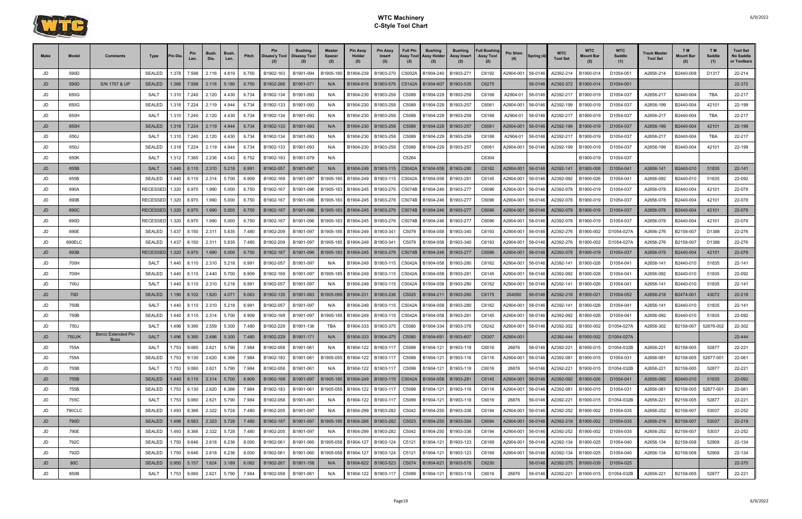

| <b>Make</b> | Model         | Comments                  | Type            | 'in Dia                   | Len.                       | <b>Bush</b><br>Dia.            | <b>Bush</b><br>Len. | Pitch          | Pin<br>Disass'y Tool   | <b>Bushing</b><br>Disassy Tool | <b>Master</b><br><b>Spacer</b><br>(2) | <b>Pin Assy</b><br>Holder<br>(2) | <b>Pin Assy</b><br>Insert<br>(2)           | <b>Full Pin</b><br>Assy Tool<br>(2) | <b>Bushing</b><br><b>Assy Holder</b><br>(2) | <b>Bushing</b><br>Assy Insert<br>(2) | <b>Full Bushing</b><br><b>Assy Tool</b><br>(2) | Pin Shim           | Spring (4)         | <b>WTC</b><br><b>Tool Set</b> | <b>WTC</b><br>Mount Bar | <b>WTC</b><br>Saddle<br>(1) | Track Master<br><b>Tool Set</b> | TM <sub></sub><br><b>Mount Bar</b><br>(2) | T M<br>Saddle<br>(1) | <b>Tool Set</b><br>No Saddle<br>or Toolbars |
|-------------|---------------|---------------------------|-----------------|---------------------------|----------------------------|--------------------------------|---------------------|----------------|------------------------|--------------------------------|---------------------------------------|----------------------------------|--------------------------------------------|-------------------------------------|---------------------------------------------|--------------------------------------|------------------------------------------------|--------------------|--------------------|-------------------------------|-------------------------|-----------------------------|---------------------------------|-------------------------------------------|----------------------|---------------------------------------------|
| JD          | 590D          |                           | <b>SEALED</b>   | 1.378                     | 7.598                      | 2.116                          | 4.819               | 6.750          | B1902-163              | B1901-094                      | B1905-180                             | B1904-239                        | B1903-270                                  | C5002A                              | B1904-240                                   | B1903-27                             | C6192                                          | A2904-001          | 56-0146            | A2392-214                     | B1900-014               | D1054-051                   | A2656-214                       | B2440-008                                 | D1317                | 22-214                                      |
| <b>JD</b>   | 590D          | S/N 1787 & UP             | <b>SEALED</b>   | 1.366                     | 7.598                      | 2.116                          | 5.180               | 6.750          | B1902-266              | B1901-071                      | N/A                                   | B1904-616                        | B1903-576                                  | C5142A                              | B1904-607                                   | B1903-535                            | C6275                                          |                    | 56-0146            | A2392-372                     | B1900-014               | D1054-001                   |                                 |                                           |                      | 22-372                                      |
| JD          | 650G          |                           | SALT            | 1.310                     | 7.240                      | 2.120                          | 4.430               | 6.734          | B1902-134              | B1901-093                      | N/A                                   | B1904-230                        | B1903-258                                  | C5089                               | B1904-229                                   | B1903-259                            | C6168                                          | A2904-01           | 56-0146            | A2392-217                     | B1900-019               | D1054-037                   | A2656-217                       | B2440-004                                 | <b>TBA</b>           | 22-217                                      |
| JD          | 650G          |                           | <b>SEALED</b>   | 1.318                     | 7.224                      | 2.119                          | 4.944               | 6.734          | B1902-133              | B1901-093                      | N/A                                   | B1904-230                        | B1903-258                                  | C5089                               | B1904-229                                   | B1903-257                            | C6061                                          | A2904-001          | 56-0146            | A2392-199                     | B1900-019               | D1054-037                   | A2656-199                       | B2440-004                                 | 42101                | 22-199                                      |
| JD          | 650H          |                           | <b>SALT</b>     | 1.310                     | 7.240                      | 2.120                          | 4.430               | 6.734          | B1902-134              | B1901-093                      | N/A                                   | B1904-230                        | B1903-258                                  | C5089                               | B1904-229                                   | B1903-259                            | C6168                                          | A2904-01           | 56-0146            | A2392-217                     | B1900-019               | D1054-037                   | A2656-217                       | B2440-004                                 | <b>TBA</b>           | 22-217                                      |
| JD          | 650H          |                           | <b>SEALED</b>   | 1.318                     | 7.224                      | 2.119                          | 4.944               | 6.734          | B1902-133              | B1901-093                      | N/A                                   | B1904-230                        | B1903-258                                  | C5089                               | B1904-229                                   | B1903-257                            | C6061                                          | A2904-001          | 56-0146            | A2392-199                     | B1900-019               | D1054-037                   | A2656-199                       | B2440-004                                 | 42101                | 22-199                                      |
| JD          | 650J          |                           | SALT            | 1.310                     | 7.240                      | 2.120                          | 4.430               | 6.734          | B1902-134              | B1901-093                      | N/A                                   | B1904-230                        | B1903-258                                  | C5089                               | B1904-229                                   | B1903-259                            | C6168                                          | A2904-01           | 56-0146            | A2392-217                     | B1900-019               | D1054-037                   | A2656-217                       | B2440-004                                 | <b>TBA</b>           | 22-217                                      |
| JD          | 650J          |                           | <b>SEALED</b>   | 1.318                     | 7.224                      | 2.119                          | 4.944               | 6.734          | B1902-133              | B1901-093                      | N/A                                   | B1904-230                        | B1903-258                                  | C5089                               | B1904-229                                   | B1903-257                            | C6061                                          | A2904-001          | 56-0146            | A2392-199                     | B1900-019               | D1054-037                   | A2656-199                       | B2440-004                                 | 42101                | 22-199                                      |
| JD          | 650K          |                           | SALT            | 1.312                     | 7.385                      | 2.236                          | 4.543               | 6.752          | B1902-193              | B1901-079                      | N/A                                   |                                  |                                            | C5264                               |                                             |                                      | C6304                                          |                    |                    |                               | B1900-019               | D1054-037                   |                                 |                                           |                      |                                             |
| <b>JD</b>   | 655B          |                           | <b>SALT</b>     |                           | $1.440$ 8.110              | 2.310                          | 5.218               | 6.991          | B1902-057              | B1901-097                      | N/A                                   | B1904-249                        | B1903-115                                  | C5042A                              | B1904-058                                   | B1903-280                            | C6162                                          | A2904-001          | 56-0146            | A2392-141                     | B1900-008               | D1054-041                   | A2656-141                       | B2440-010                                 | 51835                | 22-141                                      |
| JD          | 655B          |                           | SEALED          | .440                      | 8.110                      | 2.314                          | 5.700               | 6.909          | B1902-169              | B1901-097                      | B1905-185                             | B1904-249                        | B1903-115                                  | C5042A                              | B1904-058                                   | B1903-28                             | C6145                                          | A2904-001          | 56-0146            | A2392-092                     | B1900-026               | D1054-041                   | A2656-092                       | B2440-010                                 | 51835                | 22-092                                      |
| JD          | 690A          |                           | RECESSED        | 1.320                     | 6.970                      | 1.990                          | 5.000               | 6.750          | B1902-167              | B1901-096                      | B1905-183                             | B1904-245                        | B1903-276                                  | C5074B                              | B1904-246                                   | B1903-277                            | C6096                                          | A2904-001          | 56-0146            | A2392-078                     | B1900-019               | D1054-037                   | A2656-078                       | B2440-004                                 | 42101                | 22-078                                      |
| JD          | 690B          |                           | RECESSED        | 1.320                     | 6.970                      | 1.990                          | 5.000               | 6.750          | B1902-167              | B1901-096                      | B1905-183                             | B1904-245                        | B1903-276                                  | C5074B                              | B1904-246                                   | B1903-277                            | C6096                                          | A2904-001          | 56-0146            | A2392-078                     | B1900-019               | D1054-037                   | A2656-078                       | B2440-004                                 | 42101                | 22-078                                      |
| <b>JD</b>   | 690C          |                           | <b>RECESSED</b> |                           | 1.320 6.970                | 1.990                          | 5.000               | 6.750          | B1902-167              | B1901-096                      | B1905-183                             | B1904-245                        | B1903-276                                  | C5074B                              | B1904-246                                   | B1903-277                            | C6096                                          | A2904-001          | 56-0146            | A2392-078                     | B1900-019               | D1054-037                   | A2656-078                       | B2440-004                                 | 42101                | 22-078                                      |
| JD          | 690D          |                           | RECESSED        | 1.320                     | 6.970                      | 1.990                          | 5.000               | 6.750          | B1902-167              | B1901-096                      | B1905-183                             | B1904-245                        | B1903-276                                  | C5074B                              | B1904-246                                   | B1903-277                            | C6096                                          | A2904-001          | 56-0146            | A2392-078                     | B1900-019               | D1054-037                   | A2656-078                       | B2440-004                                 | 42101                | 22-078                                      |
| JD          | 690E          |                           | SEALED          | .437                      | 8.150                      | 2.311                          | 5.835               | 7.480          | B1902-209              | B1901-097                      | B1905-185                             | B1904-249                        | B1903-341                                  | C5079                               | B1904-058                                   | B1903-340                            | C6193                                          | A2904-001          | 56-0146            | A2392-276                     | B1900-002               | D1054-027/                  | A2656-276                       | B2158-007                                 | D1388                | 22-276                                      |
| JD          | 690ELC        |                           | SEALED          | .437                      | 8.150                      | 2.311                          | 5.835               | 7.480          | B1902-209              | B1901-097                      | B1905-185                             | B1904-249                        | B1903-341                                  | C5079                               | B1904-058                                   | B1903-340                            | C6193                                          | A2904-001          | 56-0146            | A2392-276                     | B1900-002               | D1054-027A                  | A2656-276                       | B2158-007                                 | D1388                | 22-276                                      |
| JD          | 693B          |                           | RECESSED        | 1.320                     | 6.970                      | 1.990                          | 5.000               | 6.750          | B1902-167              | B1901-096                      | B1905-183                             | B1904-245                        | B1903-276                                  | C5074B                              | B1904-246                                   | B1903-277                            | C6096                                          | A2904-001          | 56-0146            | A2392-078                     | B1900-019               | D1054-037                   | A2656-078                       | B2440-004                                 | 42101                | 22-078                                      |
| JD          | 700H          |                           | SALT            | .440                      | 8.110                      | 2.310                          | 5.218               | 6.991          | B1902-057              | B1901-097                      | N/A                                   | B1904-249                        | B1903-115                                  | C5042A                              | B1904-058                                   | B1903-280                            | C6162                                          | A2904-001          | 56-0146            | A2392-141                     | B1900-026               | D1054-041                   | A2656-141                       | B2440-010                                 | 51835                | 22-141                                      |
| JD          | 700H          |                           | <b>SEALED</b>   | .440                      | 8.110                      | 2.440                          | 5.700               | 6.909          | B1902-169              | B1901-097                      | B1905-185                             | B1904-249                        | B1903-115                                  | C5042A                              | B1904-058                                   | B1903-28                             | C6145                                          | A2904-001          | 56-0146            | A2392-092                     | B1900-026               | D1054-041                   | A2656-092                       | B2440-010                                 | 51835                | 22-092                                      |
| JD          | 700J          |                           | SALT            | .440                      | 8.110                      | 2.310                          | 5.218               | 6.991          | B1902-057              | B1901-097                      | N/A                                   | B1904-249                        | B1903-115                                  | C5042A                              | B1904-058                                   | B1903-280                            | C6162                                          | A2904-001          | 56-0146            | A2392-141                     | B1900-026               | D1054-041                   | A2656-141                       | B2440-010                                 | 51835                | 22-141                                      |
| <b>JD</b>   | 70D           |                           | <b>SEALED</b>   |                           | $1.190 \mid 6.102$         | 1.820                          | 4.071               | 6.063          | B1902-135              | B1901-083                      | B1905-099                             | B1904-231                        | B1903-236                                  | C <sub>5025</sub>                   | B1904-21                                    | B1903-260                            | C6175                                          | 204050             | 56-0146            | A2392-218                     | B1900-021               | D1054-052                   | A2656-218                       | B2474-001                                 | 43072                | 22-218                                      |
| JD          | 750B          |                           | <b>SALT</b>     | .440                      | 8.110                      | 2.310                          | 5.218               | 6.991          | B1902-057              | B1901-097                      | N/A                                   | B1904-249                        | B1903-115                                  | C5042A                              | B1904-058                                   | B1903-280                            | C6162                                          | A2904-001          | 56-0146            | A2392-141                     | B1900-026               | D1054-041                   | A2656-141                       | B2440-010                                 | 51835                | 22-141                                      |
| JD          | 750B          |                           | <b>SEALED</b>   | .440                      | 8.110                      | 2.314                          | 5.700               | 6.909          | B1902-169              | B1901-097                      | B1905-185                             | B1904-249                        | B1903-115                                  | C5042A                              | B1904-058                                   | B1903-281                            | C6145                                          | A2904-001          | 56-0146            | A2392-092                     | B1900-026               | D1054-041                   | A2656-092                       | B2440-010                                 | 51835                | 22-092                                      |
| JD          | 750J          | <b>Berco Extended Pin</b> | SALT            | .496                      | 9.390                      | 2.559                          | 5.300               | 7.480          | B1902-229              | B1901-136                      | TBA                                   | B1904-333                        | B1903-375                                  | C5080                               | B1904-334                                   | B1903-376                            | C6242                                          | A2904-001          | 56-0146            | A2392-302                     | B1900-002               | D1054-027A                  | A2656-302                       | B2158-007                                 | 52876-002            | 22-302                                      |
| .ID         | 750J/K        | <u>Boss</u>               | <b>SALT</b>     | 1.496                     | 9.390<br>ິບ.ບບບ            | 2.496                          | 5.300               | 7.480          | B1902-229              | B1901-171                      | N/A                                   |                                  | B1904-333   B1904-375                      |                                     | C5080 B1904-691                             | B1903-607                            | C6307                                          | A2904-001          |                    | A2392-444                     | B1900-002               | D1054-027A                  |                                 |                                           |                      | 22-444                                      |
| JD          | 755A          |                           | SALT            |                           | 1.753 9.060                | 2.621                          | 5.790               | 7.984          | B1902-058              | B1901-061                      | N/A                                   | B1904-122                        | B1903-117                                  | C5099                               | B1904-121                                   | B1903-118                            | C6016                                          | 26876              | 56-0146            | A2392-221                     | B1900-015               | D1054-032B                  | A2656-221                       | B2158-005                                 | 52877                | 22-221                                      |
| JD          | 755A<br>755B  |                           | SEALED<br>SALT  |                           | 1.753 9.130<br>1.753 9.060 | 2.620                          | 6.366               | 7.984          | B1902-183              | B1901-061                      | B1905-055                             | B1904-122<br>B1904-122           | B1903-117                                  | C5099                               | B1904-121                                   | B1903-116                            | C6116<br>C6016                                 | A2904-001          | 56-0146            | A2392-081                     | B1900-015               | D1054-031<br>D1054-032B     | A2656-081                       | B2158-005                                 | 52877-001            | 22-081                                      |
| JD<br>JD    | 755B          |                           | SEALED          |                           |                            | 2.621<br>1.440   8.110   2.314 | 5.790<br>5.700      | 7.984<br>6.909 | B1902-058<br>B1902-169 | B1901-061<br>B1901-097         | N/A                                   |                                  | B1903-117<br>B1905-185 B1904-249 B1903-115 | C5099<br>C5042A                     | B1904-058                                   | B1904-121   B1903-118<br>B1903-281   | C6145                                          | 26876<br>A2904-001 | 56-0146<br>56-0146 | A2392-221<br>A2392-092        | B1900-015<br>B1900-026  | D1054-041                   | A2656-221<br>A2656-092          | B2158-005<br>B2440-010                    | 52877<br>51835       | 22-221<br>22-092                            |
| JD          | 755B          |                           | SEALED          |                           | 1.753 9.130                | 2.620                          | 6.366               | 7.984          | B1902-183              | B1901-061                      | B1905-055                             | B1904-122                        | B1903-117                                  | C5099                               |                                             | B1904-121   B1903-116                | C6116                                          | A2904-001          | 56-0146            | A2392-081                     | B1900-015               | D1054-031                   | A2656-081                       | B2158-005                                 | 52877-001            | 22-081                                      |
| JD          | 755C          |                           | SALT            |                           | 1.753 9.060                | 2.621                          | 5.790               | 7.984          | B1902-058              | B1901-061                      | N/A                                   | B1904-122                        | B1903-117                                  | C5099                               | B1904-121                                   | B1903-118                            | C6016                                          | 26876              | 56-0146            | A2392-221                     | B1900-015               | D1054-032B                  | A2656-221                       | B2158-005                                 | 52877                | 22-221                                      |
| JD          | <b>790CLC</b> |                           | SEALED          |                           | 1.493 8.366                | 2.322                          | 5.728               | 7.480          | B1902-205              | B1901-097                      | N/A                                   | B1904-299                        | B1903-282                                  | C5042                               | B1904-250                                   | B1903-336                            | C6194                                          | A2904-001          | 56-0146            | A2392-252                     | B1900-002               | D1054-035                   | A2656-252                       | B2158-007                                 | 53037                | 22-252                                      |
| JD          | 790D          |                           | <b>SEALED</b>   |                           | 1.496 8.583                | 2.323                          | 5.728               | 7.480          | B1902-187              | B1901-097                      | B1905-195                             | B1904-266                        | B1903-282                                  | C <sub>5023</sub>                   |                                             | B1904-250   B1903-304                | C6094                                          | A2904-001          |                    | 56-0146 A2392-219             | B1900-002               | D1054-035                   | A2656-219                       | B2158-007                                 | 53037                | 22-219                                      |
| JD          | 790E          |                           | SEALED          |                           | 1.493 8.366                | 2.322                          | 5.728               | 7.480          | B1902-205              | B1901-097                      | N/A                                   | B1904-299                        | B1903-282                                  | C5042                               | B1904-250                                   | B1903-336                            | C6194                                          | A2904-001          | 56-0146            | A2392-252                     | B1900-002               | D1054-035                   | A2656-252                       | B2158-007                                 | 53037                | 22-252                                      |
| JD          | 792C          |                           | SEALED          |                           | 1.750 9.646                | 2.618                          | 6.236               | 8.000          | B1902-061              | B1901-060                      | B1905-058                             | B1904-127                        | B1903-124                                  | C5121                               | B1904-121                                   | B1903-123                            | C6169                                          | A2904-001          | 56-0146            | A2392-134                     | B1900-025               | D1054-040                   | A2656-134                       | B2158-008                                 | 52908                | 22-134                                      |
| JD          | 792D          |                           | SEALED          |                           | 1.750 9.646                | 2.618                          | 6.236               | 8.000          | B1902-061              | B1901-060                      | B1905-058                             | B1904-127                        | B1903-124                                  | C5121                               |                                             | B1904-121   B1903-123                | C6169                                          | A2904-001          | 56-0146            | A2392-134                     | B1900-025               | D1054-040                   | A2656-134                       | B2158-008                                 | 52908                | 22-134                                      |
| JD          | 80C           |                           | <b>SEALED</b>   | $\vert 0.950 \vert 5.157$ |                            | 1.624                          | 3.189               | 6.062          | B1902-267              | B1901-158                      | N/A                                   | B1904-622                        | B1903-523                                  | C5074                               | B1904-621                                   | B1903-578                            | C6230                                          |                    | 56-0146            | A2392-375                     | B1900-039               | D1054-025                   |                                 |                                           |                      | 22-375                                      |
| JD          | 850B          |                           | SALT            |                           | 1.753 9.060                | 2.621                          | 5.790               | 7.984          | B1902-058              | B1901-061                      | N/A                                   | B1904-122                        | B1903-117                                  | C5099                               | B1904-121                                   | B1903-118                            | C6016                                          | 26876              | 56-0146            | A2392-221                     | B1900-015               | D1054-032B                  | A2656-221                       | B2158-005                                 | 52877                | 22-221                                      |
|             |               |                           |                 |                           |                            |                                |                     |                |                        |                                |                                       |                                  |                                            |                                     |                                             |                                      |                                                |                    |                    |                               |                         |                             |                                 |                                           |                      |                                             |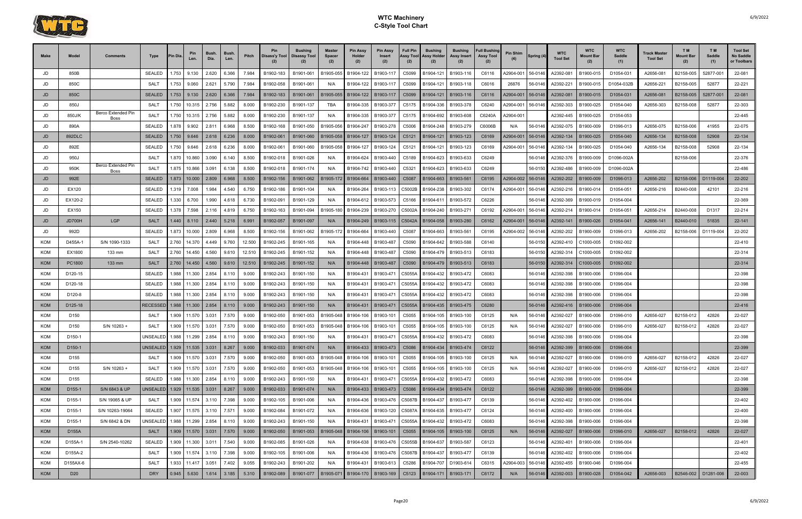

| <b>Make</b>       | Model                        | Comments                   | Type                         | 'in Dia | Pin<br>Len.          | Bush.<br>Dia. | <b>Bush</b><br>Len. | Pitch          | Pin<br>Disass'y Tool   | Bushing<br><b>Disassy Tool</b> | Master<br><b>Spacer</b><br>(2) | <b>Pin Assy</b><br>Holder<br>(2) | <b>Pin Assy</b><br>Insert<br>(2)   | <b>Full Pin</b><br>Assy Tool<br>(2) | <b>Bushing</b><br>Assy Holder<br>(2) | <b>Bushing</b><br>Assy Insert<br>(2) | <b>Full Bushing</b><br><b>Assy Tool</b><br>(2) | <b>Pin Shim</b> | Spring (4)         | <b>WTC</b><br><b>Tool Set</b> | <b>WTC</b><br>Mount Bar<br>(2) | <b>WTC</b><br>Saddle<br>(1) | Track Master<br><b>Tool Set</b> | T M<br><b>Mount Bar</b><br>(2) | T M<br>Saddle<br>(1) | <b>Tool Set</b><br>No Saddle<br>or Toolbars |
|-------------------|------------------------------|----------------------------|------------------------------|---------|----------------------|---------------|---------------------|----------------|------------------------|--------------------------------|--------------------------------|----------------------------------|------------------------------------|-------------------------------------|--------------------------------------|--------------------------------------|------------------------------------------------|-----------------|--------------------|-------------------------------|--------------------------------|-----------------------------|---------------------------------|--------------------------------|----------------------|---------------------------------------------|
| JD                | 850B                         |                            | <b>SEALED</b>                | .753    | 9.130                | 2.620         | 6.366               | 7.984          | B1902-183              | B1901-061                      | B1905-055                      | B1904-122                        | B1903-11                           | C5099                               | B1904-121                            | B1903-116                            | C6116                                          | 42904-001       | 56-0146            | A2392-081                     | B1900-015                      | D1054-031                   | A2656-081                       | B2158-005                      | 52877-00             | 22-081                                      |
| JD                | 850C                         |                            | SALT                         | .753    | 9.060                | 2.621         | 5.790               | 7.984          | B1902-058              | B1901-061                      | N/A                            | B1904-122                        | B1903-117                          | C5099                               | B1904-121                            | B1903-118                            | C6016                                          | 26876           | 56-0146            | A2392-221                     | B1900-015                      | D1054-032B                  | A2656-221                       | B2158-005                      | 52877                | 22-221                                      |
| JD                | 850C                         |                            | <b>SEALED</b>                | 1.753   | 9.130                | 2.620         | 6.366               | 7.984          | B1902-183              | B1901-061                      | B1905-055                      | B1904-122                        | B1903-117                          | C5099                               | B1904-121                            | B1903-116                            | C6116                                          | A2904-001       | 56-0146            | A2392-081                     | B1900-015                      | D1054-031                   | A2656-081                       | B2158-005                      | 52877-001            | 22-081                                      |
| JD                | 850J                         |                            | <b>SALT</b>                  | 1.750   | 10.315               | 2.756         | 5.882               | 8.000          | B1902-230              | B1901-137                      | <b>TBA</b>                     | B1904-335                        | B1903-377                          | C5175                               | B1904-336                            | B1903-378                            | C6240                                          | 42904-001       | 56-0146            | A2392-303                     | B1900-025                      | D1054-040                   | A2656-303                       | B2158-008                      | 52877                | 22-303                                      |
| JD                | 850J/K                       | Berco Extended Pin<br>Boss | <b>SALT</b>                  | 1.750   | 10.315               | 2.756         | 5.882               | 8.000          | B1902-230              | B1901-137                      | N/A                            | B1904-335                        | B1903-377                          | C5175                               | B1904-692                            | B1903-608                            | C6240A                                         | A2904-001       |                    | A2392-445                     | B1900-025                      | D1054-053                   |                                 |                                |                      | 22-445                                      |
| JD                | 890A                         |                            | <b>SEALED</b>                | .878    | 9.902                | 2.811         | 6.968               | 8.500          | B1902-168              | B1901-050                      | B1905-056                      | B1904-247                        | B1903-278                          | C5006                               | B1904-248                            | B1903-279                            | C6006B                                         | N/A             | 56-0146            | A2392-075                     | B1900-009                      | D1096-013                   | A2656-075                       | B2158-006                      | 41955                | 22-075                                      |
| JD                | 892DLC                       |                            | <b>SEALED</b>                | 1.750   | 9.646                | 2.618         | 6.236               | 8.000          | B1902-061              | B1901-060                      | B1905-058                      | B1904-127                        | B1903-124                          | C5121                               | B1904-121                            | B1903-123                            | C6169                                          | A2904-001       | 56-0146            | A2392-134                     | B1900-025                      | D1054-040                   | A2656-134                       | B2158-008                      | 52908                | 22-134                                      |
| JD                | 892E                         |                            | <b>SEALED</b>                | 1.750   | 9.646                | 2.618         | 6.236               | 8.000          | B1902-061              | B1901-060                      | B1905-058                      | B1904-127                        | B1903-124                          | C5121                               | B1904-121                            | B1903-123                            | C6169                                          | 42904-001       | 56-0146            | A2392-134                     | B1900-025                      | D1054-040                   | A2656-134                       | B2158-008                      | 52908                | 22-134                                      |
| JD                | 950J                         |                            | SALT                         | 1.870   | 10.860               | 3.090         | 6.140               | 8.500          | B1902-018              | B1901-026                      | N/A                            | B1904-624                        | B1903-440                          | C5189                               | B1904-623                            | B1903-633                            | C6249                                          |                 | 56-0146            | A2392-376                     | B1900-009                      | D1096-002A                  |                                 | B2158-006                      |                      | 22-376                                      |
| JD                | 950K                         | Berco Extended Pin<br>Boss | SAL <sub>1</sub>             | 1.875   | 10.866               | 3.091         | 6.138               | 8.500          | B1902-018              | B1901-174                      | N/A                            | B1904-742                        | B1903-440                          | C5321                               | B1904-623                            | B1903-633                            | C6249                                          |                 | 56-0150            | A2392-486                     | B1900-009                      | D1096-002A                  |                                 |                                |                      | 22-486                                      |
| JD                | 992E                         |                            | <b>SEALED</b>                | 1.873   | 10.000               | 2.809         | 6.968               | 8.500          | B1902-156              | B1901-062                      | B1905-172                      | B1904-664                        | B1903-440                          | C5087                               | B1904-663                            | B1903-56                             | C6195                                          | 42904-002       | 56-0146            | A2392-202                     | B1900-009                      | D1096-013                   | A2656-202                       | B2158-006                      | D1119-004            | 22-202                                      |
| JD                | EX120                        |                            | <b>SEALED</b>                | 1.319   | 7.008                | 1.984         | 4.540               | 6.750          | B1902-186              | B1901-104                      | N/A                            | B1904-264                        | B1903-113                          | C5002B                              | B1904-238                            | B1903-302                            | C6174                                          | 42904-001       | 56-0146            | A2392-216                     | B1900-014                      | D1054-051                   | A2656-216                       | B2440-008                      | 42101                | 22-216                                      |
| JD                | EX120-2                      |                            | <b>SEALED</b>                | 1.330   | 6.700                | 1.990         | 4.618               | 6.730          | B1902-091              | B1901-129                      | N/A                            | B1904-612                        | B1903-573                          | C5166                               | B1904-611                            | B1903-572                            | C6226                                          |                 | 56-0146            | A2392-369                     | B1900-019                      | D1054-004                   |                                 |                                |                      | 22-369                                      |
| JD                | EX150                        |                            | <b>SEALED</b>                | 1.378   | 7.598                | 2.116         | 4.819               | 6.750          | B1902-163              | B1901-094                      | B1905-180                      | B1904-239                        | B1903-270                          | C5002A                              | B1904-240                            | B1903-27                             | C6192                                          | 42904-001       | 56-0146            | A2392-214                     | B1900-014                      | D1054-051                   | A2656-214                       | B2440-008                      | D1317                | 22-214                                      |
| JD                | JD700H                       | LGP                        | <b>SALT</b>                  | .440    | 8.110                | 2.440         | 5.218               | 6.991          | B1902-057              | B1901-097                      | N/A                            | B1904-249                        | B1903-115                          | C5042A                              | B1904-058                            | B1903-280                            | C6162                                          | 42904-001       | 56-0146            | A2392-141                     | B1900-026                      | D1054-041                   | A2656-141                       | B2440-010                      | 51835                | 22-141                                      |
| JD                | 992D                         |                            | <b>SEALED</b>                | 1.873   | 10.000               | 2.809         | 6.968               | 8.500          | B1902-156              | B1901-062                      | B1905-17                       | B1904-664                        | B1903-440                          | C5087                               | B1904-663                            | B1903-56                             | C6195                                          | 42904-002       | 56-0146            | A2392-202                     | B1900-009                      | D1096-013                   | A2656-202                       | B2158-006                      | D1119-004            | 22-202                                      |
| <b>KOM</b>        | D455A-1                      | S/N 1090-1333              | <b>SALT</b>                  | 2.760   | 14.370               | 4.449         | 9.760               | 12.500         | B1902-245              | B1901-165                      | N/A                            | B1904-448                        | B1903-487                          | C5090                               | B1904-642                            | B1903-588                            | C6140                                          |                 | 56-0150            | A2392-410                     | C1000-005                      | D1092-002                   |                                 |                                |                      | 22-410                                      |
| <b>KOM</b>        | EX1800                       | 133 mm                     | <b>SALT</b>                  | 2.760   | 14.450               | 4.560         | 9.610               | 12.510         | B1902-245              | B1901-152                      | N/A                            | B1904-448                        | B1903-487                          | C5090                               | B1904-479                            | B1903-513                            | C6183                                          |                 | 56-0150            | A2392-314                     | C1000-005                      | D1092-002                   |                                 |                                |                      | 22-314                                      |
| <b>KOM</b>        | PC1800                       | 133 mm                     | <b>SALT</b>                  | 2.760   | 14.450               | 4.560         | 9.610               | 12.510         | B1902-245              | B1901-152                      | N/A                            | B1904-448                        | B1903-487                          | C5090                               | B1904-479                            | B1903-513                            | C6183                                          |                 | 56-0150            | A2392-314                     | C1000-005                      | D1092-002                   |                                 |                                |                      | 22-314                                      |
| KOM               | D120-15                      |                            | <b>SEALED</b>                | 1.988   | 11.300               | 2.854         | 8.110               | 9.000          | B1902-243              | B1901-150                      | N/A                            | B1904-431                        | B1903-471                          | C5055A                              | B1904-432                            | B1903-472                            | C6083                                          |                 | 56-0146            | A2392-398                     | B1900-006                      | D1096-004                   |                                 |                                |                      | 22-398                                      |
| <b>KOM</b>        | D120-18                      |                            | <b>SEALED</b>                | .988    | 11.300               | 2.854         | 8.110               | 9.000          | B1902-243              | B1901-150                      | N/A                            | B1904-431                        | B1903-471                          | C5055A                              | B1904-432                            | B1903-472                            | C6083                                          |                 | 56-0146            | A2392-398                     | B1900-006                      | D1096-004                   |                                 |                                |                      | 22-398                                      |
| <b>KOM</b>        | D120-8                       |                            | <b>SEALED</b>                | 1.988   | 11.300               | 2.854         | 8.110               | 9.000          | B1902-243              | B1901-150                      | N/A                            | B1904-431                        | B1903-471                          | C5055A                              | B1904-432                            | B1903-472                            | C6083                                          |                 | 56-0146            | A2392-398                     | B1900-006                      | D1096-004                   |                                 |                                |                      | 22-398                                      |
| KOM               | D125-18                      |                            | <b>RECESSED</b>              | 1.988   | 11.300 2.854         |               | 8.110               | 9.000          | B1902-243              | B1901-150                      | N/A                            | B1904-431                        | B1903-471                          | C5055A                              | B1904-435                            | B1903-475                            | C6280                                          |                 | 56-0146            | A2392-416                     | B1900-006                      | D1096-004                   |                                 |                                |                      | 22-416                                      |
| <b>KOM</b>        | D <sub>150</sub>             |                            | SALT                         | 1.909   | 11.570               | 3.031         | 7.570               | 9.000          | B1902-050              | B1901-053                      | B1905-048                      | B1904-106                        | B1903-101                          | C5055                               | B1904-105                            | B1903-100                            | C6125                                          | N/A             | 56-0146            | A2392-027                     | B1900-006                      | D1096-010                   | A2656-027                       | B2158-012                      | 42826                | 22-027                                      |
| <b>KOM</b><br>KOM | D150                         | S/N 10263 +                | SAL <sup>-</sup><br>UNSEALED | 1.909   | 11.570               | 3.031         | 7.570               | 9.000          | B1902-050              | B1901-053                      | B1905-048                      | B1904-106                        | B1903-101                          | C5055                               | B1904-105                            | B1903-100                            | C6125                                          | N/A             | 56-0146<br>56-0146 | A2392-027                     | B1900-006                      | D1096-010                   | A2656-027                       | B2158-012                      | 42826                | 22-027<br>22-398                            |
| <b>KOM</b>        | D150-1<br>D <sub>150-1</sub> |                            |                              | 1.988   | 11.299               | 2.854         | 8.110               | 9.000<br>9.000 | B1902-243<br>B1902-033 | B1901-150<br>B1901-074         | N/A<br>N/A                     | B1904-431                        | B1903-471<br>B1904-433   B1903-473 | C5055A<br>C5086                     | B1904-432<br>B1904-434   B1903-474   | B1903-472                            | C6083<br>C6122                                 |                 | ,,,,,,<br>56-0146  | A2392-398<br>A2392-399        | B1900-006<br>B1900-006         | D1096-004<br>D1096-004      |                                 |                                |                      | 22-399                                      |
| KOM               | D <sub>155</sub>             |                            | SALT                         |         | 1.909 11.570 3.031   |               | 7.570               | 9.000          | B1902-050              | B1901-053                      | B1905-048                      | B1904-106                        | B1903-101                          | C5055                               | B1904-105   B1903-100                |                                      | C6125                                          | N/A             | 56-0146            | A2392-027                     | B1900-006                      | D1096-010                   | A2656-027                       | B2158-012                      | 42826                | 22-027                                      |
| <b>KOM</b>        | D155                         | S/N 10263 +                | SALT                         |         | 1.909 11.570 3.031   |               | 7.570               | 9.000          | B1902-050              | B1901-053                      | B1905-048                      | B1904-106                        | B1903-101                          | C5055                               | B1904-105                            | B1903-100                            | C6125                                          | N/A             | 56-0146            | A2392-027                     | B1900-006                      | D1096-010                   | A2656-027                       | B2158-012                      | 42826                | 22-027                                      |
| KOM               | D <sub>155</sub>             |                            | <b>SEALED</b>                |         | 1.988 11.300 2.854   |               | 8.110               | 9.000          | B1902-243              | B1901-150                      | N/A                            | B1904-431                        | B1903-471                          | C5055A                              | B1904-432   B1903-472                |                                      | C6083                                          |                 | 56-0146            | A2392-398                     | B1900-006                      | D1096-004                   |                                 |                                |                      | 22-398                                      |
| <b>KOM</b>        | D155-1                       | S/N 6843 & UP              |                              |         |                      |               | 8.267               | 9.000          | B1902-033              | B1901-074                      | N/A                            |                                  | B1904-433   B1903-473              | C5086                               | B1904-434 B1903-474                  |                                      | C6122                                          |                 | 56-0146            | A2392-399                     | B1900-006                      | D1096-004                   |                                 |                                |                      | 22-399                                      |
| KOM               | D155-1                       | S/N 19065 & UP             | SALT                         |         | 1.909 11.574 3.110   |               | 7.398               | 9.000          | B1902-105              | B1901-006                      | N/A                            | B1904-436                        | B1903-476                          |                                     | C5087B B1904-437                     | B1903-477                            | C6139                                          |                 | 56-0146            | A2392-402                     | B1900-006                      | D1096-004                   |                                 |                                |                      | 22-402                                      |
| <b>KOM</b>        | D155-1                       | S/N 10263-19064            | <b>SEALED</b>                |         | 1.907 11.575 3.110   |               | 7.571               | 9.000          | B1902-084              | B1901-072                      | N/A                            | B1904-636                        | B1903-120                          | C5087A                              | B1904-635   B1903-477                |                                      | C6124                                          |                 | 56-0146            | A2392-400                     | B1900-006                      | D1096-004                   |                                 |                                |                      | 22-400                                      |
| KOM               | D155-1                       | S/N 6842 & DN              | JNSEALED                     |         | 1.988 11.299 2.854   |               | 8.110               | 9.000          | B1902-243              | B1901-150                      | N/A                            | B1904-431                        | B1903-471                          | C5055A                              | B1904-432   B1903-472                |                                      | C6083                                          |                 | 56-0146            | A2392-398                     | B1900-006                      | D1096-004                   |                                 |                                |                      | 22-398                                      |
| <b>KOM</b>        | D155A                        |                            | SALT                         |         | $1.909$ 11.570 3.031 |               | 7.570               | 9.000          | B1902-050              | B1901-053                      | B1905-048                      | B1904-106                        | B1903-101                          | C5055                               |                                      | B1904-105   B1903-100                | C6125                                          | N/A             | 56-0146            | A2392-027                     | B1900-006                      | D1096-010                   | A2656-027                       | B2158-012                      | 42826                | 22-027                                      |
| <b>KOM</b>        | D155A-1                      | S/N 2540-10262             | <b>SEALED</b>                |         | 1.909 11.300 3.011   |               | 7.540               | 9.000          | B1902-085              | B1901-026                      | N/A                            | B1904-638                        | B1903-476                          | C5055B                              | B1904-637                            | B1903-587                            | C6123                                          |                 | 56-0146            | A2392-401                     | B1900-006                      | D1096-004                   |                                 |                                |                      | 22-401                                      |
| KOM               | D155A-2                      |                            | SALT                         |         | 1.909 11.574 3.110   |               | 7.398               | 9.000          | B1902-105              | B1901-006                      | N/A                            | B1904-436                        | B1903-476 C5087B                   |                                     | B1904-437 B1903-477                  |                                      | C6139                                          |                 | 56-0146            | A2392-402                     | B1900-006                      | D1096-004                   |                                 |                                |                      | 22-402                                      |
| KOM               | D155AX-6                     |                            | SALT                         |         | 1.933 11.417         | 3.051         | 7.402               | 9.055          | B1902-243              | B1901-202                      | N/A                            | B1904-431                        | B1903-613                          | C5286                               | B1904-707                            | D1903-614                            | C6315                                          | A2904-003       | 56-0146            | A2392-455                     | B1900-046                      | D1096-004                   |                                 |                                |                      | 22-455                                      |
| KOM               | D <sub>20</sub>              |                            | <b>DRY</b>                   |         | $0.945$ 5.630        | 1.614         | 3.185               | 5.310          | B1902-089              | B1901-077                      | B1905-071                      |                                  | B1904-170   B1903-169              |                                     | C5123 B1904-171 B1903-171            |                                      | C6172                                          | N/A             | 56-0146            | A2392-003                     | B1900-028                      | D1054-042                   | A2656-003                       | B2546-002   D1281-006          |                      | 22-003                                      |
|                   |                              |                            |                              |         |                      |               |                     |                |                        |                                |                                |                                  |                                    |                                     |                                      |                                      |                                                |                 |                    |                               |                                |                             |                                 |                                |                      |                                             |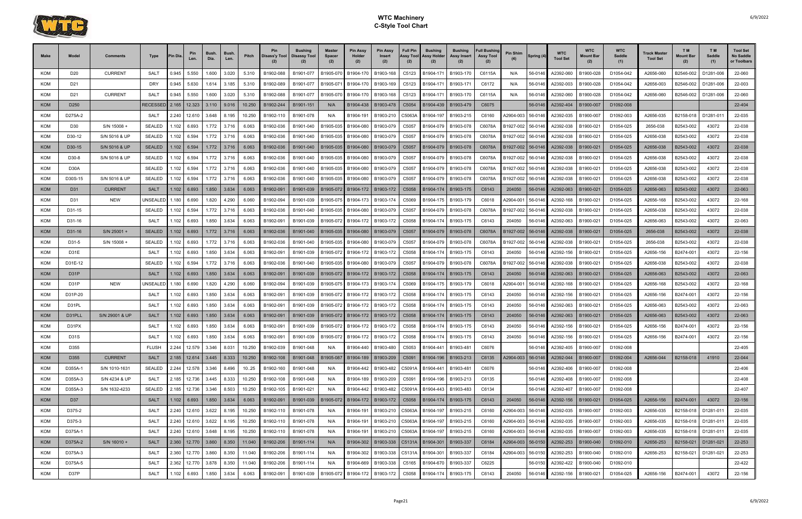

| <b>KOM</b><br><b>CURRENT</b><br>D1054-042<br>A2656-060<br>D <sub>20</sub><br><b>SALT</b><br>0.945<br>5.550<br>1.600<br>3.020<br>5.310<br>B1902-088<br>B1901-077<br>B1905-07<br>B1904-170<br>B1903-168<br>B1904-17<br>B1903-170<br>C6115A<br>56-0146<br>A2392-060<br>B1900-028<br>B2546-002<br>D1281-006<br>C5123<br>N/A<br><b>KOM</b><br>D21<br><b>DRY</b><br>0.945<br>5.630<br>1.614<br>3.185<br>5.310<br>B1902-089<br>B1901-077<br>B1905-07<br>B1904-170<br>B1903-169<br>C5123<br>B1904-171<br>B1903-17<br>C6172<br>56-0146<br>A2392-003<br>B1900-028<br>D1054-042<br>A2656-003<br>B2546-002<br>D1281-006<br>N/A<br><b>CURRENT</b><br><b>KOM</b><br><b>SALT</b><br>0.945<br>5.550<br>1.600<br>3.020<br>5.310<br>B1902-088<br>B1901-077<br>B1905-07<br>B1904-170<br>B1903-168<br>B1903-170<br>C6115A<br>A2392-060<br>B1900-028<br>D1054-042<br>A2656-060<br>B2546-002<br>D1281-006<br>D <sub>21</sub><br>C5123<br>B1904-171<br>56-0146<br>N/A<br><b>KOM</b><br>D <sub>250</sub><br>RECESSE<br>2.165<br>12.323<br>3.110<br>9.016<br>10.250<br>B1902-244<br>B1901-151<br>B1903-478<br>B1903-479<br>C6075<br>56-0146<br>A2392-404<br>B1900-007<br>D1092-008<br>B1904-438<br>C5054<br>B1904-439<br>N/A<br><b>KOM</b><br>D275A-2<br>8.195<br>10.250<br>B1901-078<br>B1903-210<br>B1903-215<br>C6160<br>42904-003<br>A2392-035<br>B1900-007<br>A2656-035<br>B2158-018<br>D1281-011<br>SALT<br>2.240<br>12.610<br>3.648<br>B1902-110<br>B1904-191<br>C5063A<br>B1904-197<br>56-0146<br>D1092-003<br>N/A<br><b>KOM</b><br>S/N 15008 +<br>1.772<br>3.716<br><b>SEALED</b><br>.102<br>6.063<br>B1902-036<br>B1901-040<br>B1905-035<br>B1904-080<br>B1903-079<br>C5057<br>B1904-079<br>B1903-078<br>C6078A<br>B1927-002<br>56-0146<br>A2392-038<br>B1900-021<br>D1054-025<br>2656-038<br>B2543-002<br>43072<br>D <sub>30</sub><br>6.693<br><b>KOM</b><br>D30-12<br>S/N 5016 & UF<br><b>SEALED</b><br>1.102<br>6.594<br>1.772<br>3.716<br>6.063<br>B1902-036<br>B1901-040<br>B1904-080<br>B1903-079<br>B1903-078<br>C6078A<br>A2392-038<br>B1900-021<br>D1054-025<br>A2656-038<br>B2543-002<br>43072<br>B1905-035<br>C5057<br>B1904-079<br>B1927-002<br>56-0146<br><b>KOM</b><br>1.772<br>3.716<br>43072<br>D30-15<br>S/N 5016 & UP<br><b>SEALED</b><br>1.102<br>6.594<br>6.063<br>B1902-036<br>B1901-040<br>B1905-035<br>B1904-080<br>B1903-079<br>B1903-078<br>C6078A<br>56-0146<br>A2392-038<br>B1900-021<br>D1054-025<br>A2656-038<br>B2543-002<br>C5057<br>B1904-079<br>B1927-002<br>1.772<br>3.716<br>D1054-025<br><b>KOM</b><br>D30-8<br>S/N 5016 & UP<br>SEALED<br>.102<br>6.594<br>6.063<br>B1902-036<br>B1901-040<br>B1905-035<br>B1904-080<br>B1903-079<br>C5057<br>B1904-079<br>B1903-078<br>C6078A<br>A2392-038<br>B1900-021<br>A2656-038<br>B2543-002<br>43072<br>B1927-002<br>56-0146<br><b>KOM</b><br>D30A<br><b>SEALED</b><br>1.102<br>6.594<br>3.716<br>6.063<br>B1902-036<br>B1901-040<br>B1904-080<br>B1903-079<br>B1903-078<br>C6078A<br>B1927-002<br>A2392-038<br>B1900-021<br>D1054-025<br>A2656-038<br>B2543-002<br>43072<br>1.772<br>B1905-035<br>C5057<br>B1904-079<br>56-0146<br><b>KOM</b><br>D30S-15<br>S/N 5016 & UF<br><b>SEALED</b><br>1.772<br>3.716<br>6.063<br>B1903-079<br>B1903-078<br>A2656-038<br>B2543-002<br>43072<br>.102<br>6.594<br>B1902-036<br>B1901-040<br>B1905-035<br>B1904-080<br>C5057<br>B1904-079<br>C6078A<br>B1927-002<br>A2392-038<br>B1900-021<br>D1054-025<br>56-0146<br><b>KOM</b><br><b>CURRENT</b><br>3.634<br>1.102<br>1.850<br>6.063<br>A2392-063<br>B1900-021<br>D1054-025<br>A2656-063<br>43072<br>D31<br><b>SALT</b><br>6.693<br>B1902-091<br>B1901-039<br>B1905-072<br>B1904-172<br>B1903-172<br>C5058<br>B1904-174<br>B1903-175<br>C6143<br>204050<br>56-0146<br>B2543-002<br><b>KOM</b><br><b>NEW</b><br><b>JNSEALE</b><br>1.820<br>4.290<br>D1054-025<br>B2543-002<br>43072<br>D31<br>1.180<br>6.690<br>6.060<br>B1902-094<br>B1901-039<br>B1905-07<br>B1904-173<br>B1903-174<br>C5069<br>B1904-175<br>B1903-179<br>C6018<br>42904-001<br>56-0146<br>A2392-168<br>B1900-021<br>A2656-168<br>KOM<br>D31-15<br><b>SEALED</b><br>.102<br>6.594<br>1.772<br>3.716<br>6.063<br>B1902-036<br>B1901-040<br>B1905-035<br>B1904-080<br>B1903-079<br>B1904-079<br>B1903-078<br>C6078A<br>B1927-002<br>56-0146<br>A2392-038<br>B1900-021<br>D1054-025<br>A2656-038<br>B2543-002<br>43072<br>C5057<br><b>KOM</b><br>1.850<br>3.634<br>6.063<br>D1054-025<br>43072<br>SALT<br>B1901-039<br>B1904-172<br>B1903-172<br>C5058<br>B1903-175<br>C6143<br>204050<br>A2392-063<br>B1900-021<br>A2656-063<br>B2543-002<br>D31-16<br>.102<br>6.693<br>B1902-091<br>B1905-072<br>B1904-174<br>56-0146<br><b>KOM</b><br>S/N 25001 +<br>D31-16<br><b>SEALED</b><br>1.102<br>6.693<br>1.772<br>3.716<br>6.063<br>B1902-036<br>B1901-040<br>B1904-080<br>B1903-079<br>B1903-078<br>C6078A<br>B1927-002<br>56-0146<br>A2392-038<br>B1900-021<br>D1054-025<br>2656-038<br>B2543-002<br>43072<br>B1905-035<br>C5057<br>B1904-079<br>KOM<br>D31-5<br>S/N 15008 +<br><b>SEALED</b><br>1.102<br>1.772<br>3.716<br>6.063<br>B1902-036<br>B1901-040<br>B1904-080<br>B1903-079<br>B1904-079<br>B1903-078<br>C6078A<br>B1927-002<br>56-0146<br>A2392-038<br>B1900-021<br>D1054-025<br>2656-038<br>B2543-002<br>43072<br>6.693<br>B1905-035<br>C5057<br><b>KOM</b><br>43072<br>D31E<br>SALT<br>1.850<br>3.634<br>6.063<br>C6143<br>B1900-021<br>D1054-025<br>A2656-156<br>B2474-001<br>.102<br>6.693<br>B1902-091<br>B1901-039<br>B1905-072<br>B1904-172<br>B1903-172<br>C5058<br>B1904-174<br>B1903-175<br>204050<br>56-0146<br>A2392-156<br><b>KOM</b><br><b>SEALED</b><br>.102<br>6.063<br>B1903-078<br>A2656-038<br>B2543-002<br>43072<br>D31E-12<br>6.594<br>1.772<br>3.716<br>B1902-036<br>B1901-040<br>B1905-035<br>B1904-080<br>B1903-079<br>C5057<br>C6078A<br>B1927-002<br>56-0146<br>A2392-038<br>B1900-021<br>D1054-025<br>B1904-079<br><b>KOM</b><br>D <sub>31</sub> P<br><b>SALT</b><br>1.102<br>1.850<br>3.634<br>6.063<br>B1902-091<br>B1901-039<br>B1904-172<br>B1903-172<br>B1903-175<br>C6143<br>56-0146<br>A2392-063<br>B1900-021<br>D1054-025<br>A2656-063<br>B2543-002<br>43072<br>6.693<br>B1905-072<br>C5058<br>B1904-174<br>204050<br><b>NEW</b><br>4.290<br>C6018<br>43072<br><b>KOM</b><br>D31P<br>JNSEALEI<br>1.180<br>6.690<br>1.820<br>6.060<br>B1902-094<br>B1901-039<br>B1905-07<br>B1904-173<br>B1903-174<br>C5069<br>B1903-179<br>42904-001<br>56-0146<br>A2392-168<br>B1900-021<br>D1054-025<br>A2656-168<br>B2543-002<br>B1904-175<br><b>KOM</b><br>1.850<br>43072<br>22-156<br>D31P-20<br>1.102<br>3.634<br>6.063<br>B1902-091<br>B1901-039<br>B1903-172<br>B1903-175<br>A2392-156<br>B1900-021<br>D1054-025<br>A2656-156<br>B2474-001<br>SALT<br>6.693<br>B1905-072<br>B1904-172<br>C5058<br>B1904-174<br>C6143<br>204050<br>56-0146<br><b>KOM</b><br>1.850<br>3.634<br>B1903-172<br>A2392-063<br>B1900-021<br>D1054-025<br>A2656-063<br>B2543-002<br>43072<br>22-063<br>D31PL<br><b>SALT</b><br>1.102<br>6.063<br>B1902-091<br>B1901-039<br>B1905-072<br>B1904-172<br>B1904-174<br>B1903-175<br>C6143<br>204050<br>56-0146<br>6.693<br>C5058<br><b>KOM</b><br>3.634<br>S/N 29001 & UP<br><b>SALT</b><br>1.102<br>6.693<br>1.850<br>6.063<br>B1902-091<br>B1901-039<br>B1904-172<br>B1903-172<br>B1903-175<br>C6143<br>56-0146<br>A2392-063<br>B1900-021<br>D1054-025<br>A2656-063<br>B2543-002<br>43072<br>22-063<br>D31PLL<br>B1905-072<br>C <sub>5058</sub><br>B1904-174<br>204050 | <b>Make</b><br>Model | <b>Comments</b> | Type | 'in Dia | Pin<br>Len. | <b>Bush</b><br>Dia. | Bush.<br>Len. | Pitch | <b>Pin</b><br>Disass'y Tool | <b>Bushing</b><br><b>Disassy Tool</b> | <b>Master</b><br><b>Spacer</b><br>(2) | Pin Assy<br>Holder<br>(2) | <b>Pin Assy</b><br>Insert<br>(2) | <b>Full Pin</b><br>Assy Tool<br>(2) | <b>Bushing</b><br>Assy Holder<br>(2) | <b>Bushing</b><br>Assy Insert | <b>Full Bushing</b><br><b>Assy Tool</b><br>(2) | <b>Pin Shim</b> | Spring (4) | <b>WTC</b><br><b>Tool Set</b> | <b>WTC</b><br>Mount Bar | <b>WTC</b><br><b>Saddle</b><br>(1) | Track Master<br><b>Tool Set</b> | T <sub>M</sub><br>Mount Bar<br>(2) | T M<br>Saddle<br>(1) | <b>Tool Set</b><br>No Saddle<br>or Toolbars |
|--------------------------------------------------------------------------------------------------------------------------------------------------------------------------------------------------------------------------------------------------------------------------------------------------------------------------------------------------------------------------------------------------------------------------------------------------------------------------------------------------------------------------------------------------------------------------------------------------------------------------------------------------------------------------------------------------------------------------------------------------------------------------------------------------------------------------------------------------------------------------------------------------------------------------------------------------------------------------------------------------------------------------------------------------------------------------------------------------------------------------------------------------------------------------------------------------------------------------------------------------------------------------------------------------------------------------------------------------------------------------------------------------------------------------------------------------------------------------------------------------------------------------------------------------------------------------------------------------------------------------------------------------------------------------------------------------------------------------------------------------------------------------------------------------------------------------------------------------------------------------------------------------------------------------------------------------------------------------------------------------------------------------------------------------------------------------------------------------------------------------------------------------------------------------------------------------------------------------------------------------------------------------------------------------------------------------------------------------------------------------------------------------------------------------------------------------------------------------------------------------------------------------------------------------------------------------------------------------------------------------------------------------------------------------------------------------------------------------------------------------------------------------------------------------------------------------------------------------------------------------------------------------------------------------------------------------------------------------------------------------------------------------------------------------------------------------------------------------------------------------------------------------------------------------------------------------------------------------------------------------------------------------------------------------------------------------------------------------------------------------------------------------------------------------------------------------------------------------------------------------------------------------------------------------------------------------------------------------------------------------------------------------------------------------------------------------------------------------------------------------------------------------------------------------------------------------------------------------------------------------------------------------------------------------------------------------------------------------------------------------------------------------------------------------------------------------------------------------------------------------------------------------------------------------------------------------------------------------------------------------------------------------------------------------------------------------------------------------------------------------------------------------------------------------------------------------------------------------------------------------------------------------------------------------------------------------------------------------------------------------------------------------------------------------------------------------------------------------------------------------------------------------------------------------------------------------------------------------------------------------------------------------------------------------------------------------------------------------------------------------------------------------------------------------------------------------------------------------------------------------------------------------------------------------------------------------------------------------------------------------------------------------------------------------------------------------------------------------------------------------------------------------------------------------------------------------------------------------------------------------------------------------------------------------------------------------------------------------------------------------------------------------------------------------------------------------------------------------------------------------------------------------------------------------------------------------------------------------------------------------------------------------------------------------------------------------------------------------------------------------------------------------------------------------------------------------------------------------------------------------------------------------------------------------------------------------------------------------------------------------------------------------------------------------------------------------------------------------------------------------------------------------------------------------------------------------------------------------------------------------------------------------------------------------------------------------------------------------------------------------------------------------------------------------------------------------------------------------------------------------------------------------------------------------------------------------------------------------------------------------------------------------------------------------------------------------------------------------------------------------------------------------------------------------------------------------------------------------------------------------------------------------------------------------------------------------------------------------------------------------------------------------------------------------------------------------------------------------------------------------------------------------------------------------------------------------|----------------------|-----------------|------|---------|-------------|---------------------|---------------|-------|-----------------------------|---------------------------------------|---------------------------------------|---------------------------|----------------------------------|-------------------------------------|--------------------------------------|-------------------------------|------------------------------------------------|-----------------|------------|-------------------------------|-------------------------|------------------------------------|---------------------------------|------------------------------------|----------------------|---------------------------------------------|
|                                                                                                                                                                                                                                                                                                                                                                                                                                                                                                                                                                                                                                                                                                                                                                                                                                                                                                                                                                                                                                                                                                                                                                                                                                                                                                                                                                                                                                                                                                                                                                                                                                                                                                                                                                                                                                                                                                                                                                                                                                                                                                                                                                                                                                                                                                                                                                                                                                                                                                                                                                                                                                                                                                                                                                                                                                                                                                                                                                                                                                                                                                                                                                                                                                                                                                                                                                                                                                                                                                                                                                                                                                                                                                                                                                                                                                                                                                                                                                                                                                                                                                                                                                                                                                                                                                                                                                                                                                                                                                                                                                                                                                                                                                                                                                                                                                                                                                                                                                                                                                                                                                                                                                                                                                                                                                                                                                                                                                                                                                                                                                                                                                                                                                                                                                                                                                                                                                                                                                                                                                                                                                                                                                                                                                                                                                                                                                                                                                                                                                                                                                                                                                                                                                                                                                                                                                                                                                                                                                                                                                                                                                                                                                                                                                                                                                                                                                                                                                                  |                      |                 |      |         |             |                     |               |       |                             |                                       |                                       |                           |                                  |                                     |                                      |                               |                                                |                 |            |                               |                         |                                    |                                 |                                    |                      | 22-060                                      |
|                                                                                                                                                                                                                                                                                                                                                                                                                                                                                                                                                                                                                                                                                                                                                                                                                                                                                                                                                                                                                                                                                                                                                                                                                                                                                                                                                                                                                                                                                                                                                                                                                                                                                                                                                                                                                                                                                                                                                                                                                                                                                                                                                                                                                                                                                                                                                                                                                                                                                                                                                                                                                                                                                                                                                                                                                                                                                                                                                                                                                                                                                                                                                                                                                                                                                                                                                                                                                                                                                                                                                                                                                                                                                                                                                                                                                                                                                                                                                                                                                                                                                                                                                                                                                                                                                                                                                                                                                                                                                                                                                                                                                                                                                                                                                                                                                                                                                                                                                                                                                                                                                                                                                                                                                                                                                                                                                                                                                                                                                                                                                                                                                                                                                                                                                                                                                                                                                                                                                                                                                                                                                                                                                                                                                                                                                                                                                                                                                                                                                                                                                                                                                                                                                                                                                                                                                                                                                                                                                                                                                                                                                                                                                                                                                                                                                                                                                                                                                                                  |                      |                 |      |         |             |                     |               |       |                             |                                       |                                       |                           |                                  |                                     |                                      |                               |                                                |                 |            |                               |                         |                                    |                                 |                                    |                      | 22-003                                      |
|                                                                                                                                                                                                                                                                                                                                                                                                                                                                                                                                                                                                                                                                                                                                                                                                                                                                                                                                                                                                                                                                                                                                                                                                                                                                                                                                                                                                                                                                                                                                                                                                                                                                                                                                                                                                                                                                                                                                                                                                                                                                                                                                                                                                                                                                                                                                                                                                                                                                                                                                                                                                                                                                                                                                                                                                                                                                                                                                                                                                                                                                                                                                                                                                                                                                                                                                                                                                                                                                                                                                                                                                                                                                                                                                                                                                                                                                                                                                                                                                                                                                                                                                                                                                                                                                                                                                                                                                                                                                                                                                                                                                                                                                                                                                                                                                                                                                                                                                                                                                                                                                                                                                                                                                                                                                                                                                                                                                                                                                                                                                                                                                                                                                                                                                                                                                                                                                                                                                                                                                                                                                                                                                                                                                                                                                                                                                                                                                                                                                                                                                                                                                                                                                                                                                                                                                                                                                                                                                                                                                                                                                                                                                                                                                                                                                                                                                                                                                                                                  |                      |                 |      |         |             |                     |               |       |                             |                                       |                                       |                           |                                  |                                     |                                      |                               |                                                |                 |            |                               |                         |                                    |                                 |                                    |                      | 22-060                                      |
|                                                                                                                                                                                                                                                                                                                                                                                                                                                                                                                                                                                                                                                                                                                                                                                                                                                                                                                                                                                                                                                                                                                                                                                                                                                                                                                                                                                                                                                                                                                                                                                                                                                                                                                                                                                                                                                                                                                                                                                                                                                                                                                                                                                                                                                                                                                                                                                                                                                                                                                                                                                                                                                                                                                                                                                                                                                                                                                                                                                                                                                                                                                                                                                                                                                                                                                                                                                                                                                                                                                                                                                                                                                                                                                                                                                                                                                                                                                                                                                                                                                                                                                                                                                                                                                                                                                                                                                                                                                                                                                                                                                                                                                                                                                                                                                                                                                                                                                                                                                                                                                                                                                                                                                                                                                                                                                                                                                                                                                                                                                                                                                                                                                                                                                                                                                                                                                                                                                                                                                                                                                                                                                                                                                                                                                                                                                                                                                                                                                                                                                                                                                                                                                                                                                                                                                                                                                                                                                                                                                                                                                                                                                                                                                                                                                                                                                                                                                                                                                  |                      |                 |      |         |             |                     |               |       |                             |                                       |                                       |                           |                                  |                                     |                                      |                               |                                                |                 |            |                               |                         |                                    |                                 |                                    |                      | 22-404                                      |
|                                                                                                                                                                                                                                                                                                                                                                                                                                                                                                                                                                                                                                                                                                                                                                                                                                                                                                                                                                                                                                                                                                                                                                                                                                                                                                                                                                                                                                                                                                                                                                                                                                                                                                                                                                                                                                                                                                                                                                                                                                                                                                                                                                                                                                                                                                                                                                                                                                                                                                                                                                                                                                                                                                                                                                                                                                                                                                                                                                                                                                                                                                                                                                                                                                                                                                                                                                                                                                                                                                                                                                                                                                                                                                                                                                                                                                                                                                                                                                                                                                                                                                                                                                                                                                                                                                                                                                                                                                                                                                                                                                                                                                                                                                                                                                                                                                                                                                                                                                                                                                                                                                                                                                                                                                                                                                                                                                                                                                                                                                                                                                                                                                                                                                                                                                                                                                                                                                                                                                                                                                                                                                                                                                                                                                                                                                                                                                                                                                                                                                                                                                                                                                                                                                                                                                                                                                                                                                                                                                                                                                                                                                                                                                                                                                                                                                                                                                                                                                                  |                      |                 |      |         |             |                     |               |       |                             |                                       |                                       |                           |                                  |                                     |                                      |                               |                                                |                 |            |                               |                         |                                    |                                 |                                    |                      | 22-035                                      |
|                                                                                                                                                                                                                                                                                                                                                                                                                                                                                                                                                                                                                                                                                                                                                                                                                                                                                                                                                                                                                                                                                                                                                                                                                                                                                                                                                                                                                                                                                                                                                                                                                                                                                                                                                                                                                                                                                                                                                                                                                                                                                                                                                                                                                                                                                                                                                                                                                                                                                                                                                                                                                                                                                                                                                                                                                                                                                                                                                                                                                                                                                                                                                                                                                                                                                                                                                                                                                                                                                                                                                                                                                                                                                                                                                                                                                                                                                                                                                                                                                                                                                                                                                                                                                                                                                                                                                                                                                                                                                                                                                                                                                                                                                                                                                                                                                                                                                                                                                                                                                                                                                                                                                                                                                                                                                                                                                                                                                                                                                                                                                                                                                                                                                                                                                                                                                                                                                                                                                                                                                                                                                                                                                                                                                                                                                                                                                                                                                                                                                                                                                                                                                                                                                                                                                                                                                                                                                                                                                                                                                                                                                                                                                                                                                                                                                                                                                                                                                                                  |                      |                 |      |         |             |                     |               |       |                             |                                       |                                       |                           |                                  |                                     |                                      |                               |                                                |                 |            |                               |                         |                                    |                                 |                                    |                      | 22-038                                      |
|                                                                                                                                                                                                                                                                                                                                                                                                                                                                                                                                                                                                                                                                                                                                                                                                                                                                                                                                                                                                                                                                                                                                                                                                                                                                                                                                                                                                                                                                                                                                                                                                                                                                                                                                                                                                                                                                                                                                                                                                                                                                                                                                                                                                                                                                                                                                                                                                                                                                                                                                                                                                                                                                                                                                                                                                                                                                                                                                                                                                                                                                                                                                                                                                                                                                                                                                                                                                                                                                                                                                                                                                                                                                                                                                                                                                                                                                                                                                                                                                                                                                                                                                                                                                                                                                                                                                                                                                                                                                                                                                                                                                                                                                                                                                                                                                                                                                                                                                                                                                                                                                                                                                                                                                                                                                                                                                                                                                                                                                                                                                                                                                                                                                                                                                                                                                                                                                                                                                                                                                                                                                                                                                                                                                                                                                                                                                                                                                                                                                                                                                                                                                                                                                                                                                                                                                                                                                                                                                                                                                                                                                                                                                                                                                                                                                                                                                                                                                                                                  |                      |                 |      |         |             |                     |               |       |                             |                                       |                                       |                           |                                  |                                     |                                      |                               |                                                |                 |            |                               |                         |                                    |                                 |                                    |                      | 22-038                                      |
|                                                                                                                                                                                                                                                                                                                                                                                                                                                                                                                                                                                                                                                                                                                                                                                                                                                                                                                                                                                                                                                                                                                                                                                                                                                                                                                                                                                                                                                                                                                                                                                                                                                                                                                                                                                                                                                                                                                                                                                                                                                                                                                                                                                                                                                                                                                                                                                                                                                                                                                                                                                                                                                                                                                                                                                                                                                                                                                                                                                                                                                                                                                                                                                                                                                                                                                                                                                                                                                                                                                                                                                                                                                                                                                                                                                                                                                                                                                                                                                                                                                                                                                                                                                                                                                                                                                                                                                                                                                                                                                                                                                                                                                                                                                                                                                                                                                                                                                                                                                                                                                                                                                                                                                                                                                                                                                                                                                                                                                                                                                                                                                                                                                                                                                                                                                                                                                                                                                                                                                                                                                                                                                                                                                                                                                                                                                                                                                                                                                                                                                                                                                                                                                                                                                                                                                                                                                                                                                                                                                                                                                                                                                                                                                                                                                                                                                                                                                                                                                  |                      |                 |      |         |             |                     |               |       |                             |                                       |                                       |                           |                                  |                                     |                                      |                               |                                                |                 |            |                               |                         |                                    |                                 |                                    |                      | 22-038                                      |
|                                                                                                                                                                                                                                                                                                                                                                                                                                                                                                                                                                                                                                                                                                                                                                                                                                                                                                                                                                                                                                                                                                                                                                                                                                                                                                                                                                                                                                                                                                                                                                                                                                                                                                                                                                                                                                                                                                                                                                                                                                                                                                                                                                                                                                                                                                                                                                                                                                                                                                                                                                                                                                                                                                                                                                                                                                                                                                                                                                                                                                                                                                                                                                                                                                                                                                                                                                                                                                                                                                                                                                                                                                                                                                                                                                                                                                                                                                                                                                                                                                                                                                                                                                                                                                                                                                                                                                                                                                                                                                                                                                                                                                                                                                                                                                                                                                                                                                                                                                                                                                                                                                                                                                                                                                                                                                                                                                                                                                                                                                                                                                                                                                                                                                                                                                                                                                                                                                                                                                                                                                                                                                                                                                                                                                                                                                                                                                                                                                                                                                                                                                                                                                                                                                                                                                                                                                                                                                                                                                                                                                                                                                                                                                                                                                                                                                                                                                                                                                                  |                      |                 |      |         |             |                     |               |       |                             |                                       |                                       |                           |                                  |                                     |                                      |                               |                                                |                 |            |                               |                         |                                    |                                 |                                    |                      | 22-038                                      |
|                                                                                                                                                                                                                                                                                                                                                                                                                                                                                                                                                                                                                                                                                                                                                                                                                                                                                                                                                                                                                                                                                                                                                                                                                                                                                                                                                                                                                                                                                                                                                                                                                                                                                                                                                                                                                                                                                                                                                                                                                                                                                                                                                                                                                                                                                                                                                                                                                                                                                                                                                                                                                                                                                                                                                                                                                                                                                                                                                                                                                                                                                                                                                                                                                                                                                                                                                                                                                                                                                                                                                                                                                                                                                                                                                                                                                                                                                                                                                                                                                                                                                                                                                                                                                                                                                                                                                                                                                                                                                                                                                                                                                                                                                                                                                                                                                                                                                                                                                                                                                                                                                                                                                                                                                                                                                                                                                                                                                                                                                                                                                                                                                                                                                                                                                                                                                                                                                                                                                                                                                                                                                                                                                                                                                                                                                                                                                                                                                                                                                                                                                                                                                                                                                                                                                                                                                                                                                                                                                                                                                                                                                                                                                                                                                                                                                                                                                                                                                                                  |                      |                 |      |         |             |                     |               |       |                             |                                       |                                       |                           |                                  |                                     |                                      |                               |                                                |                 |            |                               |                         |                                    |                                 |                                    |                      | 22-038                                      |
|                                                                                                                                                                                                                                                                                                                                                                                                                                                                                                                                                                                                                                                                                                                                                                                                                                                                                                                                                                                                                                                                                                                                                                                                                                                                                                                                                                                                                                                                                                                                                                                                                                                                                                                                                                                                                                                                                                                                                                                                                                                                                                                                                                                                                                                                                                                                                                                                                                                                                                                                                                                                                                                                                                                                                                                                                                                                                                                                                                                                                                                                                                                                                                                                                                                                                                                                                                                                                                                                                                                                                                                                                                                                                                                                                                                                                                                                                                                                                                                                                                                                                                                                                                                                                                                                                                                                                                                                                                                                                                                                                                                                                                                                                                                                                                                                                                                                                                                                                                                                                                                                                                                                                                                                                                                                                                                                                                                                                                                                                                                                                                                                                                                                                                                                                                                                                                                                                                                                                                                                                                                                                                                                                                                                                                                                                                                                                                                                                                                                                                                                                                                                                                                                                                                                                                                                                                                                                                                                                                                                                                                                                                                                                                                                                                                                                                                                                                                                                                                  |                      |                 |      |         |             |                     |               |       |                             |                                       |                                       |                           |                                  |                                     |                                      |                               |                                                |                 |            |                               |                         |                                    |                                 |                                    |                      | 22-038                                      |
|                                                                                                                                                                                                                                                                                                                                                                                                                                                                                                                                                                                                                                                                                                                                                                                                                                                                                                                                                                                                                                                                                                                                                                                                                                                                                                                                                                                                                                                                                                                                                                                                                                                                                                                                                                                                                                                                                                                                                                                                                                                                                                                                                                                                                                                                                                                                                                                                                                                                                                                                                                                                                                                                                                                                                                                                                                                                                                                                                                                                                                                                                                                                                                                                                                                                                                                                                                                                                                                                                                                                                                                                                                                                                                                                                                                                                                                                                                                                                                                                                                                                                                                                                                                                                                                                                                                                                                                                                                                                                                                                                                                                                                                                                                                                                                                                                                                                                                                                                                                                                                                                                                                                                                                                                                                                                                                                                                                                                                                                                                                                                                                                                                                                                                                                                                                                                                                                                                                                                                                                                                                                                                                                                                                                                                                                                                                                                                                                                                                                                                                                                                                                                                                                                                                                                                                                                                                                                                                                                                                                                                                                                                                                                                                                                                                                                                                                                                                                                                                  |                      |                 |      |         |             |                     |               |       |                             |                                       |                                       |                           |                                  |                                     |                                      |                               |                                                |                 |            |                               |                         |                                    |                                 |                                    |                      | 22-063                                      |
|                                                                                                                                                                                                                                                                                                                                                                                                                                                                                                                                                                                                                                                                                                                                                                                                                                                                                                                                                                                                                                                                                                                                                                                                                                                                                                                                                                                                                                                                                                                                                                                                                                                                                                                                                                                                                                                                                                                                                                                                                                                                                                                                                                                                                                                                                                                                                                                                                                                                                                                                                                                                                                                                                                                                                                                                                                                                                                                                                                                                                                                                                                                                                                                                                                                                                                                                                                                                                                                                                                                                                                                                                                                                                                                                                                                                                                                                                                                                                                                                                                                                                                                                                                                                                                                                                                                                                                                                                                                                                                                                                                                                                                                                                                                                                                                                                                                                                                                                                                                                                                                                                                                                                                                                                                                                                                                                                                                                                                                                                                                                                                                                                                                                                                                                                                                                                                                                                                                                                                                                                                                                                                                                                                                                                                                                                                                                                                                                                                                                                                                                                                                                                                                                                                                                                                                                                                                                                                                                                                                                                                                                                                                                                                                                                                                                                                                                                                                                                                                  |                      |                 |      |         |             |                     |               |       |                             |                                       |                                       |                           |                                  |                                     |                                      |                               |                                                |                 |            |                               |                         |                                    |                                 |                                    |                      | 22-168                                      |
|                                                                                                                                                                                                                                                                                                                                                                                                                                                                                                                                                                                                                                                                                                                                                                                                                                                                                                                                                                                                                                                                                                                                                                                                                                                                                                                                                                                                                                                                                                                                                                                                                                                                                                                                                                                                                                                                                                                                                                                                                                                                                                                                                                                                                                                                                                                                                                                                                                                                                                                                                                                                                                                                                                                                                                                                                                                                                                                                                                                                                                                                                                                                                                                                                                                                                                                                                                                                                                                                                                                                                                                                                                                                                                                                                                                                                                                                                                                                                                                                                                                                                                                                                                                                                                                                                                                                                                                                                                                                                                                                                                                                                                                                                                                                                                                                                                                                                                                                                                                                                                                                                                                                                                                                                                                                                                                                                                                                                                                                                                                                                                                                                                                                                                                                                                                                                                                                                                                                                                                                                                                                                                                                                                                                                                                                                                                                                                                                                                                                                                                                                                                                                                                                                                                                                                                                                                                                                                                                                                                                                                                                                                                                                                                                                                                                                                                                                                                                                                                  |                      |                 |      |         |             |                     |               |       |                             |                                       |                                       |                           |                                  |                                     |                                      |                               |                                                |                 |            |                               |                         |                                    |                                 |                                    |                      | 22-038                                      |
|                                                                                                                                                                                                                                                                                                                                                                                                                                                                                                                                                                                                                                                                                                                                                                                                                                                                                                                                                                                                                                                                                                                                                                                                                                                                                                                                                                                                                                                                                                                                                                                                                                                                                                                                                                                                                                                                                                                                                                                                                                                                                                                                                                                                                                                                                                                                                                                                                                                                                                                                                                                                                                                                                                                                                                                                                                                                                                                                                                                                                                                                                                                                                                                                                                                                                                                                                                                                                                                                                                                                                                                                                                                                                                                                                                                                                                                                                                                                                                                                                                                                                                                                                                                                                                                                                                                                                                                                                                                                                                                                                                                                                                                                                                                                                                                                                                                                                                                                                                                                                                                                                                                                                                                                                                                                                                                                                                                                                                                                                                                                                                                                                                                                                                                                                                                                                                                                                                                                                                                                                                                                                                                                                                                                                                                                                                                                                                                                                                                                                                                                                                                                                                                                                                                                                                                                                                                                                                                                                                                                                                                                                                                                                                                                                                                                                                                                                                                                                                                  |                      |                 |      |         |             |                     |               |       |                             |                                       |                                       |                           |                                  |                                     |                                      |                               |                                                |                 |            |                               |                         |                                    |                                 |                                    |                      | 22-063                                      |
|                                                                                                                                                                                                                                                                                                                                                                                                                                                                                                                                                                                                                                                                                                                                                                                                                                                                                                                                                                                                                                                                                                                                                                                                                                                                                                                                                                                                                                                                                                                                                                                                                                                                                                                                                                                                                                                                                                                                                                                                                                                                                                                                                                                                                                                                                                                                                                                                                                                                                                                                                                                                                                                                                                                                                                                                                                                                                                                                                                                                                                                                                                                                                                                                                                                                                                                                                                                                                                                                                                                                                                                                                                                                                                                                                                                                                                                                                                                                                                                                                                                                                                                                                                                                                                                                                                                                                                                                                                                                                                                                                                                                                                                                                                                                                                                                                                                                                                                                                                                                                                                                                                                                                                                                                                                                                                                                                                                                                                                                                                                                                                                                                                                                                                                                                                                                                                                                                                                                                                                                                                                                                                                                                                                                                                                                                                                                                                                                                                                                                                                                                                                                                                                                                                                                                                                                                                                                                                                                                                                                                                                                                                                                                                                                                                                                                                                                                                                                                                                  |                      |                 |      |         |             |                     |               |       |                             |                                       |                                       |                           |                                  |                                     |                                      |                               |                                                |                 |            |                               |                         |                                    |                                 |                                    |                      | 22-038                                      |
|                                                                                                                                                                                                                                                                                                                                                                                                                                                                                                                                                                                                                                                                                                                                                                                                                                                                                                                                                                                                                                                                                                                                                                                                                                                                                                                                                                                                                                                                                                                                                                                                                                                                                                                                                                                                                                                                                                                                                                                                                                                                                                                                                                                                                                                                                                                                                                                                                                                                                                                                                                                                                                                                                                                                                                                                                                                                                                                                                                                                                                                                                                                                                                                                                                                                                                                                                                                                                                                                                                                                                                                                                                                                                                                                                                                                                                                                                                                                                                                                                                                                                                                                                                                                                                                                                                                                                                                                                                                                                                                                                                                                                                                                                                                                                                                                                                                                                                                                                                                                                                                                                                                                                                                                                                                                                                                                                                                                                                                                                                                                                                                                                                                                                                                                                                                                                                                                                                                                                                                                                                                                                                                                                                                                                                                                                                                                                                                                                                                                                                                                                                                                                                                                                                                                                                                                                                                                                                                                                                                                                                                                                                                                                                                                                                                                                                                                                                                                                                                  |                      |                 |      |         |             |                     |               |       |                             |                                       |                                       |                           |                                  |                                     |                                      |                               |                                                |                 |            |                               |                         |                                    |                                 |                                    |                      | 22-038                                      |
|                                                                                                                                                                                                                                                                                                                                                                                                                                                                                                                                                                                                                                                                                                                                                                                                                                                                                                                                                                                                                                                                                                                                                                                                                                                                                                                                                                                                                                                                                                                                                                                                                                                                                                                                                                                                                                                                                                                                                                                                                                                                                                                                                                                                                                                                                                                                                                                                                                                                                                                                                                                                                                                                                                                                                                                                                                                                                                                                                                                                                                                                                                                                                                                                                                                                                                                                                                                                                                                                                                                                                                                                                                                                                                                                                                                                                                                                                                                                                                                                                                                                                                                                                                                                                                                                                                                                                                                                                                                                                                                                                                                                                                                                                                                                                                                                                                                                                                                                                                                                                                                                                                                                                                                                                                                                                                                                                                                                                                                                                                                                                                                                                                                                                                                                                                                                                                                                                                                                                                                                                                                                                                                                                                                                                                                                                                                                                                                                                                                                                                                                                                                                                                                                                                                                                                                                                                                                                                                                                                                                                                                                                                                                                                                                                                                                                                                                                                                                                                                  |                      |                 |      |         |             |                     |               |       |                             |                                       |                                       |                           |                                  |                                     |                                      |                               |                                                |                 |            |                               |                         |                                    |                                 |                                    |                      | 22-156                                      |
|                                                                                                                                                                                                                                                                                                                                                                                                                                                                                                                                                                                                                                                                                                                                                                                                                                                                                                                                                                                                                                                                                                                                                                                                                                                                                                                                                                                                                                                                                                                                                                                                                                                                                                                                                                                                                                                                                                                                                                                                                                                                                                                                                                                                                                                                                                                                                                                                                                                                                                                                                                                                                                                                                                                                                                                                                                                                                                                                                                                                                                                                                                                                                                                                                                                                                                                                                                                                                                                                                                                                                                                                                                                                                                                                                                                                                                                                                                                                                                                                                                                                                                                                                                                                                                                                                                                                                                                                                                                                                                                                                                                                                                                                                                                                                                                                                                                                                                                                                                                                                                                                                                                                                                                                                                                                                                                                                                                                                                                                                                                                                                                                                                                                                                                                                                                                                                                                                                                                                                                                                                                                                                                                                                                                                                                                                                                                                                                                                                                                                                                                                                                                                                                                                                                                                                                                                                                                                                                                                                                                                                                                                                                                                                                                                                                                                                                                                                                                                                                  |                      |                 |      |         |             |                     |               |       |                             |                                       |                                       |                           |                                  |                                     |                                      |                               |                                                |                 |            |                               |                         |                                    |                                 |                                    |                      | 22-038                                      |
|                                                                                                                                                                                                                                                                                                                                                                                                                                                                                                                                                                                                                                                                                                                                                                                                                                                                                                                                                                                                                                                                                                                                                                                                                                                                                                                                                                                                                                                                                                                                                                                                                                                                                                                                                                                                                                                                                                                                                                                                                                                                                                                                                                                                                                                                                                                                                                                                                                                                                                                                                                                                                                                                                                                                                                                                                                                                                                                                                                                                                                                                                                                                                                                                                                                                                                                                                                                                                                                                                                                                                                                                                                                                                                                                                                                                                                                                                                                                                                                                                                                                                                                                                                                                                                                                                                                                                                                                                                                                                                                                                                                                                                                                                                                                                                                                                                                                                                                                                                                                                                                                                                                                                                                                                                                                                                                                                                                                                                                                                                                                                                                                                                                                                                                                                                                                                                                                                                                                                                                                                                                                                                                                                                                                                                                                                                                                                                                                                                                                                                                                                                                                                                                                                                                                                                                                                                                                                                                                                                                                                                                                                                                                                                                                                                                                                                                                                                                                                                                  |                      |                 |      |         |             |                     |               |       |                             |                                       |                                       |                           |                                  |                                     |                                      |                               |                                                |                 |            |                               |                         |                                    |                                 |                                    |                      | 22-063                                      |
|                                                                                                                                                                                                                                                                                                                                                                                                                                                                                                                                                                                                                                                                                                                                                                                                                                                                                                                                                                                                                                                                                                                                                                                                                                                                                                                                                                                                                                                                                                                                                                                                                                                                                                                                                                                                                                                                                                                                                                                                                                                                                                                                                                                                                                                                                                                                                                                                                                                                                                                                                                                                                                                                                                                                                                                                                                                                                                                                                                                                                                                                                                                                                                                                                                                                                                                                                                                                                                                                                                                                                                                                                                                                                                                                                                                                                                                                                                                                                                                                                                                                                                                                                                                                                                                                                                                                                                                                                                                                                                                                                                                                                                                                                                                                                                                                                                                                                                                                                                                                                                                                                                                                                                                                                                                                                                                                                                                                                                                                                                                                                                                                                                                                                                                                                                                                                                                                                                                                                                                                                                                                                                                                                                                                                                                                                                                                                                                                                                                                                                                                                                                                                                                                                                                                                                                                                                                                                                                                                                                                                                                                                                                                                                                                                                                                                                                                                                                                                                                  |                      |                 |      |         |             |                     |               |       |                             |                                       |                                       |                           |                                  |                                     |                                      |                               |                                                |                 |            |                               |                         |                                    |                                 |                                    |                      | 22-168                                      |
|                                                                                                                                                                                                                                                                                                                                                                                                                                                                                                                                                                                                                                                                                                                                                                                                                                                                                                                                                                                                                                                                                                                                                                                                                                                                                                                                                                                                                                                                                                                                                                                                                                                                                                                                                                                                                                                                                                                                                                                                                                                                                                                                                                                                                                                                                                                                                                                                                                                                                                                                                                                                                                                                                                                                                                                                                                                                                                                                                                                                                                                                                                                                                                                                                                                                                                                                                                                                                                                                                                                                                                                                                                                                                                                                                                                                                                                                                                                                                                                                                                                                                                                                                                                                                                                                                                                                                                                                                                                                                                                                                                                                                                                                                                                                                                                                                                                                                                                                                                                                                                                                                                                                                                                                                                                                                                                                                                                                                                                                                                                                                                                                                                                                                                                                                                                                                                                                                                                                                                                                                                                                                                                                                                                                                                                                                                                                                                                                                                                                                                                                                                                                                                                                                                                                                                                                                                                                                                                                                                                                                                                                                                                                                                                                                                                                                                                                                                                                                                                  |                      |                 |      |         |             |                     |               |       |                             |                                       |                                       |                           |                                  |                                     |                                      |                               |                                                |                 |            |                               |                         |                                    |                                 |                                    |                      |                                             |
|                                                                                                                                                                                                                                                                                                                                                                                                                                                                                                                                                                                                                                                                                                                                                                                                                                                                                                                                                                                                                                                                                                                                                                                                                                                                                                                                                                                                                                                                                                                                                                                                                                                                                                                                                                                                                                                                                                                                                                                                                                                                                                                                                                                                                                                                                                                                                                                                                                                                                                                                                                                                                                                                                                                                                                                                                                                                                                                                                                                                                                                                                                                                                                                                                                                                                                                                                                                                                                                                                                                                                                                                                                                                                                                                                                                                                                                                                                                                                                                                                                                                                                                                                                                                                                                                                                                                                                                                                                                                                                                                                                                                                                                                                                                                                                                                                                                                                                                                                                                                                                                                                                                                                                                                                                                                                                                                                                                                                                                                                                                                                                                                                                                                                                                                                                                                                                                                                                                                                                                                                                                                                                                                                                                                                                                                                                                                                                                                                                                                                                                                                                                                                                                                                                                                                                                                                                                                                                                                                                                                                                                                                                                                                                                                                                                                                                                                                                                                                                                  |                      |                 |      |         |             |                     |               |       |                             |                                       |                                       |                           |                                  |                                     |                                      |                               |                                                |                 |            |                               |                         |                                    |                                 |                                    |                      |                                             |
|                                                                                                                                                                                                                                                                                                                                                                                                                                                                                                                                                                                                                                                                                                                                                                                                                                                                                                                                                                                                                                                                                                                                                                                                                                                                                                                                                                                                                                                                                                                                                                                                                                                                                                                                                                                                                                                                                                                                                                                                                                                                                                                                                                                                                                                                                                                                                                                                                                                                                                                                                                                                                                                                                                                                                                                                                                                                                                                                                                                                                                                                                                                                                                                                                                                                                                                                                                                                                                                                                                                                                                                                                                                                                                                                                                                                                                                                                                                                                                                                                                                                                                                                                                                                                                                                                                                                                                                                                                                                                                                                                                                                                                                                                                                                                                                                                                                                                                                                                                                                                                                                                                                                                                                                                                                                                                                                                                                                                                                                                                                                                                                                                                                                                                                                                                                                                                                                                                                                                                                                                                                                                                                                                                                                                                                                                                                                                                                                                                                                                                                                                                                                                                                                                                                                                                                                                                                                                                                                                                                                                                                                                                                                                                                                                                                                                                                                                                                                                                                  |                      |                 |      |         |             |                     |               |       |                             |                                       |                                       |                           |                                  |                                     |                                      |                               |                                                |                 |            |                               |                         |                                    |                                 |                                    |                      |                                             |
| KOM<br>1.850<br>43072<br>D31PX<br>SALT<br>.102<br>3.634<br>6.063<br>B1902-091<br>B1901-039<br>B1904-172<br>B1903-172<br>B1903-175<br>C6143<br>204050<br>A2392-156<br>B1900-021<br>D1054-025<br>A2656-156<br>B2474-001<br>6.693<br>B1905-072<br>C5058<br>B1904-174<br>56-0146<br>KOM<br>SALT<br>1.850<br>3.634<br>6.063<br>B1902-091<br>B1901-039 B1905-072 B1904-172 B1903-172<br>C5058 B1904-174<br>B1903-175<br>204050<br>56-0146<br>A2392-156<br>B1900-021<br>D1054-025<br>A2656-156<br>B2474-001<br>43072<br>D31S<br>102<br>6.693<br>C6143                                                                                                                                                                                                                                                                                                                                                                                                                                                                                                                                                                                                                                                                                                                                                                                                                                                                                                                                                                                                                                                                                                                                                                                                                                                                                                                                                                                                                                                                                                                                                                                                                                                                                                                                                                                                                                                                                                                                                                                                                                                                                                                                                                                                                                                                                                                                                                                                                                                                                                                                                                                                                                                                                                                                                                                                                                                                                                                                                                                                                                                                                                                                                                                                                                                                                                                                                                                                                                                                                                                                                                                                                                                                                                                                                                                                                                                                                                                                                                                                                                                                                                                                                                                                                                                                                                                                                                                                                                                                                                                                                                                                                                                                                                                                                                                                                                                                                                                                                                                                                                                                                                                                                                                                                                                                                                                                                                                                                                                                                                                                                                                                                                                                                                                                                                                                                                                                                                                                                                                                                                                                                                                                                                                                                                                                                                                                                                                                                                                                                                                                                                                                                                                                                                                                                                                                                                                                                                   |                      |                 |      |         |             |                     |               |       |                             |                                       |                                       |                           |                                  |                                     |                                      |                               |                                                |                 |            |                               |                         |                                    |                                 |                                    |                      | 22-156<br>22-156                            |
| 2.244<br>12.579 3.346<br>KOM<br><b>FLUSH</b><br>8.031<br>10.250 B1902-039<br>B1901-048<br>B1904-440<br>B1903-480<br>C5053<br>B1904-441<br>B1903-481<br>C6076<br>56-0146<br>A2392-405<br>B1900-007<br>D1092-008<br>D355<br>N/A                                                                                                                                                                                                                                                                                                                                                                                                                                                                                                                                                                                                                                                                                                                                                                                                                                                                                                                                                                                                                                                                                                                                                                                                                                                                                                                                                                                                                                                                                                                                                                                                                                                                                                                                                                                                                                                                                                                                                                                                                                                                                                                                                                                                                                                                                                                                                                                                                                                                                                                                                                                                                                                                                                                                                                                                                                                                                                                                                                                                                                                                                                                                                                                                                                                                                                                                                                                                                                                                                                                                                                                                                                                                                                                                                                                                                                                                                                                                                                                                                                                                                                                                                                                                                                                                                                                                                                                                                                                                                                                                                                                                                                                                                                                                                                                                                                                                                                                                                                                                                                                                                                                                                                                                                                                                                                                                                                                                                                                                                                                                                                                                                                                                                                                                                                                                                                                                                                                                                                                                                                                                                                                                                                                                                                                                                                                                                                                                                                                                                                                                                                                                                                                                                                                                                                                                                                                                                                                                                                                                                                                                                                                                                                                                                    |                      |                 |      |         |             |                     |               |       |                             |                                       |                                       |                           |                                  |                                     |                                      |                               |                                                |                 |            |                               |                         |                                    |                                 |                                    |                      | 22-405                                      |
| <b>KOM</b><br><b>CURRENT</b><br>$2.185$   12.614   3.445<br>8.333<br>10.250 B1902-108<br>B1901-048<br>B1905-087<br>B1904-189   B1903-209  <br>C5091 B1904-196 B1903-213<br>A2904-003<br>56-0146<br>A2392-044<br>B1900-007<br>A2656-044<br>41910<br>D355<br>SALT<br>C6135<br>D1092-004<br>B2158-018                                                                                                                                                                                                                                                                                                                                                                                                                                                                                                                                                                                                                                                                                                                                                                                                                                                                                                                                                                                                                                                                                                                                                                                                                                                                                                                                                                                                                                                                                                                                                                                                                                                                                                                                                                                                                                                                                                                                                                                                                                                                                                                                                                                                                                                                                                                                                                                                                                                                                                                                                                                                                                                                                                                                                                                                                                                                                                                                                                                                                                                                                                                                                                                                                                                                                                                                                                                                                                                                                                                                                                                                                                                                                                                                                                                                                                                                                                                                                                                                                                                                                                                                                                                                                                                                                                                                                                                                                                                                                                                                                                                                                                                                                                                                                                                                                                                                                                                                                                                                                                                                                                                                                                                                                                                                                                                                                                                                                                                                                                                                                                                                                                                                                                                                                                                                                                                                                                                                                                                                                                                                                                                                                                                                                                                                                                                                                                                                                                                                                                                                                                                                                                                                                                                                                                                                                                                                                                                                                                                                                                                                                                                                               |                      |                 |      |         |             |                     |               |       |                             |                                       |                                       |                           |                                  |                                     |                                      |                               |                                                |                 |            |                               |                         |                                    |                                 |                                    |                      | 22-044                                      |
| 2.244 12.578 3.346<br><b>KOM</b><br>D355A-1<br>S/N 1010-1631<br><b>SEALED</b><br>8.496<br>1025<br>B1902-160<br>B1901-048<br>B1903-482<br>C5091A<br>B1904-441<br>B1903-481<br>C6076<br>A2392-406<br>B1900-007<br>D1092-008<br>N/A<br>B1904-442<br>56-0146                                                                                                                                                                                                                                                                                                                                                                                                                                                                                                                                                                                                                                                                                                                                                                                                                                                                                                                                                                                                                                                                                                                                                                                                                                                                                                                                                                                                                                                                                                                                                                                                                                                                                                                                                                                                                                                                                                                                                                                                                                                                                                                                                                                                                                                                                                                                                                                                                                                                                                                                                                                                                                                                                                                                                                                                                                                                                                                                                                                                                                                                                                                                                                                                                                                                                                                                                                                                                                                                                                                                                                                                                                                                                                                                                                                                                                                                                                                                                                                                                                                                                                                                                                                                                                                                                                                                                                                                                                                                                                                                                                                                                                                                                                                                                                                                                                                                                                                                                                                                                                                                                                                                                                                                                                                                                                                                                                                                                                                                                                                                                                                                                                                                                                                                                                                                                                                                                                                                                                                                                                                                                                                                                                                                                                                                                                                                                                                                                                                                                                                                                                                                                                                                                                                                                                                                                                                                                                                                                                                                                                                                                                                                                                                         |                      |                 |      |         |             |                     |               |       |                             |                                       |                                       |                           |                                  |                                     |                                      |                               |                                                |                 |            |                               |                         |                                    |                                 |                                    |                      | 22-406                                      |
| D355A-3<br>S/N 4234 & UP<br>2.185<br>12.736<br>8.333<br>10.250<br>B1902-108<br>B1903-209<br>B1903-213<br>56-0146<br>B1900-007<br>D1092-008<br>KOM<br>SALT<br>3.445<br>B1901-048<br>B1904-189<br>C5091<br>B1904-196<br>C6135<br>A2392-408<br>N/A                                                                                                                                                                                                                                                                                                                                                                                                                                                                                                                                                                                                                                                                                                                                                                                                                                                                                                                                                                                                                                                                                                                                                                                                                                                                                                                                                                                                                                                                                                                                                                                                                                                                                                                                                                                                                                                                                                                                                                                                                                                                                                                                                                                                                                                                                                                                                                                                                                                                                                                                                                                                                                                                                                                                                                                                                                                                                                                                                                                                                                                                                                                                                                                                                                                                                                                                                                                                                                                                                                                                                                                                                                                                                                                                                                                                                                                                                                                                                                                                                                                                                                                                                                                                                                                                                                                                                                                                                                                                                                                                                                                                                                                                                                                                                                                                                                                                                                                                                                                                                                                                                                                                                                                                                                                                                                                                                                                                                                                                                                                                                                                                                                                                                                                                                                                                                                                                                                                                                                                                                                                                                                                                                                                                                                                                                                                                                                                                                                                                                                                                                                                                                                                                                                                                                                                                                                                                                                                                                                                                                                                                                                                                                                                                  |                      |                 |      |         |             |                     |               |       |                             |                                       |                                       |                           |                                  |                                     |                                      |                               |                                                |                 |            |                               |                         |                                    |                                 |                                    |                      | 22-408                                      |
| KOM<br>D355A-3<br>S/N 1632-4233<br><b>SEALED</b><br>2.185 12.736<br>3.346<br>8.503<br>10.250<br>B1902-105<br>B1901-021<br>B1903-482<br>C5091A<br>B1904-443 B1903-483<br>C6134<br>A2392-407<br>B1900-007<br>D1092-008<br>N/A<br>B1904-442<br>56-0146                                                                                                                                                                                                                                                                                                                                                                                                                                                                                                                                                                                                                                                                                                                                                                                                                                                                                                                                                                                                                                                                                                                                                                                                                                                                                                                                                                                                                                                                                                                                                                                                                                                                                                                                                                                                                                                                                                                                                                                                                                                                                                                                                                                                                                                                                                                                                                                                                                                                                                                                                                                                                                                                                                                                                                                                                                                                                                                                                                                                                                                                                                                                                                                                                                                                                                                                                                                                                                                                                                                                                                                                                                                                                                                                                                                                                                                                                                                                                                                                                                                                                                                                                                                                                                                                                                                                                                                                                                                                                                                                                                                                                                                                                                                                                                                                                                                                                                                                                                                                                                                                                                                                                                                                                                                                                                                                                                                                                                                                                                                                                                                                                                                                                                                                                                                                                                                                                                                                                                                                                                                                                                                                                                                                                                                                                                                                                                                                                                                                                                                                                                                                                                                                                                                                                                                                                                                                                                                                                                                                                                                                                                                                                                                              |                      |                 |      |         |             |                     |               |       |                             |                                       |                                       |                           |                                  |                                     |                                      |                               |                                                |                 |            |                               |                         |                                    |                                 |                                    |                      | 22-407                                      |
| <b>KOM</b><br>D37<br><b>SALT</b><br>$1.102 \ 6.693$<br>1.850<br>3.634<br>6.063<br>B1902-091<br>B1901-039<br>B1905-072<br>B1904-172<br>B1903-172<br>C5058<br>B1904-174   B1903-175<br>C6143<br>204050<br>56-0146<br>A2392-156<br>B1900-021<br>D1054-025<br>A2656-156<br>B2474-001<br>43072                                                                                                                                                                                                                                                                                                                                                                                                                                                                                                                                                                                                                                                                                                                                                                                                                                                                                                                                                                                                                                                                                                                                                                                                                                                                                                                                                                                                                                                                                                                                                                                                                                                                                                                                                                                                                                                                                                                                                                                                                                                                                                                                                                                                                                                                                                                                                                                                                                                                                                                                                                                                                                                                                                                                                                                                                                                                                                                                                                                                                                                                                                                                                                                                                                                                                                                                                                                                                                                                                                                                                                                                                                                                                                                                                                                                                                                                                                                                                                                                                                                                                                                                                                                                                                                                                                                                                                                                                                                                                                                                                                                                                                                                                                                                                                                                                                                                                                                                                                                                                                                                                                                                                                                                                                                                                                                                                                                                                                                                                                                                                                                                                                                                                                                                                                                                                                                                                                                                                                                                                                                                                                                                                                                                                                                                                                                                                                                                                                                                                                                                                                                                                                                                                                                                                                                                                                                                                                                                                                                                                                                                                                                                                        |                      |                 |      |         |             |                     |               |       |                             |                                       |                                       |                           |                                  |                                     |                                      |                               |                                                |                 |            |                               |                         |                                    |                                 |                                    |                      | 22-156                                      |
| D375-2<br>SALT<br>2.240<br>12.610<br>3.622<br>10.250<br>B1902-110<br>B1901-078<br>B1903-210<br>B1903-215<br>A2904-003<br>A2392-035<br>B1900-007<br>D1092-003<br>A2656-035<br>KOM<br>8.195<br>B1904-191<br>C5063A<br>B1904-197<br>C6160<br>56-0146<br>B2158-018<br>D1281-011<br>N/A                                                                                                                                                                                                                                                                                                                                                                                                                                                                                                                                                                                                                                                                                                                                                                                                                                                                                                                                                                                                                                                                                                                                                                                                                                                                                                                                                                                                                                                                                                                                                                                                                                                                                                                                                                                                                                                                                                                                                                                                                                                                                                                                                                                                                                                                                                                                                                                                                                                                                                                                                                                                                                                                                                                                                                                                                                                                                                                                                                                                                                                                                                                                                                                                                                                                                                                                                                                                                                                                                                                                                                                                                                                                                                                                                                                                                                                                                                                                                                                                                                                                                                                                                                                                                                                                                                                                                                                                                                                                                                                                                                                                                                                                                                                                                                                                                                                                                                                                                                                                                                                                                                                                                                                                                                                                                                                                                                                                                                                                                                                                                                                                                                                                                                                                                                                                                                                                                                                                                                                                                                                                                                                                                                                                                                                                                                                                                                                                                                                                                                                                                                                                                                                                                                                                                                                                                                                                                                                                                                                                                                                                                                                                                               |                      |                 |      |         |             |                     |               |       |                             |                                       |                                       |                           |                                  |                                     |                                      |                               |                                                |                 |            |                               |                         |                                    |                                 |                                    |                      | 22-035                                      |
| 12.610 3.622<br>B1900-007<br><b>KOM</b><br>D375-3<br>SALT<br>2.240<br>8.195<br>10.250<br>B1902-110<br>B1901-078<br>B1904-191<br>B1903-210<br>C5063A<br>B1904-197   B1903-215<br>C6160<br>A2904-003<br>56-0146<br>A2392-035<br>D1092-003<br>A2656-035<br>B2158-018<br>D1281-011<br>N/A                                                                                                                                                                                                                                                                                                                                                                                                                                                                                                                                                                                                                                                                                                                                                                                                                                                                                                                                                                                                                                                                                                                                                                                                                                                                                                                                                                                                                                                                                                                                                                                                                                                                                                                                                                                                                                                                                                                                                                                                                                                                                                                                                                                                                                                                                                                                                                                                                                                                                                                                                                                                                                                                                                                                                                                                                                                                                                                                                                                                                                                                                                                                                                                                                                                                                                                                                                                                                                                                                                                                                                                                                                                                                                                                                                                                                                                                                                                                                                                                                                                                                                                                                                                                                                                                                                                                                                                                                                                                                                                                                                                                                                                                                                                                                                                                                                                                                                                                                                                                                                                                                                                                                                                                                                                                                                                                                                                                                                                                                                                                                                                                                                                                                                                                                                                                                                                                                                                                                                                                                                                                                                                                                                                                                                                                                                                                                                                                                                                                                                                                                                                                                                                                                                                                                                                                                                                                                                                                                                                                                                                                                                                                                            |                      |                 |      |         |             |                     |               |       |                             |                                       |                                       |                           |                                  |                                     |                                      |                               |                                                |                 |            |                               |                         |                                    |                                 |                                    |                      | 22-035                                      |
| <b>KOM</b><br>D375A-1<br>SALT<br>2.240<br>12.610 3.648<br>8.195<br>10.250<br>B1902-110<br>B1901-078<br>B1903-210<br>C5063A<br>B1904-197<br>B1903-215<br>C6160<br>A2904-003<br>56-0146<br>A2392-035<br>B1900-007<br>D1092-003<br>A2656-035<br>B2158-018<br>D1281-011<br>B1904-191<br>N/A                                                                                                                                                                                                                                                                                                                                                                                                                                                                                                                                                                                                                                                                                                                                                                                                                                                                                                                                                                                                                                                                                                                                                                                                                                                                                                                                                                                                                                                                                                                                                                                                                                                                                                                                                                                                                                                                                                                                                                                                                                                                                                                                                                                                                                                                                                                                                                                                                                                                                                                                                                                                                                                                                                                                                                                                                                                                                                                                                                                                                                                                                                                                                                                                                                                                                                                                                                                                                                                                                                                                                                                                                                                                                                                                                                                                                                                                                                                                                                                                                                                                                                                                                                                                                                                                                                                                                                                                                                                                                                                                                                                                                                                                                                                                                                                                                                                                                                                                                                                                                                                                                                                                                                                                                                                                                                                                                                                                                                                                                                                                                                                                                                                                                                                                                                                                                                                                                                                                                                                                                                                                                                                                                                                                                                                                                                                                                                                                                                                                                                                                                                                                                                                                                                                                                                                                                                                                                                                                                                                                                                                                                                                                                          |                      |                 |      |         |             |                     |               |       |                             |                                       |                                       |                           |                                  |                                     |                                      |                               |                                                |                 |            |                               |                         |                                    |                                 |                                    |                      | 22-035                                      |
| 2.360<br><b>KOM</b><br>D375A-2<br>S/N 16010 +<br><b>SALT</b><br>12.770 3.860<br>8.350<br>11.040<br>B1902-206<br>B1901-114<br>B1904-302<br>B1903-338<br>C5131A B1904-301<br>B1903-337<br>A2904-003<br>56-0150<br>A2392-253<br>B1900-040<br>A2656-253<br>B2158-021<br>D1281-021<br>N/A<br>C6184<br>D1092-010                                                                                                                                                                                                                                                                                                                                                                                                                                                                                                                                                                                                                                                                                                                                                                                                                                                                                                                                                                                                                                                                                                                                                                                                                                                                                                                                                                                                                                                                                                                                                                                                                                                                                                                                                                                                                                                                                                                                                                                                                                                                                                                                                                                                                                                                                                                                                                                                                                                                                                                                                                                                                                                                                                                                                                                                                                                                                                                                                                                                                                                                                                                                                                                                                                                                                                                                                                                                                                                                                                                                                                                                                                                                                                                                                                                                                                                                                                                                                                                                                                                                                                                                                                                                                                                                                                                                                                                                                                                                                                                                                                                                                                                                                                                                                                                                                                                                                                                                                                                                                                                                                                                                                                                                                                                                                                                                                                                                                                                                                                                                                                                                                                                                                                                                                                                                                                                                                                                                                                                                                                                                                                                                                                                                                                                                                                                                                                                                                                                                                                                                                                                                                                                                                                                                                                                                                                                                                                                                                                                                                                                                                                                                       |                      |                 |      |         |             |                     |               |       |                             |                                       |                                       |                           |                                  |                                     |                                      |                               |                                                |                 |            |                               |                         |                                    |                                 |                                    |                      | 22-253                                      |
| 3.860<br>B1900-040<br><b>KOM</b><br>D375A-3<br>SALT<br>2.360<br>12.770<br>8.350<br>11.040<br>B1902-206<br>B1901-114<br>N/A<br>B1903-338<br>C5131A B1904-301<br>B1903-337<br>C6184<br>A2904-003<br>56-0150<br>A2392-253<br>D1092-010<br>A2656-253<br>B2158-021<br>D1281-021<br>B1904-302                                                                                                                                                                                                                                                                                                                                                                                                                                                                                                                                                                                                                                                                                                                                                                                                                                                                                                                                                                                                                                                                                                                                                                                                                                                                                                                                                                                                                                                                                                                                                                                                                                                                                                                                                                                                                                                                                                                                                                                                                                                                                                                                                                                                                                                                                                                                                                                                                                                                                                                                                                                                                                                                                                                                                                                                                                                                                                                                                                                                                                                                                                                                                                                                                                                                                                                                                                                                                                                                                                                                                                                                                                                                                                                                                                                                                                                                                                                                                                                                                                                                                                                                                                                                                                                                                                                                                                                                                                                                                                                                                                                                                                                                                                                                                                                                                                                                                                                                                                                                                                                                                                                                                                                                                                                                                                                                                                                                                                                                                                                                                                                                                                                                                                                                                                                                                                                                                                                                                                                                                                                                                                                                                                                                                                                                                                                                                                                                                                                                                                                                                                                                                                                                                                                                                                                                                                                                                                                                                                                                                                                                                                                                                          |                      |                 |      |         |             |                     |               |       |                             |                                       |                                       |                           |                                  |                                     |                                      |                               |                                                |                 |            |                               |                         |                                    |                                 |                                    |                      | 22-253                                      |
| D375A-5<br>2.362<br>3.878<br>8.350<br>D1092-010<br><b>KOM</b><br>SALT<br>12.770<br>11.040<br>B1902-206<br>B1901-114<br>B1904-669<br>B1903-338<br>C5165<br>B1904-670   B1903-337<br>C6225<br>56-0150<br>A2392-422<br>B1900-040<br>N/A                                                                                                                                                                                                                                                                                                                                                                                                                                                                                                                                                                                                                                                                                                                                                                                                                                                                                                                                                                                                                                                                                                                                                                                                                                                                                                                                                                                                                                                                                                                                                                                                                                                                                                                                                                                                                                                                                                                                                                                                                                                                                                                                                                                                                                                                                                                                                                                                                                                                                                                                                                                                                                                                                                                                                                                                                                                                                                                                                                                                                                                                                                                                                                                                                                                                                                                                                                                                                                                                                                                                                                                                                                                                                                                                                                                                                                                                                                                                                                                                                                                                                                                                                                                                                                                                                                                                                                                                                                                                                                                                                                                                                                                                                                                                                                                                                                                                                                                                                                                                                                                                                                                                                                                                                                                                                                                                                                                                                                                                                                                                                                                                                                                                                                                                                                                                                                                                                                                                                                                                                                                                                                                                                                                                                                                                                                                                                                                                                                                                                                                                                                                                                                                                                                                                                                                                                                                                                                                                                                                                                                                                                                                                                                                                             |                      |                 |      |         |             |                     |               |       |                             |                                       |                                       |                           |                                  |                                     |                                      |                               |                                                |                 |            |                               |                         |                                    |                                 |                                    |                      | 22-422                                      |
| SALT<br>1.850<br>B1900-021<br>KOM<br>1.102<br>6.693<br>3.634<br>6.063<br>B1902-091<br>B1901-039<br>B1905-072<br>B1904-172<br>B1903-172<br>C5058<br>B1904-174<br>B1903-175<br>C6143<br>204050<br>56-0146<br>A2392-156<br>D1054-025<br>A2656-156<br>B2474-001<br>43072<br>D37P                                                                                                                                                                                                                                                                                                                                                                                                                                                                                                                                                                                                                                                                                                                                                                                                                                                                                                                                                                                                                                                                                                                                                                                                                                                                                                                                                                                                                                                                                                                                                                                                                                                                                                                                                                                                                                                                                                                                                                                                                                                                                                                                                                                                                                                                                                                                                                                                                                                                                                                                                                                                                                                                                                                                                                                                                                                                                                                                                                                                                                                                                                                                                                                                                                                                                                                                                                                                                                                                                                                                                                                                                                                                                                                                                                                                                                                                                                                                                                                                                                                                                                                                                                                                                                                                                                                                                                                                                                                                                                                                                                                                                                                                                                                                                                                                                                                                                                                                                                                                                                                                                                                                                                                                                                                                                                                                                                                                                                                                                                                                                                                                                                                                                                                                                                                                                                                                                                                                                                                                                                                                                                                                                                                                                                                                                                                                                                                                                                                                                                                                                                                                                                                                                                                                                                                                                                                                                                                                                                                                                                                                                                                                                                     |                      |                 |      |         |             |                     |               |       |                             |                                       |                                       |                           |                                  |                                     |                                      |                               |                                                |                 |            |                               |                         |                                    |                                 |                                    |                      | 22-156                                      |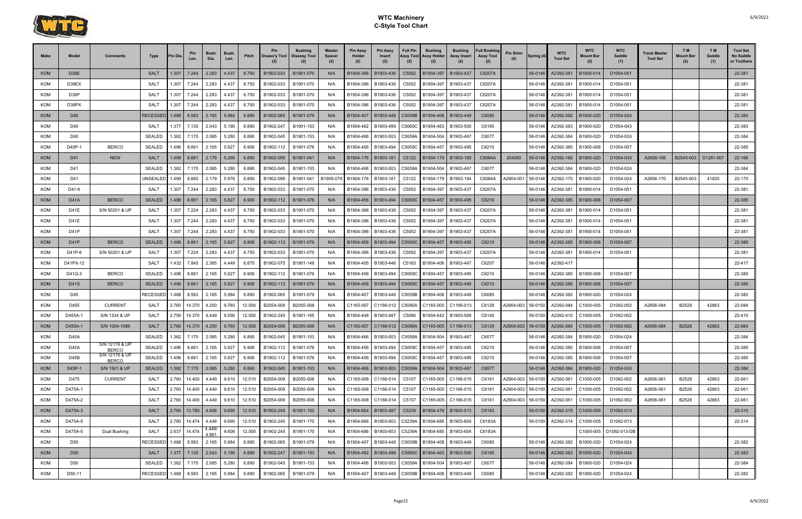

| <b>Make</b> | Model                        | <b>Comments</b>                | Type                  | 'in Dia        | Pin<br>Len.              | <b>Bush</b><br>Dia. | Bush.<br>Len.  | Pitch  | Pin<br>Disass'y Tool   Disassy Tool<br>(2) | Bushing                | <b>Master</b><br>Spacer<br>(2) | <b>Pin Assy</b><br>Holder<br>(2) | <b>Pin Assy</b><br>Insert<br>(2) | <b>Full Pin</b><br>Assy Tool<br>(2) | <b>Bushing</b><br><b>Assy Holder</b><br>(2)       | <b>Bushing</b><br>Assy Insert<br>(2) | <b>Full Bushing</b><br><b>Assy Tool</b><br>(2) | <b>Pin Shim</b> | Spring (4) | <b>WTC</b><br><b>Tool Set</b>  | <b>WTC</b><br><b>Mount Bar</b><br>(2) | <b>WTC</b><br>Saddle<br>(1) | <b>Track Master</b><br><b>Tool Set</b> | T <sub>M</sub><br>Mount Baı<br>(2) | T M<br>Saddle<br>(1) | <b>Tool Set</b><br>No Saddle<br>or Toolbars |
|-------------|------------------------------|--------------------------------|-----------------------|----------------|--------------------------|---------------------|----------------|--------|--------------------------------------------|------------------------|--------------------------------|----------------------------------|----------------------------------|-------------------------------------|---------------------------------------------------|--------------------------------------|------------------------------------------------|-----------------|------------|--------------------------------|---------------------------------------|-----------------------------|----------------------------------------|------------------------------------|----------------------|---------------------------------------------|
| <b>KOM</b>  | D39E                         |                                | <b>SALT</b>           | 1.307          | 7.244                    | 2.283               | 4.437          | 6.750  | B1902-033                                  | B1901-070              | N/A                            | B1904-396                        | B1903-436                        | C5052                               | B1904-397                                         | B1903-437                            | C6207A                                         |                 | 56-0146    | A2392-381                      | B1900-014                             | D1054-051                   |                                        |                                    |                      | 22-381                                      |
| <b>KOM</b>  | D39EX                        |                                | SALT                  | 1.307          | 7.244                    | 2.283               | 4.437          | 6.750  | B1902-033                                  | B1901-070              | N/A                            | B1904-396                        | B1903-436                        | C5052                               | B1904-397                                         | B1903-437                            | C6207A                                         |                 | 56-0146    | A2392-381                      | B1900-014                             | D1054-051                   |                                        |                                    |                      | 22-381                                      |
| <b>KOM</b>  | D39P                         |                                | <b>SALT</b>           | 1.307          | 7.244                    | 2.283               | 4.437          | 6.750  | B1902-033                                  | B1901-070              | N/A                            | B1904-396                        | B1903-436                        | C5052                               | B1904-397                                         | B1903-437                            | C6207A                                         |                 | 56-0146    | A2392-381                      | B1900-014                             | D1054-051                   |                                        |                                    |                      | 22-381                                      |
| <b>KOM</b>  | D39PX                        |                                | <b>SALT</b>           | 1.307          | 7.244                    | 2.283               | 4.437          | 6.750  | B1902-033                                  | B1901-070              | N/A                            | B1904-396                        | B1903-436                        | C5052                               | B1904-397                                         | B1903-437                            | C6207A                                         |                 | 56-0146    | A2392-381                      | B1900-014                             | D1054-051                   |                                        |                                    |                      | 22-381                                      |
| <b>KOM</b>  | D40                          |                                | <b>RECESSED</b>       | 1.488          | 8.583                    | 2.165               | 5.984          | 6.890  | B1902-065                                  | B1901-079              | N/A                            | B1904-407                        | B1903-448                        | C5059B                              | B1904-408                                         | B1903-449                            | C6085                                          |                 | 56-0146    | A2392-382                      | B1900-020                             | D1054-024                   |                                        |                                    |                      | 22-382                                      |
| KOM         | D40                          |                                | SALT                  | 1.377          | 7.130                    | 2.043               | 5.190          | 6.890  | B1902-247                                  | B1901-153              | N/A                            | B1904-462                        | B1903-499                        | C5060C                              | B1904-463                                         | B1903-500                            | C6165                                          |                 | 56-0146    | A2392-383                      | B1900-020                             | D1054-043                   |                                        |                                    |                      | 22-383                                      |
| KOM         | D40                          |                                | <b>SEALED</b>         | 1.382          | 7.170                    | 2.085               | 5.280          | 6.890  | B1902-045                                  | B1901-153              | N/A                            | B1904-466                        | B1903-503                        | C5059A                              | B1904-504                                         | B1903-467                            | C6077                                          |                 | 56-0146    | A2392-384                      | B1900-020                             | D1054-024                   |                                        |                                    |                      | 22-384                                      |
| <b>KOM</b>  | D40P-1                       | <b>BERCO</b>                   | <b>SEALED</b>         | 1.496          | 8.661                    | 2.165               | 5.827          | 6.906  | B1902-112                                  | B1901-076              | N/A                            | B1904-456                        | B1903-494                        | C5059C                              | B1904-457                                         | B1903-495                            | C6210                                          |                 | 56-0146    | A2392-385                      | B1900-008                             | D1054-007                   |                                        |                                    |                      | 22-385                                      |
| <b>KOM</b>  | D41                          | <b>NEW</b>                     | <b>SALT</b>           | 1.499          | 8.661                    | 2.179               | 5.266          | 6.890  | B1902-095                                  | B1901-041              | N/A                            | B1904-176                        | B1903-181                        | C5122                               | B1904-179 B1903-185                               |                                      | C6084A                                         | 204050          | 56-0146    | A2392-166                      | B1900-020                             | D1054-043                   | A2656-166                              | B2545-003                          | D1281-007            | 22-166                                      |
| KOM         | D41                          |                                | <b>SEALED</b>         | 1.382          | 7.170                    | 2.085               | 5.280          | 6.890  | B1902-045                                  | B1901-153              | N/A                            | B1904-466                        | B1903-503                        | C5059A                              | B1904-504                                         | B1903-467                            | C6077                                          |                 | 56-0146    | A2392-384                      | B1900-020                             | D1054-024                   |                                        |                                    |                      | 22-384                                      |
| <b>KOM</b>  | D41                          |                                | UNSEALEI              | 1.499          | 8.660                    | 2.179               | 5.976          | 6.890  | B1902-096                                  | B1901-041              | B1905-07                       | B1904-176                        | B1903-181                        | C5122                               | B1904-179                                         | B1903-184                            | C6084A                                         | A2904-001       | 56-0146    | A2392-170                      | B1900-020                             | D1054-024                   | A2656-170                              | B2545-003                          | 41820                | 22-170                                      |
| KOM         | D41-6                        |                                | SALT                  | 1.307          | 7.244                    | 2.283               | 4.437          | 6.750  | B1902-033                                  | B1901-070              | N/A                            | B1904-396                        | B1903-436                        | C5052                               | B1904-397                                         | B1903-437                            | C6207A                                         |                 | 56-0146    | A2392-381                      | B1900-014                             | D1054-051                   |                                        |                                    |                      | 22-381                                      |
| <b>KOM</b>  | <b>D41A</b>                  | <b>BERCO</b>                   | <b>SEALED</b>         | 1.496          | 8.661                    | 2.165               | 5.827          | 6.906  | B1902-112                                  | B1901-076              | N/A                            | B1904-456                        | B1903-494                        | C5059C                              | B1904-457                                         | B1903-495                            | C6210                                          |                 | 56-0146    | A2392-385                      | B1900-008                             | D1054-007                   |                                        |                                    |                      | 22-385                                      |
| <b>KOM</b>  | D41E                         | S/N 50201 & UP                 | <b>SALT</b>           | 1.307          | 7.224                    | 2.283               | 4.437          | 6.750  | B1902-033                                  | B1901-070              | N/A                            | B1904-396                        | B1903-436                        | C5052                               | B1904-397                                         | B1903-437                            | C6207A                                         |                 | 56-0146    | A2392-381                      | B1900-014                             | D1054-051                   |                                        |                                    |                      | 22-381                                      |
| KOM         | D41E                         |                                | <b>SALT</b>           | 1.307          | 7.244                    | 2.283               | 4.437          | 6.750  | B1902-033                                  | B1901-070              | N/A                            | B1904-396                        | B1903-436                        | C5052                               | B1904-397                                         | B1903-437                            | C6207A                                         |                 | 56-0146    | A2392-381                      | B1900-014                             | D1054-051                   |                                        |                                    |                      | 22-381                                      |
| KOM         | D <sub>41</sub> P            |                                | <b>SALT</b>           | 1.307          | 7.244                    | 2.283               | 4.437          | 6.750  | B1902-033                                  | B1901-070              | N/A                            | B1904-396                        | B1903-436                        | C5052                               | B1904-397                                         | B1903-437                            | C6207A                                         |                 | 56-0146    | A2392-381                      | B1900-014                             | D1054-051                   |                                        |                                    |                      | 22-381                                      |
| <b>KOM</b>  | D41P                         | <b>BERCO</b>                   | <b>SEALED</b>         | 1.496          | 8.661                    | 2.165               | 5.827          | 6.906  | B1902-112                                  | B1901-076              | N/A                            | B1904-456                        | B1903-494                        | C5059C                              | B1904-457                                         | B1903-495                            | C6210                                          |                 | 56-0146    | A2392-385                      | B1900-008                             | D1054-007                   |                                        |                                    |                      | 22-385                                      |
| <b>KOM</b>  | D41P-6                       | S/N 50201 & UP                 | <b>SALT</b>           | 1.307          | 7.224                    | 2.283               | 4.437          | 6.750  | B1902-033                                  | B1901-070              | N/A                            | B1904-396                        | B1903-436                        | C5052                               | B1904-397                                         | B1903-437                            | C6207A                                         |                 | 56-0146    | A2392-381                      | B1900-014                             | D1054-051                   |                                        |                                    |                      | 22-381                                      |
| <b>KOM</b>  | D41PX-12                     |                                | <b>SALT</b>           | 1.432          | 7.845                    | 2.365               | 4.449          | 6.875  | B1902-075                                  | B1901-148              | N/A                            | B1904-405                        | B1903-446                        | C5163                               | B1904-406                                         | B1903-447                            | C6207                                          |                 | 56-0146    | A2392-417                      |                                       |                             |                                        |                                    |                      | 22-417                                      |
| KOM         | D41Q-3                       | <b>BERCO</b>                   | <b>SEALED</b>         | .496           | 8.661                    | 2.165               | 5.827          | 6.906  | B1902-112                                  | B1901-076              | N/A                            | B1904-456                        | B1903-494                        | C5059C                              | B1904-457                                         | B1903-495                            | C6210                                          |                 | 56-0146    | A2392-385                      | B1900-008                             | D1054-007                   |                                        |                                    |                      | 22-385                                      |
| <b>KOM</b>  | <b>D41S</b>                  | <b>BERCO</b>                   | <b>SEALED</b>         | 1.496          | 8.661                    | 2.165               | 5.827          | 6.906  | B1902-112                                  | B1901-076              | N/A                            | B1904-456                        | B1903-494                        | C5059C                              | B1904-457   B1903-495                             |                                      | C6210                                          |                 | 56-0146    | A2392-385                      | B1900-008                             | D1054-007                   |                                        |                                    |                      | 22-385                                      |
| KOM         | D45                          |                                | RECESSE               | 1.488          | 8.583                    | 2.165               | 5.984          | 6.890  | B1902-065                                  | B1901-079              | N/A                            | B1904-407                        | B1903-448                        | C5059B                              | B1904-408                                         | B1903-449                            | C6085                                          |                 | 56-0146    | A2392-382                      | B1900-020                             | D1054-024                   |                                        |                                    |                      | 22-382                                      |
| KOM         | D455                         | <b>CURRENT</b>                 | SALT                  | 2.760          | 14.370                   | 4.250               | 9.760          | 12.500 | B2054-008                                  | B2055-008              | N/A                            | C1165-007                        | C1166-012                        | C5090A                              | C1165-005                                         | C1166-013                            | C6129                                          | A2904-003       | 56-0150    | A2392-084                      | C1000-005                             | D1092-002                   | A2656-084                              | B2528                              | 42863                | 22-084                                      |
| <b>KOM</b>  | D455A-1                      | S/N 1334 & UP                  | <b>SALT</b>           | 2.756          | 14.370                   | 4.449               | 9.556          | 12.500 | B1902-245                                  | B1901-165              | N/A                            | B1904-448                        | B1903-487                        | C5090                               | B1904-642   B1903-588                             |                                      | C6140                                          |                 | 56-0150    | A2392-410                      | C1000-005                             | D1092-002                   |                                        |                                    |                      | 22-410                                      |
| <b>KOM</b>  | D455A-1<br>D <sub>45</sub> A | S/N 1004-1089                  | <b>SALT</b><br>SEALED | 2.760<br>1.382 | 14.370<br>7.170          | 4.250<br>2.085      | 9.760<br>5.280 | 12.500 | B2054-008<br>6.890 B1902-045               | B2055-008              | N/A<br>N/A                     | C1165-007                        | C1166-012                        | C5090A                              | C1165-005<br>B1903-503 C5059A B1904-504 B1903-467 | C1166-013                            | C6129                                          | A2904-003       | 56-0150    | A2392-084                      | C1000-005                             | D1092-002                   | A2656-084                              | B2528                              | 42863                | 22-084<br>22-384                            |
| KOM<br>KOM  | <b>D45A</b>                  | S/N 12178 & UP                 | <b>SEALED</b>         | 1.496          | 8.661                    | 2.165               | 5.827          | 6.906  | B1902-112                                  | B1901-153<br>B1901-076 | N/A                            | B1904-466<br>B1904-456           | B1903-494                        |                                     | C5059C B1904-457 B1903-495                        |                                      | C6077<br>C6210                                 |                 | 56-0146    | 56-0146 A2392-384<br>A2392-385 | B1900-020<br>B1900-008                | D1054-024<br>D1054-007      |                                        |                                    |                      | 22-385                                      |
| KOM         | D <sub>45</sub> B            | <b>BERCO</b><br>S/N 12178 & UP | <b>SEALED</b>         |                | 1.496 8.661              | 2.165               | 5.827          | 6.906  | B1902-112                                  | B1901-076              | N/A                            | B1904-456                        | B1903-494                        |                                     | C5059C B1904-457 B1903-495                        |                                      | C6210                                          |                 | 56-0146    | A2392-385                      | B1900-008                             | D1054-007                   |                                        |                                    |                      | 22-385                                      |
| <b>KOM</b>  | D45P-1                       | <b>BERCO</b><br>S/N 1501 & UP  | <b>SEALED</b>         |                | $1.382$ 7.170 2.085      |                     | 5.280          | 6.890  | B1902-045                                  | B1901-153              | N/A                            | B1904-466                        | B1903-503                        |                                     | C5059A B1904-504                                  | B1903-467                            | C6077                                          |                 | 56-0146    | A2392-384                      | B1900-020                             | D1054-024                   |                                        |                                    |                      | 22-384                                      |
| <b>KOM</b>  | D475                         | <b>CURRENT</b>                 | SALT                  | 2.760          | 14.400                   | 4.449               | 9.610          | 12.510 | B2054-009                                  | B2055-008              | N/A                            | C1165-008                        | C1166-014                        |                                     | C5107 C1165-005 C1166-015                         |                                      | C6161                                          | A2904-003       | 56-0150    | A2392-061                      | C1000-005                             | D1092-002                   | A2656-061                              | B2528                              | 42863                | 22-061                                      |
| KOM         | D475A-1                      |                                | SALT                  |                | 2.760 14.400             | 4.449               | 9.610          | 12.510 | B2054-009                                  | B2055-008              | N/A                            | C1165-008                        | C1166-014                        |                                     | C5107 C1165-005 C1166-015                         |                                      | C6161                                          | A2904-003       | 56-0150    | A2392-061                      | C1000-005                             | D1092-002                   | A2656-061                              | B2528                              | 42863                | 22-061                                      |
| KOM         | D475A-2                      |                                | <b>SALT</b>           |                | 2.760 14.400             | 4.449               | 9.610          | 12.510 | B2054-009                                  | B2055-008              | N/A                            | C1165-008                        | C1166-014                        |                                     | C5107 C1165-005 C1166-015                         |                                      | C6161                                          | A2904-003       | 56-0150    | A2392-061                      | C1000-005                             | D1092-002                   | A2656-061                              | B2528                              | 42863                | 22-061                                      |
| <b>KOM</b>  | D475A-3                      |                                | <b>SALT</b>           |                | $2.760$   13.780   4.606 |                     | 9.690          | 12.510 | B1902-245                                  | B1901-152              | N/A                            | B1904-654                        | B1903-487                        | C5239                               | B1904-479 B1903-513                               |                                      | C6183                                          |                 | 56-0150    | A2392-315                      | C1000-005                             | D1092-013                   |                                        |                                    |                      | 22-315                                      |
| KOM         | D475A-5                      |                                | SALT                  |                | 2.760 14.474             | 4.448               | 9.690          | 12.510 | B1902-245                                  | B1901-170              | N/A                            | B1904-686                        | B1903-603                        | C5239A                              | B1904-685 B1903-604                               |                                      | C6183A                                         |                 | 56-0150    | A2392-314                      | C1000-005                             | D1092-013                   |                                        |                                    |                      | 22-314                                      |
| <b>KOM</b>  | D475A-5                      | Dual Bushing                   | <b>SALT</b>           |                | 2.637 14.474             | 4.448/              | 9.606          | 12.500 | B1902-245                                  | B1901-170              | N/A                            | B1904-686                        | B1903-603                        | C5239A                              | B1904-685                                         | B1903-604                            | C6183A                                         |                 |            |                                | C1000-005                             | D1092-013-DB                |                                        |                                    |                      |                                             |
| <b>KOM</b>  | D50                          |                                | RECESSED              | 1.488          | 8.583                    | 4.961<br>2.165      | 5.984          | 6.890  | B1902-065                                  | B1901-079              | N/A                            | B1904-407                        | B1903-448                        |                                     | C5059B B1904-408                                  | B1903-449                            | C6085                                          |                 | 56-0146    | A2392-382                      | B1900-020                             | D1054-024                   |                                        |                                    |                      | 22-382                                      |
| <b>KOM</b>  | D <sub>50</sub>              |                                | <b>SALT</b>           |                | 1.377 7.130 2.043        |                     | 5.190          | 6.890  | B1902-247                                  | B1901-153              | N/A                            | B1904-462                        |                                  |                                     | B1903-499   C5060C   B1904-463   B1903-500        |                                      | C6165                                          |                 | 56-0146    | A2392-383                      | B1900-020                             | D1054-043                   |                                        |                                    |                      | 22-383                                      |
| KOM         | D50                          |                                | <b>SEALED</b>         |                | 1.382 7.170              | 2.085               | 5.280          | 6.890  | B1902-045                                  | B1901-153              | N/A                            | B1904-466                        | B1903-503                        | C5059A                              | B1904-504                                         | B1903-467                            | C6077                                          |                 | 56-0146    | A2392-384                      | B1900-020                             | D1054-024                   |                                        |                                    |                      | 22-384                                      |
| KOM         | D50-11                       |                                | RECESSED              | 1.488          | 8.583                    | 2.165               | 5.984          | 6.890  | B1902-065                                  | B1901-079              | N/A                            | B1904-407                        | B1903-448                        | C5059B                              | B1904-408 B1903-449                               |                                      | C6085                                          |                 | 56-0146    | A2392-382                      | B1900-020                             | D1054-024                   |                                        |                                    |                      | 22-382                                      |
|             |                              |                                |                       |                |                          |                     |                |        |                                            |                        |                                |                                  |                                  |                                     |                                                   |                                      |                                                |                 |            |                                |                                       |                             |                                        |                                    |                      |                                             |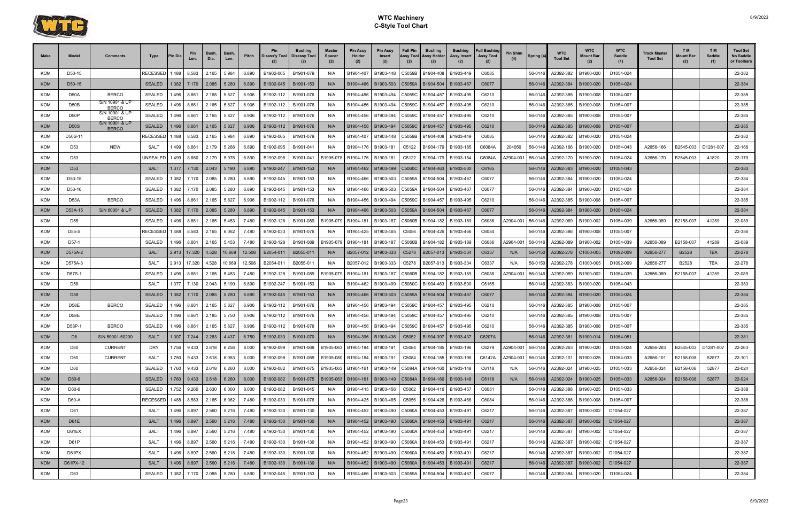

| Make              | Model                 | Comments                          | Type                   | <b>Pin Dia</b> | Pin<br>Len.          | <b>Bush</b><br>Dia. | <b>Bush</b><br>Len. | Pitch          | Pin                    | <b>Bushing</b><br>Disass'y Tool   Disassy Tool | <b>Master</b><br>Spacer<br>(2) | <b>Pin Assy</b><br>Holder<br>(2) | <b>Pin Assy</b><br><b>Insert</b><br>(2) | <b>Full Pin</b><br>Assy Tool<br>(2) | <b>Bushing</b><br>Assy Holder<br>(2)   | <b>Bushing</b><br>Assy Insert<br>(2) | <b>Full Bushing</b><br><b>Assy Tool</b><br>(2) | Pin Shim<br>(4)        | Spring (4)         | <b>WTC</b><br><b>Tool Set</b> | <b>WTC</b><br>Mount Bar<br>(2) | <b>WTC</b><br>Saddle<br>(1) | Track Master<br><b>Tool Set</b> | T M<br><b>Mount Bar</b><br>(2) | T M<br>Saddle<br>(1) | <b>Tool Set</b><br>No Saddle<br>or Toolbars |
|-------------------|-----------------------|-----------------------------------|------------------------|----------------|----------------------|---------------------|---------------------|----------------|------------------------|------------------------------------------------|--------------------------------|----------------------------------|-----------------------------------------|-------------------------------------|----------------------------------------|--------------------------------------|------------------------------------------------|------------------------|--------------------|-------------------------------|--------------------------------|-----------------------------|---------------------------------|--------------------------------|----------------------|---------------------------------------------|
| <b>KOM</b>        | D50-15                |                                   | RECESSED               | 1.488          | 8.583                | 2.165               | 5.984               | 6.890          | B1902-065              | B1901-079                                      | N/A                            | B1904-407                        | B1903-448                               | C5059B                              | B1904-408                              | B1903-449                            | C6085                                          |                        | 56-0146            | A2392-382                     | B1900-020                      | D1054-024                   |                                 |                                |                      | 22-382                                      |
| <b>KOM</b>        | D <sub>50</sub> -15   |                                   | <b>SEALED</b>          | 1.382          | 7.170                | 2.085               | 5.280               | 6.890          | B1902-045              | B1901-153                                      | N/A                            | B1904-466                        | B1903-503                               | C5059A                              | B1904-504                              | B1903-467                            | C6077                                          |                        | 56-0146            | A2392-384                     | B1900-020                      | D1054-024                   |                                 |                                |                      | 22-384                                      |
| <b>KOM</b>        | D <sub>50</sub> A     | <b>BERCO</b>                      | <b>SEALED</b>          | 1.496          | $8.66^{\circ}$       | 2.165               | 5.827               | 6.906          | B1902-112              | B1901-076                                      | N/A                            | B1904-456                        | B1903-494                               | C5059C                              | B1904-457                              | B1903-495                            | C6210                                          |                        | 56-0146            | A2392-385                     | B1900-008                      | D1054-007                   |                                 |                                |                      | 22-385                                      |
| <b>KOM</b>        | D50B                  | S/N 10901 & UF<br><b>BERCO</b>    | <b>SEALED</b>          | 1.496          | 8.661                | 2.165               | 5.827               | 6.906          | B1902-112              | B1901-076                                      | N/A                            | B1904-456                        | B1903-494                               | C5059C                              | B1904-457                              | B1903-495                            | C6210                                          |                        | 56-0146            | A2392-385                     | B1900-008                      | D1054-007                   |                                 |                                |                      | 22-385                                      |
| <b>KOM</b>        | D <sub>50</sub> P     | S/N 10901 & UP<br><b>BERCO</b>    | <b>SEALED</b>          | 1.496          | $8.66^{\circ}$       | 2.165               | 5.827               | 6.906          | B1902-112              | B1901-076                                      | N/A                            | B1904-456                        | B1903-494                               | C5059C                              | B1904-457                              | B1903-495                            | C6210                                          |                        | 56-0146            | A2392-385                     | B1900-008                      | D1054-007                   |                                 |                                |                      | 22-385                                      |
| <b>KOM</b>        | D50S                  | S/N 10901 & UF<br><b>BERCO</b>    | <b>SEALED</b>          |                | 1.496   8.661        | 2.165               | 5.827               | 6.906          | B1902-112              | B1901-076                                      | N/A                            | B1904-456                        | B1903-494                               | C5059C                              | B1904-457                              | B1903-495                            | C6210                                          |                        | 56-0146            | A2392-385                     | B1900-008                      | D1054-007                   |                                 |                                |                      | 22-385                                      |
| <b>KOM</b>        | D50S-11               |                                   | RECESSED               | 1.488          | 8.583                | 2.165               | 5.984               | 6.890          | B1902-065              | B1901-079                                      | N/A                            | B1904-407                        | B1903-448                               | C5059B                              | B1904-408                              | B1903-449                            | C6085                                          |                        | 56-0146            | A2392-382                     | B1900-020                      | D1054-024                   |                                 |                                |                      | 22-382                                      |
| <b>KOM</b>        | D53                   | <b>NEW</b>                        | <b>SALT</b>            | 1.499          | $8.66^{\circ}$       | 2.179               | 5.266               | 6.890          | B1902-095              | B1901-041                                      | N/A                            | B1904-176                        | B1903-181                               | C5122                               | B1904-179                              | B1903-185                            | C6084A                                         | 204050                 | 56-0146            | A2392-166                     | B1900-020                      | D1054-043                   | A2656-166                       | B2545-003                      | D1281-007            | 22-166                                      |
| <b>KOM</b>        | D53                   |                                   | JNSEALED               | 1.499          | 8.660                | 2.179               | 5.976               | 6.890          | B1902-096              | B1901-041                                      | B1905-078                      | B1904-176                        | B1903-181                               | C5122                               | B1904-179                              | B1903-184                            | C6084A                                         | A2904-001              | 56-0146            | A2392-170                     | B1900-020                      | D1054-024                   | A2656-170                       | B2545-003                      | 41820                | 22-170                                      |
| <b>KOM</b>        | D <sub>53</sub>       |                                   | <b>SALT</b>            | 1.377          | 7.130                | 2.043               | 5.190               | 6.890          | B1902-247              | B1901-153                                      | N/A                            | B1904-462                        | B1903-499                               | C5060C                              | B1904-463                              | B1903-500                            | C6165                                          |                        | 56-0146            | A2392-383                     | B1900-020                      | D1054-043                   |                                 |                                |                      | 22-383                                      |
| <b>KOM</b>        | D53-15                |                                   | <b>SEALED</b>          | 1.382          | 7.170                | 2.085               | 5.280               | 6.890          | B1902-045              | B1901-153                                      | N/A                            | B1904-466                        | B1903-503                               | C5059A                              | B1904-504                              | B1903-467                            | C6077                                          |                        | 56-0146            | A2392-384                     | B1900-020                      | D1054-024                   |                                 |                                |                      | 22-384                                      |
| <b>KOM</b>        | D53-16                |                                   | <b>SEALED</b>          | 1.382          | 7.170                | 2.085               | 5.280               | 6.890          | B1902-045              | B1901-153                                      | N/A                            | B1904-466                        | B1903-503                               | C5059A                              | B1904-504                              | B1903-467                            | C6077                                          |                        | 56-0146            | A2392-384                     | B1900-020                      | D1054-024                   |                                 |                                |                      | 22-384                                      |
| <b>KOM</b>        | D <sub>53</sub> A     | <b>BERCO</b>                      | <b>SEALED</b>          | 1.496          | 8.661                | 2.165               | 5.827               | 6.906          | B1902-112              | B1901-076                                      | N/A                            | B1904-456                        | B1903-494                               | C5059C                              | B1904-457                              | B1903-495                            | C6210                                          |                        | 56-0146            | A2392-385                     | B1900-008                      | D1054-007                   |                                 |                                |                      | 22-385                                      |
| KOM               | D53A-15               | S/N 60001 & UP                    | <b>SEALED</b>          | 1.382          | 7.170                | 2.085               | 5.280               | 6.890          | B1902-045              | B1901-153                                      | N/A                            | B1904-466                        | B1903-503                               | C5059A                              | B1904-504                              | B1903-467                            | C6077                                          |                        | 56-0146            | A2392-384                     | B1900-020                      | D1054-024                   |                                 |                                |                      | 22-384                                      |
| <b>KOM</b>        | D55                   |                                   | <b>SEALED</b>          | .496           | 8.661                | 2.165               | 5.453               | 7.480          | B1902-128              | B1901-089                                      | B1905-07                       | B1904-181                        | B1903-187                               | C5060B                              | B1904-182                              | B1903-189                            | C6086                                          | A2904-001              | 56-0146            | A2392-089                     | B1900-002                      | D1054-039                   | A2656-089                       | B2158-007                      | 41289                | 22-089                                      |
| <b>KOM</b>        | D55-S                 |                                   | RECESSED               | 1.488          | 8.583                | 2.165               | 6.062               | 7.480          | B1902-033              | B1901-076                                      | N/A                            | B1904-425                        | B1903-465                               | C5056                               | B1904-426                              | B1903-466                            | C6084                                          |                        | 56-0146            | A2392-386                     | B1900-008                      | D1054-007                   |                                 |                                |                      | 22-386                                      |
| KOM               | D57-1                 |                                   | <b>SEALED</b>          | 1.496          | 8.661                | 2.165               | 5.453               | 7.480          | B1902-128              | B1901-089                                      | B1905-07                       | B1904-181                        | B1903-187                               | C5060B                              | B1904-182                              | B1903-189                            | C6086                                          | A2904-001              | 56-0146            | A2392-089                     | B1900-002                      | D1054-039                   | A2656-089                       | B2158-007                      | 41289                | 22-089                                      |
| <b>KOM</b>        | D575A-2               |                                   | <b>SALT</b>            | 2.913          | 17.320               | 4.528               | 10.669              | 12.508         | B2054-011              | B2055-011                                      | N/A                            | B2057-012                        | B1903-333                               | C5278                               | B2057-013                              | B1903-334                            | C6337                                          | N/A                    | 56-0150            | A2392-278                     | C1000-005                      | D1092-009                   | A2656-277                       | B2528                          | <b>TBA</b>           | 22-278                                      |
| <b>KOM</b>        | D575A-3               |                                   | <b>SALT</b>            | 2.913          | 17.320               | 4.528               | 10.669              | 12.508         | B2054-01               | B2055-011                                      | N/A                            | B2057-012                        | B1903-333                               | C5278                               | B2057-013                              | B1903-334                            | C6337                                          | N/A                    | 56-0150            | A2392-278                     | C1000-005                      | D1092-009                   | A2656-277                       | B2528                          | <b>TBA</b>           | 22-278                                      |
| <b>KOM</b>        | D57S-1                |                                   | <b>SEALED</b>          | 1.496          | $8.66^{\circ}$       | 2.165               | 5.453               | 7.480          | B1902-128              | B1901-089                                      | B1905-07                       | B1904-181                        | B1903-187                               | C5060B                              | B1904-182                              | B1903-189                            | C6086                                          | A2904-001              | 56-0146            | A2392-089                     | B1900-002                      | D1054-039                   | A2656-089                       | B2158-007                      | 41289                | 22-089                                      |
| KOM               | D58                   |                                   | SALT                   | 1.377          | 7.130                | 2.043               | 5.190               | 6.890          | B1902-247              | B1901-153                                      | N/A                            | B1904-462                        | B1903-499                               | C5060C                              | B1904-463                              | B1903-500                            | C6165                                          |                        | 56-0146            | A2392-383                     | B1900-020                      | D1054-043                   |                                 |                                |                      | 22-383                                      |
| <b>KOM</b>        | D <sub>58</sub>       |                                   | <b>SEALED</b>          | 1.382          | 7.170                | 2.085               | 5.280               | 6.890          | B1902-045              | B1901-153                                      | N/A                            | B1904-466                        | B1903-503                               | C5059A                              | B1904-504                              | B1903-467                            | C6077                                          |                        | 56-0146            | A2392-384                     | B1900-020                      | D1054-024                   |                                 |                                |                      | 22-384                                      |
| <b>KOM</b>        | <b>D58E</b>           | <b>BERCO</b>                      | <b>SEALED</b>          | 1.496          | 8.661                | 2.165               | 5.827               | 6.906          | B1902-112              | B1901-076                                      | N/A                            | B1904-456                        | B1903-494                               | C5059C                              | B1904-457                              | B1903-495                            | C6210                                          |                        | 56-0146            | A2392-385                     | B1900-008                      | D1054-007                   |                                 |                                |                      | 22-385                                      |
| <b>KOM</b>        | D58E                  |                                   | <b>SEALED</b>          | l.496 l        | 8.661                | 2.185               | 5.750               | 6.906          | B1902-112              | B1901-076                                      | N/A                            | B1904-456                        | B1903-494                               | C5059C                              | B1904-457                              | B1903-495                            | C6210                                          |                        | 56-0146            | A2392-385                     | B1900-008                      | D1054-007                   |                                 |                                |                      | 22-385                                      |
| <b>KOM</b>        | D58P-1                | <b>BERCO</b>                      | <b>SEALED</b><br>SAI T | .496           | 8.66                 | 2.165               | 5.827               | 6.906          | B1902-112              | B1901-076                                      | N/A                            | B1904-456                        | B1903-494                               | C5059C                              | B1904-457                              | B1903-495                            | C6210<br>C6207A                                |                        | 56-0146            | A2392-385                     | B1900-008                      | D1054-007                   |                                 |                                |                      | 22-385                                      |
| KOM<br><b>KOM</b> | D <sub>6</sub><br>D60 | S/N 50001-50200<br><b>CURRENT</b> | ິ້<br>DRY              | 1.307          | 7.244<br>1.756 9.433 | 2.283<br>2.618      | 4.437<br>6.256      | 6.750<br>8.000 | B1902-033              | B1901-070                                      | N/A<br>B1905-063               | B1904-396<br>B1904-184           | B1903-436<br>B1903-191                  | C5084                               | C5052 B1904-397 B1903-437<br>B1904-185 | B1903-196                            | $\sim$<br>C6279                                |                        |                    | 56-0146 A2392-381             | B1900-014<br>B1900-020         | D1054-051<br>D1054-024      | A2656-263                       | B2545-003                      | D1281-007            | 22-381                                      |
| <b>KOM</b>        | D60                   | <b>CURRENT</b>                    | SALT                   |                | 1.750 9.433          | 2.618               | 6.083               | 8.000          | B1902-099<br>B1902-098 | B1901-069<br>B1901-069                         | B1905-080                      | B1904-184                        | B1903-191                               | C5084                               | B1904-185                              | B1903-195                            | C6142A                                         | A2904-001<br>A2904-001 | 56-0146<br>56-0146 | A2392-263<br>A2392-101        | B1900-025                      | D1054-033                   | A2656-101                       | B2158-008                      | 52877                | 22-263<br>22-101                            |
| <b>KOM</b>        | D60                   |                                   | SEALED                 |                | 1.760 9.433          | 2.618               | 6.260               | 8.000          | B1902-082              | B1901-075                                      | B1905-063                      | B1904-161                        | B1903-149                               | C5084A                              | B1904-160                              | B1903-148                            | C6118                                          | N/A                    | 56-0146            | A2392-024                     | B1900-025                      | D1054-033                   | A2656-024                       | B2158-008                      | 52877                | 22-024                                      |
| <b>KOM</b>        | D60-6                 |                                   | SEALED                 |                | $1.760$ 9.433        | 2.618               | 6.260               | 8.000          | B1902-082              | B1901-075                                      | B1905-063                      | B1904-161                        | B1903-149                               | C5084A                              | B1904-160   B1903-148                  |                                      | C6118                                          | N/A                    | 56-0146            | A2392-024                     | B1900-025                      | D1054-033                   | A2656-024                       | B2158-008                      | 52877                | 22-024                                      |
| <b>KOM</b>        | D60-6                 |                                   | SEALED                 |                | 1.752 9.260          | 2.630               | 6.000               | 8.000          | B1902-082              | B1901-045                                      | N/A                            | B1904-415                        | B1903-456                               | C5062                               | B1904-416                              | B1903-457                            | C6081                                          |                        | 56-0146            | A2392-388                     | B1900-025                      | D1054-033                   |                                 |                                |                      | 22-388                                      |
| <b>KOM</b>        | D60-A                 |                                   | RECESSED 1.488 8.583   |                |                      | 2.165               | 6.062               | 7.480          | B1902-033              | B1901-076                                      | N/A                            | B1904-425                        | B1903-465                               | C5056                               | B1904-426                              | B1903-466                            | C6084                                          |                        | 56-0146            | A2392-386                     | B1900-008                      | D1054-007                   |                                 |                                |                      | 22-386                                      |
| <b>KOM</b>        | D61                   |                                   | SALT                   |                | 1.496 8.897          | 2.560               | 5.216               | 7.480          | B1902-130              | B1901-130                                      | N/A                            | B1904-452                        | B1903-490                               | C5060A                              | B1904-453   B1903-491                  |                                      | C6217                                          |                        | 56-0146            | A2392-387                     | B1900-002                      | D1054-027                   |                                 |                                |                      | 22-387                                      |
| <b>KOM</b>        | D61E                  |                                   | SALT                   |                | 1.496 8.897          | 2.560               | 5.216               | 7.480          | B1902-130              | B1901-130                                      | N/A                            |                                  | B1904-452   B1903-490                   | C5060A                              | B1904-453   B1903-491                  |                                      | C6217                                          |                        | 56-0146            | A2392-387                     | B1900-002                      | D1054-027                   |                                 |                                |                      | 22-387                                      |
| <b>KOM</b>        | D61EX                 |                                   | SALT                   |                | 1.496 8.897          | 2.560               | 5.216               | 7.480          | B1902-130              | B1901-130                                      | N/A                            | B1904-452                        | B1903-490                               | C5060A                              | B1904-453                              | B1903-491                            | C6217                                          |                        | 56-0146            | A2392-387                     | B1900-002                      | D1054-027                   |                                 |                                |                      | 22-387                                      |
| <b>KOM</b>        | D61P                  |                                   | SALT                   |                | 1.496 8.897          | 2.560               | 5.216               | 7.480          | B1902-130              | B1901-130                                      | N/A                            | B1904-452                        | B1903-490                               | C5060A                              | B1904-453                              | B1903-491                            | C6217                                          |                        | 56-0146            | A2392-387                     | B1900-002                      | D1054-027                   |                                 |                                |                      | 22-387                                      |
| <b>KOM</b>        | D61PX                 |                                   | SALT                   |                | 1.496 8.897          | 2.560               | 5.216               | 7.480          | B1902-130              | B1901-130                                      | N/A                            | B1904-452                        | B1903-490                               | C5060A                              | B1904-453   B1903-491                  |                                      | C6217                                          |                        | 56-0146            | A2392-387                     | B1900-002                      | D1054-027                   |                                 |                                |                      | 22-387                                      |
| <b>KOM</b>        | D61PX-12              |                                   | <b>SALT</b>            |                | 1.496 8.897          | 2.560               | 5.216               | 7.480          | B1902-130              | B1901-130                                      | N/A                            | B1904-452                        | B1903-490                               | C5060A                              | B1904-453                              | B1903-491                            | C6217                                          |                        | 56-0146            | A2392-387                     | B1900-002                      | D1054-027                   |                                 |                                |                      | 22-387                                      |
| KOM               | D63                   |                                   | SEALED                 | 1.382          | 7.170                | 2.085               | 5.280               | 6.890          | B1902-045              | B1901-153                                      | N/A                            | B1904-466                        | B1903-503                               | C5059A                              | B1904-504                              | B1903-467                            | C6077                                          |                        | 56-0146            | A2392-384                     | B1900-020                      | D1054-024                   |                                 |                                |                      | 22-384                                      |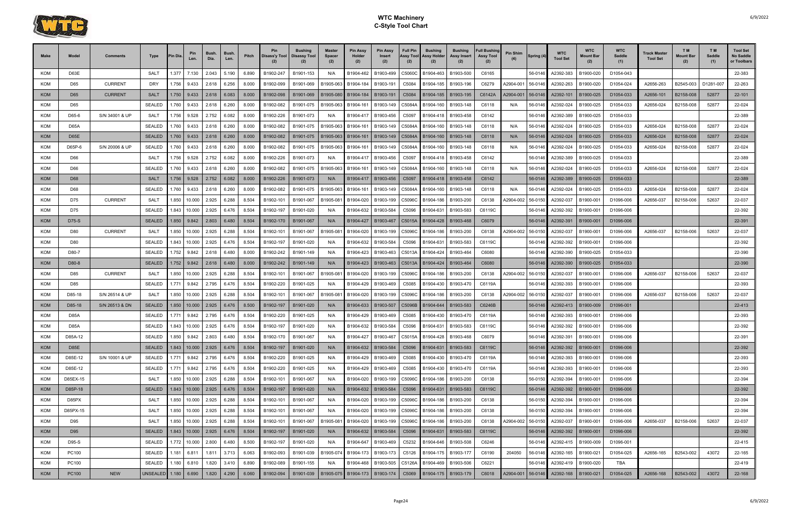

| <b>KOM</b><br>D63E<br><b>SALT</b><br>1.377<br>2.043<br>5.190<br>6.890<br>B1902-247<br>B1901-153<br>B1904-462<br>B1903-499<br>B1904-463<br>B1903-500<br>C6165<br>56-0146<br>A2392-383<br>B1900-020<br>D1054-043<br>7.130<br>N/A<br>C5060C<br><b>KOM</b><br><b>CURRENT</b><br><b>DRY</b><br>1.756<br>2.618<br>6.256<br>8.000<br>C6279<br>A2656-263<br>D1281-007<br>B1902-099<br>B1901-069<br>B1905-063<br>B1904-184<br>B1903-191<br>C5084<br>B1903-196<br>42904-001<br>A2392-263<br>B1900-020<br>D1054-024<br>B2545-003<br>D65<br>9.433<br>B1904-185<br>56-0146<br><b>KOM</b><br>D65<br><b>CURRENT</b><br><b>SALT</b><br>1.750<br>2.618<br>6.083<br>8.000<br>B1902-098<br>B1901-069<br>B1904-184<br>B1903-191<br>B1903-195<br>C6142A<br>A2904-001<br>A2392-101<br>B1900-025<br>D1054-033<br>A2656-101<br>B2158-008<br>52877<br>9.433<br>B1905-080<br>C5084<br>B1904-185<br>56-0146<br>KOM<br><b>SEALED</b><br>1.760<br>6.260<br>8.000<br>B1904-161<br>D1054-033<br>52877<br>D65<br>2.618<br>B1902-082<br>B1901-075<br>B1905-063<br>B1903-149<br>C5084A<br>B1904-160<br>B1903-148<br>C6118<br>56-0146<br>A2392-024<br>B1900-025<br>A2656-024<br>B2158-008<br>9.433<br>N/A<br>6.082<br><b>KOM</b><br>D65-6<br>S/N 34001 & UP<br><b>SALT</b><br>1.756<br>2.752<br>8.000<br>B1902-226<br>B1901-073<br>B1904-417<br>B1903-456<br>B1903-458<br>C6142<br>56-0146<br>A2392-389<br>B1900-025<br>D1054-033<br>9.528<br>N/A<br>C5097<br>B1904-418<br><b>KOM</b><br>D65A<br><b>SEALED</b><br>6.260<br>A2656-024<br>B2158-008<br>52877<br>.760<br>2.618<br>8.000<br>B1902-082<br>B1901-075<br>B1905-063<br>B1904-161<br>B1903-149<br>C5084A<br>B1903-148<br>C6118<br>A2392-024<br>B1900-025<br>D1054-033<br>9.433<br>B1904-160<br>N/A<br>56-0146<br><b>KOM</b><br><b>SEALED</b><br>1.760<br><b>D65E</b><br>2.618<br>6.260<br>8.000<br>B1902-082<br>B1901-075<br>B1905-063<br>B1904-161<br>B1903-149<br>C5084A<br>B1903-148<br>C6118<br>56-0146<br>A2392-024<br>B1900-025<br>D1054-033<br>A2656-024<br>B2158-008<br>52877<br>9.433<br>B1904-160<br>N/A<br>6.260<br><b>KOM</b><br>D65P-6<br>S/N 20006 & UP<br><b>SEALED</b><br>1.760<br>2.618<br>8.000<br>B1902-082<br>B1901-075<br>B1905-063<br>B1904-161<br>B1903-149<br>C5084A<br>B1903-148<br>C6118<br>56-0146<br>A2392-024<br>B1900-025<br>D1054-033<br>A2656-024<br>B2158-008<br>52877<br>9.433<br>B1904-160<br>N/A<br><b>KOM</b><br>1.756<br>2.752<br>6.082<br>D1054-033<br>D66<br><b>SALT</b><br>8.000<br>B1902-226<br>B1901-073<br>B1903-456<br>B1903-458<br>C6142<br>A2392-389<br>B1900-025<br>9.528<br>B1904-417<br>C5097<br>B1904-418<br>56-0146<br>N/A<br><b>KOM</b><br>SEALED<br>1.760<br>6.260<br>8.000<br>B1904-161<br>A2392-024<br>A2656-024<br>52877<br>D66<br>2.618<br>B1902-082<br>B1901-075<br>B1905-063<br>B1903-149<br>C5084A<br>B1904-160<br>B1903-148<br>C6118<br>N/A<br>56-0146<br>B1900-025<br>D1054-033<br>B2158-008<br>9.433<br><b>KOM</b><br><b>SALT</b><br>2.752<br>6.082<br>8.000<br>B1900-025<br>D68<br>1.756<br>9.528<br>B1902-226<br>B1901-073<br>B1904-417<br>B1903-456<br>C5097<br>B1904-418<br>B1903-458<br>C6142<br>56-0146<br>A2392-389<br>D1054-033<br>N/A<br><b>KOM</b><br><b>SEALED</b><br>.760<br>2.618<br>6.260<br>8.000<br>B1902-082<br>B1901-075<br>B1905-063<br>B1904-161<br>B1903-149<br>C5084A<br>B1903-148<br>C6118<br>A2392-024<br>B1900-025<br>D1054-033<br>A2656-024<br>B2158-008<br>52877<br>D68<br>9.433<br>B1904-160<br>N/A<br>56-0146<br><b>KOM</b><br><b>CURRENT</b><br>1.850<br>8.504<br>D75<br><b>SALT</b><br>2.925<br>6.288<br>B1902-101<br>B1901-067<br>B1905-08<br>B1904-020<br>B1903-199<br>B1903-200<br>C6138<br>A2904-002<br>A2392-037<br>B1900-001<br>D1096-006<br>A2656-037<br>B2158-006<br>52637<br>10.000<br>C5096C<br>B1904-186<br>56-0150<br><b>KOM</b><br>D75<br><b>SEALED</b><br>1.843<br>2.925<br>6.476<br>8.504<br>B1902-197<br>B1901-020<br>B1903-583<br>C6119C<br>A2392-392<br>B1900-001<br>10.000<br>B1904-632<br>B1903-584<br>C5096<br>B1904-631<br>56-0146<br>D1096-006<br>N/A<br><b>KOM</b><br>D75-S<br><b>SEALED</b><br>1.850<br>2.803<br>6.480<br>8.504<br>B1902-170<br>B1901-067<br>B1903-467<br>C5015A<br>B1903-468<br>C6079<br>A2392-391<br>B1900-001<br>D1096-006<br>9.842<br>N/A<br>B1904-427<br>B1904-428<br>56-0146<br><b>KOM</b><br><b>CURRENT</b><br>1.850<br>2.925<br>6.288<br>8.504<br>B1902-101<br>B1901-067<br>B1905-08<br>B1904-020<br>B1903-199<br>C6138<br>A2904-002<br>A2392-037<br>B1900-001<br>D1096-006<br>A2656-037<br>B2158-006<br>52637<br>D80<br>SALT<br>10.000<br>C5096C<br>B1904-186<br>B1903-200<br>56-0150<br><b>KOM</b><br>D80<br><b>SEALED</b><br>1.843<br>2.925<br>6.476<br>8.504<br>B1902-197<br>B1901-020<br>B1903-584<br>B1903-583<br>C6119C<br>A2392-392<br>B1900-001<br>D1096-006<br>10.000<br>B1904-632<br>C5096<br>B1904-631<br>56-0146<br>N/A<br>KOM<br>D80-7<br><b>SEALED</b><br>.752<br>2.618<br>6.480<br>8.000<br>B1902-242<br>B1901-149<br>B1904-423<br>B1903-463<br>C5013A<br>B1903-464<br>C6080<br>A2392-390<br>B1900-025<br>D1054-033<br>9.842<br>N/A<br>B1904-424<br>56-0146<br><b>KOM</b><br><b>SEALED</b><br>D80-8<br>1.752<br>9.842<br>2.618<br>6.480<br>8.000<br>B1902-242<br>B1901-149<br>B1904-423<br>B1903-463<br>C5013A<br>B1903-464<br>C6080<br>56-0146<br>A2392-390<br>B1900-025<br>D1054-033<br>B1904-424<br>N/A<br><b>KOM</b><br>1.850<br>2.925<br>6.288<br>B1902-101<br>D85<br><b>CURRENT</b><br><b>SALT</b><br>8.504<br>B1901-067<br>B1904-020<br>B1903-199<br>B1904-186<br>B1903-200<br>C6138<br>42904-002<br>56-0150<br>A2392-037<br>B1900-001<br>A2656-037<br>B2158-006<br>52637<br>10.000<br>B1905-08<br>C5096C<br>D1096-006<br>KOM<br><b>SEALED</b><br>2.795<br>6.476<br>8.504<br>B1902-220<br>C6119A<br>B1900-001<br>D85<br>.771<br>B1901-025<br>B1904-429<br>B1903-469<br>C5085<br>B1903-470<br>56-0146<br>A2392-393<br>D1096-006<br>9.842<br>N/A<br>B1904-430<br><b>KOM</b><br>S/N 26514 & UP<br>D85-18<br><b>SALT</b><br>1.850<br>10.000<br>2.925<br>6.288<br>8.504<br>B1902-101<br>B1901-067<br>B1905-08<br>B1904-020<br>B1903-199<br>C5096C<br>B1903-200<br>C6138<br>42904-002<br>56-0150<br>A2392-037<br>B1900-001<br>D1096-006<br>A2656-037<br>B2158-006<br>52637<br>B1904-186<br><b>KOM</b><br>D85-18<br>S/N 26513 & DN<br><b>SEALED</b><br>1.850<br>10.000<br>2.925<br>6.476<br>8.500<br>B1902-197<br>B1901-020<br>B1904-633<br>B1903-507<br>B1904-644<br>B1903-583<br>C6246B<br>56-0146<br>A2392-413<br>B1900-009<br>D1096-001<br>C5096B<br>N/A<br><b>KOM</b><br><b>D85A</b><br><b>SEALED</b><br>2.795<br>6.476<br>8.504<br>B1900-001<br>.771<br>B1902-220<br>B1901-025<br>N/A<br>B1904-429<br>B1903-469<br>C5085<br>B1904-430<br>B1903-470<br>C6119A<br>56-0146<br>A2392-393<br>D1096-006<br>9.842<br>KOM<br><b>SEALED</b><br>D85A<br>1.843<br>10.000<br>2.925<br>6.476<br>8.504<br>B1902-197<br>B1901-020<br>B1904-632<br>B1903-584<br>C5096<br>B1904-631<br>B1903-583<br>C6119C<br>56-0146<br>A2392-392<br>B1900-001<br>D1096-006<br>N/A<br><b>KOM</b><br><b>SEALED</b><br>1.850<br>2.803<br>6.480<br>B1903-467<br>C5015A<br>C6079<br>A2392-391<br>B1900-001<br>D85A-12<br>9.842<br>8.504<br>B1902-170<br>B1901-067<br>B1904-427<br>B1904-428<br>B1903-468<br>56-0146<br>D1096-006<br>1.843<br>2.925<br>6.476<br>8.504<br>B1901-020<br>22-392<br><b>KOM</b><br>D85E<br><b>SEALED</b><br>10.000<br>B1902-197<br>B1904-632<br>B1903-584<br>C5096<br>B1904-631<br>B1903-583<br>C6119C<br>56-0146<br>A2392-392<br>B1900-001<br>D1096-006<br>N/A<br>S/N 10001 & UP<br>D85E-12<br><b>SEALED</b><br>1.771<br>2.795<br>6.476<br>8.504<br>B1902-220<br>B1901-025<br>B1903-469<br>C5085 B1904-430 B1903-470<br>C6119A<br>B1900-001<br>D1096-006<br>22-393<br><b>KOM</b><br>9.842<br>N/A<br>B1904-429<br>56-0146<br>A2392-393<br><b>KOM</b><br><b>SEALED</b><br>1.771 9.842<br>2.795<br>6.476<br>8.504<br>B1902-220<br>B1901-025<br>B1903-469<br>B1904-430<br>C6119A<br>56-0146<br>A2392-393<br>B1900-001<br>D85E-12<br>N/A<br>B1904-429<br>C5085<br>B1903-470<br>D1096-006<br>22-393<br>2.925<br>6.288<br>22-394<br>KOM<br>D85EX-15<br>SALT<br>1.850<br>10.000<br>8.504<br>B1902-101<br>B1901-067<br>B1904-020<br>B1903-199<br>C5096C<br>B1904-186   B1903-200<br>C6138<br>56-0150<br>A2392-394<br>B1900-001<br>D1096-006<br>N/A<br><b>KOM</b><br>D85P-18<br>1.843 10.000 2.925<br>6.476<br>8.504<br><b>SEALED</b><br>B1902-197<br>B1901-020<br>B1904-632   B1903-584<br>C5096<br>B1904-631   B1903-583<br>C6119C<br>A2392-392<br>B1900-001<br>D1096-006<br>22-392<br>N/A<br>56-0146<br>1.850<br>KOM<br>SALT<br>10.000<br>2.925<br>6.288<br>8.504<br>B1902-101<br>B1903-199<br>B1904-186<br>B1903-200<br>56-0150<br>A2392-394<br>B1900-001<br>D85PX<br>B1901-067<br>N/A<br>B1904-020<br>C5096C<br>C6138<br>D1096-006<br>6.288<br>KOM<br>SALT<br>1.850<br>10.000<br>2.925<br>8.504<br>B1902-101<br>B1901-067<br>B1904-020<br>B1903-199<br>C5096C<br>B1904-186   B1903-200<br>C6138<br>56-0150<br>A2392-394<br>B1900-001<br>D1096-006<br>D85PX-15<br>N/A | Make | Model | <b>Comments</b> | Type | 'in Dia | Pin<br>Len. | Bush.<br>Dia. | Bush.<br>Len. | Pitch | Pin<br>Disass'y Tool<br>(2) | Bushing<br><b>Disassy Tool</b> | <b>Master</b><br>Spacer<br>(2) | <b>Pin Assy</b><br>Holder<br>(2) | <b>Pin Assy</b><br>Insert<br>(2) | <b>Full Pin</b><br>Assy Tool<br>(2) | <b>Bushing</b><br><b>Assy Holder</b><br>(2) | <b>Bushing</b><br>Assy Insert<br>(2) | <b>Full Bushing</b><br><b>Assy Tool</b><br>(2) | <b>Pin Shim</b> | Spring (4 | <b>WTC</b><br><b>Tool Set</b> | <b>WTC</b><br><b>Mount Bar</b><br>(2) | <b>WTC</b><br>Saddle<br>(1) | Track Master<br><b>Tool Set</b> | T <sub>M</sub><br><b>Mount Bar</b><br>(2) | T <sub>M</sub><br>Saddle<br>(1) | <b>Tool Set</b><br>No Saddle<br>or Toolbars |
|--------------------------------------------------------------------------------------------------------------------------------------------------------------------------------------------------------------------------------------------------------------------------------------------------------------------------------------------------------------------------------------------------------------------------------------------------------------------------------------------------------------------------------------------------------------------------------------------------------------------------------------------------------------------------------------------------------------------------------------------------------------------------------------------------------------------------------------------------------------------------------------------------------------------------------------------------------------------------------------------------------------------------------------------------------------------------------------------------------------------------------------------------------------------------------------------------------------------------------------------------------------------------------------------------------------------------------------------------------------------------------------------------------------------------------------------------------------------------------------------------------------------------------------------------------------------------------------------------------------------------------------------------------------------------------------------------------------------------------------------------------------------------------------------------------------------------------------------------------------------------------------------------------------------------------------------------------------------------------------------------------------------------------------------------------------------------------------------------------------------------------------------------------------------------------------------------------------------------------------------------------------------------------------------------------------------------------------------------------------------------------------------------------------------------------------------------------------------------------------------------------------------------------------------------------------------------------------------------------------------------------------------------------------------------------------------------------------------------------------------------------------------------------------------------------------------------------------------------------------------------------------------------------------------------------------------------------------------------------------------------------------------------------------------------------------------------------------------------------------------------------------------------------------------------------------------------------------------------------------------------------------------------------------------------------------------------------------------------------------------------------------------------------------------------------------------------------------------------------------------------------------------------------------------------------------------------------------------------------------------------------------------------------------------------------------------------------------------------------------------------------------------------------------------------------------------------------------------------------------------------------------------------------------------------------------------------------------------------------------------------------------------------------------------------------------------------------------------------------------------------------------------------------------------------------------------------------------------------------------------------------------------------------------------------------------------------------------------------------------------------------------------------------------------------------------------------------------------------------------------------------------------------------------------------------------------------------------------------------------------------------------------------------------------------------------------------------------------------------------------------------------------------------------------------------------------------------------------------------------------------------------------------------------------------------------------------------------------------------------------------------------------------------------------------------------------------------------------------------------------------------------------------------------------------------------------------------------------------------------------------------------------------------------------------------------------------------------------------------------------------------------------------------------------------------------------------------------------------------------------------------------------------------------------------------------------------------------------------------------------------------------------------------------------------------------------------------------------------------------------------------------------------------------------------------------------------------------------------------------------------------------------------------------------------------------------------------------------------------------------------------------------------------------------------------------------------------------------------------------------------------------------------------------------------------------------------------------------------------------------------------------------------------------------------------------------------------------------------------------------------------------------------------------------------------------------------------------------------------------------------------------------------------------------------------------------------------------------------------------------------------------------------------------------------------------------------------------------------------------------------------------------------------------------------------------------------------------------------------------------------------------------------------------------------------------------------------------------------------------------------------------------------------------------------------------------------------------------------------------------------------------------------------------------------------------------------------------------------------------------------------------------------------------------------------------------------------------------------------------------------------------------------------------------------------------------------------------------------------------------------------------------------------------------------------------------------------------------------------------------------------------------------------------------------------------------------------------------------------------------------------------------------------------------------------------------------------------------------------------------------------------------------------------------------------------------------------------------------------------------------------------------------------------------------------------------------------------------------------------------------------------------------------------------------------------------------------------------------------------------------------------------------------------------------------------------------------------------------------------------------------------------------------------------------------------------------------------------------------------------------------------------------------------------------------------------------------------------------------------------------------------------------------------------------------------------------------------------------------------------------------------------------------------------------------------------------------------------------------------------------------------------------------------------------------------------------|------|-------|-----------------|------|---------|-------------|---------------|---------------|-------|-----------------------------|--------------------------------|--------------------------------|----------------------------------|----------------------------------|-------------------------------------|---------------------------------------------|--------------------------------------|------------------------------------------------|-----------------|-----------|-------------------------------|---------------------------------------|-----------------------------|---------------------------------|-------------------------------------------|---------------------------------|---------------------------------------------|
|                                                                                                                                                                                                                                                                                                                                                                                                                                                                                                                                                                                                                                                                                                                                                                                                                                                                                                                                                                                                                                                                                                                                                                                                                                                                                                                                                                                                                                                                                                                                                                                                                                                                                                                                                                                                                                                                                                                                                                                                                                                                                                                                                                                                                                                                                                                                                                                                                                                                                                                                                                                                                                                                                                                                                                                                                                                                                                                                                                                                                                                                                                                                                                                                                                                                                                                                                                                                                                                                                                                                                                                                                                                                                                                                                                                                                                                                                                                                                                                                                                                                                                                                                                                                                                                                                                                                                                                                                                                                                                                                                                                                                                                                                                                                                                                                                                                                                                                                                                                                                                                                                                                                                                                                                                                                                                                                                                                                                                                                                                                                                                                                                                                                                                                                                                                                                                                                                                                                                                                                                                                                                                                                                                                                                                                                                                                                                                                                                                                                                                                                                                                                                                                                                                                                                                                                                                                                                                                                                                                                                                                                                                                                                                                                                                                                                                                                                                                                                                                                                                                                                                                                                                                                                                                                                                                                                                                                                                                                                                                                                                                                                                                                                                                                                                                                                                                                                                                                                                                                                                                                                                                                                                                                                                                                                                                                                                                                                                                                                  |      |       |                 |      |         |             |               |               |       |                             |                                |                                |                                  |                                  |                                     |                                             |                                      |                                                |                 |           |                               |                                       |                             |                                 |                                           |                                 | 22-383                                      |
|                                                                                                                                                                                                                                                                                                                                                                                                                                                                                                                                                                                                                                                                                                                                                                                                                                                                                                                                                                                                                                                                                                                                                                                                                                                                                                                                                                                                                                                                                                                                                                                                                                                                                                                                                                                                                                                                                                                                                                                                                                                                                                                                                                                                                                                                                                                                                                                                                                                                                                                                                                                                                                                                                                                                                                                                                                                                                                                                                                                                                                                                                                                                                                                                                                                                                                                                                                                                                                                                                                                                                                                                                                                                                                                                                                                                                                                                                                                                                                                                                                                                                                                                                                                                                                                                                                                                                                                                                                                                                                                                                                                                                                                                                                                                                                                                                                                                                                                                                                                                                                                                                                                                                                                                                                                                                                                                                                                                                                                                                                                                                                                                                                                                                                                                                                                                                                                                                                                                                                                                                                                                                                                                                                                                                                                                                                                                                                                                                                                                                                                                                                                                                                                                                                                                                                                                                                                                                                                                                                                                                                                                                                                                                                                                                                                                                                                                                                                                                                                                                                                                                                                                                                                                                                                                                                                                                                                                                                                                                                                                                                                                                                                                                                                                                                                                                                                                                                                                                                                                                                                                                                                                                                                                                                                                                                                                                                                                                                                                                  |      |       |                 |      |         |             |               |               |       |                             |                                |                                |                                  |                                  |                                     |                                             |                                      |                                                |                 |           |                               |                                       |                             |                                 |                                           |                                 | 22-263                                      |
|                                                                                                                                                                                                                                                                                                                                                                                                                                                                                                                                                                                                                                                                                                                                                                                                                                                                                                                                                                                                                                                                                                                                                                                                                                                                                                                                                                                                                                                                                                                                                                                                                                                                                                                                                                                                                                                                                                                                                                                                                                                                                                                                                                                                                                                                                                                                                                                                                                                                                                                                                                                                                                                                                                                                                                                                                                                                                                                                                                                                                                                                                                                                                                                                                                                                                                                                                                                                                                                                                                                                                                                                                                                                                                                                                                                                                                                                                                                                                                                                                                                                                                                                                                                                                                                                                                                                                                                                                                                                                                                                                                                                                                                                                                                                                                                                                                                                                                                                                                                                                                                                                                                                                                                                                                                                                                                                                                                                                                                                                                                                                                                                                                                                                                                                                                                                                                                                                                                                                                                                                                                                                                                                                                                                                                                                                                                                                                                                                                                                                                                                                                                                                                                                                                                                                                                                                                                                                                                                                                                                                                                                                                                                                                                                                                                                                                                                                                                                                                                                                                                                                                                                                                                                                                                                                                                                                                                                                                                                                                                                                                                                                                                                                                                                                                                                                                                                                                                                                                                                                                                                                                                                                                                                                                                                                                                                                                                                                                                                                  |      |       |                 |      |         |             |               |               |       |                             |                                |                                |                                  |                                  |                                     |                                             |                                      |                                                |                 |           |                               |                                       |                             |                                 |                                           |                                 | 22-101                                      |
|                                                                                                                                                                                                                                                                                                                                                                                                                                                                                                                                                                                                                                                                                                                                                                                                                                                                                                                                                                                                                                                                                                                                                                                                                                                                                                                                                                                                                                                                                                                                                                                                                                                                                                                                                                                                                                                                                                                                                                                                                                                                                                                                                                                                                                                                                                                                                                                                                                                                                                                                                                                                                                                                                                                                                                                                                                                                                                                                                                                                                                                                                                                                                                                                                                                                                                                                                                                                                                                                                                                                                                                                                                                                                                                                                                                                                                                                                                                                                                                                                                                                                                                                                                                                                                                                                                                                                                                                                                                                                                                                                                                                                                                                                                                                                                                                                                                                                                                                                                                                                                                                                                                                                                                                                                                                                                                                                                                                                                                                                                                                                                                                                                                                                                                                                                                                                                                                                                                                                                                                                                                                                                                                                                                                                                                                                                                                                                                                                                                                                                                                                                                                                                                                                                                                                                                                                                                                                                                                                                                                                                                                                                                                                                                                                                                                                                                                                                                                                                                                                                                                                                                                                                                                                                                                                                                                                                                                                                                                                                                                                                                                                                                                                                                                                                                                                                                                                                                                                                                                                                                                                                                                                                                                                                                                                                                                                                                                                                                                                  |      |       |                 |      |         |             |               |               |       |                             |                                |                                |                                  |                                  |                                     |                                             |                                      |                                                |                 |           |                               |                                       |                             |                                 |                                           |                                 | 22-024                                      |
|                                                                                                                                                                                                                                                                                                                                                                                                                                                                                                                                                                                                                                                                                                                                                                                                                                                                                                                                                                                                                                                                                                                                                                                                                                                                                                                                                                                                                                                                                                                                                                                                                                                                                                                                                                                                                                                                                                                                                                                                                                                                                                                                                                                                                                                                                                                                                                                                                                                                                                                                                                                                                                                                                                                                                                                                                                                                                                                                                                                                                                                                                                                                                                                                                                                                                                                                                                                                                                                                                                                                                                                                                                                                                                                                                                                                                                                                                                                                                                                                                                                                                                                                                                                                                                                                                                                                                                                                                                                                                                                                                                                                                                                                                                                                                                                                                                                                                                                                                                                                                                                                                                                                                                                                                                                                                                                                                                                                                                                                                                                                                                                                                                                                                                                                                                                                                                                                                                                                                                                                                                                                                                                                                                                                                                                                                                                                                                                                                                                                                                                                                                                                                                                                                                                                                                                                                                                                                                                                                                                                                                                                                                                                                                                                                                                                                                                                                                                                                                                                                                                                                                                                                                                                                                                                                                                                                                                                                                                                                                                                                                                                                                                                                                                                                                                                                                                                                                                                                                                                                                                                                                                                                                                                                                                                                                                                                                                                                                                                                  |      |       |                 |      |         |             |               |               |       |                             |                                |                                |                                  |                                  |                                     |                                             |                                      |                                                |                 |           |                               |                                       |                             |                                 |                                           |                                 | 22-389                                      |
|                                                                                                                                                                                                                                                                                                                                                                                                                                                                                                                                                                                                                                                                                                                                                                                                                                                                                                                                                                                                                                                                                                                                                                                                                                                                                                                                                                                                                                                                                                                                                                                                                                                                                                                                                                                                                                                                                                                                                                                                                                                                                                                                                                                                                                                                                                                                                                                                                                                                                                                                                                                                                                                                                                                                                                                                                                                                                                                                                                                                                                                                                                                                                                                                                                                                                                                                                                                                                                                                                                                                                                                                                                                                                                                                                                                                                                                                                                                                                                                                                                                                                                                                                                                                                                                                                                                                                                                                                                                                                                                                                                                                                                                                                                                                                                                                                                                                                                                                                                                                                                                                                                                                                                                                                                                                                                                                                                                                                                                                                                                                                                                                                                                                                                                                                                                                                                                                                                                                                                                                                                                                                                                                                                                                                                                                                                                                                                                                                                                                                                                                                                                                                                                                                                                                                                                                                                                                                                                                                                                                                                                                                                                                                                                                                                                                                                                                                                                                                                                                                                                                                                                                                                                                                                                                                                                                                                                                                                                                                                                                                                                                                                                                                                                                                                                                                                                                                                                                                                                                                                                                                                                                                                                                                                                                                                                                                                                                                                                                                  |      |       |                 |      |         |             |               |               |       |                             |                                |                                |                                  |                                  |                                     |                                             |                                      |                                                |                 |           |                               |                                       |                             |                                 |                                           |                                 | 22-024                                      |
|                                                                                                                                                                                                                                                                                                                                                                                                                                                                                                                                                                                                                                                                                                                                                                                                                                                                                                                                                                                                                                                                                                                                                                                                                                                                                                                                                                                                                                                                                                                                                                                                                                                                                                                                                                                                                                                                                                                                                                                                                                                                                                                                                                                                                                                                                                                                                                                                                                                                                                                                                                                                                                                                                                                                                                                                                                                                                                                                                                                                                                                                                                                                                                                                                                                                                                                                                                                                                                                                                                                                                                                                                                                                                                                                                                                                                                                                                                                                                                                                                                                                                                                                                                                                                                                                                                                                                                                                                                                                                                                                                                                                                                                                                                                                                                                                                                                                                                                                                                                                                                                                                                                                                                                                                                                                                                                                                                                                                                                                                                                                                                                                                                                                                                                                                                                                                                                                                                                                                                                                                                                                                                                                                                                                                                                                                                                                                                                                                                                                                                                                                                                                                                                                                                                                                                                                                                                                                                                                                                                                                                                                                                                                                                                                                                                                                                                                                                                                                                                                                                                                                                                                                                                                                                                                                                                                                                                                                                                                                                                                                                                                                                                                                                                                                                                                                                                                                                                                                                                                                                                                                                                                                                                                                                                                                                                                                                                                                                                                                  |      |       |                 |      |         |             |               |               |       |                             |                                |                                |                                  |                                  |                                     |                                             |                                      |                                                |                 |           |                               |                                       |                             |                                 |                                           |                                 | 22-024                                      |
|                                                                                                                                                                                                                                                                                                                                                                                                                                                                                                                                                                                                                                                                                                                                                                                                                                                                                                                                                                                                                                                                                                                                                                                                                                                                                                                                                                                                                                                                                                                                                                                                                                                                                                                                                                                                                                                                                                                                                                                                                                                                                                                                                                                                                                                                                                                                                                                                                                                                                                                                                                                                                                                                                                                                                                                                                                                                                                                                                                                                                                                                                                                                                                                                                                                                                                                                                                                                                                                                                                                                                                                                                                                                                                                                                                                                                                                                                                                                                                                                                                                                                                                                                                                                                                                                                                                                                                                                                                                                                                                                                                                                                                                                                                                                                                                                                                                                                                                                                                                                                                                                                                                                                                                                                                                                                                                                                                                                                                                                                                                                                                                                                                                                                                                                                                                                                                                                                                                                                                                                                                                                                                                                                                                                                                                                                                                                                                                                                                                                                                                                                                                                                                                                                                                                                                                                                                                                                                                                                                                                                                                                                                                                                                                                                                                                                                                                                                                                                                                                                                                                                                                                                                                                                                                                                                                                                                                                                                                                                                                                                                                                                                                                                                                                                                                                                                                                                                                                                                                                                                                                                                                                                                                                                                                                                                                                                                                                                                                                                  |      |       |                 |      |         |             |               |               |       |                             |                                |                                |                                  |                                  |                                     |                                             |                                      |                                                |                 |           |                               |                                       |                             |                                 |                                           |                                 | 22-024                                      |
|                                                                                                                                                                                                                                                                                                                                                                                                                                                                                                                                                                                                                                                                                                                                                                                                                                                                                                                                                                                                                                                                                                                                                                                                                                                                                                                                                                                                                                                                                                                                                                                                                                                                                                                                                                                                                                                                                                                                                                                                                                                                                                                                                                                                                                                                                                                                                                                                                                                                                                                                                                                                                                                                                                                                                                                                                                                                                                                                                                                                                                                                                                                                                                                                                                                                                                                                                                                                                                                                                                                                                                                                                                                                                                                                                                                                                                                                                                                                                                                                                                                                                                                                                                                                                                                                                                                                                                                                                                                                                                                                                                                                                                                                                                                                                                                                                                                                                                                                                                                                                                                                                                                                                                                                                                                                                                                                                                                                                                                                                                                                                                                                                                                                                                                                                                                                                                                                                                                                                                                                                                                                                                                                                                                                                                                                                                                                                                                                                                                                                                                                                                                                                                                                                                                                                                                                                                                                                                                                                                                                                                                                                                                                                                                                                                                                                                                                                                                                                                                                                                                                                                                                                                                                                                                                                                                                                                                                                                                                                                                                                                                                                                                                                                                                                                                                                                                                                                                                                                                                                                                                                                                                                                                                                                                                                                                                                                                                                                                                                  |      |       |                 |      |         |             |               |               |       |                             |                                |                                |                                  |                                  |                                     |                                             |                                      |                                                |                 |           |                               |                                       |                             |                                 |                                           |                                 | 22-389                                      |
|                                                                                                                                                                                                                                                                                                                                                                                                                                                                                                                                                                                                                                                                                                                                                                                                                                                                                                                                                                                                                                                                                                                                                                                                                                                                                                                                                                                                                                                                                                                                                                                                                                                                                                                                                                                                                                                                                                                                                                                                                                                                                                                                                                                                                                                                                                                                                                                                                                                                                                                                                                                                                                                                                                                                                                                                                                                                                                                                                                                                                                                                                                                                                                                                                                                                                                                                                                                                                                                                                                                                                                                                                                                                                                                                                                                                                                                                                                                                                                                                                                                                                                                                                                                                                                                                                                                                                                                                                                                                                                                                                                                                                                                                                                                                                                                                                                                                                                                                                                                                                                                                                                                                                                                                                                                                                                                                                                                                                                                                                                                                                                                                                                                                                                                                                                                                                                                                                                                                                                                                                                                                                                                                                                                                                                                                                                                                                                                                                                                                                                                                                                                                                                                                                                                                                                                                                                                                                                                                                                                                                                                                                                                                                                                                                                                                                                                                                                                                                                                                                                                                                                                                                                                                                                                                                                                                                                                                                                                                                                                                                                                                                                                                                                                                                                                                                                                                                                                                                                                                                                                                                                                                                                                                                                                                                                                                                                                                                                                                                  |      |       |                 |      |         |             |               |               |       |                             |                                |                                |                                  |                                  |                                     |                                             |                                      |                                                |                 |           |                               |                                       |                             |                                 |                                           |                                 | 22-024                                      |
|                                                                                                                                                                                                                                                                                                                                                                                                                                                                                                                                                                                                                                                                                                                                                                                                                                                                                                                                                                                                                                                                                                                                                                                                                                                                                                                                                                                                                                                                                                                                                                                                                                                                                                                                                                                                                                                                                                                                                                                                                                                                                                                                                                                                                                                                                                                                                                                                                                                                                                                                                                                                                                                                                                                                                                                                                                                                                                                                                                                                                                                                                                                                                                                                                                                                                                                                                                                                                                                                                                                                                                                                                                                                                                                                                                                                                                                                                                                                                                                                                                                                                                                                                                                                                                                                                                                                                                                                                                                                                                                                                                                                                                                                                                                                                                                                                                                                                                                                                                                                                                                                                                                                                                                                                                                                                                                                                                                                                                                                                                                                                                                                                                                                                                                                                                                                                                                                                                                                                                                                                                                                                                                                                                                                                                                                                                                                                                                                                                                                                                                                                                                                                                                                                                                                                                                                                                                                                                                                                                                                                                                                                                                                                                                                                                                                                                                                                                                                                                                                                                                                                                                                                                                                                                                                                                                                                                                                                                                                                                                                                                                                                                                                                                                                                                                                                                                                                                                                                                                                                                                                                                                                                                                                                                                                                                                                                                                                                                                                                  |      |       |                 |      |         |             |               |               |       |                             |                                |                                |                                  |                                  |                                     |                                             |                                      |                                                |                 |           |                               |                                       |                             |                                 |                                           |                                 | 22-389                                      |
|                                                                                                                                                                                                                                                                                                                                                                                                                                                                                                                                                                                                                                                                                                                                                                                                                                                                                                                                                                                                                                                                                                                                                                                                                                                                                                                                                                                                                                                                                                                                                                                                                                                                                                                                                                                                                                                                                                                                                                                                                                                                                                                                                                                                                                                                                                                                                                                                                                                                                                                                                                                                                                                                                                                                                                                                                                                                                                                                                                                                                                                                                                                                                                                                                                                                                                                                                                                                                                                                                                                                                                                                                                                                                                                                                                                                                                                                                                                                                                                                                                                                                                                                                                                                                                                                                                                                                                                                                                                                                                                                                                                                                                                                                                                                                                                                                                                                                                                                                                                                                                                                                                                                                                                                                                                                                                                                                                                                                                                                                                                                                                                                                                                                                                                                                                                                                                                                                                                                                                                                                                                                                                                                                                                                                                                                                                                                                                                                                                                                                                                                                                                                                                                                                                                                                                                                                                                                                                                                                                                                                                                                                                                                                                                                                                                                                                                                                                                                                                                                                                                                                                                                                                                                                                                                                                                                                                                                                                                                                                                                                                                                                                                                                                                                                                                                                                                                                                                                                                                                                                                                                                                                                                                                                                                                                                                                                                                                                                                                                  |      |       |                 |      |         |             |               |               |       |                             |                                |                                |                                  |                                  |                                     |                                             |                                      |                                                |                 |           |                               |                                       |                             |                                 |                                           |                                 | 22-024                                      |
|                                                                                                                                                                                                                                                                                                                                                                                                                                                                                                                                                                                                                                                                                                                                                                                                                                                                                                                                                                                                                                                                                                                                                                                                                                                                                                                                                                                                                                                                                                                                                                                                                                                                                                                                                                                                                                                                                                                                                                                                                                                                                                                                                                                                                                                                                                                                                                                                                                                                                                                                                                                                                                                                                                                                                                                                                                                                                                                                                                                                                                                                                                                                                                                                                                                                                                                                                                                                                                                                                                                                                                                                                                                                                                                                                                                                                                                                                                                                                                                                                                                                                                                                                                                                                                                                                                                                                                                                                                                                                                                                                                                                                                                                                                                                                                                                                                                                                                                                                                                                                                                                                                                                                                                                                                                                                                                                                                                                                                                                                                                                                                                                                                                                                                                                                                                                                                                                                                                                                                                                                                                                                                                                                                                                                                                                                                                                                                                                                                                                                                                                                                                                                                                                                                                                                                                                                                                                                                                                                                                                                                                                                                                                                                                                                                                                                                                                                                                                                                                                                                                                                                                                                                                                                                                                                                                                                                                                                                                                                                                                                                                                                                                                                                                                                                                                                                                                                                                                                                                                                                                                                                                                                                                                                                                                                                                                                                                                                                                                                  |      |       |                 |      |         |             |               |               |       |                             |                                |                                |                                  |                                  |                                     |                                             |                                      |                                                |                 |           |                               |                                       |                             |                                 |                                           |                                 | 22-037                                      |
|                                                                                                                                                                                                                                                                                                                                                                                                                                                                                                                                                                                                                                                                                                                                                                                                                                                                                                                                                                                                                                                                                                                                                                                                                                                                                                                                                                                                                                                                                                                                                                                                                                                                                                                                                                                                                                                                                                                                                                                                                                                                                                                                                                                                                                                                                                                                                                                                                                                                                                                                                                                                                                                                                                                                                                                                                                                                                                                                                                                                                                                                                                                                                                                                                                                                                                                                                                                                                                                                                                                                                                                                                                                                                                                                                                                                                                                                                                                                                                                                                                                                                                                                                                                                                                                                                                                                                                                                                                                                                                                                                                                                                                                                                                                                                                                                                                                                                                                                                                                                                                                                                                                                                                                                                                                                                                                                                                                                                                                                                                                                                                                                                                                                                                                                                                                                                                                                                                                                                                                                                                                                                                                                                                                                                                                                                                                                                                                                                                                                                                                                                                                                                                                                                                                                                                                                                                                                                                                                                                                                                                                                                                                                                                                                                                                                                                                                                                                                                                                                                                                                                                                                                                                                                                                                                                                                                                                                                                                                                                                                                                                                                                                                                                                                                                                                                                                                                                                                                                                                                                                                                                                                                                                                                                                                                                                                                                                                                                                                                  |      |       |                 |      |         |             |               |               |       |                             |                                |                                |                                  |                                  |                                     |                                             |                                      |                                                |                 |           |                               |                                       |                             |                                 |                                           |                                 | 22-392                                      |
|                                                                                                                                                                                                                                                                                                                                                                                                                                                                                                                                                                                                                                                                                                                                                                                                                                                                                                                                                                                                                                                                                                                                                                                                                                                                                                                                                                                                                                                                                                                                                                                                                                                                                                                                                                                                                                                                                                                                                                                                                                                                                                                                                                                                                                                                                                                                                                                                                                                                                                                                                                                                                                                                                                                                                                                                                                                                                                                                                                                                                                                                                                                                                                                                                                                                                                                                                                                                                                                                                                                                                                                                                                                                                                                                                                                                                                                                                                                                                                                                                                                                                                                                                                                                                                                                                                                                                                                                                                                                                                                                                                                                                                                                                                                                                                                                                                                                                                                                                                                                                                                                                                                                                                                                                                                                                                                                                                                                                                                                                                                                                                                                                                                                                                                                                                                                                                                                                                                                                                                                                                                                                                                                                                                                                                                                                                                                                                                                                                                                                                                                                                                                                                                                                                                                                                                                                                                                                                                                                                                                                                                                                                                                                                                                                                                                                                                                                                                                                                                                                                                                                                                                                                                                                                                                                                                                                                                                                                                                                                                                                                                                                                                                                                                                                                                                                                                                                                                                                                                                                                                                                                                                                                                                                                                                                                                                                                                                                                                                                  |      |       |                 |      |         |             |               |               |       |                             |                                |                                |                                  |                                  |                                     |                                             |                                      |                                                |                 |           |                               |                                       |                             |                                 |                                           |                                 | 22-391                                      |
|                                                                                                                                                                                                                                                                                                                                                                                                                                                                                                                                                                                                                                                                                                                                                                                                                                                                                                                                                                                                                                                                                                                                                                                                                                                                                                                                                                                                                                                                                                                                                                                                                                                                                                                                                                                                                                                                                                                                                                                                                                                                                                                                                                                                                                                                                                                                                                                                                                                                                                                                                                                                                                                                                                                                                                                                                                                                                                                                                                                                                                                                                                                                                                                                                                                                                                                                                                                                                                                                                                                                                                                                                                                                                                                                                                                                                                                                                                                                                                                                                                                                                                                                                                                                                                                                                                                                                                                                                                                                                                                                                                                                                                                                                                                                                                                                                                                                                                                                                                                                                                                                                                                                                                                                                                                                                                                                                                                                                                                                                                                                                                                                                                                                                                                                                                                                                                                                                                                                                                                                                                                                                                                                                                                                                                                                                                                                                                                                                                                                                                                                                                                                                                                                                                                                                                                                                                                                                                                                                                                                                                                                                                                                                                                                                                                                                                                                                                                                                                                                                                                                                                                                                                                                                                                                                                                                                                                                                                                                                                                                                                                                                                                                                                                                                                                                                                                                                                                                                                                                                                                                                                                                                                                                                                                                                                                                                                                                                                                                                  |      |       |                 |      |         |             |               |               |       |                             |                                |                                |                                  |                                  |                                     |                                             |                                      |                                                |                 |           |                               |                                       |                             |                                 |                                           |                                 | 22-037                                      |
|                                                                                                                                                                                                                                                                                                                                                                                                                                                                                                                                                                                                                                                                                                                                                                                                                                                                                                                                                                                                                                                                                                                                                                                                                                                                                                                                                                                                                                                                                                                                                                                                                                                                                                                                                                                                                                                                                                                                                                                                                                                                                                                                                                                                                                                                                                                                                                                                                                                                                                                                                                                                                                                                                                                                                                                                                                                                                                                                                                                                                                                                                                                                                                                                                                                                                                                                                                                                                                                                                                                                                                                                                                                                                                                                                                                                                                                                                                                                                                                                                                                                                                                                                                                                                                                                                                                                                                                                                                                                                                                                                                                                                                                                                                                                                                                                                                                                                                                                                                                                                                                                                                                                                                                                                                                                                                                                                                                                                                                                                                                                                                                                                                                                                                                                                                                                                                                                                                                                                                                                                                                                                                                                                                                                                                                                                                                                                                                                                                                                                                                                                                                                                                                                                                                                                                                                                                                                                                                                                                                                                                                                                                                                                                                                                                                                                                                                                                                                                                                                                                                                                                                                                                                                                                                                                                                                                                                                                                                                                                                                                                                                                                                                                                                                                                                                                                                                                                                                                                                                                                                                                                                                                                                                                                                                                                                                                                                                                                                                                  |      |       |                 |      |         |             |               |               |       |                             |                                |                                |                                  |                                  |                                     |                                             |                                      |                                                |                 |           |                               |                                       |                             |                                 |                                           |                                 | 22-392                                      |
|                                                                                                                                                                                                                                                                                                                                                                                                                                                                                                                                                                                                                                                                                                                                                                                                                                                                                                                                                                                                                                                                                                                                                                                                                                                                                                                                                                                                                                                                                                                                                                                                                                                                                                                                                                                                                                                                                                                                                                                                                                                                                                                                                                                                                                                                                                                                                                                                                                                                                                                                                                                                                                                                                                                                                                                                                                                                                                                                                                                                                                                                                                                                                                                                                                                                                                                                                                                                                                                                                                                                                                                                                                                                                                                                                                                                                                                                                                                                                                                                                                                                                                                                                                                                                                                                                                                                                                                                                                                                                                                                                                                                                                                                                                                                                                                                                                                                                                                                                                                                                                                                                                                                                                                                                                                                                                                                                                                                                                                                                                                                                                                                                                                                                                                                                                                                                                                                                                                                                                                                                                                                                                                                                                                                                                                                                                                                                                                                                                                                                                                                                                                                                                                                                                                                                                                                                                                                                                                                                                                                                                                                                                                                                                                                                                                                                                                                                                                                                                                                                                                                                                                                                                                                                                                                                                                                                                                                                                                                                                                                                                                                                                                                                                                                                                                                                                                                                                                                                                                                                                                                                                                                                                                                                                                                                                                                                                                                                                                                                  |      |       |                 |      |         |             |               |               |       |                             |                                |                                |                                  |                                  |                                     |                                             |                                      |                                                |                 |           |                               |                                       |                             |                                 |                                           |                                 | 22-390                                      |
|                                                                                                                                                                                                                                                                                                                                                                                                                                                                                                                                                                                                                                                                                                                                                                                                                                                                                                                                                                                                                                                                                                                                                                                                                                                                                                                                                                                                                                                                                                                                                                                                                                                                                                                                                                                                                                                                                                                                                                                                                                                                                                                                                                                                                                                                                                                                                                                                                                                                                                                                                                                                                                                                                                                                                                                                                                                                                                                                                                                                                                                                                                                                                                                                                                                                                                                                                                                                                                                                                                                                                                                                                                                                                                                                                                                                                                                                                                                                                                                                                                                                                                                                                                                                                                                                                                                                                                                                                                                                                                                                                                                                                                                                                                                                                                                                                                                                                                                                                                                                                                                                                                                                                                                                                                                                                                                                                                                                                                                                                                                                                                                                                                                                                                                                                                                                                                                                                                                                                                                                                                                                                                                                                                                                                                                                                                                                                                                                                                                                                                                                                                                                                                                                                                                                                                                                                                                                                                                                                                                                                                                                                                                                                                                                                                                                                                                                                                                                                                                                                                                                                                                                                                                                                                                                                                                                                                                                                                                                                                                                                                                                                                                                                                                                                                                                                                                                                                                                                                                                                                                                                                                                                                                                                                                                                                                                                                                                                                                                                  |      |       |                 |      |         |             |               |               |       |                             |                                |                                |                                  |                                  |                                     |                                             |                                      |                                                |                 |           |                               |                                       |                             |                                 |                                           |                                 | 22-390                                      |
|                                                                                                                                                                                                                                                                                                                                                                                                                                                                                                                                                                                                                                                                                                                                                                                                                                                                                                                                                                                                                                                                                                                                                                                                                                                                                                                                                                                                                                                                                                                                                                                                                                                                                                                                                                                                                                                                                                                                                                                                                                                                                                                                                                                                                                                                                                                                                                                                                                                                                                                                                                                                                                                                                                                                                                                                                                                                                                                                                                                                                                                                                                                                                                                                                                                                                                                                                                                                                                                                                                                                                                                                                                                                                                                                                                                                                                                                                                                                                                                                                                                                                                                                                                                                                                                                                                                                                                                                                                                                                                                                                                                                                                                                                                                                                                                                                                                                                                                                                                                                                                                                                                                                                                                                                                                                                                                                                                                                                                                                                                                                                                                                                                                                                                                                                                                                                                                                                                                                                                                                                                                                                                                                                                                                                                                                                                                                                                                                                                                                                                                                                                                                                                                                                                                                                                                                                                                                                                                                                                                                                                                                                                                                                                                                                                                                                                                                                                                                                                                                                                                                                                                                                                                                                                                                                                                                                                                                                                                                                                                                                                                                                                                                                                                                                                                                                                                                                                                                                                                                                                                                                                                                                                                                                                                                                                                                                                                                                                                                                  |      |       |                 |      |         |             |               |               |       |                             |                                |                                |                                  |                                  |                                     |                                             |                                      |                                                |                 |           |                               |                                       |                             |                                 |                                           |                                 | 22-037                                      |
|                                                                                                                                                                                                                                                                                                                                                                                                                                                                                                                                                                                                                                                                                                                                                                                                                                                                                                                                                                                                                                                                                                                                                                                                                                                                                                                                                                                                                                                                                                                                                                                                                                                                                                                                                                                                                                                                                                                                                                                                                                                                                                                                                                                                                                                                                                                                                                                                                                                                                                                                                                                                                                                                                                                                                                                                                                                                                                                                                                                                                                                                                                                                                                                                                                                                                                                                                                                                                                                                                                                                                                                                                                                                                                                                                                                                                                                                                                                                                                                                                                                                                                                                                                                                                                                                                                                                                                                                                                                                                                                                                                                                                                                                                                                                                                                                                                                                                                                                                                                                                                                                                                                                                                                                                                                                                                                                                                                                                                                                                                                                                                                                                                                                                                                                                                                                                                                                                                                                                                                                                                                                                                                                                                                                                                                                                                                                                                                                                                                                                                                                                                                                                                                                                                                                                                                                                                                                                                                                                                                                                                                                                                                                                                                                                                                                                                                                                                                                                                                                                                                                                                                                                                                                                                                                                                                                                                                                                                                                                                                                                                                                                                                                                                                                                                                                                                                                                                                                                                                                                                                                                                                                                                                                                                                                                                                                                                                                                                                                                  |      |       |                 |      |         |             |               |               |       |                             |                                |                                |                                  |                                  |                                     |                                             |                                      |                                                |                 |           |                               |                                       |                             |                                 |                                           |                                 | 22-393                                      |
|                                                                                                                                                                                                                                                                                                                                                                                                                                                                                                                                                                                                                                                                                                                                                                                                                                                                                                                                                                                                                                                                                                                                                                                                                                                                                                                                                                                                                                                                                                                                                                                                                                                                                                                                                                                                                                                                                                                                                                                                                                                                                                                                                                                                                                                                                                                                                                                                                                                                                                                                                                                                                                                                                                                                                                                                                                                                                                                                                                                                                                                                                                                                                                                                                                                                                                                                                                                                                                                                                                                                                                                                                                                                                                                                                                                                                                                                                                                                                                                                                                                                                                                                                                                                                                                                                                                                                                                                                                                                                                                                                                                                                                                                                                                                                                                                                                                                                                                                                                                                                                                                                                                                                                                                                                                                                                                                                                                                                                                                                                                                                                                                                                                                                                                                                                                                                                                                                                                                                                                                                                                                                                                                                                                                                                                                                                                                                                                                                                                                                                                                                                                                                                                                                                                                                                                                                                                                                                                                                                                                                                                                                                                                                                                                                                                                                                                                                                                                                                                                                                                                                                                                                                                                                                                                                                                                                                                                                                                                                                                                                                                                                                                                                                                                                                                                                                                                                                                                                                                                                                                                                                                                                                                                                                                                                                                                                                                                                                                                                  |      |       |                 |      |         |             |               |               |       |                             |                                |                                |                                  |                                  |                                     |                                             |                                      |                                                |                 |           |                               |                                       |                             |                                 |                                           |                                 | 22-037                                      |
|                                                                                                                                                                                                                                                                                                                                                                                                                                                                                                                                                                                                                                                                                                                                                                                                                                                                                                                                                                                                                                                                                                                                                                                                                                                                                                                                                                                                                                                                                                                                                                                                                                                                                                                                                                                                                                                                                                                                                                                                                                                                                                                                                                                                                                                                                                                                                                                                                                                                                                                                                                                                                                                                                                                                                                                                                                                                                                                                                                                                                                                                                                                                                                                                                                                                                                                                                                                                                                                                                                                                                                                                                                                                                                                                                                                                                                                                                                                                                                                                                                                                                                                                                                                                                                                                                                                                                                                                                                                                                                                                                                                                                                                                                                                                                                                                                                                                                                                                                                                                                                                                                                                                                                                                                                                                                                                                                                                                                                                                                                                                                                                                                                                                                                                                                                                                                                                                                                                                                                                                                                                                                                                                                                                                                                                                                                                                                                                                                                                                                                                                                                                                                                                                                                                                                                                                                                                                                                                                                                                                                                                                                                                                                                                                                                                                                                                                                                                                                                                                                                                                                                                                                                                                                                                                                                                                                                                                                                                                                                                                                                                                                                                                                                                                                                                                                                                                                                                                                                                                                                                                                                                                                                                                                                                                                                                                                                                                                                                                                  |      |       |                 |      |         |             |               |               |       |                             |                                |                                |                                  |                                  |                                     |                                             |                                      |                                                |                 |           |                               |                                       |                             |                                 |                                           |                                 | 22-413                                      |
|                                                                                                                                                                                                                                                                                                                                                                                                                                                                                                                                                                                                                                                                                                                                                                                                                                                                                                                                                                                                                                                                                                                                                                                                                                                                                                                                                                                                                                                                                                                                                                                                                                                                                                                                                                                                                                                                                                                                                                                                                                                                                                                                                                                                                                                                                                                                                                                                                                                                                                                                                                                                                                                                                                                                                                                                                                                                                                                                                                                                                                                                                                                                                                                                                                                                                                                                                                                                                                                                                                                                                                                                                                                                                                                                                                                                                                                                                                                                                                                                                                                                                                                                                                                                                                                                                                                                                                                                                                                                                                                                                                                                                                                                                                                                                                                                                                                                                                                                                                                                                                                                                                                                                                                                                                                                                                                                                                                                                                                                                                                                                                                                                                                                                                                                                                                                                                                                                                                                                                                                                                                                                                                                                                                                                                                                                                                                                                                                                                                                                                                                                                                                                                                                                                                                                                                                                                                                                                                                                                                                                                                                                                                                                                                                                                                                                                                                                                                                                                                                                                                                                                                                                                                                                                                                                                                                                                                                                                                                                                                                                                                                                                                                                                                                                                                                                                                                                                                                                                                                                                                                                                                                                                                                                                                                                                                                                                                                                                                                                  |      |       |                 |      |         |             |               |               |       |                             |                                |                                |                                  |                                  |                                     |                                             |                                      |                                                |                 |           |                               |                                       |                             |                                 |                                           |                                 | 22-393                                      |
|                                                                                                                                                                                                                                                                                                                                                                                                                                                                                                                                                                                                                                                                                                                                                                                                                                                                                                                                                                                                                                                                                                                                                                                                                                                                                                                                                                                                                                                                                                                                                                                                                                                                                                                                                                                                                                                                                                                                                                                                                                                                                                                                                                                                                                                                                                                                                                                                                                                                                                                                                                                                                                                                                                                                                                                                                                                                                                                                                                                                                                                                                                                                                                                                                                                                                                                                                                                                                                                                                                                                                                                                                                                                                                                                                                                                                                                                                                                                                                                                                                                                                                                                                                                                                                                                                                                                                                                                                                                                                                                                                                                                                                                                                                                                                                                                                                                                                                                                                                                                                                                                                                                                                                                                                                                                                                                                                                                                                                                                                                                                                                                                                                                                                                                                                                                                                                                                                                                                                                                                                                                                                                                                                                                                                                                                                                                                                                                                                                                                                                                                                                                                                                                                                                                                                                                                                                                                                                                                                                                                                                                                                                                                                                                                                                                                                                                                                                                                                                                                                                                                                                                                                                                                                                                                                                                                                                                                                                                                                                                                                                                                                                                                                                                                                                                                                                                                                                                                                                                                                                                                                                                                                                                                                                                                                                                                                                                                                                                                                  |      |       |                 |      |         |             |               |               |       |                             |                                |                                |                                  |                                  |                                     |                                             |                                      |                                                |                 |           |                               |                                       |                             |                                 |                                           |                                 | 22-392                                      |
|                                                                                                                                                                                                                                                                                                                                                                                                                                                                                                                                                                                                                                                                                                                                                                                                                                                                                                                                                                                                                                                                                                                                                                                                                                                                                                                                                                                                                                                                                                                                                                                                                                                                                                                                                                                                                                                                                                                                                                                                                                                                                                                                                                                                                                                                                                                                                                                                                                                                                                                                                                                                                                                                                                                                                                                                                                                                                                                                                                                                                                                                                                                                                                                                                                                                                                                                                                                                                                                                                                                                                                                                                                                                                                                                                                                                                                                                                                                                                                                                                                                                                                                                                                                                                                                                                                                                                                                                                                                                                                                                                                                                                                                                                                                                                                                                                                                                                                                                                                                                                                                                                                                                                                                                                                                                                                                                                                                                                                                                                                                                                                                                                                                                                                                                                                                                                                                                                                                                                                                                                                                                                                                                                                                                                                                                                                                                                                                                                                                                                                                                                                                                                                                                                                                                                                                                                                                                                                                                                                                                                                                                                                                                                                                                                                                                                                                                                                                                                                                                                                                                                                                                                                                                                                                                                                                                                                                                                                                                                                                                                                                                                                                                                                                                                                                                                                                                                                                                                                                                                                                                                                                                                                                                                                                                                                                                                                                                                                                                                  |      |       |                 |      |         |             |               |               |       |                             |                                |                                |                                  |                                  |                                     |                                             |                                      |                                                |                 |           |                               |                                       |                             |                                 |                                           |                                 | 22-391                                      |
|                                                                                                                                                                                                                                                                                                                                                                                                                                                                                                                                                                                                                                                                                                                                                                                                                                                                                                                                                                                                                                                                                                                                                                                                                                                                                                                                                                                                                                                                                                                                                                                                                                                                                                                                                                                                                                                                                                                                                                                                                                                                                                                                                                                                                                                                                                                                                                                                                                                                                                                                                                                                                                                                                                                                                                                                                                                                                                                                                                                                                                                                                                                                                                                                                                                                                                                                                                                                                                                                                                                                                                                                                                                                                                                                                                                                                                                                                                                                                                                                                                                                                                                                                                                                                                                                                                                                                                                                                                                                                                                                                                                                                                                                                                                                                                                                                                                                                                                                                                                                                                                                                                                                                                                                                                                                                                                                                                                                                                                                                                                                                                                                                                                                                                                                                                                                                                                                                                                                                                                                                                                                                                                                                                                                                                                                                                                                                                                                                                                                                                                                                                                                                                                                                                                                                                                                                                                                                                                                                                                                                                                                                                                                                                                                                                                                                                                                                                                                                                                                                                                                                                                                                                                                                                                                                                                                                                                                                                                                                                                                                                                                                                                                                                                                                                                                                                                                                                                                                                                                                                                                                                                                                                                                                                                                                                                                                                                                                                                                                  |      |       |                 |      |         |             |               |               |       |                             |                                |                                |                                  |                                  |                                     |                                             |                                      |                                                |                 |           |                               |                                       |                             |                                 |                                           |                                 |                                             |
|                                                                                                                                                                                                                                                                                                                                                                                                                                                                                                                                                                                                                                                                                                                                                                                                                                                                                                                                                                                                                                                                                                                                                                                                                                                                                                                                                                                                                                                                                                                                                                                                                                                                                                                                                                                                                                                                                                                                                                                                                                                                                                                                                                                                                                                                                                                                                                                                                                                                                                                                                                                                                                                                                                                                                                                                                                                                                                                                                                                                                                                                                                                                                                                                                                                                                                                                                                                                                                                                                                                                                                                                                                                                                                                                                                                                                                                                                                                                                                                                                                                                                                                                                                                                                                                                                                                                                                                                                                                                                                                                                                                                                                                                                                                                                                                                                                                                                                                                                                                                                                                                                                                                                                                                                                                                                                                                                                                                                                                                                                                                                                                                                                                                                                                                                                                                                                                                                                                                                                                                                                                                                                                                                                                                                                                                                                                                                                                                                                                                                                                                                                                                                                                                                                                                                                                                                                                                                                                                                                                                                                                                                                                                                                                                                                                                                                                                                                                                                                                                                                                                                                                                                                                                                                                                                                                                                                                                                                                                                                                                                                                                                                                                                                                                                                                                                                                                                                                                                                                                                                                                                                                                                                                                                                                                                                                                                                                                                                                                                  |      |       |                 |      |         |             |               |               |       |                             |                                |                                |                                  |                                  |                                     |                                             |                                      |                                                |                 |           |                               |                                       |                             |                                 |                                           |                                 |                                             |
|                                                                                                                                                                                                                                                                                                                                                                                                                                                                                                                                                                                                                                                                                                                                                                                                                                                                                                                                                                                                                                                                                                                                                                                                                                                                                                                                                                                                                                                                                                                                                                                                                                                                                                                                                                                                                                                                                                                                                                                                                                                                                                                                                                                                                                                                                                                                                                                                                                                                                                                                                                                                                                                                                                                                                                                                                                                                                                                                                                                                                                                                                                                                                                                                                                                                                                                                                                                                                                                                                                                                                                                                                                                                                                                                                                                                                                                                                                                                                                                                                                                                                                                                                                                                                                                                                                                                                                                                                                                                                                                                                                                                                                                                                                                                                                                                                                                                                                                                                                                                                                                                                                                                                                                                                                                                                                                                                                                                                                                                                                                                                                                                                                                                                                                                                                                                                                                                                                                                                                                                                                                                                                                                                                                                                                                                                                                                                                                                                                                                                                                                                                                                                                                                                                                                                                                                                                                                                                                                                                                                                                                                                                                                                                                                                                                                                                                                                                                                                                                                                                                                                                                                                                                                                                                                                                                                                                                                                                                                                                                                                                                                                                                                                                                                                                                                                                                                                                                                                                                                                                                                                                                                                                                                                                                                                                                                                                                                                                                                                  |      |       |                 |      |         |             |               |               |       |                             |                                |                                |                                  |                                  |                                     |                                             |                                      |                                                |                 |           |                               |                                       |                             |                                 |                                           |                                 |                                             |
|                                                                                                                                                                                                                                                                                                                                                                                                                                                                                                                                                                                                                                                                                                                                                                                                                                                                                                                                                                                                                                                                                                                                                                                                                                                                                                                                                                                                                                                                                                                                                                                                                                                                                                                                                                                                                                                                                                                                                                                                                                                                                                                                                                                                                                                                                                                                                                                                                                                                                                                                                                                                                                                                                                                                                                                                                                                                                                                                                                                                                                                                                                                                                                                                                                                                                                                                                                                                                                                                                                                                                                                                                                                                                                                                                                                                                                                                                                                                                                                                                                                                                                                                                                                                                                                                                                                                                                                                                                                                                                                                                                                                                                                                                                                                                                                                                                                                                                                                                                                                                                                                                                                                                                                                                                                                                                                                                                                                                                                                                                                                                                                                                                                                                                                                                                                                                                                                                                                                                                                                                                                                                                                                                                                                                                                                                                                                                                                                                                                                                                                                                                                                                                                                                                                                                                                                                                                                                                                                                                                                                                                                                                                                                                                                                                                                                                                                                                                                                                                                                                                                                                                                                                                                                                                                                                                                                                                                                                                                                                                                                                                                                                                                                                                                                                                                                                                                                                                                                                                                                                                                                                                                                                                                                                                                                                                                                                                                                                                                                  |      |       |                 |      |         |             |               |               |       |                             |                                |                                |                                  |                                  |                                     |                                             |                                      |                                                |                 |           |                               |                                       |                             |                                 |                                           |                                 |                                             |
|                                                                                                                                                                                                                                                                                                                                                                                                                                                                                                                                                                                                                                                                                                                                                                                                                                                                                                                                                                                                                                                                                                                                                                                                                                                                                                                                                                                                                                                                                                                                                                                                                                                                                                                                                                                                                                                                                                                                                                                                                                                                                                                                                                                                                                                                                                                                                                                                                                                                                                                                                                                                                                                                                                                                                                                                                                                                                                                                                                                                                                                                                                                                                                                                                                                                                                                                                                                                                                                                                                                                                                                                                                                                                                                                                                                                                                                                                                                                                                                                                                                                                                                                                                                                                                                                                                                                                                                                                                                                                                                                                                                                                                                                                                                                                                                                                                                                                                                                                                                                                                                                                                                                                                                                                                                                                                                                                                                                                                                                                                                                                                                                                                                                                                                                                                                                                                                                                                                                                                                                                                                                                                                                                                                                                                                                                                                                                                                                                                                                                                                                                                                                                                                                                                                                                                                                                                                                                                                                                                                                                                                                                                                                                                                                                                                                                                                                                                                                                                                                                                                                                                                                                                                                                                                                                                                                                                                                                                                                                                                                                                                                                                                                                                                                                                                                                                                                                                                                                                                                                                                                                                                                                                                                                                                                                                                                                                                                                                                                                  |      |       |                 |      |         |             |               |               |       |                             |                                |                                |                                  |                                  |                                     |                                             |                                      |                                                |                 |           |                               |                                       |                             |                                 |                                           |                                 | 22-394                                      |
|                                                                                                                                                                                                                                                                                                                                                                                                                                                                                                                                                                                                                                                                                                                                                                                                                                                                                                                                                                                                                                                                                                                                                                                                                                                                                                                                                                                                                                                                                                                                                                                                                                                                                                                                                                                                                                                                                                                                                                                                                                                                                                                                                                                                                                                                                                                                                                                                                                                                                                                                                                                                                                                                                                                                                                                                                                                                                                                                                                                                                                                                                                                                                                                                                                                                                                                                                                                                                                                                                                                                                                                                                                                                                                                                                                                                                                                                                                                                                                                                                                                                                                                                                                                                                                                                                                                                                                                                                                                                                                                                                                                                                                                                                                                                                                                                                                                                                                                                                                                                                                                                                                                                                                                                                                                                                                                                                                                                                                                                                                                                                                                                                                                                                                                                                                                                                                                                                                                                                                                                                                                                                                                                                                                                                                                                                                                                                                                                                                                                                                                                                                                                                                                                                                                                                                                                                                                                                                                                                                                                                                                                                                                                                                                                                                                                                                                                                                                                                                                                                                                                                                                                                                                                                                                                                                                                                                                                                                                                                                                                                                                                                                                                                                                                                                                                                                                                                                                                                                                                                                                                                                                                                                                                                                                                                                                                                                                                                                                                                  |      |       |                 |      |         |             |               |               |       |                             |                                |                                |                                  |                                  |                                     |                                             |                                      |                                                |                 |           |                               |                                       |                             |                                 |                                           |                                 | 22-394                                      |
| KOM<br>1.850<br>2.925<br>6.288<br>B1903-199<br>A2904-002<br>56-0150<br>A2392-037<br>B1900-001<br>A2656-037<br>B2158-006<br>52637<br>D95<br><b>SALT</b><br>10.000<br>8.504<br>B1902-101<br>B1901-067<br>B1905-081<br>B1904-020<br>C5096C B1904-186   B1903-200<br>C6138<br>D1096-006                                                                                                                                                                                                                                                                                                                                                                                                                                                                                                                                                                                                                                                                                                                                                                                                                                                                                                                                                                                                                                                                                                                                                                                                                                                                                                                                                                                                                                                                                                                                                                                                                                                                                                                                                                                                                                                                                                                                                                                                                                                                                                                                                                                                                                                                                                                                                                                                                                                                                                                                                                                                                                                                                                                                                                                                                                                                                                                                                                                                                                                                                                                                                                                                                                                                                                                                                                                                                                                                                                                                                                                                                                                                                                                                                                                                                                                                                                                                                                                                                                                                                                                                                                                                                                                                                                                                                                                                                                                                                                                                                                                                                                                                                                                                                                                                                                                                                                                                                                                                                                                                                                                                                                                                                                                                                                                                                                                                                                                                                                                                                                                                                                                                                                                                                                                                                                                                                                                                                                                                                                                                                                                                                                                                                                                                                                                                                                                                                                                                                                                                                                                                                                                                                                                                                                                                                                                                                                                                                                                                                                                                                                                                                                                                                                                                                                                                                                                                                                                                                                                                                                                                                                                                                                                                                                                                                                                                                                                                                                                                                                                                                                                                                                                                                                                                                                                                                                                                                                                                                                                                                                                                                                                              |      |       |                 |      |         |             |               |               |       |                             |                                |                                |                                  |                                  |                                     |                                             |                                      |                                                |                 |           |                               |                                       |                             |                                 |                                           |                                 | 22-037                                      |
| <b>SEALED</b><br>1.843   10.000   2.925<br>6.476<br>8.504<br>B1902-197<br>B1903-584<br>B1904-631<br>A2392-392<br>B1900-001<br><b>KOM</b><br>D95<br>B1901-020<br>B1904-632<br>C5096<br>B1903-583<br>C6119C<br>56-0146<br>D1096-006<br>N/A                                                                                                                                                                                                                                                                                                                                                                                                                                                                                                                                                                                                                                                                                                                                                                                                                                                                                                                                                                                                                                                                                                                                                                                                                                                                                                                                                                                                                                                                                                                                                                                                                                                                                                                                                                                                                                                                                                                                                                                                                                                                                                                                                                                                                                                                                                                                                                                                                                                                                                                                                                                                                                                                                                                                                                                                                                                                                                                                                                                                                                                                                                                                                                                                                                                                                                                                                                                                                                                                                                                                                                                                                                                                                                                                                                                                                                                                                                                                                                                                                                                                                                                                                                                                                                                                                                                                                                                                                                                                                                                                                                                                                                                                                                                                                                                                                                                                                                                                                                                                                                                                                                                                                                                                                                                                                                                                                                                                                                                                                                                                                                                                                                                                                                                                                                                                                                                                                                                                                                                                                                                                                                                                                                                                                                                                                                                                                                                                                                                                                                                                                                                                                                                                                                                                                                                                                                                                                                                                                                                                                                                                                                                                                                                                                                                                                                                                                                                                                                                                                                                                                                                                                                                                                                                                                                                                                                                                                                                                                                                                                                                                                                                                                                                                                                                                                                                                                                                                                                                                                                                                                                                                                                                                                                         |      |       |                 |      |         |             |               |               |       |                             |                                |                                |                                  |                                  |                                     |                                             |                                      |                                                |                 |           |                               |                                       |                             |                                 |                                           |                                 | 22-392                                      |
| D95-S<br><b>SEALED</b><br>1.772<br>10.000<br>2.800<br>6.480<br>8.500<br>B1902-197<br>B1901-020<br>B1903-469<br>C5232<br>C6246<br>56-0146<br>B1900-009<br><b>KOM</b><br>N/A<br>B1904-647<br>B1904-646<br>B1903-508<br>A2392-415<br>D1096-001                                                                                                                                                                                                                                                                                                                                                                                                                                                                                                                                                                                                                                                                                                                                                                                                                                                                                                                                                                                                                                                                                                                                                                                                                                                                                                                                                                                                                                                                                                                                                                                                                                                                                                                                                                                                                                                                                                                                                                                                                                                                                                                                                                                                                                                                                                                                                                                                                                                                                                                                                                                                                                                                                                                                                                                                                                                                                                                                                                                                                                                                                                                                                                                                                                                                                                                                                                                                                                                                                                                                                                                                                                                                                                                                                                                                                                                                                                                                                                                                                                                                                                                                                                                                                                                                                                                                                                                                                                                                                                                                                                                                                                                                                                                                                                                                                                                                                                                                                                                                                                                                                                                                                                                                                                                                                                                                                                                                                                                                                                                                                                                                                                                                                                                                                                                                                                                                                                                                                                                                                                                                                                                                                                                                                                                                                                                                                                                                                                                                                                                                                                                                                                                                                                                                                                                                                                                                                                                                                                                                                                                                                                                                                                                                                                                                                                                                                                                                                                                                                                                                                                                                                                                                                                                                                                                                                                                                                                                                                                                                                                                                                                                                                                                                                                                                                                                                                                                                                                                                                                                                                                                                                                                                                                      |      |       |                 |      |         |             |               |               |       |                             |                                |                                |                                  |                                  |                                     |                                             |                                      |                                                |                 |           |                               |                                       |                             |                                 |                                           |                                 | 22-415                                      |
| KOM<br>PC100<br><b>SEALED</b><br>1.181 6.811<br>1.811<br>3.713<br>6.063<br>B1902-093<br>B1901-039<br>B1905-074<br>B1904-173<br>B1903-173<br>C5126 B1904-175 B1903-177<br>A2392-165<br>B1900-021<br>D1054-025<br>A2656-165<br>B2543-002<br>43072<br>C6190<br>204050<br>56-0146                                                                                                                                                                                                                                                                                                                                                                                                                                                                                                                                                                                                                                                                                                                                                                                                                                                                                                                                                                                                                                                                                                                                                                                                                                                                                                                                                                                                                                                                                                                                                                                                                                                                                                                                                                                                                                                                                                                                                                                                                                                                                                                                                                                                                                                                                                                                                                                                                                                                                                                                                                                                                                                                                                                                                                                                                                                                                                                                                                                                                                                                                                                                                                                                                                                                                                                                                                                                                                                                                                                                                                                                                                                                                                                                                                                                                                                                                                                                                                                                                                                                                                                                                                                                                                                                                                                                                                                                                                                                                                                                                                                                                                                                                                                                                                                                                                                                                                                                                                                                                                                                                                                                                                                                                                                                                                                                                                                                                                                                                                                                                                                                                                                                                                                                                                                                                                                                                                                                                                                                                                                                                                                                                                                                                                                                                                                                                                                                                                                                                                                                                                                                                                                                                                                                                                                                                                                                                                                                                                                                                                                                                                                                                                                                                                                                                                                                                                                                                                                                                                                                                                                                                                                                                                                                                                                                                                                                                                                                                                                                                                                                                                                                                                                                                                                                                                                                                                                                                                                                                                                                                                                                                                                                    |      |       |                 |      |         |             |               |               |       |                             |                                |                                |                                  |                                  |                                     |                                             |                                      |                                                |                 |           |                               |                                       |                             |                                 |                                           |                                 | 22-165                                      |
| KOM<br>PC100<br><b>SEALED</b><br>1.820<br>6.890<br>C6221<br>TBA<br>1.180 6.810<br>3.410<br>B1902-089<br>B1901-155<br>B1903-505<br>C5126A B1904-469 B1903-506<br>56-0146<br>A2392-419<br>B1900-020<br>N/A<br>B1904-468                                                                                                                                                                                                                                                                                                                                                                                                                                                                                                                                                                                                                                                                                                                                                                                                                                                                                                                                                                                                                                                                                                                                                                                                                                                                                                                                                                                                                                                                                                                                                                                                                                                                                                                                                                                                                                                                                                                                                                                                                                                                                                                                                                                                                                                                                                                                                                                                                                                                                                                                                                                                                                                                                                                                                                                                                                                                                                                                                                                                                                                                                                                                                                                                                                                                                                                                                                                                                                                                                                                                                                                                                                                                                                                                                                                                                                                                                                                                                                                                                                                                                                                                                                                                                                                                                                                                                                                                                                                                                                                                                                                                                                                                                                                                                                                                                                                                                                                                                                                                                                                                                                                                                                                                                                                                                                                                                                                                                                                                                                                                                                                                                                                                                                                                                                                                                                                                                                                                                                                                                                                                                                                                                                                                                                                                                                                                                                                                                                                                                                                                                                                                                                                                                                                                                                                                                                                                                                                                                                                                                                                                                                                                                                                                                                                                                                                                                                                                                                                                                                                                                                                                                                                                                                                                                                                                                                                                                                                                                                                                                                                                                                                                                                                                                                                                                                                                                                                                                                                                                                                                                                                                                                                                                                                            |      |       |                 |      |         |             |               |               |       |                             |                                |                                |                                  |                                  |                                     |                                             |                                      |                                                |                 |           |                               |                                       |                             |                                 |                                           |                                 | 22-419                                      |
| <b>KOM</b><br>PC100<br><b>NEW</b><br>UNSEALED 1.180<br>1.820<br>4.290<br>6.060<br>B1902-094<br>B1901-039<br>B1905-075<br>B1904-173   B1903-174<br>C5069<br>B1904-175   B1903-179<br>A2904-001<br>56-0146<br>A2392-168<br>B1900-021<br>A2656-168<br>B2543-002<br>43072<br>6.690<br>C6018<br>D1054-025                                                                                                                                                                                                                                                                                                                                                                                                                                                                                                                                                                                                                                                                                                                                                                                                                                                                                                                                                                                                                                                                                                                                                                                                                                                                                                                                                                                                                                                                                                                                                                                                                                                                                                                                                                                                                                                                                                                                                                                                                                                                                                                                                                                                                                                                                                                                                                                                                                                                                                                                                                                                                                                                                                                                                                                                                                                                                                                                                                                                                                                                                                                                                                                                                                                                                                                                                                                                                                                                                                                                                                                                                                                                                                                                                                                                                                                                                                                                                                                                                                                                                                                                                                                                                                                                                                                                                                                                                                                                                                                                                                                                                                                                                                                                                                                                                                                                                                                                                                                                                                                                                                                                                                                                                                                                                                                                                                                                                                                                                                                                                                                                                                                                                                                                                                                                                                                                                                                                                                                                                                                                                                                                                                                                                                                                                                                                                                                                                                                                                                                                                                                                                                                                                                                                                                                                                                                                                                                                                                                                                                                                                                                                                                                                                                                                                                                                                                                                                                                                                                                                                                                                                                                                                                                                                                                                                                                                                                                                                                                                                                                                                                                                                                                                                                                                                                                                                                                                                                                                                                                                                                                                                                             |      |       |                 |      |         |             |               |               |       |                             |                                |                                |                                  |                                  |                                     |                                             |                                      |                                                |                 |           |                               |                                       |                             |                                 |                                           |                                 | 22-168                                      |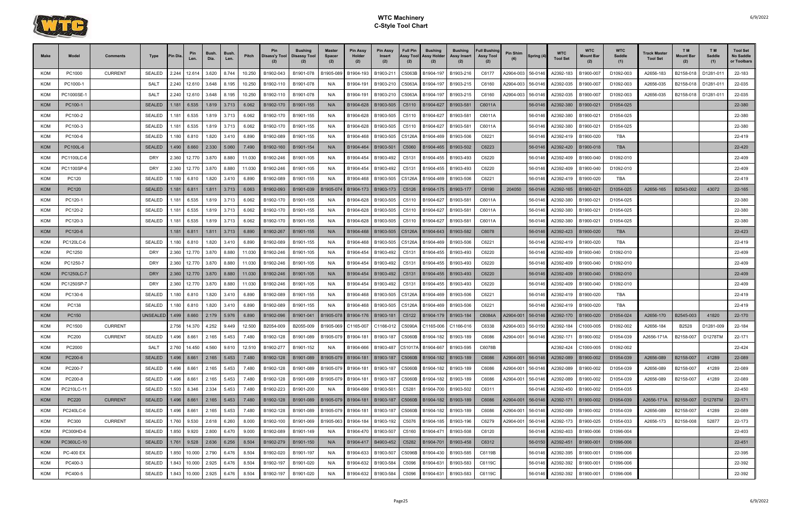

| Make              | <b>Model</b>          | <b>Comments</b> | Type                        | 'in Dia       | Pin<br>Len.         | <b>Bush</b><br>Dia. | Bush<br>Len.   | Pitch           | <b>Pin</b><br>Disass'y Tool | Bushing<br><b>Disassy Tool</b> | Master<br><b>Spacer</b><br>(2) | <b>Pin Assy</b><br>Holder<br>(2) | <b>Pin Assy</b><br>Insert<br>(2) | <b>Full Pin</b><br>Assy Tool<br>(2) | <b>Bushing</b><br>Assy Holder<br>(2) | <b>Bushing</b><br>Assy Insert              | <b>Full Bushing</b><br><b>Assy Tool</b><br>(2) | Pin Shim  | Spring (4)         | <b>WTC</b><br><b>Tool Set</b> | <b>WTC</b><br>Mount Bar | <b>WTC</b><br>Saddle<br>(1) | Track Master<br><b>Tool Set</b> | T M<br><b>Mount Bar</b><br>(2) | T M<br>Saddle<br>(1) | <b>Tool Set</b><br>No Saddle<br>or Toolbars |
|-------------------|-----------------------|-----------------|-----------------------------|---------------|---------------------|---------------------|----------------|-----------------|-----------------------------|--------------------------------|--------------------------------|----------------------------------|----------------------------------|-------------------------------------|--------------------------------------|--------------------------------------------|------------------------------------------------|-----------|--------------------|-------------------------------|-------------------------|-----------------------------|---------------------------------|--------------------------------|----------------------|---------------------------------------------|
| <b>KOM</b>        | PC1000                | <b>CURRENT</b>  | <b>SEALED</b>               | 2.244         | 12.614              | 3.620               | 8.744          | 10.250          | B1902-043                   | B1901-078                      | B1905-089                      | B1904-193                        | B1903-211                        | C5063B                              | B1904-197                            | B1903-216                                  | C6177                                          | 42904-003 | 56-0146            | A2392-183                     | B1900-007               | D1092-003                   | A2656-183                       | B2158-018                      | D1281-011            | 22-183                                      |
| <b>KOM</b>        | PC1000-1              |                 | <b>SALT</b>                 | 2.240         | 12.610              | 3.648               | 8.195          | 10.250          | B1902-110                   | B1901-078                      | N/A                            | B1904-191                        | B1903-210                        | C5063A                              | B1904-197                            | B1903-215                                  | C6160                                          | A2904-003 | 56-0146            | A2392-035                     | B1900-007               | D1092-003                   | A2656-035                       | B2158-018                      | D1281-011            | 22-035                                      |
| <b>KOM</b>        | PC1000SE-             |                 | <b>SALT</b>                 | 2.240         | 12.610              | 3.648               | 8.195          | 10.250          | B1902-110                   | B1901-078                      | N/A                            | B1904-191                        | B1903-210                        | C5063A                              | B1904-197                            | B1903-215                                  | C6160                                          | 42904-003 | 56-0146            | A2392-035                     | B1900-007               | D1092-003                   | A2656-035                       | B2158-018                      | D1281-011            | 22-035                                      |
| <b>KOM</b>        | PC100-1               |                 | <b>SEALED</b>               | 1.181         | 6.535               | 1.819               | 3.713          | 6.062           | B1902-170                   | B1901-155                      | N/A                            | B1904-628                        | B1903-505                        | C5110                               | B1904-627                            | B1903-58                                   | C6011A                                         |           | 56-0146            | A2392-380                     | B1900-021               | D1054-025                   |                                 |                                |                      | 22-380                                      |
| KOM               | PC100-2               |                 | <b>SEALED</b>               | 1.181         | 6.535               | 1.819               | 3.713          | 6.062           | B1902-170                   | B1901-155                      | N/A                            | B1904-628                        | B1903-505                        | C5110                               | B1904-627                            | B1903-58                                   | C6011A                                         |           | 56-0146            | A2392-380                     | B1900-021               | D1054-025                   |                                 |                                |                      | 22-380                                      |
| <b>KOM</b>        | PC100-3               |                 | <b>SEALED</b>               | .181          | 6.535               | 1.819               | 3.713          | 6.062           | B1902-170                   | B1901-155                      | N/A                            | B1904-628                        | B1903-505                        | C5110                               | B1904-627                            | B1903-581                                  | C6011A                                         |           | 56-0146            | A2392-380                     | B1900-021               | D1054-025                   |                                 |                                |                      | 22-380                                      |
| <b>KOM</b>        | PC100-6               |                 | <b>SEALED</b>               | 1.180         | 6.810               | 1.820               | 3.410          | 6.890           | B1902-089                   | B1901-155                      | N/A                            | B1904-468                        | B1903-505                        | C5126A                              | B1904-469                            | B1903-506                                  | C6221                                          |           | 56-0146            | A2392-419                     | B1900-020               | TBA                         |                                 |                                |                      | 22-419                                      |
| <b>KOM</b>        | PC100L-6              |                 | <b>SEALED</b>               | 1.490         | 8.660               | 2.330               | 5.060          | 7.490           | B1902-160                   | B1901-154                      | N/A                            | B1904-464                        | B1903-501                        | C5060                               | B1904-465                            | B1903-502                                  | C6223                                          |           | 56-0146            | A2392-420                     | B1900-018               | <b>TBA</b>                  |                                 |                                |                      | 22-420                                      |
| <b>KOM</b>        | PC1100LC-6            |                 | <b>DRY</b>                  | 2.360         | 12.770              | 3.870               | 8.880          | 11.030          | B1902-246                   | B1901-105                      | N/A                            | B1904-454                        | B1903-492                        | C5131                               | B1904-455                            | B1903-493                                  | C6220                                          |           | 56-0146            | A2392-409                     | B1900-040               | D1092-010                   |                                 |                                |                      | 22-409                                      |
| <b>KOM</b>        | PC1100SP-6            |                 | <b>DRY</b>                  | 2.360         | 12.770              | 3.870               | 8.880          | 11.030          | B1902-246                   | B1901-105                      | N/A                            | B1904-454                        | B1903-492                        | C5131                               | B1904-455                            | B1903-493                                  | C6220                                          |           | 56-0146            | A2392-409                     | B1900-040               | D1092-010                   |                                 |                                |                      | 22-409                                      |
| KOM               | PC120                 |                 | SEALED                      | 1.180         | 6.810               | 1.820               | 3.410          | 6.890           | B1902-089                   | B1901-155                      | N/A                            | B1904-468                        | B1903-505                        | C5126A                              | B1904-469                            | B1903-506                                  | C6221                                          |           | 56-0146            | A2392-419                     | B1900-020               | TBA                         |                                 |                                |                      | 22-419                                      |
| <b>KOM</b>        | PC120                 |                 | <b>SEALED</b>               | 1.181         | 6.811               | 1.811               | 3.713          | 6.063           | B1902-093                   | B1901-039                      | B1905-074                      | B1904-173                        | B1903-173                        | C5126                               | B1904-175   B1903-177                |                                            | C6190                                          | 204050    | 56-0146            | A2392-165                     | B1900-021               | D1054-025                   | A2656-165                       | B2543-002                      | 43072                | 22-165                                      |
| <b>KOM</b>        | PC120-1               |                 | <b>SEALED</b>               | 1.181         | 6.535               | 1.819               | 3.713          | 6.062           | B1902-170                   | B1901-155                      | N/A                            | B1904-628                        | B1903-505                        | C5110                               | B1904-627                            | B1903-581                                  | C6011A                                         |           | 56-0146            | A2392-380                     | B1900-021               | D1054-025                   |                                 |                                |                      | 22-380                                      |
| <b>KOM</b>        | PC120-2               |                 | <b>SEALED</b>               | 1.181         | 6.535               | 1.819               | 3.713          | 6.062           | B1902-170                   | B1901-155                      | N/A                            | B1904-628                        | B1903-505                        | C5110                               | B1904-627                            | B1903-58                                   | C6011A                                         |           | 56-0146            | A2392-380                     | B1900-021               | D1054-025                   |                                 |                                |                      | 22-380                                      |
| <b>KOM</b>        | PC120-3               |                 | <b>SEALED</b>               | 1.181         | 6.535               | 1.819               | 3.713          | 6.062           | B1902-170                   | B1901-155                      | N/A                            | B1904-628                        | B1903-505                        | C5110                               | B1904-627                            | B1903-58                                   | C6011A                                         |           | 56-0146            | A2392-380                     | B1900-021               | D1054-025                   |                                 |                                |                      | 22-380                                      |
| <b>KOM</b>        | PC120-6               |                 |                             | 1.181         | 6.811               | 1.811               | 3.713          | 6.890           | B1902-267                   | B1901-155                      | N/A                            | B1904-468                        | B1903-505                        | C5126A                              | B1904-643                            | B1903-582                                  | C6078                                          |           | 56-0146            | A2392-423                     | B1900-020               | <b>TBA</b>                  |                                 |                                |                      | 22-423                                      |
| KOM               | PC120LC-6             |                 | <b>SEALED</b>               | 1.180         | 6.810               | 1.820               | 3.410          | 6.890           | B1902-089                   | B1901-155                      | N/A                            | B1904-468                        | B1903-505                        | C5126A                              | B1904-469                            | B1903-506                                  | C6221                                          |           | 56-0146            | A2392-419                     | B1900-020               | <b>TBA</b>                  |                                 |                                |                      | 22-419                                      |
| <b>KOM</b>        | PC1250                |                 | <b>DRY</b>                  | 2.360         | 12.770              | 3.870               | 8.880          | 11.030          | B1902-246                   | B1901-105                      | N/A                            | B1904-454                        | B1903-492                        | C5131                               | B1904-455                            | B1903-493                                  | C6220                                          |           | 56-0146            | A2392-409                     | B1900-040               | D1092-010                   |                                 |                                |                      | 22-409                                      |
| KOM               | PC1250-7              |                 | <b>DRY</b>                  | 2.360         | 12.770              | 3.870               | 8.880          | 11.030          | B1902-246                   | B1901-105                      | N/A                            | B1904-454                        | B1903-492                        | C5131                               | B1904-455                            | B1903-493                                  | C6220                                          |           | 56-0146            | A2392-409                     | B1900-040               | D1092-010                   |                                 |                                |                      | 22-409                                      |
| <b>KOM</b>        | PC1250LC-7            |                 | <b>DRY</b>                  | 2.360         |                     | 12.770 3.870        | 8.880          | 11.030          | B1902-246                   | B1901-105                      | N/A                            | B1904-454                        | B1903-492                        | C5131                               | B1904-455                            | B1903-493                                  | C6220                                          |           | 56-0146            | A2392-409                     | B1900-040               | D1092-010                   |                                 |                                |                      | 22-409                                      |
| <b>KOM</b><br>KOM | PC1250SP-7<br>PC130-6 |                 | <b>DRY</b><br><b>SEALED</b> | 2.360<br>.180 | 12.770<br>6.810     | 3.870<br>1.820      | 8.880<br>3.410 | 11.030<br>6.890 | B1902-246<br>B1902-089      | B1901-105<br>B1901-155         | N/A<br>N/A                     | B1904-454<br>B1904-468           | B1903-492<br>B1903-505           | C5131<br>C5126A                     | B1904-455                            | B1903-493<br>B1903-506                     | C6220<br>C6221                                 |           | 56-0146<br>56-0146 | A2392-409<br>A2392-419        | B1900-040<br>B1900-020  | D1092-010<br>TBA            |                                 |                                |                      | 22-409<br>22-419                            |
| KOM               | PC138                 |                 | <b>SEALED</b>               | .180          | 6.810               | 1.820               | 3.410          | 6.890           | B1902-089                   | B1901-155                      | N/A                            | B1904-468                        | B1903-505                        | C5126A                              | B1904-469<br>B1904-469               | B1903-506                                  | C6221                                          |           | 56-0146            | A2392-419                     | B1900-020               | TBA                         |                                 |                                |                      | 22-419                                      |
| <b>KOM</b>        | PC150                 |                 | UNSEALED 1.499              |               | 8.660               | 2.179               | 5.976          | 6.890           | B1902-096                   | B1901-041                      | B1905-078                      | B1904-176                        | B1903-181                        | C5122                               | B1904-179   B1903-184                |                                            | C6084A                                         | A2904-001 | 56-0146            | A2392-170                     | B1900-020               | D1054-024                   | A2656-170                       | B2545-003                      | 41820                | 22-170                                      |
| KOM               | PC1500                | <b>CURRENT</b>  |                             | 2.756         | 14.370              | 4.252               | 9.449          | 12.500          | B2054-009                   | B2055-009                      | B1905-069                      | C1165-007                        | C1166-012                        | C5090A                              | C1165-006                            | C1166-016                                  | C6338                                          | 42904-003 | 56-0150            | A2392-184                     | C1000-005               | D1092-002                   | A2656-184                       | B2528                          | D1281-009            | 22-184                                      |
| KOM               | PC200                 | <b>CURRENT</b>  | SEALED                      | 1.496         | 8.661               | 2.165               | 5.453          | 7.480           | B1902-128                   | B1901-089                      | B1905-079                      | B1904-181                        |                                  |                                     |                                      | B1903-187   C5060B   B1904-182   B1903-189 | C6086                                          | A2904-001 | 56-0146            | A2392-171                     | B1900-002               | D1054-039                   | A2656-171A                      | B2158-007                      | D1278TM              | 22-171                                      |
| <b>KOM</b>        | PC2000                |                 | SALT                        |               | 2.760 14.450        | 4.560               | 9.610          | 12.510          | B1902-277                   | B1901-152                      | N/A                            | B1904-666                        |                                  |                                     | B1903-487 C51017A B1904-667          | B1903-595                                  | C6078B                                         |           |                    | A2392-424                     | C1000-005               | D1092-002                   |                                 |                                |                      | 22-424                                      |
| <b>KOM</b>        | PC200-6               |                 | <b>SEALED</b>               |               | 1.496 8.661         | 2.165               | 5.453          | 7.480           | B1902-128                   | B1901-089                      | B1905-079                      |                                  | B1904-181   B1903-187            |                                     | C5060B B1904-182 B1903-189           |                                            | C6086                                          | 42904-001 | 56-0146            | A2392-089                     | B1900-002               | D1054-039                   | A2656-089                       | B2158-007                      | 41289                | 22-089                                      |
| KOM               | PC200-7               |                 | <b>SEALED</b>               | 1.496         | 8.661               | 2.165               | 5.453          | 7.480           | B1902-128                   | B1901-089                      | B1905-079                      | B1904-181                        | B1903-187                        | C5060B                              | B1904-182   B1903-189                |                                            | C6086                                          | A2904-001 | 56-0146            | A2392-089                     | B1900-002               | D1054-039                   | A2656-089                       | B2158-007                      | 41289                | 22-089                                      |
| KOM               | PC200-8               |                 | <b>SEALED</b>               | 1.496         | 8.661               | 2.165               | 5.453          | 7.480           | B1902-128                   | B1901-089                      | B1905-079                      | B1904-181                        | B1903-187                        | C5060B                              | B1904-182 B1903-189                  |                                            | C6086                                          | A2904-001 | 56-0146            | A2392-089                     | B1900-002               | D1054-039                   | A2656-089                       | B2158-007                      | 41289                | 22-089                                      |
| KOM               | PC210LC-11            |                 | <b>SEALED</b>               |               | 1.503 8.346         | 2.334               | 5.453          | 7.480           | B1902-223                   | B1901-200                      | N/A                            | B1904-699                        | B1903-501                        | C5281                               | B1904-700 B1903-502                  |                                            | C6311                                          |           | 56-0146            | A2392-450                     | B1900-002               | D1054-035                   |                                 |                                |                      | 22-450                                      |
| <b>KOM</b>        | PC220                 | <b>CURRENT</b>  | <b>SEALED</b>               |               | 1.496 8.661         | 2.165               | 5.453          | 7.480           | B1902-128                   | B1901-089                      | B1905-079                      | B1904-181                        | B1903-187                        |                                     | C5060B B1904-182 B1903-189           |                                            | C6086                                          | A2904-001 | 56-0146            | A2392-171                     | B1900-002               | D1054-039                   | A2656-171A                      | B2158-007                      | D1278TM              | 22-171                                      |
| KOM               | PC240LC-6             |                 | <b>SEALED</b>               | 1.496         | 8.661               | 2.165               | 5.453          | 7.480           | B1902-128                   | B1901-089                      | B1905-079                      | B1904-181                        | B1903-187                        | C5060B                              | B1904-182   B1903-189                |                                            | C6086                                          | A2904-001 | 56-0146            | A2392-089                     | B1900-002               | D1054-039                   | A2656-089                       | B2158-007                      | 41289                | 22-089                                      |
| KOM               | PC300                 | <b>CURRENT</b>  | <b>SEALED</b>               |               | 1.760 9.530         | 2.618               | 6.260          | 8.000           | B1902-100                   | B1901-069                      | B1905-063                      | B1904-184                        | B1903-192                        | C5076                               | B1904-185 B1903-196                  |                                            | C6279                                          | A2904-001 | 56-0146            | A2392-173                     | B1900-025               | D1054-033                   | A2656-173                       | B2158-008                      | 52877                | 22-173                                      |
| KOM               | PC300HD-6             |                 | <b>SEALED</b>               |               | 1.850 9.920         | 2.800               | 6.470          | 9.000           | B1902-089                   | B1901-149                      | N/A                            | B1904-470                        | B1903-507                        |                                     | C5160 B1904-471                      | B1903-508                                  | C6120                                          |           | 56-0146            | A2392-403                     | B1900-006               | D1096-004                   |                                 |                                |                      | 22-403                                      |
| <b>KOM</b>        | PC360LC-10            |                 | <b>SEALED</b>               |               | $1.761$ 9.528 2.636 |                     | 6.256          | 8.504           | B1902-279                   | B1901-150                      | N/A                            | B1904-417                        | B4903-452                        | C5282                               | B1904-701                            | B1903-458                                  | C6312                                          |           | 56-0150            | A2392-451                     | B1900-001               | D1096-006                   |                                 |                                |                      | 22-451                                      |
| KOM               | <b>PC-400 EX</b>      |                 | <b>SEALED</b>               |               | 1.850 10.000        | 2.790               | 6.476          | 8.504           | B1902-020                   | B1901-197                      | N/A                            | B1904-633                        | B1903-507                        | C5096B                              | B1904-430   B1903-585                |                                            | C6119B                                         |           | 56-0146            | A2392-395                     | B1900-001               | D1096-006                   |                                 |                                |                      | 22-395                                      |
| <b>KOM</b>        | PC400-3               |                 | <b>SEALED</b>               |               | 1.843 10.000        | 2.925               | 6.476          | 8.504           | B1902-197                   | B1901-020                      | N/A                            | B1904-632                        | B1903-584                        | C5096                               | B1904-631                            | B1903-583                                  | C6119C                                         |           | 56-0146            | A2392-392                     | B1900-001               | D1096-006                   |                                 |                                |                      | 22-392                                      |
| KOM               | PC400-5               |                 | <b>SEALED</b>               |               | 1.843 10.000        | 2.925               | 6.476          | 8.504           | B1902-197                   | B1901-020                      | N/A                            | B1904-632                        | B1903-584                        | C5096                               | B1904-631                            | B1903-583                                  | C6119C                                         |           | 56-0146            | A2392-392                     | B1900-001               | D1096-006                   |                                 |                                |                      | 22-392                                      |